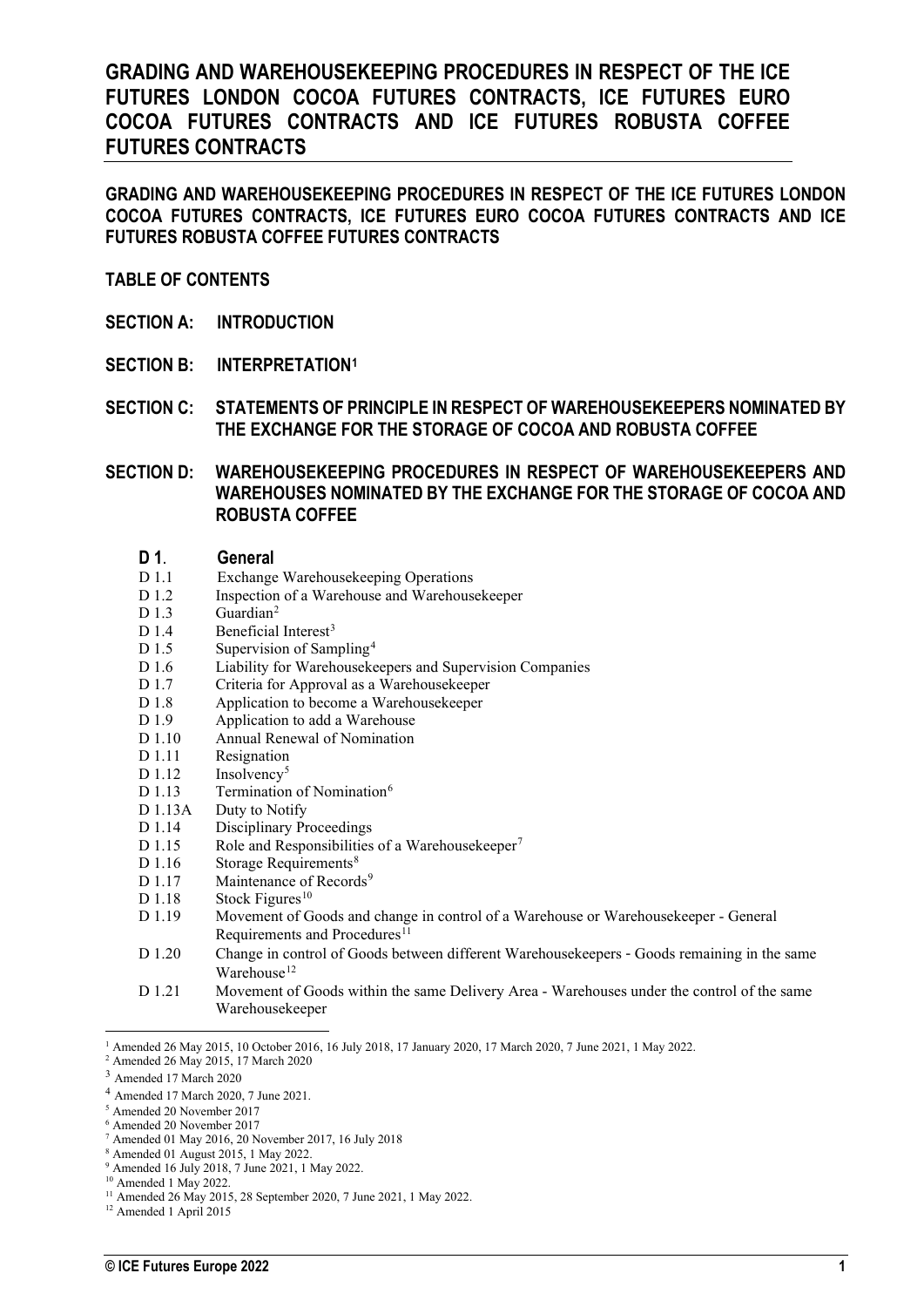#### **GRADING AND WAREHOUSEKEEPING PROCEDURES IN RESPECT OF THE ICE FUTURES LONDON COCOA FUTURES CONTRACTS, ICE FUTURES EURO COCOA FUTURES CONTRACTS AND ICE FUTURES ROBUSTA COFFEE FUTURES CONTRACTS**

#### **TABLE OF CONTENTS**

- **SECTION A: INTRODUCTION**
- **SECTION B: INTERPRETATION[1](#page-0-0)**
- **SECTION C: STATEMENTS OF PRINCIPLE IN RESPECT OF WAREHOUSEKEEPERS NOMINATED BY THE EXCHANGE FOR THE STORAGE OF COCOA AND ROBUSTA COFFEE**

**SECTION D: WAREHOUSEKEEPING PROCEDURES IN RESPECT OF WAREHOUSEKEEPERS AND WAREHOUSES NOMINATED BY THE EXCHANGE FOR THE STORAGE OF COCOA AND ROBUSTA COFFEE**

- **D 1**. **General**<br>**D** 1.1 **Exchange** D 1.1 Exchange Warehousekeeping Operations<br>D 1.2 Inspection of a Warehouse and Warehous
- D 1.2 Inspection of a Warehouse and Warehousekeeper<br>D 1.3 Guardian<sup>2</sup>
- Guardian $2$
- D 1.4 Beneficial Interest<sup>[3](#page-0-2)</sup>
- D 1.5 Supervision of Sampling<sup>[4](#page-0-3)</sup>
- D 1.6 Liability for Warehousekeepers and Supervision Companies
- D 1.7 Criteria for Approval as a Warehousekeeper<br>D 1.8 Application to become a Warehousekeeper
- D 1.8 Application to become a Warehouse keeper<br>D 1.9 Application to add a Warehouse
- D 1.9 Application to add a Warehouse<br>D 1.10 Annual Renewal of Nomination
- D 1.10 Annual Renewal of Nomination<br>D 1.11 Resignation
- D 1.11 Resignation<br>D 1.12 Insolvency<sup>5</sup>
- D 1.12 Insolvency<sup>[5](#page-0-4)</sup><br>D 1.13 Termination
- Termination of Nomination<sup>[6](#page-0-5)</sup>
- D 1.13A Duty to Notify
- D 1.14 Disciplinary Proceedings
- D 1.15 Role and Responsibilities of a Warehousekeeper<sup>[7](#page-0-6)</sup><br>D 1.16 Storage Requirements<sup>8</sup>
- Storage Requirements<sup>[8](#page-0-7)</sup>
- D 1.17 Maintenance of Records<sup>[9](#page-0-8)</sup>
- $D$  1.18 Stock Figures<sup>[10](#page-0-9)</sup><br>D 1.19 Movement of G
- Movement of Goods and change in control of a Warehouse or Warehousekeeper General Requirements and Procedures<sup>[11](#page-0-10)</sup>
- D 1.20 Change in control of Goods between different Warehousekeepers Goods remaining in the same Warehouse<sup>[12](#page-0-11)</sup>
- D 1.21 Movement of Goods within the same Delivery Area Warehouses under the control of the same Warehousekeeper

<span id="page-0-0"></span> $^1$  Amended 26 May 2015, 10 October 2016, 16 July 2018, 17 January 2020, 17 March 2020, 7 June 2021, 1 May 2022.  $^2$  Amended 26 May 2015, 17 March 2020

<span id="page-0-3"></span><sup>4</sup> Amended 17 March 2020, 7 June 2021.

<span id="page-0-11"></span><sup>12</sup> Amended 1 April 2015

<span id="page-0-2"></span><span id="page-0-1"></span><sup>3</sup> Amended 17 March 2020

<span id="page-0-4"></span><sup>5</sup> Amended 20 November 2017

<span id="page-0-5"></span><sup>6</sup> Amended 20 November 2017

<span id="page-0-6"></span><sup>7</sup> Amended 01 May 2016, 20 November 2017, 16 July 2018

<span id="page-0-7"></span><sup>8</sup> Amended 01 August 2015, 1 May 2022.

<span id="page-0-8"></span><sup>9</sup> Amended 16 July 2018, 7 June 2021, 1 May 2022.

<span id="page-0-9"></span><sup>&</sup>lt;sup>10</sup> Amended 1 May 2022.

<span id="page-0-10"></span><sup>&</sup>lt;sup>11</sup> Amended 26 May 2015, 28 September 2020, 7 June 2021, 1 May 2022.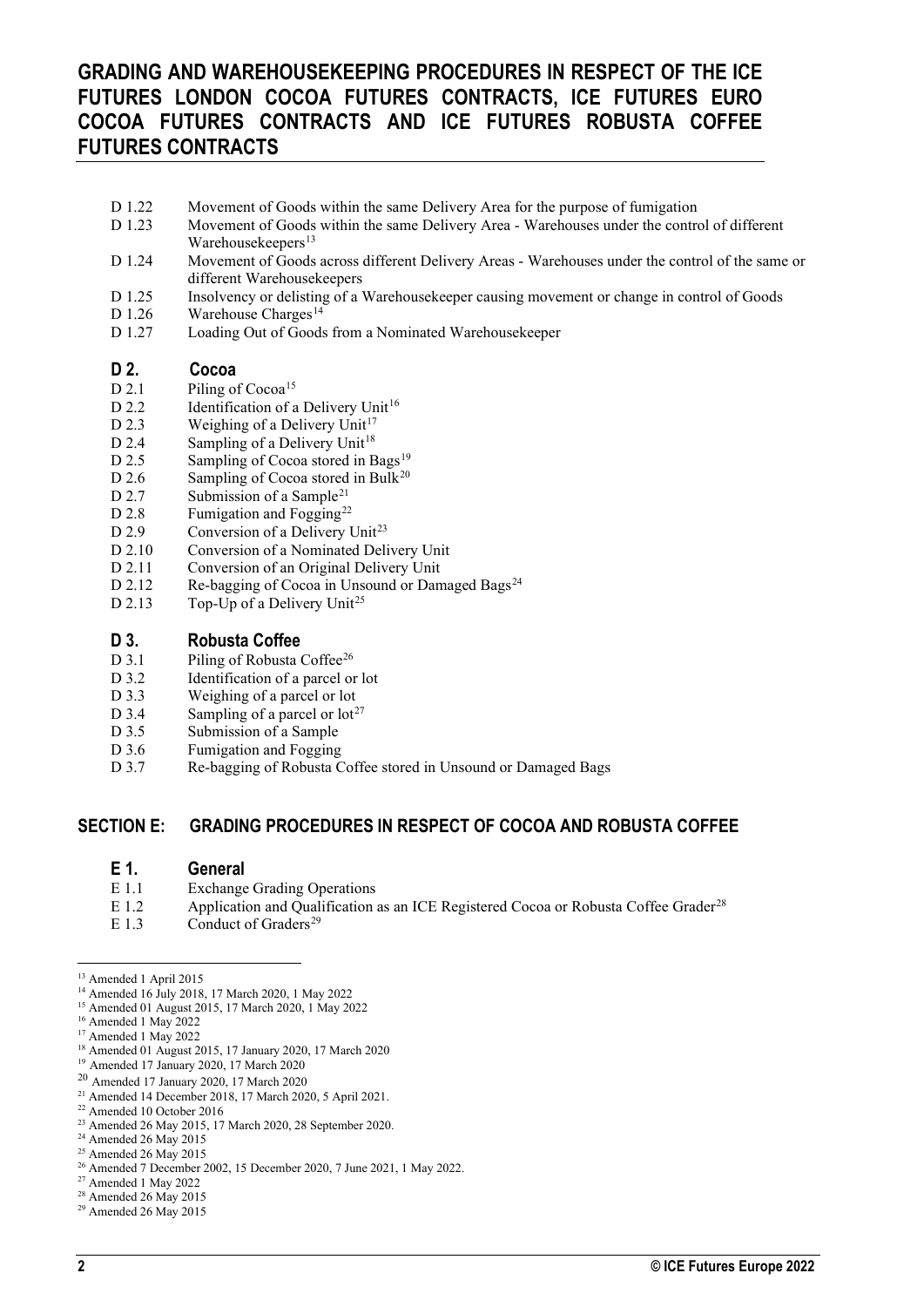- D 1.22 Movement of Goods within the same Delivery Area for the purpose of fumigation D 1.23 Movement of Goods within the same Delivery Area Warehouses under the control
- Movement of Goods within the same Delivery Area Warehouses under the control of different Warehousekeepers<sup>[13](#page-1-0)</sup>
- D 1.24 Movement of Goods across different Delivery Areas Warehouses under the control of the same or different Warehousekeepers
- D 1.25 Insolvency or delisting of a Warehousekeeper causing movement or change in control of Goods<br>D 1.26 Warehouse Charges<sup>14</sup>
- D 1.26 Warehouse Charges<sup>[14](#page-1-1)</sup><br>D 1.27 Loading Out of Goods
- Loading Out of Goods from a Nominated Warehousekeeper

# **D 2. Cocoa**<br> $D$  **2.1 Piling o**

- D 2.1 Piling of Cocoa<sup>[15](#page-1-2)</sup><br>D 2.2 Identification of a
- D 2.2 Identification of a Delivery Unit<sup>[16](#page-1-3)</sup><br>D 2.3 Weighing of a Delivery Unit<sup>17</sup>
- D 2.3 Weighing of a Delivery Unit<sup>[17](#page-1-4)</sup><br>D 2.4 Sampling of a Delivery Unit<sup>18</sup>
- D 2.4 Sampling of a Delivery Unit<sup>18</sup><br>D 2.5 Sampling of Cocoa stored in B
- Sampling of Cocoa stored in Bags<sup>[19](#page-1-6)</sup>
- D 2.6 Sampling of Cocoa stored in Bulk<sup>[20](#page-1-7)</sup>
- D 2.7 Submission of a Sample<sup>[21](#page-1-8)</sup>
- D 2.8 Fumigation and Fogging<sup>22</sup>
- D 2.9 Conversion of a Delivery Unit<sup>[23](#page-1-10)</sup><br>D 2.10 Conversion of a Nominated Deli
- D 2.10 Conversion of a Nominated Delivery Unit<br>D 2.11 Conversion of an Original Delivery Unit
- D 2.11 Conversion of an Original Delivery Unit<br>D 2.12 Re-bagging of Cocoa in Unsound or Dan
- D 2.12 Re-bagging of Cocoa in Unsound or Damaged Bags<sup>[24](#page-1-11)</sup><br>D 2.13 Top-Up of a Delivery Unit<sup>25</sup>
- Top-Up of a Delivery Unit<sup>[25](#page-1-12)</sup>

# **D 3. Robusta Coffee**

- D 3.1 Piling of Robusta Coffee<sup>[26](#page-1-13)</sup><br>D 3.2 Identification of a parcel of
- Identification of a parcel or lot
- D 3.3 Weighing of a parcel or lot
- D 3.4 Sampling of a parcel or  $\log^{27}$
- D 3.5 Submission of a Sample
- D 3.6 Fumigation and Fogging
- D 3.7 Re-bagging of Robusta Coffee stored in Unsound or Damaged Bags

#### **SECTION E: GRADING PROCEDURES IN RESPECT OF COCOA AND ROBUSTA COFFEE**

#### **E 1. General**

- E 1.1 Exchange Grading Operations<br>E 1.2 Application and Oualification a
- Application and Qualification as an ICE Registered Cocoa or Robusta Coffee Grader<sup>[28](#page-1-15)</sup>
- E 1.3 Conduct of Graders<sup>[29](#page-1-16)</sup>

- <span id="page-1-1"></span><sup>14</sup> Amended 16 July 2018, 17 March 2020, 1 May 2022
- <span id="page-1-2"></span><sup>15</sup> Amended 01 August 2015, 17 March 2020, 1 May 2022
- <sup>16</sup> Amended 1 May 2022
- <span id="page-1-4"></span><span id="page-1-3"></span><sup>17</sup> Amended 1 May 2022

- <span id="page-1-6"></span><sup>19</sup> Amended 17 January 2020, 17 March 2020
- <span id="page-1-7"></span><sup>20</sup> Amended 17 January 2020, 17 March 2020
- <span id="page-1-8"></span><sup>21</sup> Amended 14 December 2018, 17 March 2020, 5 April 2021.
- <span id="page-1-9"></span><sup>22</sup> Amended 10 October 2016
- <span id="page-1-10"></span><sup>23</sup> Amended 26 May 2015, 17 March 2020, 28 September 2020.
- <span id="page-1-11"></span><sup>24</sup> Amended 26 May 2015
- <span id="page-1-12"></span> $25$  Amended 26 May 2015

- <span id="page-1-14"></span><sup>27</sup> Amended 1 May 2022
- <span id="page-1-16"></span><span id="page-1-15"></span><sup>28</sup> Amended 26 May 2015 <sup>29</sup> Amended 26 May 2015

<span id="page-1-0"></span><sup>&</sup>lt;sup>13</sup> Amended 1 April 2015

<span id="page-1-5"></span><sup>18</sup> Amended 01 August 2015, 17 January 2020, 17 March 2020

<span id="page-1-13"></span><sup>26</sup> Amended 7 December 2002, 15 December 2020, 7 June 2021, 1 May 2022.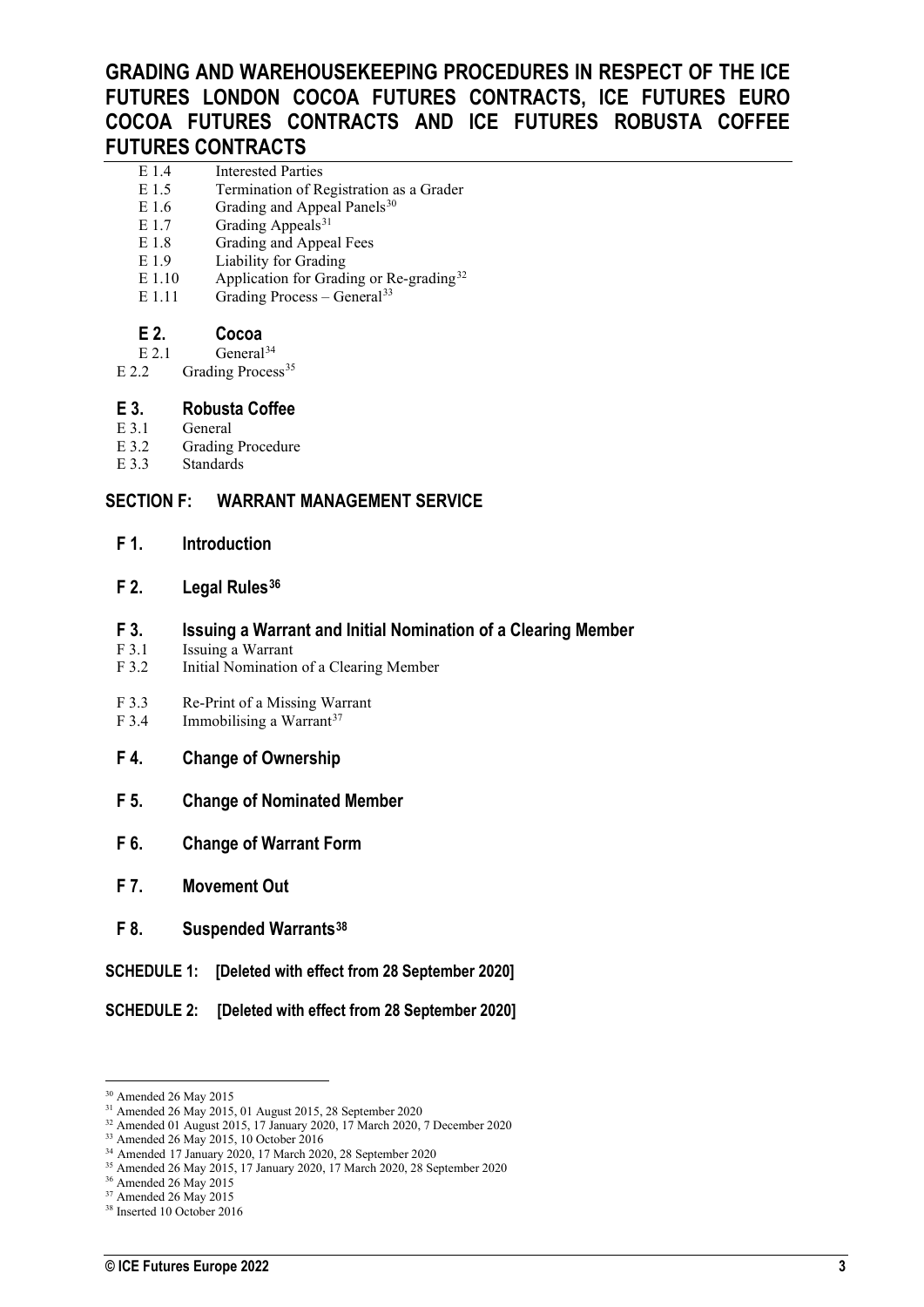- E 1.4 Interested Parties<br>E 1.5 Termination of R
- E 1.5 Termination of Registration as a Grader E 1.6 Grading and Appeal Panels<sup>30</sup>
- Grading and Appeal Panels<sup>[30](#page-2-0)</sup>
- E 1.7 Grading Appeals<sup>31</sup>
- E 1.8 Grading and Appeal Fees<br>E 1.9 Liability for Grading
- E 1.9 Liability for Grading<br>E 1.10 Application for Gradi
- E 1.10 Application for Grading or Re-grading<sup>[32](#page-2-2)</sup><br>E 1.11 Grading Process General<sup>33</sup>
- Grading Process General<sup>[33](#page-2-3)</sup>

# **E 2. Cocoa**

E 2.1 General<sup>[34](#page-2-4)</sup><br>E 2.2 Grading Proces

Grading Process<sup>[35](#page-2-5)</sup>

# **E 3. Robusta Coffee**

- E 3.1 General<br>E 3.2 Grading
- E 3.2 Grading Procedure<br>E 3.3 Standards
- **Standards**

### **SECTION F: WARRANT MANAGEMENT SERVICE**

**F 1. Introduction**

#### **F 2. Legal Rules[36](#page-2-6)**

#### **F 3. Issuing a Warrant and Initial Nomination of a Clearing Member**

- F 3.1 Issuing a Warrant<br>F 3.2 Initial Nomination
- Initial Nomination of a Clearing Member
- F 3.3 Re-Print of a Missing Warrant<br>F 3.4 Immobilising a Warrant<sup>37</sup>
- Immobilising a Warrant<sup>[37](#page-2-7)</sup>
- **F 4. Change of Ownership**
- **F 5. Change of Nominated Member**
- **F 6. Change of Warrant Form**
- **F 7. Movement Out**
- **F 8. Suspended Warrants[38](#page-2-8)**
- **SCHEDULE 1: [Deleted with effect from 28 September 2020]**
- **SCHEDULE 2: [Deleted with effect from 28 September 2020]**

<span id="page-2-0"></span><sup>30</sup> Amended 26 May 2015

<span id="page-2-1"></span><sup>31</sup> Amended 26 May 2015, 01 August 2015, 28 September 2020

<span id="page-2-2"></span><sup>32</sup> Amended 01 August 2015, 17 January 2020, 17 March 2020, 7 December 2020

<span id="page-2-3"></span><sup>33</sup> Amended 26 May 2015, 10 October 2016 <sup>34</sup> Amended 17 January 2020, 17 March 2020, 28 September 2020

<span id="page-2-5"></span><span id="page-2-4"></span><sup>35</sup> Amended 26 May 2015, 17 January 2020, 17 March 2020, 28 September 2020

<span id="page-2-6"></span><sup>36</sup> Amended 26 May 2015

<span id="page-2-7"></span> $37$  Amended 26 May 2015

<span id="page-2-8"></span><sup>38</sup> Inserted 10 October 2016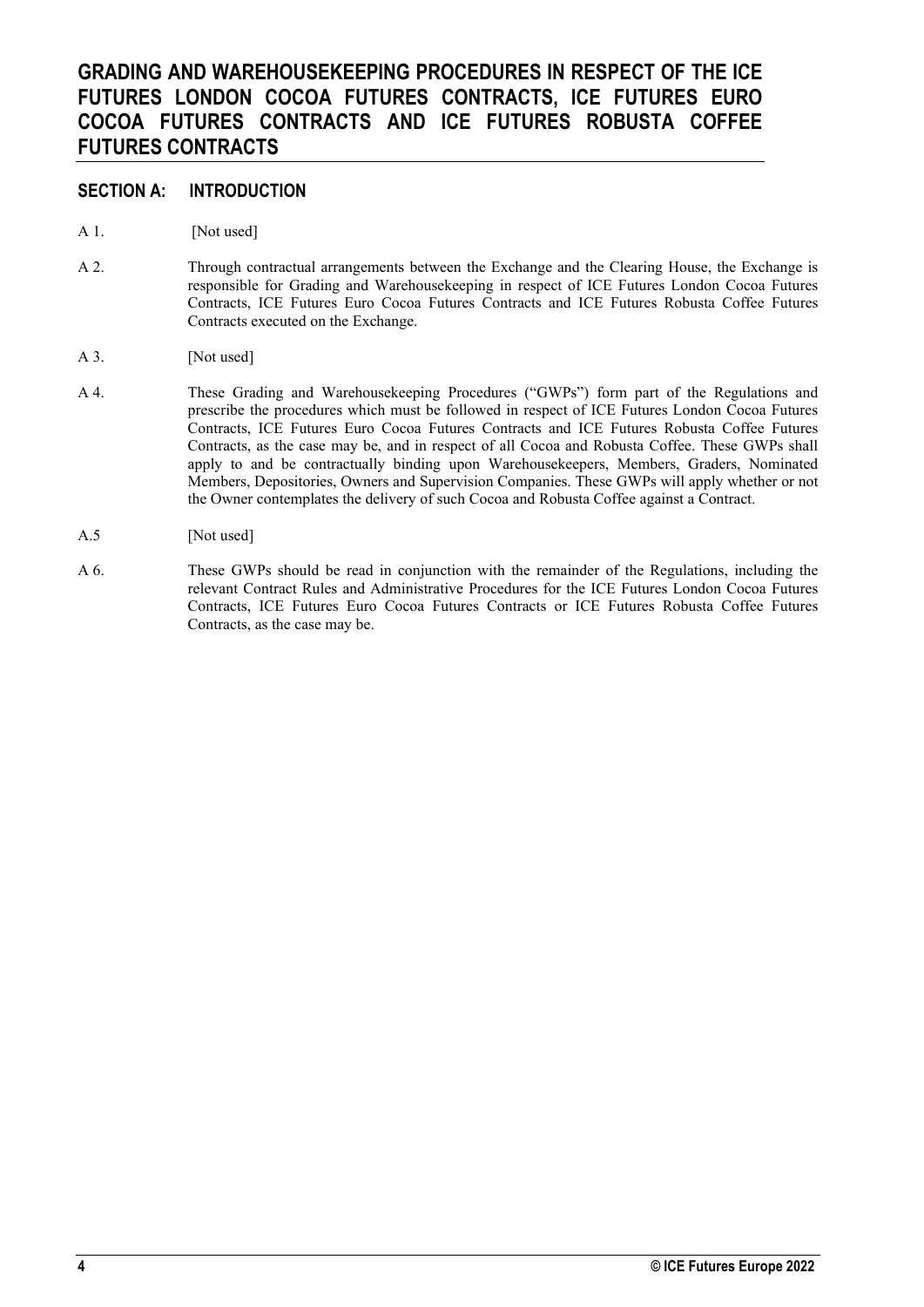#### **SECTION A: INTRODUCTION**

- A 1. [Not used]
- A 2. Through contractual arrangements between the Exchange and the Clearing House, the Exchange is responsible for Grading and Warehousekeeping in respect of ICE Futures London Cocoa Futures Contracts, ICE Futures Euro Cocoa Futures Contracts and ICE Futures Robusta Coffee Futures Contracts executed on the Exchange.
- A 3. [Not used]
- A 4. These Grading and Warehousekeeping Procedures ("GWPs") form part of the Regulations and prescribe the procedures which must be followed in respect of ICE Futures London Cocoa Futures Contracts, ICE Futures Euro Cocoa Futures Contracts and ICE Futures Robusta Coffee Futures Contracts, as the case may be, and in respect of all Cocoa and Robusta Coffee. These GWPs shall apply to and be contractually binding upon Warehousekeepers, Members, Graders, Nominated Members, Depositories, Owners and Supervision Companies. These GWPs will apply whether or not the Owner contemplates the delivery of such Cocoa and Robusta Coffee against a Contract.
- A.5 [Not used]
- A 6. These GWPs should be read in conjunction with the remainder of the Regulations, including the relevant Contract Rules and Administrative Procedures for the ICE Futures London Cocoa Futures Contracts, ICE Futures Euro Cocoa Futures Contracts or ICE Futures Robusta Coffee Futures Contracts, as the case may be.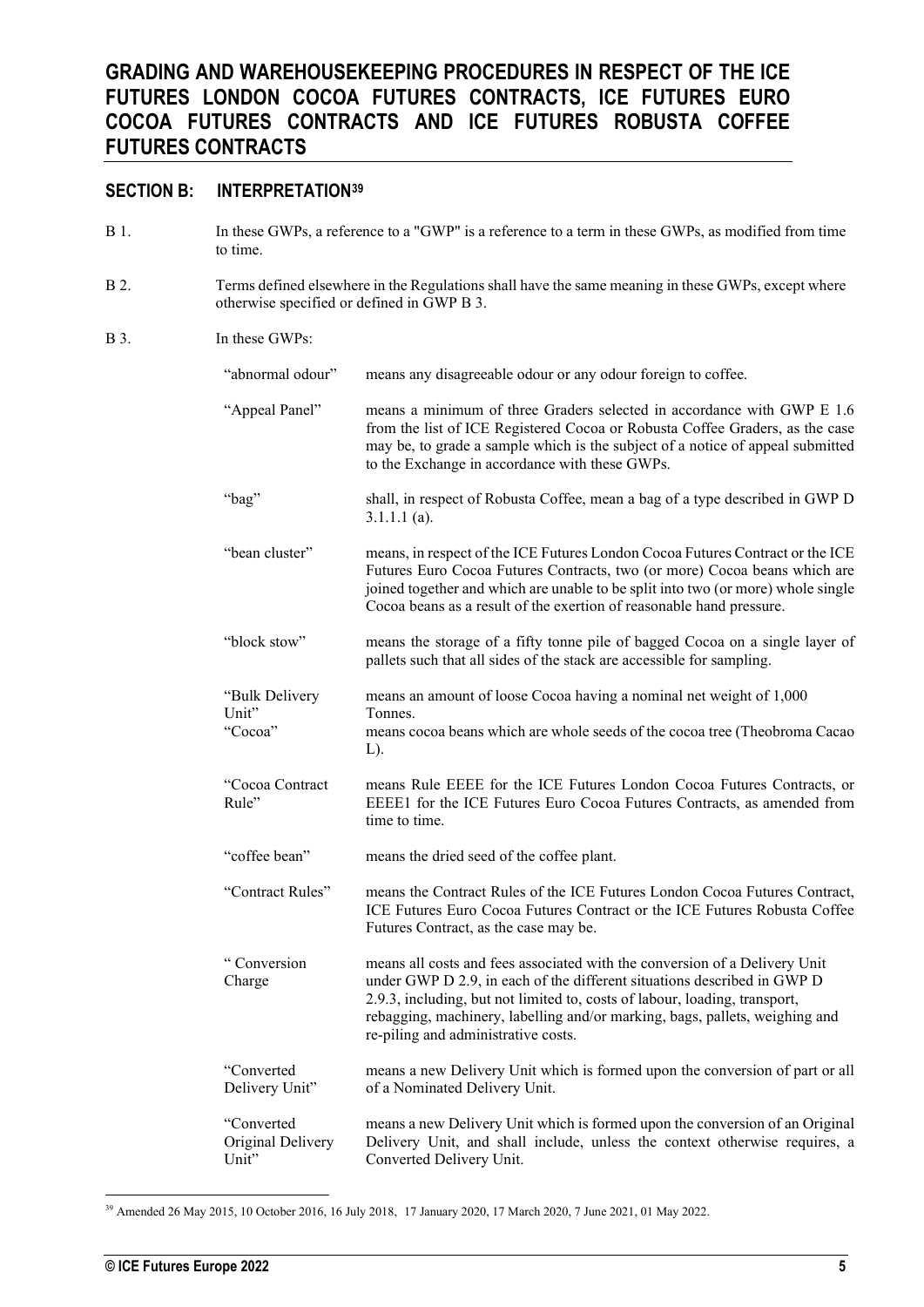B 1. In these GWPs, a reference to a "GWP" is a reference to a term in these GWPs, as modified from time

#### **SECTION B: INTERPRETATION[39](#page-4-0)**

|      | to time.                                   |                                                                                                                                                                                                                                                                                                                                                           |
|------|--------------------------------------------|-----------------------------------------------------------------------------------------------------------------------------------------------------------------------------------------------------------------------------------------------------------------------------------------------------------------------------------------------------------|
| B 2. | otherwise specified or defined in GWP B 3. | Terms defined elsewhere in the Regulations shall have the same meaning in these GWPs, except where                                                                                                                                                                                                                                                        |
| B 3. | In these GWPs:                             |                                                                                                                                                                                                                                                                                                                                                           |
|      | "abnormal odour"                           | means any disagreeable odour or any odour foreign to coffee.                                                                                                                                                                                                                                                                                              |
|      | "Appeal Panel"                             | means a minimum of three Graders selected in accordance with GWP E 1.6<br>from the list of ICE Registered Cocoa or Robusta Coffee Graders, as the case<br>may be, to grade a sample which is the subject of a notice of appeal submitted<br>to the Exchange in accordance with these GWPs.                                                                |
|      | "bag"                                      | shall, in respect of Robusta Coffee, mean a bag of a type described in GWP D<br>$3.1.1.1$ (a).                                                                                                                                                                                                                                                            |
|      | "bean cluster"                             | means, in respect of the ICE Futures London Cocoa Futures Contract or the ICE<br>Futures Euro Cocoa Futures Contracts, two (or more) Cocoa beans which are<br>joined together and which are unable to be split into two (or more) whole single<br>Cocoa beans as a result of the exertion of reasonable hand pressure.                                    |
|      | "block stow"                               | means the storage of a fifty tonne pile of bagged Cocoa on a single layer of<br>pallets such that all sides of the stack are accessible for sampling.                                                                                                                                                                                                     |
|      | "Bulk Delivery<br>Unit"<br>"Cocoa"         | means an amount of loose Cocoa having a nominal net weight of 1,000<br>Tonnes.<br>means cocoa beans which are whole seeds of the cocoa tree (Theobroma Cacao<br>$L$ ).                                                                                                                                                                                    |
|      | "Cocoa Contract<br>Rule"                   | means Rule EEEE for the ICE Futures London Cocoa Futures Contracts, or<br>EEEE1 for the ICE Futures Euro Cocoa Futures Contracts, as amended from<br>time to time.                                                                                                                                                                                        |
|      | "coffee bean"                              | means the dried seed of the coffee plant.                                                                                                                                                                                                                                                                                                                 |
|      | "Contract Rules"                           | means the Contract Rules of the ICE Futures London Cocoa Futures Contract,<br>ICE Futures Euro Cocoa Futures Contract or the ICE Futures Robusta Coffee<br>Futures Contract, as the case may be.                                                                                                                                                          |
|      | "Conversion<br>Charge                      | means all costs and fees associated with the conversion of a Delivery Unit<br>under GWP D 2.9, in each of the different situations described in GWP D<br>2.9.3, including, but not limited to, costs of labour, loading, transport,<br>rebagging, machinery, labelling and/or marking, bags, pallets, weighing and<br>re-piling and administrative costs. |
|      | "Converted<br>Delivery Unit"               | means a new Delivery Unit which is formed upon the conversion of part or all<br>of a Nominated Delivery Unit.                                                                                                                                                                                                                                             |
|      | "Converted<br>Original Delivery<br>Unit"   | means a new Delivery Unit which is formed upon the conversion of an Original<br>Delivery Unit, and shall include, unless the context otherwise requires, a<br>Converted Delivery Unit.                                                                                                                                                                    |

<span id="page-4-0"></span><sup>39</sup> Amended 26 May 2015, 10 October 2016, 16 July 2018, 17 January 2020, 17 March 2020, 7 June 2021, 01 May 2022.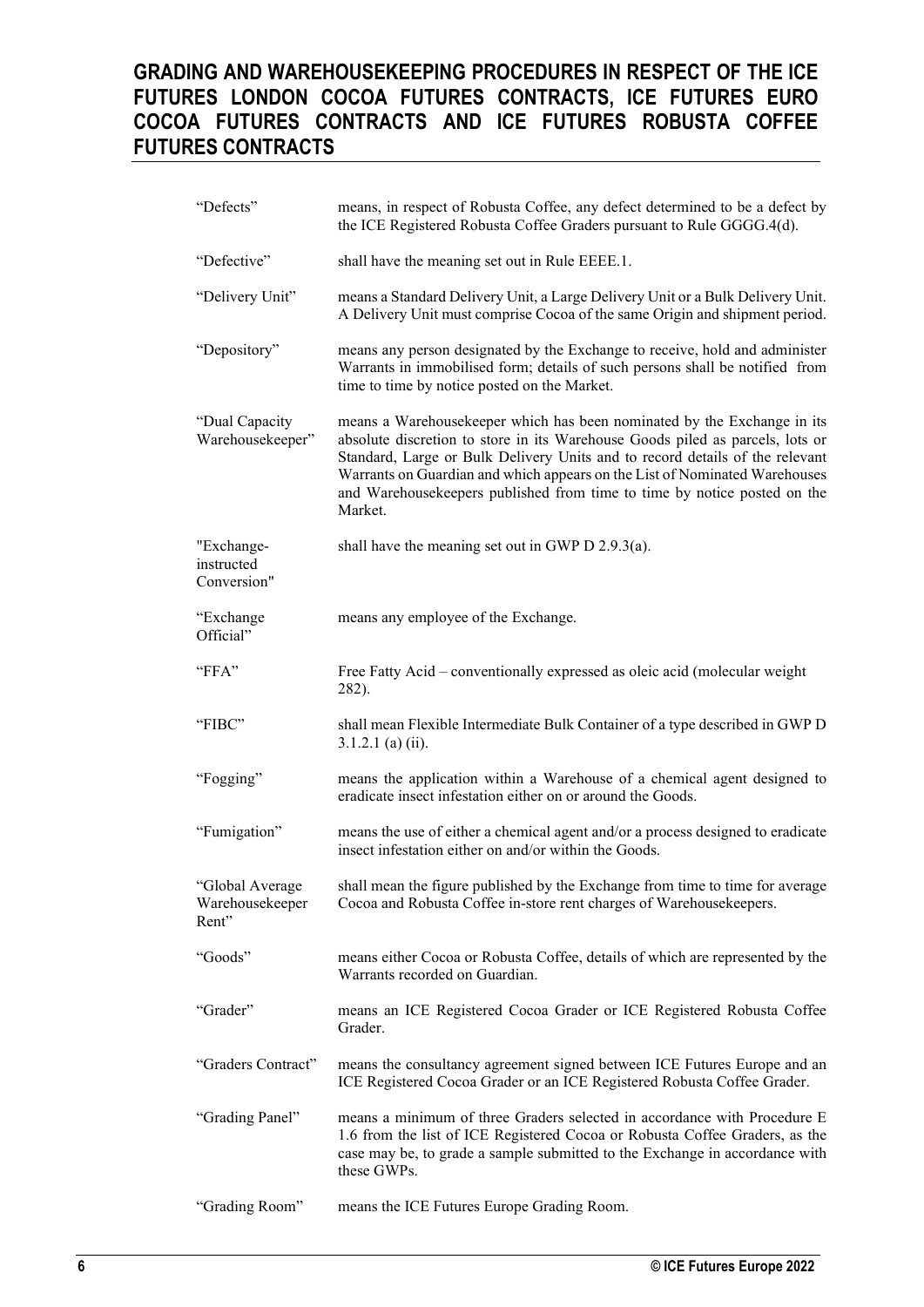| "Defects"                                   | means, in respect of Robusta Coffee, any defect determined to be a defect by<br>the ICE Registered Robusta Coffee Graders pursuant to Rule GGGG.4(d).                                                                                                                                                                                                                                                         |
|---------------------------------------------|---------------------------------------------------------------------------------------------------------------------------------------------------------------------------------------------------------------------------------------------------------------------------------------------------------------------------------------------------------------------------------------------------------------|
| "Defective"                                 | shall have the meaning set out in Rule EEEE.1.                                                                                                                                                                                                                                                                                                                                                                |
| "Delivery Unit"                             | means a Standard Delivery Unit, a Large Delivery Unit or a Bulk Delivery Unit.<br>A Delivery Unit must comprise Cocoa of the same Origin and shipment period.                                                                                                                                                                                                                                                 |
| "Depository"                                | means any person designated by the Exchange to receive, hold and administer<br>Warrants in immobilised form; details of such persons shall be notified from<br>time to time by notice posted on the Market.                                                                                                                                                                                                   |
| "Dual Capacity<br>Warehousekeeper"          | means a Warehousekeeper which has been nominated by the Exchange in its<br>absolute discretion to store in its Warehouse Goods piled as parcels, lots or<br>Standard, Large or Bulk Delivery Units and to record details of the relevant<br>Warrants on Guardian and which appears on the List of Nominated Warehouses<br>and Warehousekeepers published from time to time by notice posted on the<br>Market. |
| "Exchange-<br>instructed<br>Conversion"     | shall have the meaning set out in GWP $D$ 2.9.3(a).                                                                                                                                                                                                                                                                                                                                                           |
| "Exchange<br>Official"                      | means any employee of the Exchange.                                                                                                                                                                                                                                                                                                                                                                           |
| "FFA"                                       | Free Fatty Acid – conventionally expressed as oleic acid (molecular weight<br>282).                                                                                                                                                                                                                                                                                                                           |
| "FIBC"                                      | shall mean Flexible Intermediate Bulk Container of a type described in GWP D<br>$3.1.2.1$ (a) (ii).                                                                                                                                                                                                                                                                                                           |
| "Fogging"                                   | means the application within a Warehouse of a chemical agent designed to<br>eradicate insect infestation either on or around the Goods.                                                                                                                                                                                                                                                                       |
| "Fumigation"                                | means the use of either a chemical agent and/or a process designed to eradicate<br>insect infestation either on and/or within the Goods.                                                                                                                                                                                                                                                                      |
| "Global Average<br>Warehousekeeper<br>Rent" | shall mean the figure published by the Exchange from time to time for average<br>Cocoa and Robusta Coffee in-store rent charges of Warehousekeepers.                                                                                                                                                                                                                                                          |
| "Goods"                                     | means either Cocoa or Robusta Coffee, details of which are represented by the<br>Warrants recorded on Guardian.                                                                                                                                                                                                                                                                                               |
| "Grader"                                    | means an ICE Registered Cocoa Grader or ICE Registered Robusta Coffee<br>Grader.                                                                                                                                                                                                                                                                                                                              |
| "Graders Contract"                          | means the consultancy agreement signed between ICE Futures Europe and an<br>ICE Registered Cocoa Grader or an ICE Registered Robusta Coffee Grader.                                                                                                                                                                                                                                                           |
| "Grading Panel"                             | means a minimum of three Graders selected in accordance with Procedure E<br>1.6 from the list of ICE Registered Cocoa or Robusta Coffee Graders, as the<br>case may be, to grade a sample submitted to the Exchange in accordance with<br>these GWPs.                                                                                                                                                         |
| "Grading Room"                              | means the ICE Futures Europe Grading Room.                                                                                                                                                                                                                                                                                                                                                                    |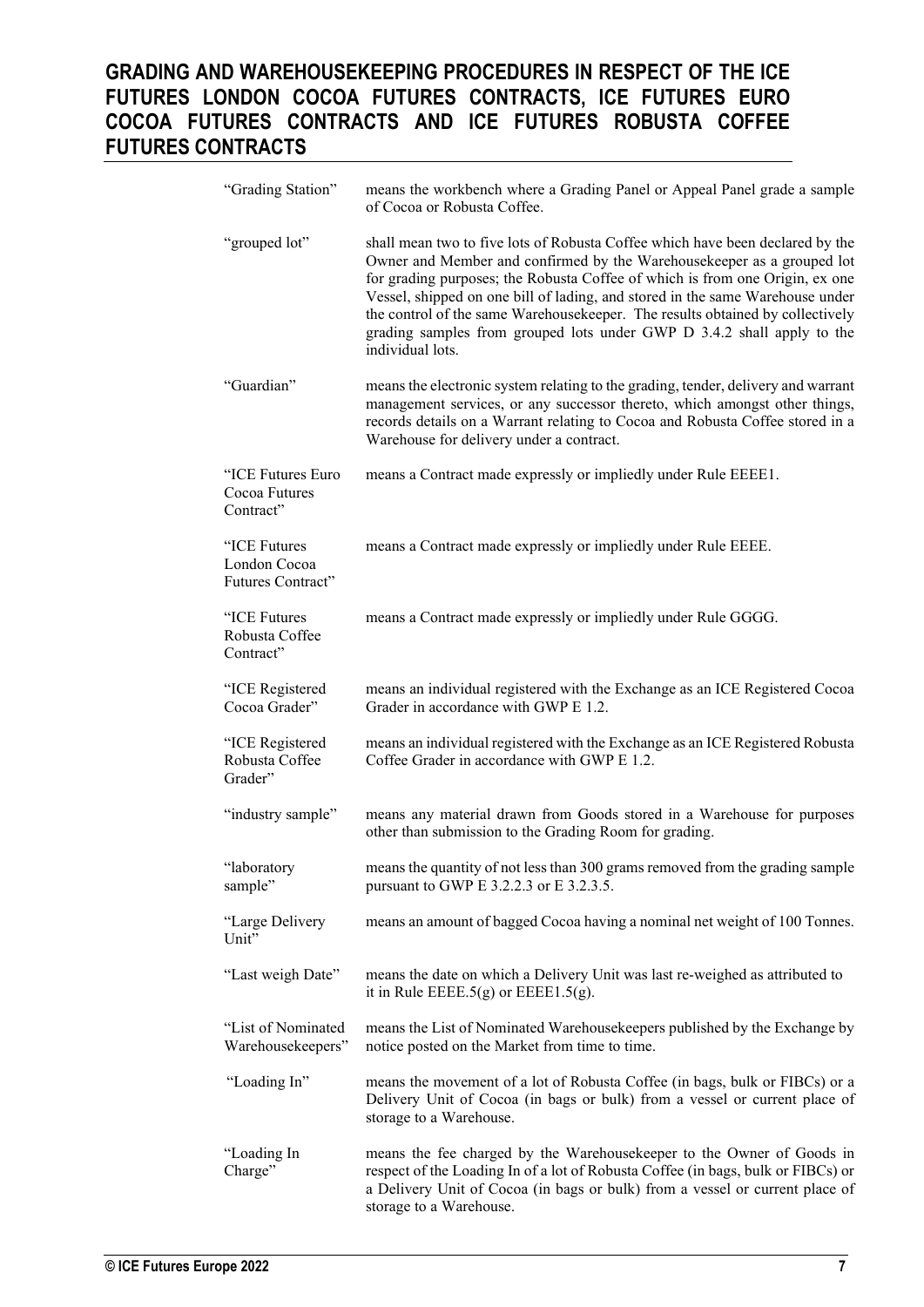| "Grading Station"                                 | means the workbench where a Grading Panel or Appeal Panel grade a sample<br>of Cocoa or Robusta Coffee.                                                                                                                                                                                                                                                                                                                                                                                                 |
|---------------------------------------------------|---------------------------------------------------------------------------------------------------------------------------------------------------------------------------------------------------------------------------------------------------------------------------------------------------------------------------------------------------------------------------------------------------------------------------------------------------------------------------------------------------------|
| "grouped lot"                                     | shall mean two to five lots of Robusta Coffee which have been declared by the<br>Owner and Member and confirmed by the Warehousekeeper as a grouped lot<br>for grading purposes; the Robusta Coffee of which is from one Origin, ex one<br>Vessel, shipped on one bill of lading, and stored in the same Warehouse under<br>the control of the same Warehousekeeper. The results obtained by collectively<br>grading samples from grouped lots under GWP D 3.4.2 shall apply to the<br>individual lots. |
| "Guardian"                                        | means the electronic system relating to the grading, tender, delivery and warrant<br>management services, or any successor thereto, which amongst other things,<br>records details on a Warrant relating to Cocoa and Robusta Coffee stored in a<br>Warehouse for delivery under a contract.                                                                                                                                                                                                            |
| "ICE Futures Euro<br>Cocoa Futures<br>Contract"   | means a Contract made expressly or impliedly under Rule EEEE1.                                                                                                                                                                                                                                                                                                                                                                                                                                          |
| "ICE Futures<br>London Cocoa<br>Futures Contract" | means a Contract made expressly or impliedly under Rule EEEE.                                                                                                                                                                                                                                                                                                                                                                                                                                           |
| "ICE Futures<br>Robusta Coffee<br>Contract"       | means a Contract made expressly or impliedly under Rule GGGG.                                                                                                                                                                                                                                                                                                                                                                                                                                           |
| "ICE Registered<br>Cocoa Grader"                  | means an individual registered with the Exchange as an ICE Registered Cocoa<br>Grader in accordance with GWP E 1.2.                                                                                                                                                                                                                                                                                                                                                                                     |
| "ICE Registered<br>Robusta Coffee<br>Grader"      | means an individual registered with the Exchange as an ICE Registered Robusta<br>Coffee Grader in accordance with GWP E 1.2.                                                                                                                                                                                                                                                                                                                                                                            |
| "industry sample"                                 | means any material drawn from Goods stored in a Warehouse for purposes<br>other than submission to the Grading Room for grading.                                                                                                                                                                                                                                                                                                                                                                        |
| "laboratory<br>sample"                            | means the quantity of not less than 300 grams removed from the grading sample<br>pursuant to GWP E 3.2.2.3 or E 3.2.3.5.                                                                                                                                                                                                                                                                                                                                                                                |
| "Large Delivery<br>Unit"                          | means an amount of bagged Cocoa having a nominal net weight of 100 Tonnes.                                                                                                                                                                                                                                                                                                                                                                                                                              |
| "Last weigh Date"                                 | means the date on which a Delivery Unit was last re-weighed as attributed to<br>it in Rule EEEE.5(g) or EEEE1.5(g).                                                                                                                                                                                                                                                                                                                                                                                     |
| "List of Nominated<br>Warehousekeepers"           | means the List of Nominated Warehousekeepers published by the Exchange by<br>notice posted on the Market from time to time.                                                                                                                                                                                                                                                                                                                                                                             |
| "Loading In"                                      | means the movement of a lot of Robusta Coffee (in bags, bulk or FIBCs) or a<br>Delivery Unit of Cocoa (in bags or bulk) from a vessel or current place of<br>storage to a Warehouse.                                                                                                                                                                                                                                                                                                                    |
| "Loading In<br>Charge"                            | means the fee charged by the Warehousekeeper to the Owner of Goods in<br>respect of the Loading In of a lot of Robusta Coffee (in bags, bulk or FIBCs) or<br>a Delivery Unit of Cocoa (in bags or bulk) from a vessel or current place of<br>storage to a Warehouse.                                                                                                                                                                                                                                    |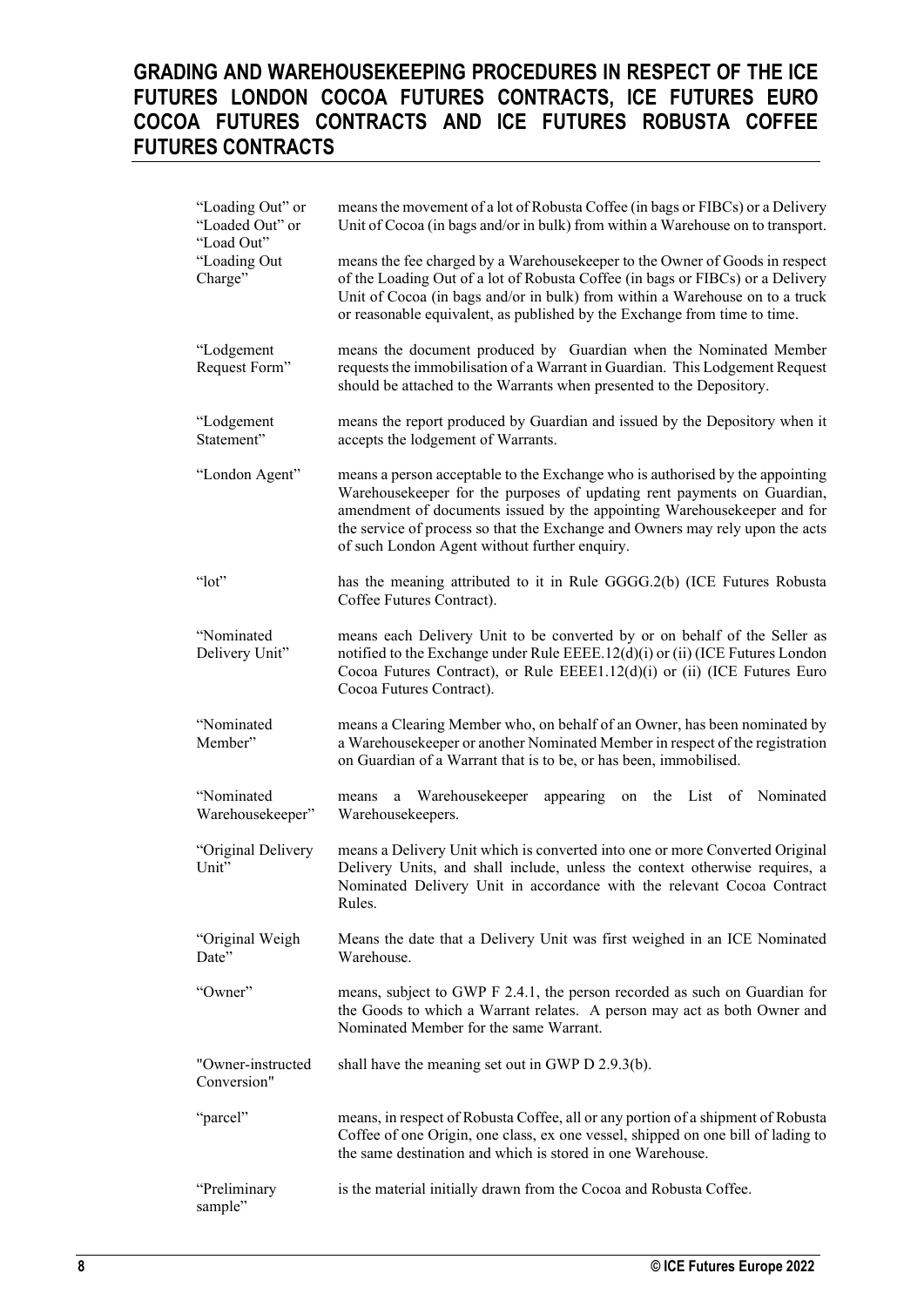| "Loading Out" or<br>"Loaded Out" or<br>"Load Out" | means the movement of a lot of Robusta Coffee (in bags or FIBCs) or a Delivery<br>Unit of Cocoa (in bags and/or in bulk) from within a Warehouse on to transport.                                                                                                                                                                                                     |
|---------------------------------------------------|-----------------------------------------------------------------------------------------------------------------------------------------------------------------------------------------------------------------------------------------------------------------------------------------------------------------------------------------------------------------------|
| "Loading Out<br>Charge"                           | means the fee charged by a Warehousekeeper to the Owner of Goods in respect<br>of the Loading Out of a lot of Robusta Coffee (in bags or FIBCs) or a Delivery<br>Unit of Cocoa (in bags and/or in bulk) from within a Warehouse on to a truck<br>or reasonable equivalent, as published by the Exchange from time to time.                                            |
| "Lodgement<br>Request Form"                       | means the document produced by Guardian when the Nominated Member<br>requests the immobilisation of a Warrant in Guardian. This Lodgement Request<br>should be attached to the Warrants when presented to the Depository.                                                                                                                                             |
| "Lodgement<br>Statement"                          | means the report produced by Guardian and issued by the Depository when it<br>accepts the lodgement of Warrants.                                                                                                                                                                                                                                                      |
| "London Agent"                                    | means a person acceptable to the Exchange who is authorised by the appointing<br>Warehousekeeper for the purposes of updating rent payments on Guardian,<br>amendment of documents issued by the appointing Warehousekeeper and for<br>the service of process so that the Exchange and Owners may rely upon the acts<br>of such London Agent without further enquiry. |
| " $lot"$                                          | has the meaning attributed to it in Rule GGGG.2(b) (ICE Futures Robusta<br>Coffee Futures Contract).                                                                                                                                                                                                                                                                  |
| "Nominated<br>Delivery Unit"                      | means each Delivery Unit to be converted by or on behalf of the Seller as<br>notified to the Exchange under Rule EEEE.12(d)(i) or (ii) (ICE Futures London<br>Cocoa Futures Contract), or Rule EEEE1.12(d)(i) or (ii) (ICE Futures Euro<br>Cocoa Futures Contract).                                                                                                   |
| "Nominated<br>Member"                             | means a Clearing Member who, on behalf of an Owner, has been nominated by<br>a Warehousekeeper or another Nominated Member in respect of the registration<br>on Guardian of a Warrant that is to be, or has been, immobilised.                                                                                                                                        |
| "Nominated<br>Warehousekeeper"                    | Warehousekeeper<br>appearing<br>on the List of Nominated<br>a<br>means<br>Warehousekeepers.                                                                                                                                                                                                                                                                           |
| "Original Delivery<br>Unit"                       | means a Delivery Unit which is converted into one or more Converted Original<br>Delivery Units, and shall include, unless the context otherwise requires, a<br>Nominated Delivery Unit in accordance with the relevant Cocoa Contract<br>Rules.                                                                                                                       |
| "Original Weigh<br>Date"                          | Means the date that a Delivery Unit was first weighed in an ICE Nominated<br>Warehouse.                                                                                                                                                                                                                                                                               |
| "Owner"                                           | means, subject to GWP F 2.4.1, the person recorded as such on Guardian for<br>the Goods to which a Warrant relates. A person may act as both Owner and<br>Nominated Member for the same Warrant.                                                                                                                                                                      |
| "Owner-instructed<br>Conversion"                  | shall have the meaning set out in GWP D 2.9.3(b).                                                                                                                                                                                                                                                                                                                     |
| "parcel"                                          | means, in respect of Robusta Coffee, all or any portion of a shipment of Robusta<br>Coffee of one Origin, one class, ex one vessel, shipped on one bill of lading to<br>the same destination and which is stored in one Warehouse.                                                                                                                                    |
| "Preliminary<br>sample"                           | is the material initially drawn from the Cocoa and Robusta Coffee.                                                                                                                                                                                                                                                                                                    |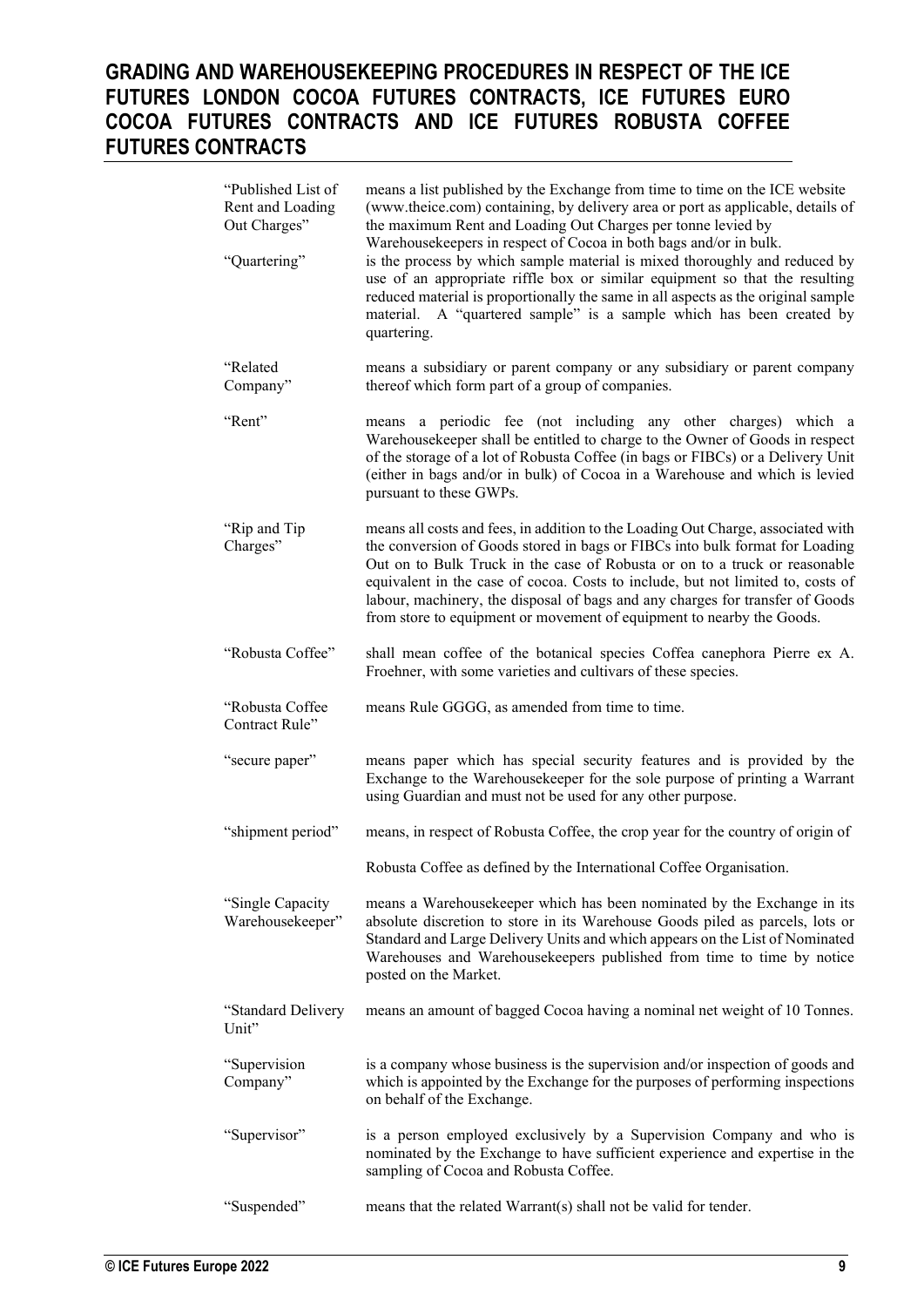| "Published List of<br>Rent and Loading<br>Out Charges"<br>"Quartering" | means a list published by the Exchange from time to time on the ICE website<br>(www.theice.com) containing, by delivery area or port as applicable, details of<br>the maximum Rent and Loading Out Charges per tonne levied by<br>Warehousekeepers in respect of Cocoa in both bags and/or in bulk.<br>is the process by which sample material is mixed thoroughly and reduced by<br>use of an appropriate riffle box or similar equipment so that the resulting<br>reduced material is proportionally the same in all aspects as the original sample<br>material. A "quartered sample" is a sample which has been created by<br>quartering. |
|------------------------------------------------------------------------|----------------------------------------------------------------------------------------------------------------------------------------------------------------------------------------------------------------------------------------------------------------------------------------------------------------------------------------------------------------------------------------------------------------------------------------------------------------------------------------------------------------------------------------------------------------------------------------------------------------------------------------------|
| "Related<br>Company"                                                   | means a subsidiary or parent company or any subsidiary or parent company<br>thereof which form part of a group of companies.                                                                                                                                                                                                                                                                                                                                                                                                                                                                                                                 |
| "Rent"                                                                 | means a periodic fee (not including any other charges) which a<br>Warehousekeeper shall be entitled to charge to the Owner of Goods in respect<br>of the storage of a lot of Robusta Coffee (in bags or FIBCs) or a Delivery Unit<br>(either in bags and/or in bulk) of Cocoa in a Warehouse and which is levied<br>pursuant to these GWPs.                                                                                                                                                                                                                                                                                                  |
| "Rip and Tip<br>Charges"                                               | means all costs and fees, in addition to the Loading Out Charge, associated with<br>the conversion of Goods stored in bags or FIBCs into bulk format for Loading<br>Out on to Bulk Truck in the case of Robusta or on to a truck or reasonable<br>equivalent in the case of cocoa. Costs to include, but not limited to, costs of<br>labour, machinery, the disposal of bags and any charges for transfer of Goods<br>from store to equipment or movement of equipment to nearby the Goods.                                                                                                                                                  |
| "Robusta Coffee"                                                       | shall mean coffee of the botanical species Coffea canephora Pierre ex A.<br>Froehner, with some varieties and cultivars of these species.                                                                                                                                                                                                                                                                                                                                                                                                                                                                                                    |
| "Robusta Coffee<br>Contract Rule"                                      | means Rule GGGG, as amended from time to time.                                                                                                                                                                                                                                                                                                                                                                                                                                                                                                                                                                                               |
| "secure paper"                                                         | means paper which has special security features and is provided by the<br>Exchange to the Warehousekeeper for the sole purpose of printing a Warrant<br>using Guardian and must not be used for any other purpose.                                                                                                                                                                                                                                                                                                                                                                                                                           |
| "shipment period"                                                      | means, in respect of Robusta Coffee, the crop year for the country of origin of                                                                                                                                                                                                                                                                                                                                                                                                                                                                                                                                                              |
|                                                                        | Robusta Coffee as defined by the International Coffee Organisation.                                                                                                                                                                                                                                                                                                                                                                                                                                                                                                                                                                          |
| "Single Capacity<br>Warehousekeeper"                                   | means a Warehousekeeper which has been nominated by the Exchange in its<br>absolute discretion to store in its Warehouse Goods piled as parcels, lots or<br>Standard and Large Delivery Units and which appears on the List of Nominated<br>Warehouses and Warehousekeepers published from time to time by notice<br>posted on the Market.                                                                                                                                                                                                                                                                                                   |
| "Standard Delivery<br>Unit"                                            | means an amount of bagged Cocoa having a nominal net weight of 10 Tonnes.                                                                                                                                                                                                                                                                                                                                                                                                                                                                                                                                                                    |
| "Supervision<br>Company"                                               | is a company whose business is the supervision and/or inspection of goods and<br>which is appointed by the Exchange for the purposes of performing inspections<br>on behalf of the Exchange.                                                                                                                                                                                                                                                                                                                                                                                                                                                 |
| "Supervisor"                                                           | is a person employed exclusively by a Supervision Company and who is<br>nominated by the Exchange to have sufficient experience and expertise in the<br>sampling of Cocoa and Robusta Coffee.                                                                                                                                                                                                                                                                                                                                                                                                                                                |
| "Suspended"                                                            | means that the related $Warrant(s)$ shall not be valid for tender.                                                                                                                                                                                                                                                                                                                                                                                                                                                                                                                                                                           |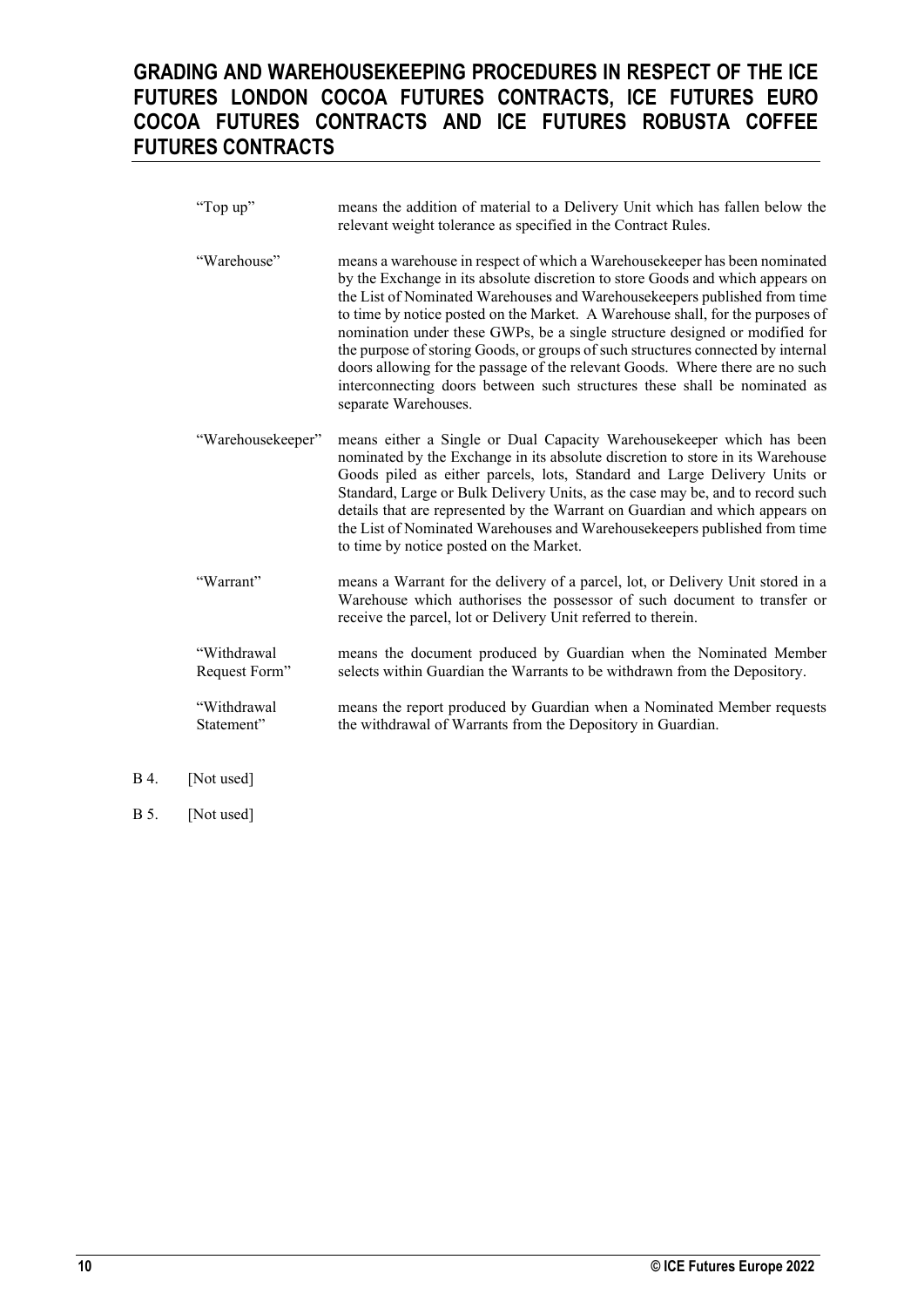| "Top up"                     | means the addition of material to a Delivery Unit which has fallen below the<br>relevant weight tolerance as specified in the Contract Rules.                                                                                                                                                                                                                                                                                                                                                                                                                                                                                                                                        |
|------------------------------|--------------------------------------------------------------------------------------------------------------------------------------------------------------------------------------------------------------------------------------------------------------------------------------------------------------------------------------------------------------------------------------------------------------------------------------------------------------------------------------------------------------------------------------------------------------------------------------------------------------------------------------------------------------------------------------|
| "Warehouse"                  | means a warehouse in respect of which a Warehousekeeper has been nominated<br>by the Exchange in its absolute discretion to store Goods and which appears on<br>the List of Nominated Warehouses and Warehousekeepers published from time<br>to time by notice posted on the Market. A Warehouse shall, for the purposes of<br>nomination under these GWPs, be a single structure designed or modified for<br>the purpose of storing Goods, or groups of such structures connected by internal<br>doors allowing for the passage of the relevant Goods. Where there are no such<br>interconnecting doors between such structures these shall be nominated as<br>separate Warehouses. |
| "Warehousekeeper"            | means either a Single or Dual Capacity Warehousekeeper which has been<br>nominated by the Exchange in its absolute discretion to store in its Warehouse<br>Goods piled as either parcels, lots, Standard and Large Delivery Units or<br>Standard, Large or Bulk Delivery Units, as the case may be, and to record such<br>details that are represented by the Warrant on Guardian and which appears on<br>the List of Nominated Warehouses and Warehousekeepers published from time<br>to time by notice posted on the Market.                                                                                                                                                       |
| "Warrant"                    | means a Warrant for the delivery of a parcel, lot, or Delivery Unit stored in a<br>Warehouse which authorises the possessor of such document to transfer or<br>receive the parcel, lot or Delivery Unit referred to therein.                                                                                                                                                                                                                                                                                                                                                                                                                                                         |
| "Withdrawal<br>Request Form" | means the document produced by Guardian when the Nominated Member<br>selects within Guardian the Warrants to be withdrawn from the Depository.                                                                                                                                                                                                                                                                                                                                                                                                                                                                                                                                       |
| "Withdrawal<br>Statement"    | means the report produced by Guardian when a Nominated Member requests<br>the withdrawal of Warrants from the Depository in Guardian.                                                                                                                                                                                                                                                                                                                                                                                                                                                                                                                                                |

- B 4. [Not used]
- B 5. [Not used]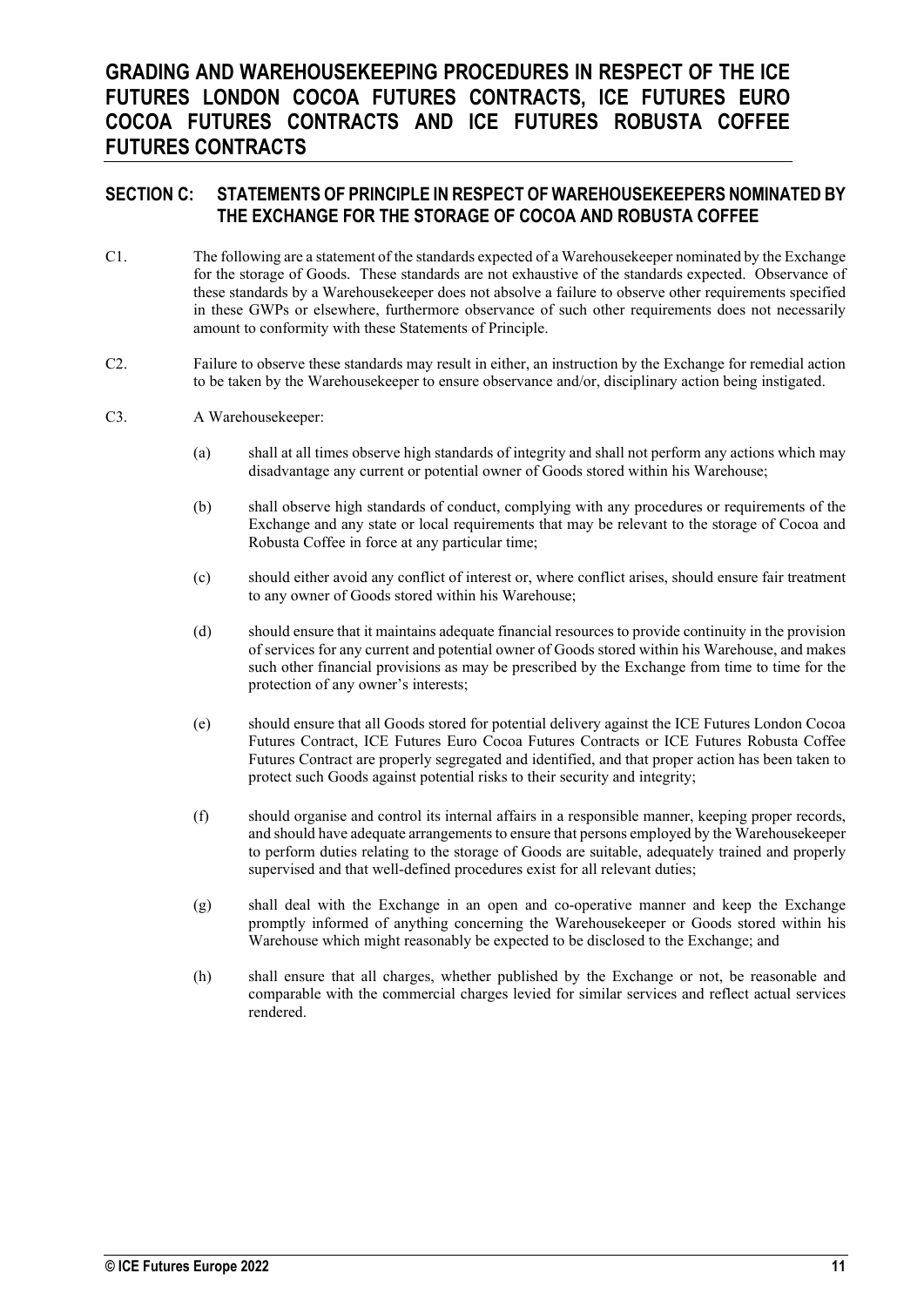#### **SECTION C: STATEMENTS OF PRINCIPLE IN RESPECT OF WAREHOUSEKEEPERS NOMINATED BY THE EXCHANGE FOR THE STORAGE OF COCOA AND ROBUSTA COFFEE**

- C1. The following are a statement of the standards expected of a Warehousekeeper nominated by the Exchange for the storage of Goods. These standards are not exhaustive of the standards expected. Observance of these standards by a Warehousekeeper does not absolve a failure to observe other requirements specified in these GWPs or elsewhere, furthermore observance of such other requirements does not necessarily amount to conformity with these Statements of Principle.
- C2. Failure to observe these standards may result in either, an instruction by the Exchange for remedial action to be taken by the Warehousekeeper to ensure observance and/or, disciplinary action being instigated.

#### C3. A Warehousekeeper:

- (a) shall at all times observe high standards of integrity and shall not perform any actions which may disadvantage any current or potential owner of Goods stored within his Warehouse;
- (b) shall observe high standards of conduct, complying with any procedures or requirements of the Exchange and any state or local requirements that may be relevant to the storage of Cocoa and Robusta Coffee in force at any particular time;
- (c) should either avoid any conflict of interest or, where conflict arises, should ensure fair treatment to any owner of Goods stored within his Warehouse;
- (d) should ensure that it maintains adequate financial resources to provide continuity in the provision of services for any current and potential owner of Goods stored within his Warehouse, and makes such other financial provisions as may be prescribed by the Exchange from time to time for the protection of any owner's interests;
- (e) should ensure that all Goods stored for potential delivery against the ICE Futures London Cocoa Futures Contract, ICE Futures Euro Cocoa Futures Contracts or ICE Futures Robusta Coffee Futures Contract are properly segregated and identified, and that proper action has been taken to protect such Goods against potential risks to their security and integrity;
- (f) should organise and control its internal affairs in a responsible manner, keeping proper records, and should have adequate arrangements to ensure that persons employed by the Warehousekeeper to perform duties relating to the storage of Goods are suitable, adequately trained and properly supervised and that well-defined procedures exist for all relevant duties;
- (g) shall deal with the Exchange in an open and co-operative manner and keep the Exchange promptly informed of anything concerning the Warehousekeeper or Goods stored within his Warehouse which might reasonably be expected to be disclosed to the Exchange; and
- (h) shall ensure that all charges, whether published by the Exchange or not, be reasonable and comparable with the commercial charges levied for similar services and reflect actual services rendered.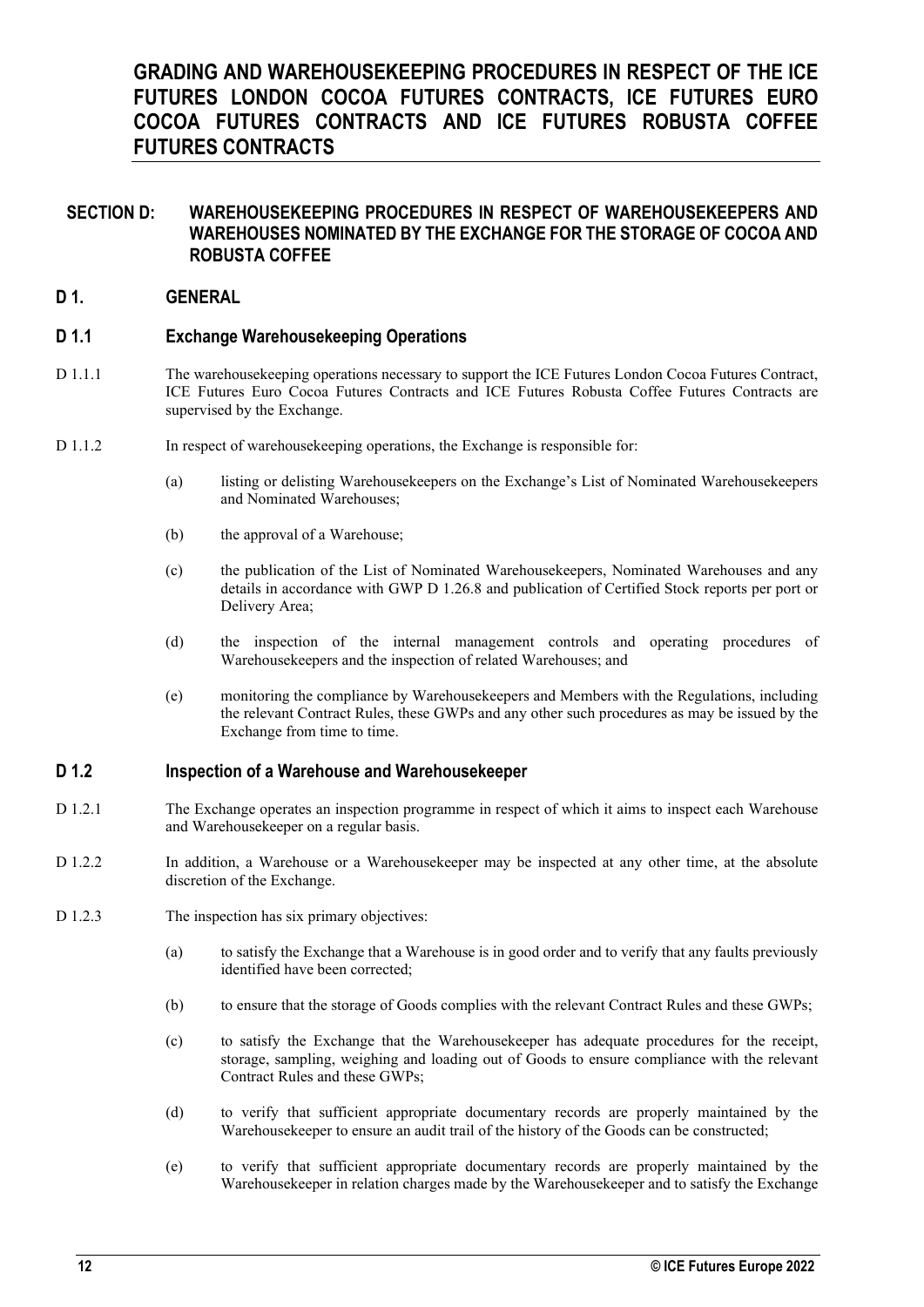#### **SECTION D: WAREHOUSEKEEPING PROCEDURES IN RESPECT OF WAREHOUSEKEEPERS AND WAREHOUSES NOMINATED BY THE EXCHANGE FOR THE STORAGE OF COCOA AND ROBUSTA COFFEE**

#### **D 1. GENERAL**

#### **D 1.1 Exchange Warehousekeeping Operations**

- D 1.1.1 The warehouse keeping operations necessary to support the ICE Futures London Cocoa Futures Contract, ICE Futures Euro Cocoa Futures Contracts and ICE Futures Robusta Coffee Futures Contracts are supervised by the Exchange.
- D 1.1.2 In respect of warehousekeeping operations, the Exchange is responsible for:
	- (a) listing or delisting Warehousekeepers on the Exchange's List of Nominated Warehousekeepers and Nominated Warehouses;
	- (b) the approval of a Warehouse;
	- (c) the publication of the List of Nominated Warehousekeepers, Nominated Warehouses and any details in accordance with GWP D 1.26.8 and publication of Certified Stock reports per port or Delivery Area;
	- (d) the inspection of the internal management controls and operating procedures of Warehousekeepers and the inspection of related Warehouses; and
	- (e) monitoring the compliance by Warehousekeepers and Members with the Regulations, including the relevant Contract Rules, these GWPs and any other such procedures as may be issued by the Exchange from time to time.

#### **D 1.2 Inspection of a Warehouse and Warehousekeeper**

- D 1.2.1 The Exchange operates an inspection programme in respect of which it aims to inspect each Warehouse and Warehousekeeper on a regular basis.
- D 1.2.2 In addition, a Warehouse or a Warehousekeeper may be inspected at any other time, at the absolute discretion of the Exchange.
- D 1.2.3 The inspection has six primary objectives:
	- (a) to satisfy the Exchange that a Warehouse is in good order and to verify that any faults previously identified have been corrected;
	- (b) to ensure that the storage of Goods complies with the relevant Contract Rules and these GWPs;
	- (c) to satisfy the Exchange that the Warehousekeeper has adequate procedures for the receipt, storage, sampling, weighing and loading out of Goods to ensure compliance with the relevant Contract Rules and these GWPs;
	- (d) to verify that sufficient appropriate documentary records are properly maintained by the Warehousekeeper to ensure an audit trail of the history of the Goods can be constructed;
	- (e) to verify that sufficient appropriate documentary records are properly maintained by the Warehousekeeper in relation charges made by the Warehousekeeper and to satisfy the Exchange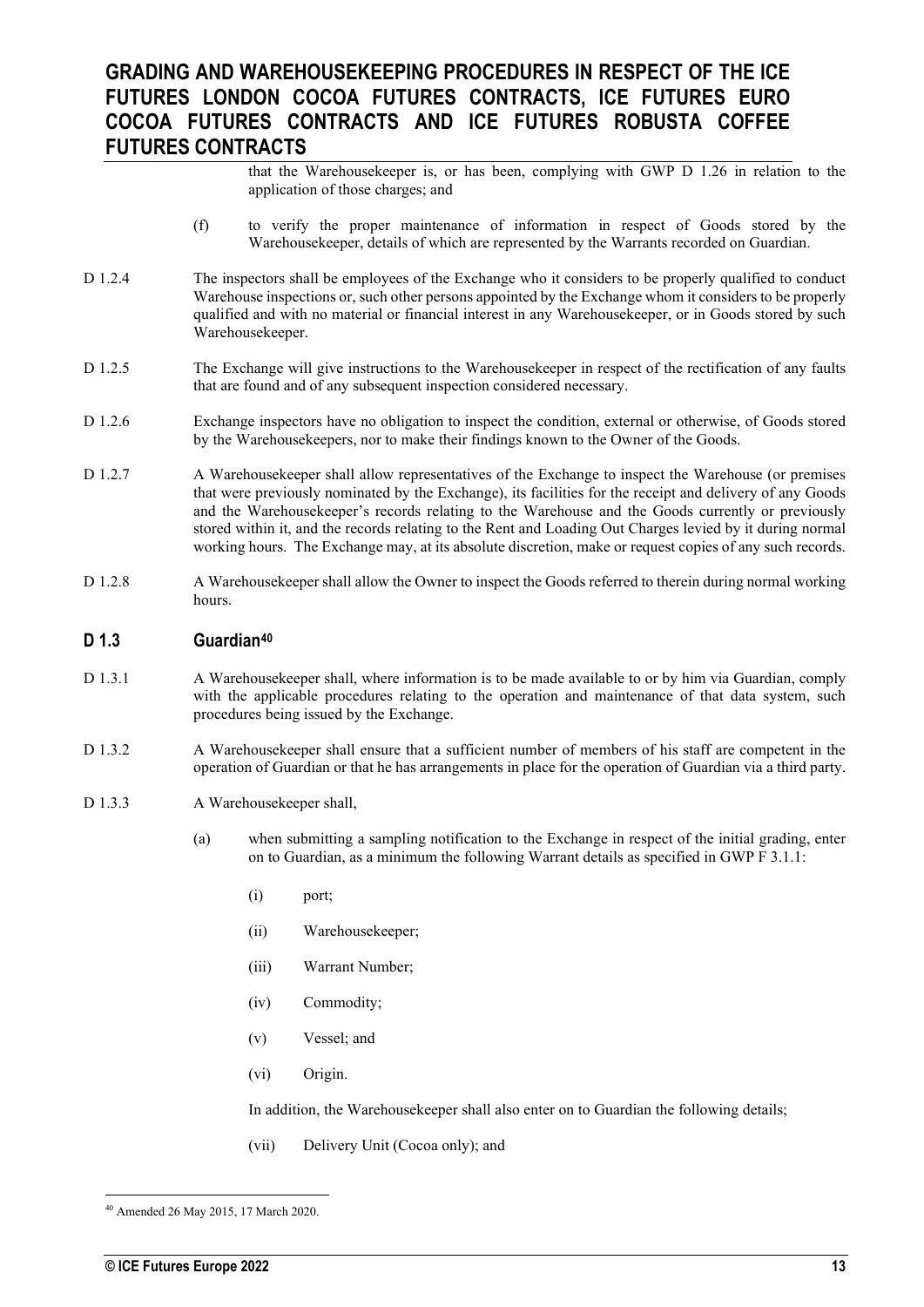that the Warehousekeeper is, or has been, complying with GWP D 1.26 in relation to the application of those charges; and

- (f) to verify the proper maintenance of information in respect of Goods stored by the Warehousekeeper, details of which are represented by the Warrants recorded on Guardian.
- D 1.2.4 The inspectors shall be employees of the Exchange who it considers to be properly qualified to conduct Warehouse inspections or, such other persons appointed by the Exchange whom it considers to be properly qualified and with no material or financial interest in any Warehousekeeper, or in Goods stored by such Warehousekeeper.
- D 1.2.5 The Exchange will give instructions to the Warehousekeeper in respect of the rectification of any faults that are found and of any subsequent inspection considered necessary.
- D 1.2.6 Exchange inspectors have no obligation to inspect the condition, external or otherwise, of Goods stored by the Warehousekeepers, nor to make their findings known to the Owner of the Goods.
- D 1.2.7 A Warehousekeeper shall allow representatives of the Exchange to inspect the Warehouse (or premises that were previously nominated by the Exchange), its facilities for the receipt and delivery of any Goods and the Warehousekeeper's records relating to the Warehouse and the Goods currently or previously stored within it, and the records relating to the Rent and Loading Out Charges levied by it during normal working hours. The Exchange may, at its absolute discretion, make or request copies of any such records.
- D 1.2.8 A Warehousekeeper shall allow the Owner to inspect the Goods referred to therein during normal working hours.

#### **D 1.3 Guardia[n40](#page-12-0)**

- D 1.3.1 A Warehousekeeper shall, where information is to be made available to or by him via Guardian, comply with the applicable procedures relating to the operation and maintenance of that data system, such procedures being issued by the Exchange.
- D 1.3.2 A Warehousekeeper shall ensure that a sufficient number of members of his staff are competent in the operation of Guardian or that he has arrangements in place for the operation of Guardian via a third party.
- D 1.3.3 A Warehousekeeper shall,
	- (a) when submitting a sampling notification to the Exchange in respect of the initial grading, enter on to Guardian, as a minimum the following Warrant details as specified in GWP F 3.1.1:
		- (i) port;
		- (ii) Warehousekeeper;
		- (iii) Warrant Number;
		- (iv) Commodity;
		- (v) Vessel; and
		- (vi) Origin.

In addition, the Warehousekeeper shall also enter on to Guardian the following details;

(vii) Delivery Unit (Cocoa only); and

<span id="page-12-0"></span><sup>40</sup> Amended 26 May 2015, 17 March 2020.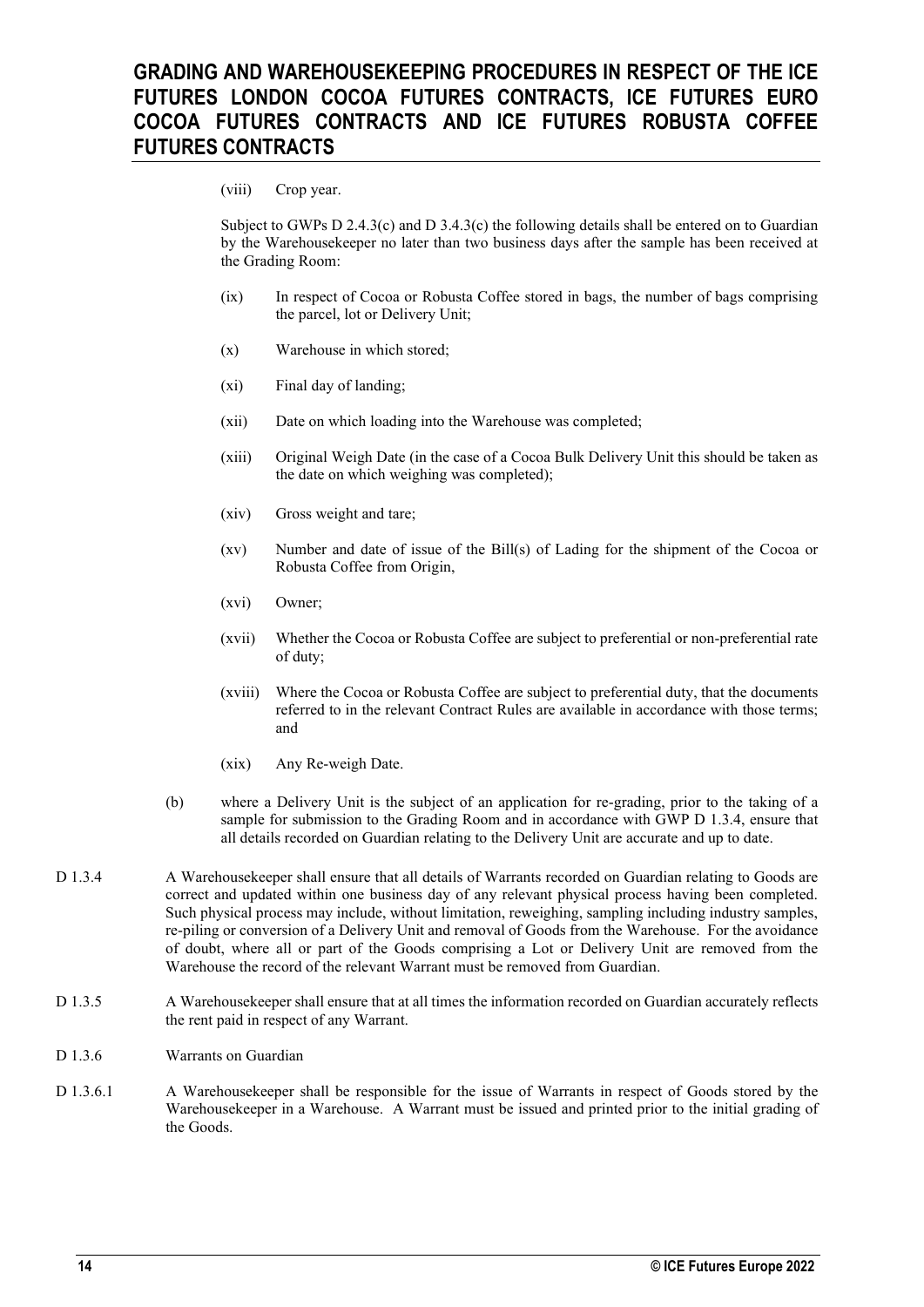#### (viii) Crop year.

Subject to GWPs D 2.4.3(c) and D 3.4.3(c) the following details shall be entered on to Guardian by the Warehousekeeper no later than two business days after the sample has been received at the Grading Room:

- (ix) In respect of Cocoa or Robusta Coffee stored in bags, the number of bags comprising the parcel, lot or Delivery Unit;
- (x) Warehouse in which stored;
- (xi) Final day of landing;
- (xii) Date on which loading into the Warehouse was completed;
- (xiii) Original Weigh Date (in the case of a Cocoa Bulk Delivery Unit this should be taken as the date on which weighing was completed);
- (xiv) Gross weight and tare;
- (xv) Number and date of issue of the Bill(s) of Lading for the shipment of the Cocoa or Robusta Coffee from Origin,
- (xvi) Owner;
- (xvii) Whether the Cocoa or Robusta Coffee are subject to preferential or non-preferential rate of duty;
- (xviii) Where the Cocoa or Robusta Coffee are subject to preferential duty, that the documents referred to in the relevant Contract Rules are available in accordance with those terms; and
- (xix) Any Re-weigh Date.
- (b) where a Delivery Unit is the subject of an application for re-grading, prior to the taking of a sample for submission to the Grading Room and in accordance with GWP D 1.3.4, ensure that all details recorded on Guardian relating to the Delivery Unit are accurate and up to date.
- D 1.3.4 A Warehousekeeper shall ensure that all details of Warrants recorded on Guardian relating to Goods are correct and updated within one business day of any relevant physical process having been completed. Such physical process may include, without limitation, reweighing, sampling including industry samples, re-piling or conversion of a Delivery Unit and removal of Goods from the Warehouse. For the avoidance of doubt, where all or part of the Goods comprising a Lot or Delivery Unit are removed from the Warehouse the record of the relevant Warrant must be removed from Guardian.
- D 1.3.5 A Warehousekeeper shall ensure that at all times the information recorded on Guardian accurately reflects the rent paid in respect of any Warrant.
- D 1.3.6 Warrants on Guardian
- D 1.3.6.1 A Warehousekeeper shall be responsible for the issue of Warrants in respect of Goods stored by the Warehousekeeper in a Warehouse. A Warrant must be issued and printed prior to the initial grading of the Goods.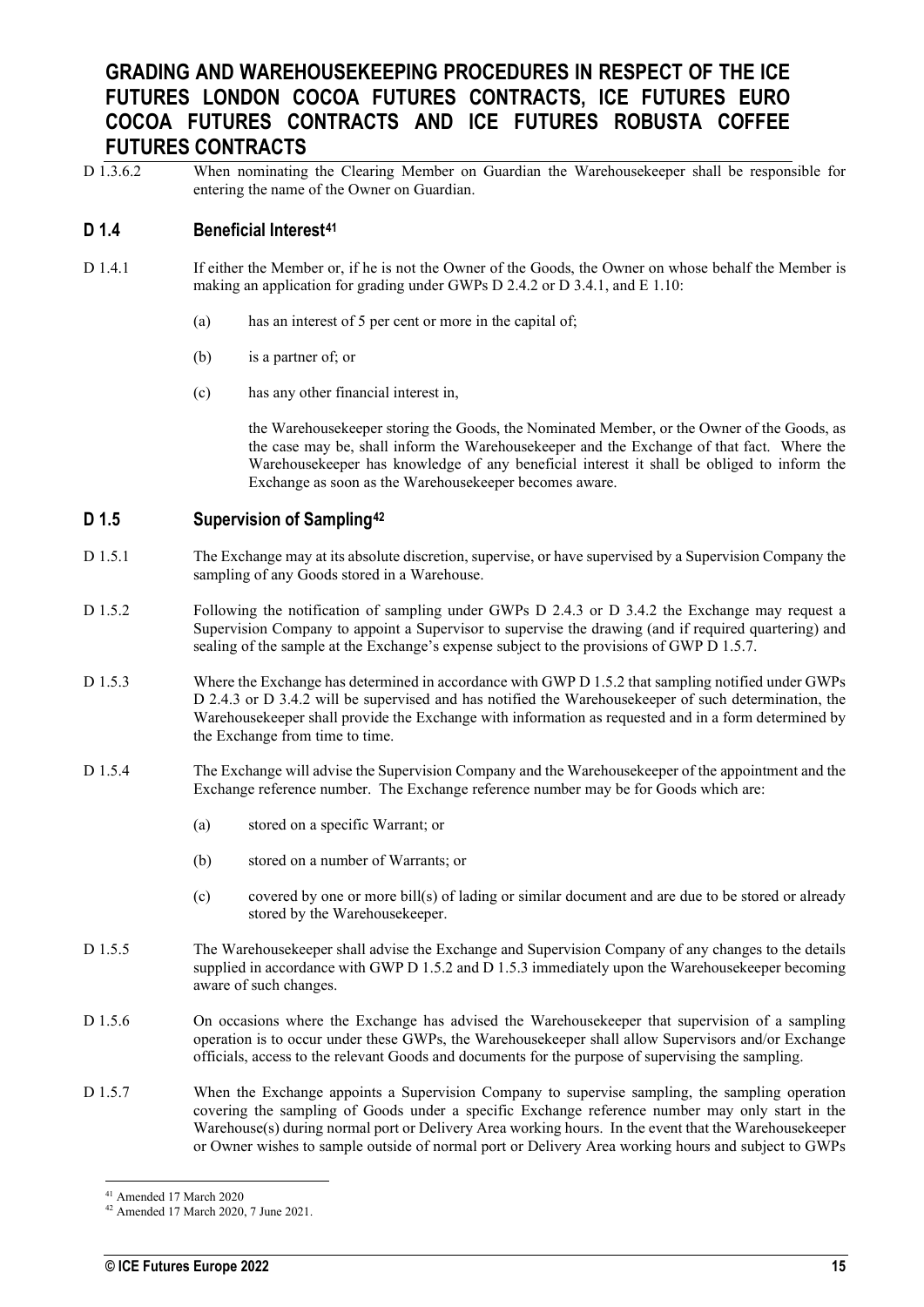D 1.3.6.2 When nominating the Clearing Member on Guardian the Warehousekeeper shall be responsible for entering the name of the Owner on Guardian.

#### **D 1.4 Beneficial Interest[41](#page-14-0)**

- D 1.4.1 If either the Member or, if he is not the Owner of the Goods, the Owner on whose behalf the Member is making an application for grading under GWPs D 2.4.2 or D 3.4.1, and E 1.10:
	- (a) has an interest of 5 per cent or more in the capital of;
	- (b) is a partner of; or
	- (c) has any other financial interest in,

the Warehousekeeper storing the Goods, the Nominated Member, or the Owner of the Goods, as the case may be, shall inform the Warehousekeeper and the Exchange of that fact. Where the Warehousekeeper has knowledge of any beneficial interest it shall be obliged to inform the Exchange as soon as the Warehousekeeper becomes aware.

#### **D 1.5 Supervision of Sampling[42](#page-14-1)**

- D 1.5.1 The Exchange may at its absolute discretion, supervise, or have supervised by a Supervision Company the sampling of any Goods stored in a Warehouse.
- D 1.5.2 Following the notification of sampling under GWPs D 2.4.3 or D 3.4.2 the Exchange may request a Supervision Company to appoint a Supervisor to supervise the drawing (and if required quartering) and sealing of the sample at the Exchange's expense subject to the provisions of GWP D 1.5.7.
- D 1.5.3 Where the Exchange has determined in accordance with GWP D 1.5.2 that sampling notified under GWPs D 2.4.3 or D 3.4.2 will be supervised and has notified the Warehousekeeper of such determination, the Warehousekeeper shall provide the Exchange with information as requested and in a form determined by the Exchange from time to time.
- D 1.5.4 The Exchange will advise the Supervision Company and the Warehousekeeper of the appointment and the Exchange reference number. The Exchange reference number may be for Goods which are:
	- (a) stored on a specific Warrant; or
	- (b) stored on a number of Warrants; or
	- (c) covered by one or more bill(s) of lading or similar document and are due to be stored or already stored by the Warehousekeeper.
- D 1.5.5 The Warehousekeeper shall advise the Exchange and Supervision Company of any changes to the details supplied in accordance with GWP D 1.5.2 and D 1.5.3 immediately upon the Warehousekeeper becoming aware of such changes.
- D 1.5.6 On occasions where the Exchange has advised the Warehousekeeper that supervision of a sampling operation is to occur under these GWPs, the Warehousekeeper shall allow Supervisors and/or Exchange officials, access to the relevant Goods and documents for the purpose of supervising the sampling.
- D 1.5.7 When the Exchange appoints a Supervision Company to supervise sampling, the sampling operation covering the sampling of Goods under a specific Exchange reference number may only start in the Warehouse(s) during normal port or Delivery Area working hours. In the event that the Warehousekeeper or Owner wishes to sample outside of normal port or Delivery Area working hours and subject to GWPs

<span id="page-14-0"></span><sup>41</sup> Amended 17 March 2020

<span id="page-14-1"></span><sup>42</sup> Amended 17 March 2020, 7 June 2021.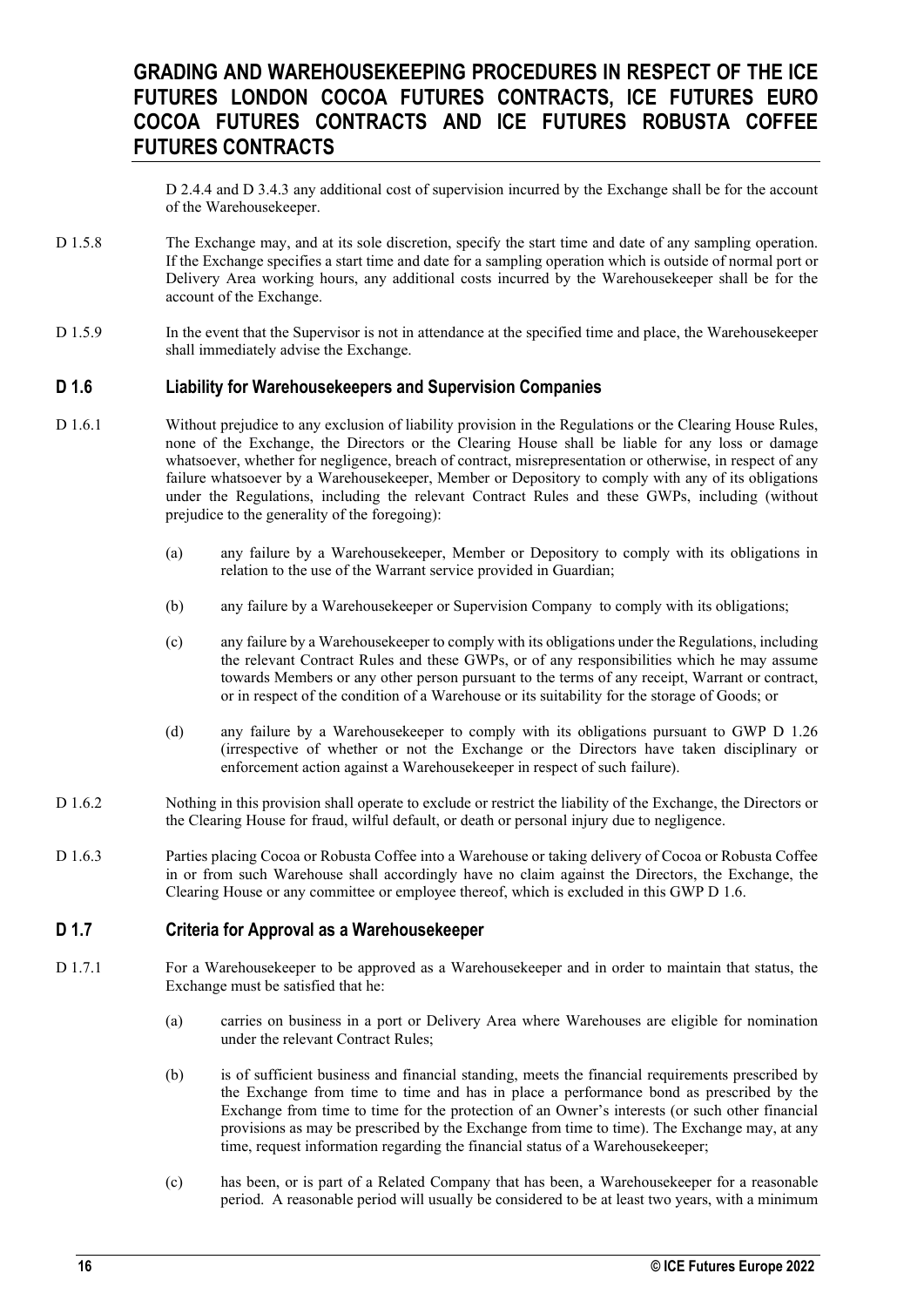D 2.4.4 and D 3.4.3 any additional cost of supervision incurred by the Exchange shall be for the account of the Warehousekeeper.

- D 1.5.8 The Exchange may, and at its sole discretion, specify the start time and date of any sampling operation. If the Exchange specifies a start time and date for a sampling operation which is outside of normal port or Delivery Area working hours, any additional costs incurred by the Warehousekeeper shall be for the account of the Exchange.
- D 1.5.9 In the event that the Supervisor is not in attendance at the specified time and place, the Warehousekeeper shall immediately advise the Exchange.

#### **D 1.6 Liability for Warehousekeepers and Supervision Companies**

- D 1.6.1 Without prejudice to any exclusion of liability provision in the Regulations or the Clearing House Rules, none of the Exchange, the Directors or the Clearing House shall be liable for any loss or damage whatsoever, whether for negligence, breach of contract, misrepresentation or otherwise, in respect of any failure whatsoever by a Warehousekeeper, Member or Depository to comply with any of its obligations under the Regulations, including the relevant Contract Rules and these GWPs, including (without prejudice to the generality of the foregoing):
	- (a) any failure by a Warehousekeeper, Member or Depository to comply with its obligations in relation to the use of the Warrant service provided in Guardian;
	- (b) any failure by a Warehousekeeper or Supervision Company to comply with its obligations;
	- (c) any failure by a Warehousekeeper to comply with its obligations under the Regulations, including the relevant Contract Rules and these GWPs, or of any responsibilities which he may assume towards Members or any other person pursuant to the terms of any receipt, Warrant or contract, or in respect of the condition of a Warehouse or its suitability for the storage of Goods; or
	- (d) any failure by a Warehousekeeper to comply with its obligations pursuant to GWP D 1.26 (irrespective of whether or not the Exchange or the Directors have taken disciplinary or enforcement action against a Warehousekeeper in respect of such failure).
- D 1.6.2 Nothing in this provision shall operate to exclude or restrict the liability of the Exchange, the Directors or the Clearing House for fraud, wilful default, or death or personal injury due to negligence.
- D 1.6.3 Parties placing Cocoa or Robusta Coffee into a Warehouse or taking delivery of Cocoa or Robusta Coffee in or from such Warehouse shall accordingly have no claim against the Directors, the Exchange, the Clearing House or any committee or employee thereof, which is excluded in this GWP D 1.6.

#### **D 1.7 Criteria for Approval as a Warehousekeeper**

- D 1.7.1 For a Warehousekeeper to be approved as a Warehousekeeper and in order to maintain that status, the Exchange must be satisfied that he:
	- (a) carries on business in a port or Delivery Area where Warehouses are eligible for nomination under the relevant Contract Rules;
	- (b) is of sufficient business and financial standing, meets the financial requirements prescribed by the Exchange from time to time and has in place a performance bond as prescribed by the Exchange from time to time for the protection of an Owner's interests (or such other financial provisions as may be prescribed by the Exchange from time to time). The Exchange may, at any time, request information regarding the financial status of a Warehousekeeper;
	- (c) has been, or is part of a Related Company that has been, a Warehousekeeper for a reasonable period. A reasonable period will usually be considered to be at least two years, with a minimum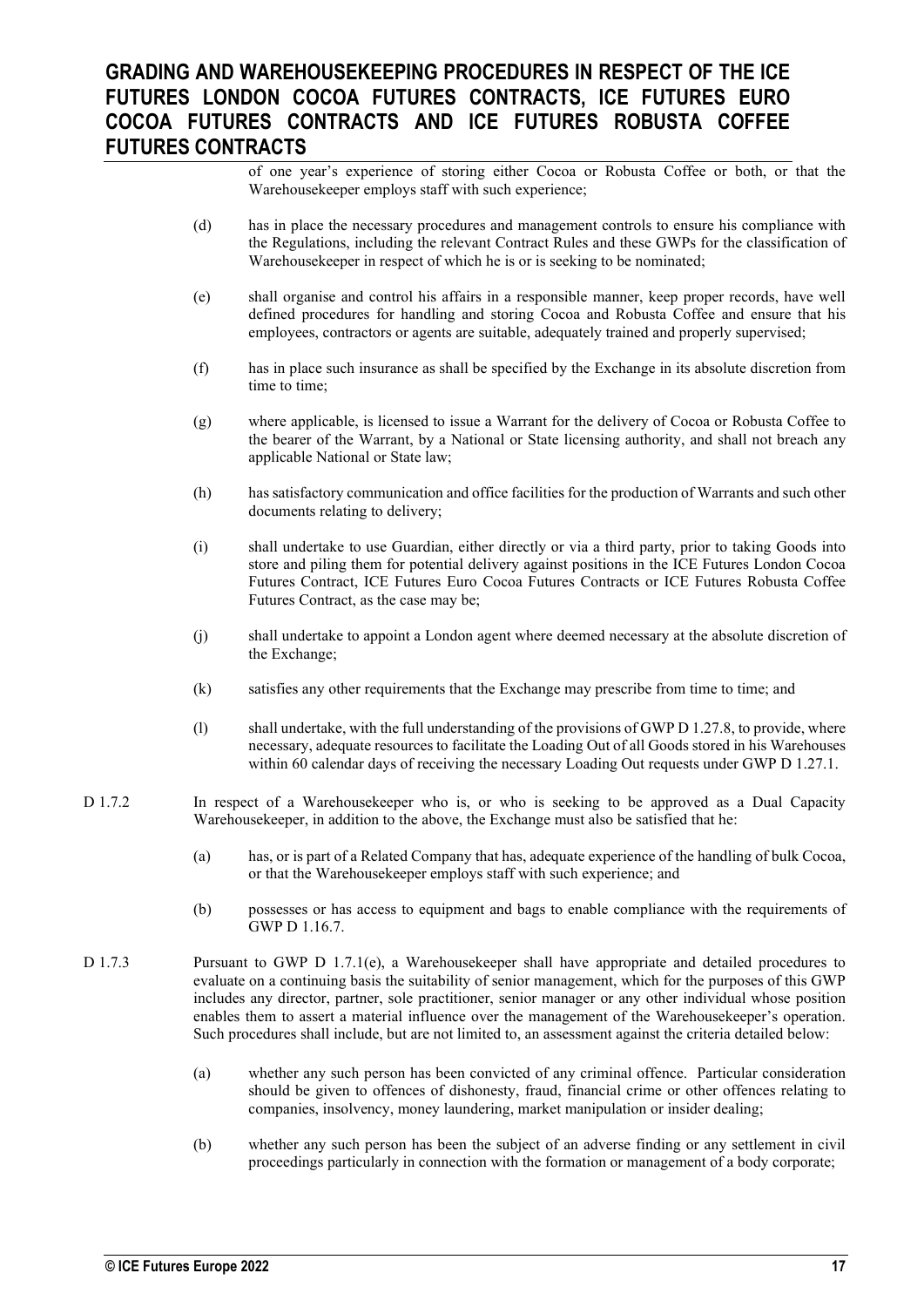of one year's experience of storing either Cocoa or Robusta Coffee or both, or that the Warehousekeeper employs staff with such experience;

- (d) has in place the necessary procedures and management controls to ensure his compliance with the Regulations, including the relevant Contract Rules and these GWPs for the classification of Warehousekeeper in respect of which he is or is seeking to be nominated;
- (e) shall organise and control his affairs in a responsible manner, keep proper records, have well defined procedures for handling and storing Cocoa and Robusta Coffee and ensure that his employees, contractors or agents are suitable, adequately trained and properly supervised;
- (f) has in place such insurance as shall be specified by the Exchange in its absolute discretion from time to time;
- (g) where applicable, is licensed to issue a Warrant for the delivery of Cocoa or Robusta Coffee to the bearer of the Warrant, by a National or State licensing authority, and shall not breach any applicable National or State law;
- (h) has satisfactory communication and office facilities for the production of Warrants and such other documents relating to delivery;
- (i) shall undertake to use Guardian, either directly or via a third party, prior to taking Goods into store and piling them for potential delivery against positions in the ICE Futures London Cocoa Futures Contract, ICE Futures Euro Cocoa Futures Contracts or ICE Futures Robusta Coffee Futures Contract, as the case may be;
- (j) shall undertake to appoint a London agent where deemed necessary at the absolute discretion of the Exchange;
- (k) satisfies any other requirements that the Exchange may prescribe from time to time; and
- (l) shall undertake, with the full understanding of the provisions of GWP D 1.27.8, to provide, where necessary, adequate resources to facilitate the Loading Out of all Goods stored in his Warehouses within 60 calendar days of receiving the necessary Loading Out requests under GWP D 1.27.1.
- D 1.7.2 In respect of a Warehousekeeper who is, or who is seeking to be approved as a Dual Capacity Warehousekeeper, in addition to the above, the Exchange must also be satisfied that he:
	- (a) has, or is part of a Related Company that has, adequate experience of the handling of bulk Cocoa, or that the Warehousekeeper employs staff with such experience; and
	- (b) possesses or has access to equipment and bags to enable compliance with the requirements of GWP D 1.16.7.
- D 1.7.3 Pursuant to GWP D 1.7.1(e), a Warehousekeeper shall have appropriate and detailed procedures to evaluate on a continuing basis the suitability of senior management, which for the purposes of this GWP includes any director, partner, sole practitioner, senior manager or any other individual whose position enables them to assert a material influence over the management of the Warehousekeeper's operation. Such procedures shall include, but are not limited to, an assessment against the criteria detailed below:
	- (a) whether any such person has been convicted of any criminal offence. Particular consideration should be given to offences of dishonesty, fraud, financial crime or other offences relating to companies, insolvency, money laundering, market manipulation or insider dealing;
	- (b) whether any such person has been the subject of an adverse finding or any settlement in civil proceedings particularly in connection with the formation or management of a body corporate;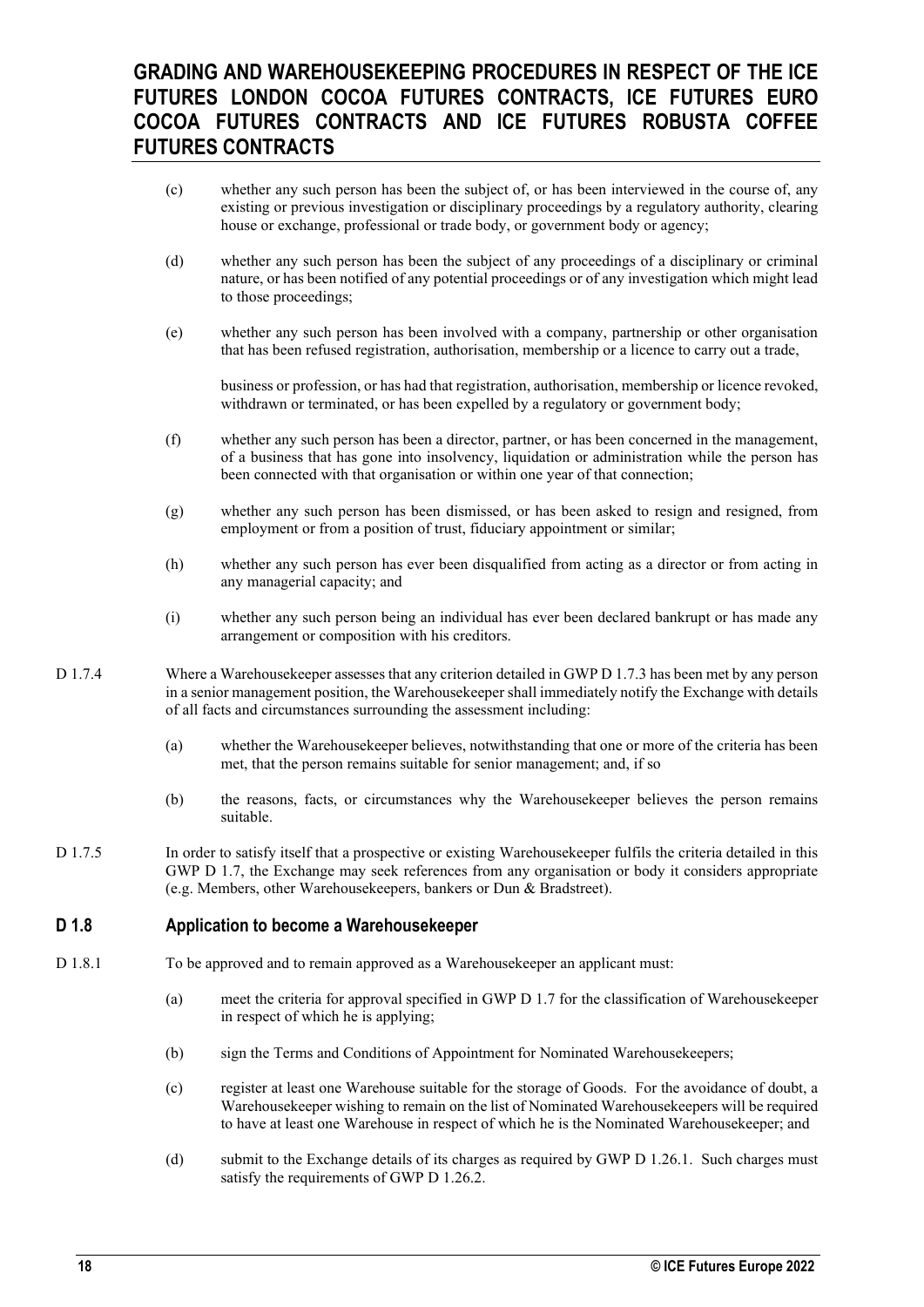- (c) whether any such person has been the subject of, or has been interviewed in the course of, any existing or previous investigation or disciplinary proceedings by a regulatory authority, clearing house or exchange, professional or trade body, or government body or agency;
- (d) whether any such person has been the subject of any proceedings of a disciplinary or criminal nature, or has been notified of any potential proceedings or of any investigation which might lead to those proceedings;
- (e) whether any such person has been involved with a company, partnership or other organisation that has been refused registration, authorisation, membership or a licence to carry out a trade,

business or profession, or has had that registration, authorisation, membership or licence revoked, withdrawn or terminated, or has been expelled by a regulatory or government body;

- (f) whether any such person has been a director, partner, or has been concerned in the management, of a business that has gone into insolvency, liquidation or administration while the person has been connected with that organisation or within one year of that connection;
- (g) whether any such person has been dismissed, or has been asked to resign and resigned, from employment or from a position of trust, fiduciary appointment or similar;
- (h) whether any such person has ever been disqualified from acting as a director or from acting in any managerial capacity; and
- (i) whether any such person being an individual has ever been declared bankrupt or has made any arrangement or composition with his creditors.
- D 1.7.4 Where a Warehousekeeper assesses that any criterion detailed in GWP D 1.7.3 has been met by any person in a senior management position, the Warehousekeeper shall immediately notify the Exchange with details of all facts and circumstances surrounding the assessment including:
	- (a) whether the Warehousekeeper believes, notwithstanding that one or more of the criteria has been met, that the person remains suitable for senior management; and, if so
	- (b) the reasons, facts, or circumstances why the Warehousekeeper believes the person remains suitable.
- D 1.7.5 In order to satisfy itself that a prospective or existing Warehousekeeper fulfils the criteria detailed in this GWP D 1.7, the Exchange may seek references from any organisation or body it considers appropriate (e.g. Members, other Warehousekeepers, bankers or Dun & Bradstreet).

#### **D 1.8 Application to become a Warehousekeeper**

- D 1.8.1 To be approved and to remain approved as a Warehousekeeper an applicant must:
	- (a) meet the criteria for approval specified in GWP D 1.7 for the classification of Warehousekeeper in respect of which he is applying;
	- (b) sign the Terms and Conditions of Appointment for Nominated Warehousekeepers;
	- (c) register at least one Warehouse suitable for the storage of Goods. For the avoidance of doubt, a Warehousekeeper wishing to remain on the list of Nominated Warehousekeepers will be required to have at least one Warehouse in respect of which he is the Nominated Warehousekeeper; and
	- (d) submit to the Exchange details of its charges as required by GWP D 1.26.1. Such charges must satisfy the requirements of GWP D 1.26.2.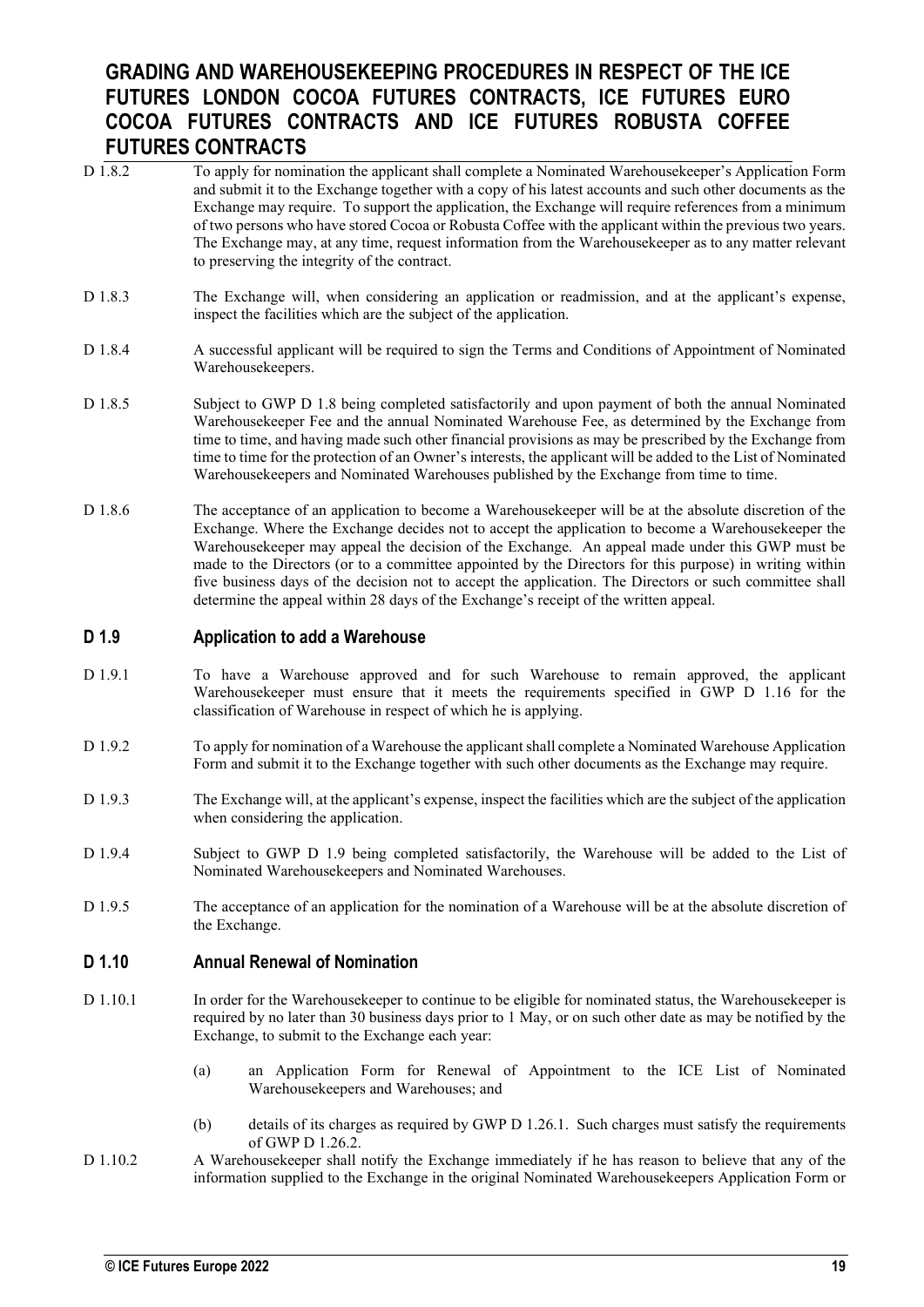- D 1.8.2 To apply for nomination the applicant shall complete a Nominated Warehousekeeper's Application Form and submit it to the Exchange together with a copy of his latest accounts and such other documents as the Exchange may require. To support the application, the Exchange will require references from a minimum of two persons who have stored Cocoa or Robusta Coffee with the applicant within the previous two years. The Exchange may, at any time, request information from the Warehousekeeper as to any matter relevant to preserving the integrity of the contract. D 1.8.3 The Exchange will, when considering an application or readmission, and at the applicant's expense, inspect the facilities which are the subject of the application. D 1.8.4 A successful applicant will be required to sign the Terms and Conditions of Appointment of Nominated Warehousekeepers. D 1.8.5 Subject to GWP D 1.8 being completed satisfactorily and upon payment of both the annual Nominated Warehousekeeper Fee and the annual Nominated Warehouse Fee, as determined by the Exchange from time to time, and having made such other financial provisions as may be prescribed by the Exchange from time to time for the protection of an Owner's interests, the applicant will be added to the List of Nominated Warehousekeepers and Nominated Warehouses published by the Exchange from time to time.
- D 1.8.6 The acceptance of an application to become a Warehousekeeper will be at the absolute discretion of the Exchange. Where the Exchange decides not to accept the application to become a Warehousekeeper the Warehousekeeper may appeal the decision of the Exchange. An appeal made under this GWP must be made to the Directors (or to a committee appointed by the Directors for this purpose) in writing within five business days of the decision not to accept the application. The Directors or such committee shall determine the appeal within 28 days of the Exchange's receipt of the written appeal.

#### **D 1.9 Application to add a Warehouse**

- D 1.9.1 To have a Warehouse approved and for such Warehouse to remain approved, the applicant Warehousekeeper must ensure that it meets the requirements specified in GWP D 1.16 for the classification of Warehouse in respect of which he is applying.
- D 1.9.2 To apply for nomination of a Warehouse the applicant shall complete a Nominated Warehouse Application Form and submit it to the Exchange together with such other documents as the Exchange may require.
- D 1.9.3 The Exchange will, at the applicant's expense, inspect the facilities which are the subject of the application when considering the application.
- D 1.9.4 Subject to GWP D 1.9 being completed satisfactorily, the Warehouse will be added to the List of Nominated Warehousekeepers and Nominated Warehouses.
- D 1.9.5 The acceptance of an application for the nomination of a Warehouse will be at the absolute discretion of the Exchange.

#### **D 1.10 Annual Renewal of Nomination**

- D 1.10.1 In order for the Warehousekeeper to continue to be eligible for nominated status, the Warehousekeeper is required by no later than 30 business days prior to 1 May, or on such other date as may be notified by the Exchange, to submit to the Exchange each year:
	- (a) an Application Form for Renewal of Appointment to the ICE List of Nominated Warehousekeepers and Warehouses; and
	- (b) details of its charges as required by GWP D 1.26.1. Such charges must satisfy the requirements of GWP D 1.26.2.
- D 1.10.2 A Warehousekeeper shall notify the Exchange immediately if he has reason to believe that any of the information supplied to the Exchange in the original Nominated Warehousekeepers Application Form or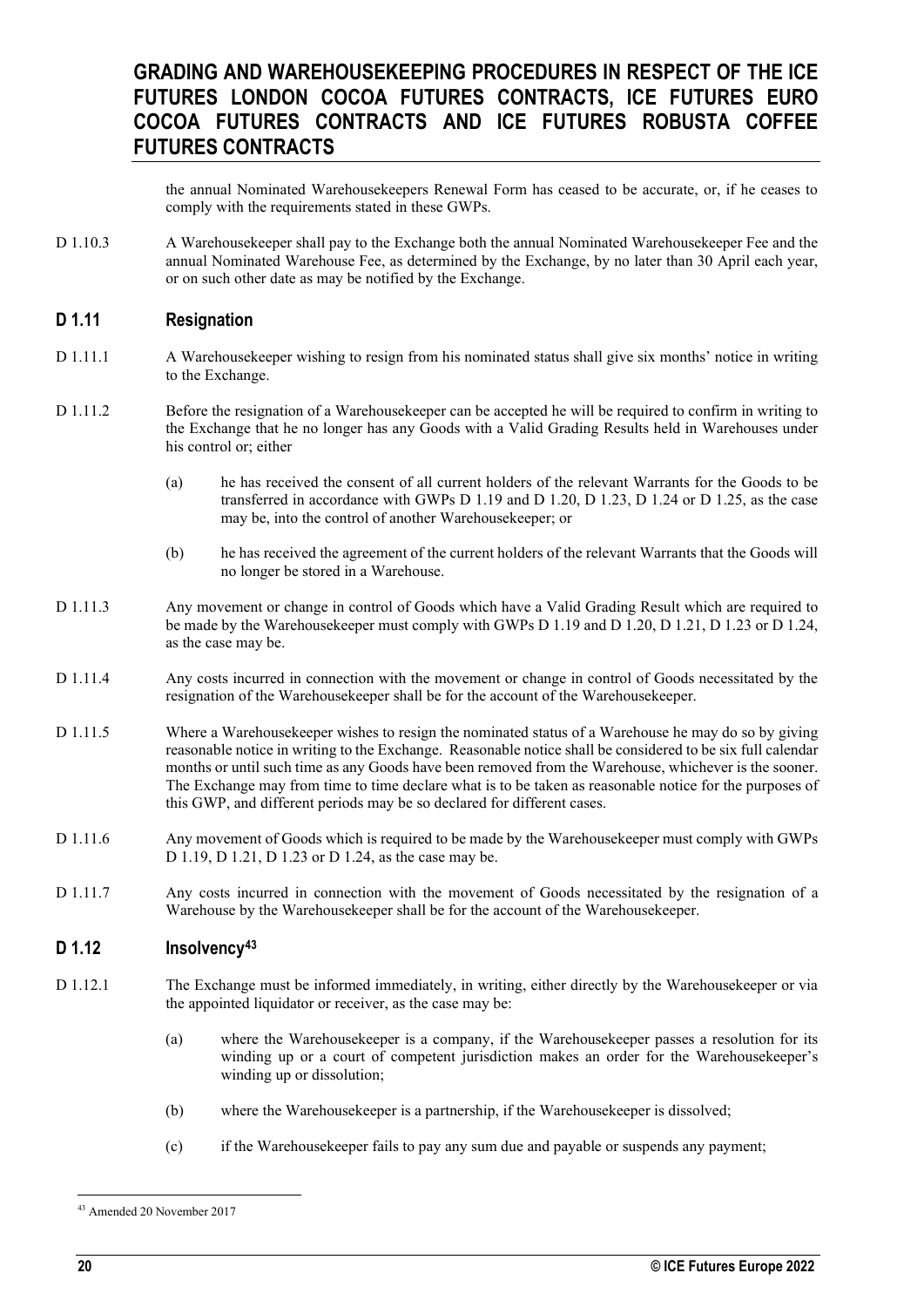the annual Nominated Warehousekeepers Renewal Form has ceased to be accurate, or, if he ceases to comply with the requirements stated in these GWPs.

D 1.10.3 A Warehousekeeper shall pay to the Exchange both the annual Nominated Warehousekeeper Fee and the annual Nominated Warehouse Fee, as determined by the Exchange, by no later than 30 April each year, or on such other date as may be notified by the Exchange.

#### **D 1.11 Resignation**

- D 1.11.1 A Warehousekeeper wishing to resign from his nominated status shall give six months' notice in writing to the Exchange.
- D 1.11.2 Before the resignation of a Warehousekeeper can be accepted he will be required to confirm in writing to the Exchange that he no longer has any Goods with a Valid Grading Results held in Warehouses under his control or; either
	- (a) he has received the consent of all current holders of the relevant Warrants for the Goods to be transferred in accordance with GWPs D 1.19 and D 1.20, D 1.23, D 1.24 or D 1.25, as the case may be, into the control of another Warehousekeeper; or
	- (b) he has received the agreement of the current holders of the relevant Warrants that the Goods will no longer be stored in a Warehouse.
- D 1.11.3 Any movement or change in control of Goods which have a Valid Grading Result which are required to be made by the Warehousekeeper must comply with GWPs D 1.19 and D 1.20, D 1.21, D 1.23 or D 1.24, as the case may be.
- D 1.11.4 Any costs incurred in connection with the movement or change in control of Goods necessitated by the resignation of the Warehousekeeper shall be for the account of the Warehousekeeper.
- D 1.11.5 Where a Warehousekeeper wishes to resign the nominated status of a Warehouse he may do so by giving reasonable notice in writing to the Exchange. Reasonable notice shall be considered to be six full calendar months or until such time as any Goods have been removed from the Warehouse, whichever is the sooner. The Exchange may from time to time declare what is to be taken as reasonable notice for the purposes of this GWP, and different periods may be so declared for different cases.
- D 1.11.6 Any movement of Goods which is required to be made by the Warehousekeeper must comply with GWPs D 1.19, D 1.21, D 1.23 or D 1.24, as the case may be.
- D 1.11.7 Any costs incurred in connection with the movement of Goods necessitated by the resignation of a Warehouse by the Warehousekeeper shall be for the account of the Warehousekeeper.

#### **D 1.12 Insolvency[43](#page-19-0)**

- D 1.12.1 The Exchange must be informed immediately, in writing, either directly by the Warehousekeeper or via the appointed liquidator or receiver, as the case may be:
	- (a) where the Warehousekeeper is a company, if the Warehousekeeper passes a resolution for its winding up or a court of competent jurisdiction makes an order for the Warehousekeeper's winding up or dissolution;
	- (b) where the Warehousekeeper is a partnership, if the Warehousekeeper is dissolved;
	- (c) if the Warehousekeeper fails to pay any sum due and payable or suspends any payment;

<span id="page-19-0"></span><sup>43</sup> Amended 20 November 2017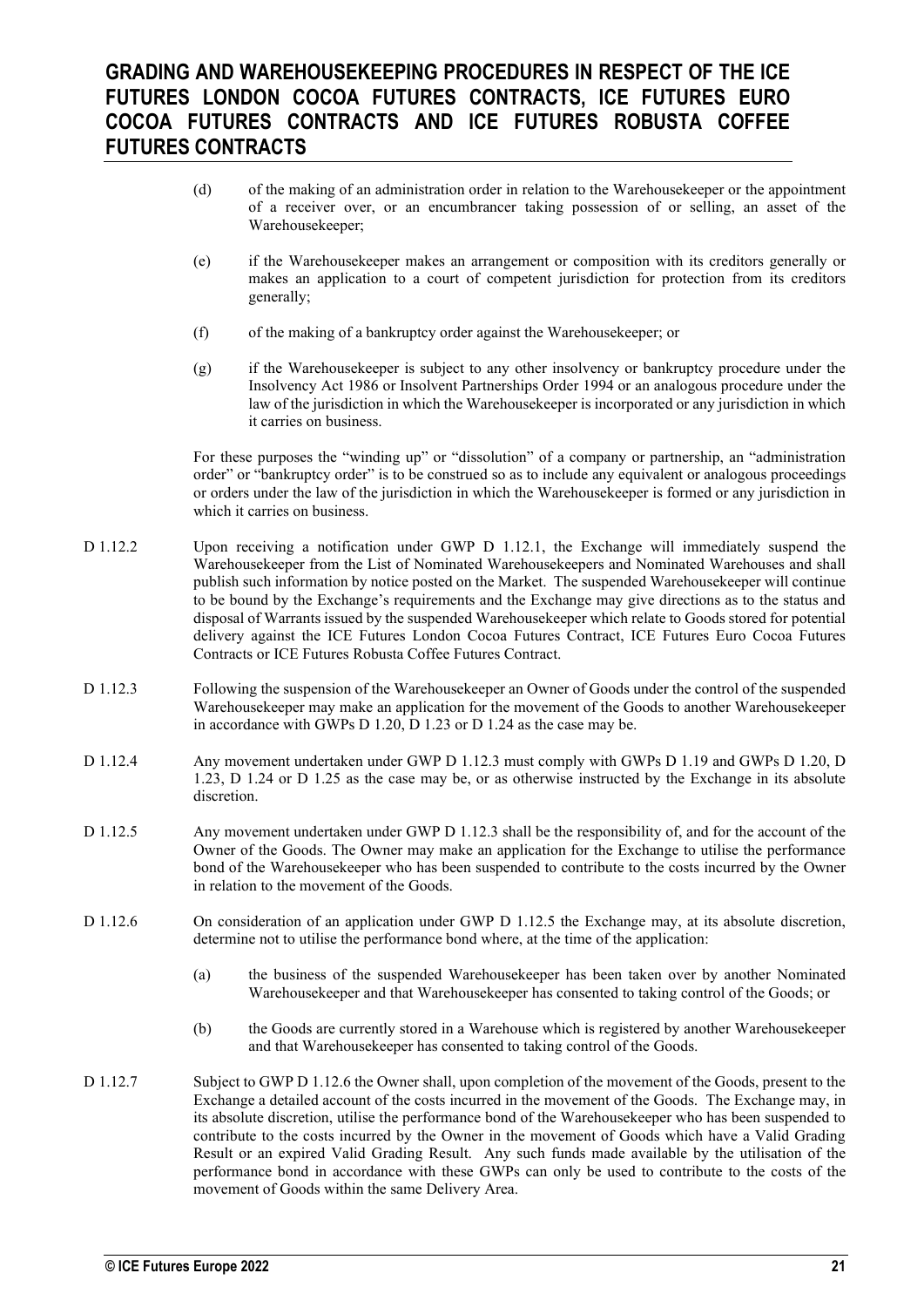- (d) of the making of an administration order in relation to the Warehousekeeper or the appointment of a receiver over, or an encumbrancer taking possession of or selling, an asset of the Warehousekeeper;
- (e) if the Warehousekeeper makes an arrangement or composition with its creditors generally or makes an application to a court of competent jurisdiction for protection from its creditors generally;
- (f) of the making of a bankruptcy order against the Warehousekeeper; or
- (g) if the Warehousekeeper is subject to any other insolvency or bankruptcy procedure under the Insolvency Act 1986 or Insolvent Partnerships Order 1994 or an analogous procedure under the law of the jurisdiction in which the Warehousekeeper is incorporated or any jurisdiction in which it carries on business.

For these purposes the "winding up" or "dissolution" of a company or partnership, an "administration order" or "bankruptcy order" is to be construed so as to include any equivalent or analogous proceedings or orders under the law of the jurisdiction in which the Warehousekeeper is formed or any jurisdiction in which it carries on business.

- D 1.12.2 Upon receiving a notification under GWP D 1.12.1, the Exchange will immediately suspend the Warehousekeeper from the List of Nominated Warehousekeepers and Nominated Warehouses and shall publish such information by notice posted on the Market. The suspended Warehousekeeper will continue to be bound by the Exchange's requirements and the Exchange may give directions as to the status and disposal of Warrants issued by the suspended Warehousekeeper which relate to Goods stored for potential delivery against the ICE Futures London Cocoa Futures Contract, ICE Futures Euro Cocoa Futures Contracts or ICE Futures Robusta Coffee Futures Contract.
- D 1.12.3 Following the suspension of the Warehousekeeper an Owner of Goods under the control of the suspended Warehousekeeper may make an application for the movement of the Goods to another Warehousekeeper in accordance with GWPs D 1.20, D 1.23 or D 1.24 as the case may be.
- D 1.12.4 Any movement undertaken under GWP D 1.12.3 must comply with GWPs D 1.19 and GWPs D 1.20, D 1.23, D 1.24 or D 1.25 as the case may be, or as otherwise instructed by the Exchange in its absolute discretion.
- D 1.12.5 Any movement undertaken under GWP D 1.12.3 shall be the responsibility of, and for the account of the Owner of the Goods. The Owner may make an application for the Exchange to utilise the performance bond of the Warehousekeeper who has been suspended to contribute to the costs incurred by the Owner in relation to the movement of the Goods.
- D 1.12.6 On consideration of an application under GWP D 1.12.5 the Exchange may, at its absolute discretion, determine not to utilise the performance bond where, at the time of the application:
	- (a) the business of the suspended Warehousekeeper has been taken over by another Nominated Warehousekeeper and that Warehousekeeper has consented to taking control of the Goods; or
	- (b) the Goods are currently stored in a Warehouse which is registered by another Warehousekeeper and that Warehousekeeper has consented to taking control of the Goods.
- D 1.12.7 Subject to GWP D 1.12.6 the Owner shall, upon completion of the movement of the Goods, present to the Exchange a detailed account of the costs incurred in the movement of the Goods. The Exchange may, in its absolute discretion, utilise the performance bond of the Warehousekeeper who has been suspended to contribute to the costs incurred by the Owner in the movement of Goods which have a Valid Grading Result or an expired Valid Grading Result. Any such funds made available by the utilisation of the performance bond in accordance with these GWPs can only be used to contribute to the costs of the movement of Goods within the same Delivery Area.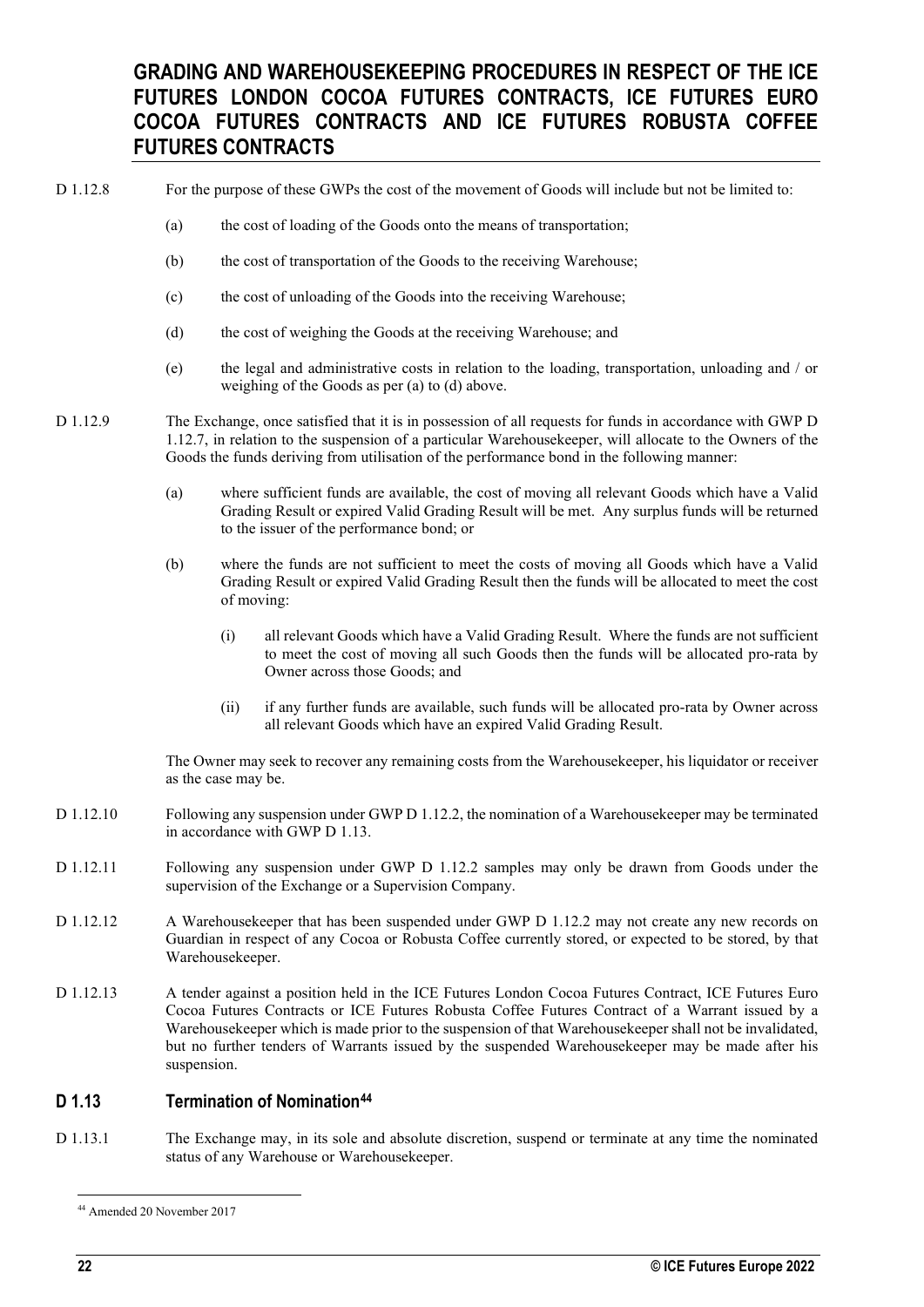#### D 1.12.8 For the purpose of these GWPs the cost of the movement of Goods will include but not be limited to:

- (a) the cost of loading of the Goods onto the means of transportation;
- (b) the cost of transportation of the Goods to the receiving Warehouse;
- (c) the cost of unloading of the Goods into the receiving Warehouse;
- (d) the cost of weighing the Goods at the receiving Warehouse; and
- (e) the legal and administrative costs in relation to the loading, transportation, unloading and / or weighing of the Goods as per (a) to (d) above.
- D 1.12.9 The Exchange, once satisfied that it is in possession of all requests for funds in accordance with GWP D 1.12.7, in relation to the suspension of a particular Warehousekeeper, will allocate to the Owners of the Goods the funds deriving from utilisation of the performance bond in the following manner:
	- (a) where sufficient funds are available, the cost of moving all relevant Goods which have a Valid Grading Result or expired Valid Grading Result will be met. Any surplus funds will be returned to the issuer of the performance bond; or
	- (b) where the funds are not sufficient to meet the costs of moving all Goods which have a Valid Grading Result or expired Valid Grading Result then the funds will be allocated to meet the cost of moving:
		- (i) all relevant Goods which have a Valid Grading Result. Where the funds are not sufficient to meet the cost of moving all such Goods then the funds will be allocated pro-rata by Owner across those Goods; and
		- (ii) if any further funds are available, such funds will be allocated pro-rata by Owner across all relevant Goods which have an expired Valid Grading Result.

The Owner may seek to recover any remaining costs from the Warehousekeeper, his liquidator or receiver as the case may be.

- D 1.12.10 Following any suspension under GWP D 1.12.2, the nomination of a Warehousekeeper may be terminated in accordance with GWP D 1.13.
- D 1.12.11 Following any suspension under GWP D 1.12.2 samples may only be drawn from Goods under the supervision of the Exchange or a Supervision Company.
- D 1.12.12 A Warehousekeeper that has been suspended under GWP D 1.12.2 may not create any new records on Guardian in respect of any Cocoa or Robusta Coffee currently stored, or expected to be stored, by that Warehousekeeper.
- D 1.12.13 A tender against a position held in the ICE Futures London Cocoa Futures Contract, ICE Futures Euro Cocoa Futures Contracts or ICE Futures Robusta Coffee Futures Contract of a Warrant issued by a Warehousekeeper which is made prior to the suspension of that Warehousekeeper shall not be invalidated, but no further tenders of Warrants issued by the suspended Warehousekeeper may be made after his suspension.

#### **D 1.13 Termination of Nomination[44](#page-21-0)**

D 1.13.1 The Exchange may, in its sole and absolute discretion, suspend or terminate at any time the nominated status of any Warehouse or Warehousekeeper.

<span id="page-21-0"></span><sup>44</sup> Amended 20 November 2017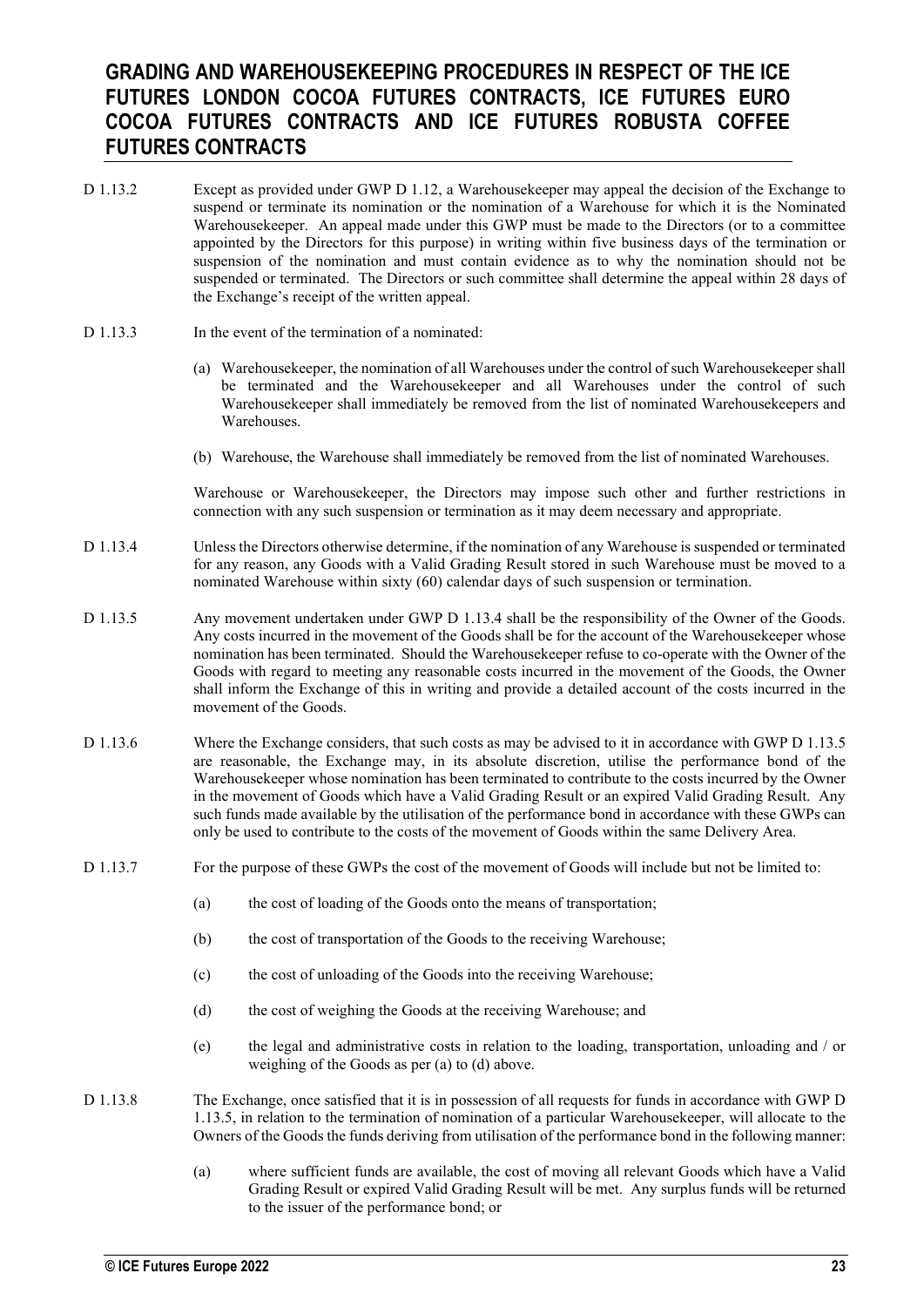- D 1.13.2 Except as provided under GWP D 1.12, a Warehousekeeper may appeal the decision of the Exchange to suspend or terminate its nomination or the nomination of a Warehouse for which it is the Nominated Warehousekeeper. An appeal made under this GWP must be made to the Directors (or to a committee appointed by the Directors for this purpose) in writing within five business days of the termination or suspension of the nomination and must contain evidence as to why the nomination should not be suspended or terminated. The Directors or such committee shall determine the appeal within 28 days of the Exchange's receipt of the written appeal.
- D 1.13.3 In the event of the termination of a nominated:
	- (a) Warehousekeeper, the nomination of all Warehouses under the control of such Warehousekeeper shall be terminated and the Warehousekeeper and all Warehouses under the control of such Warehousekeeper shall immediately be removed from the list of nominated Warehousekeepers and Warehouses.
	- (b) Warehouse, the Warehouse shall immediately be removed from the list of nominated Warehouses.

Warehouse or Warehousekeeper, the Directors may impose such other and further restrictions in connection with any such suspension or termination as it may deem necessary and appropriate.

- D 1.13.4 Unless the Directors otherwise determine, if the nomination of any Warehouse is suspended or terminated for any reason, any Goods with a Valid Grading Result stored in such Warehouse must be moved to a nominated Warehouse within sixty (60) calendar days of such suspension or termination.
- D 1.13.5 Any movement undertaken under GWP D 1.13.4 shall be the responsibility of the Owner of the Goods. Any costs incurred in the movement of the Goods shall be for the account of the Warehousekeeper whose nomination has been terminated. Should the Warehousekeeper refuse to co-operate with the Owner of the Goods with regard to meeting any reasonable costs incurred in the movement of the Goods, the Owner shall inform the Exchange of this in writing and provide a detailed account of the costs incurred in the movement of the Goods.
- D 1.13.6 Where the Exchange considers, that such costs as may be advised to it in accordance with GWP D 1.13.5 are reasonable, the Exchange may, in its absolute discretion, utilise the performance bond of the Warehousekeeper whose nomination has been terminated to contribute to the costs incurred by the Owner in the movement of Goods which have a Valid Grading Result or an expired Valid Grading Result. Any such funds made available by the utilisation of the performance bond in accordance with these GWPs can only be used to contribute to the costs of the movement of Goods within the same Delivery Area.
- D 1.13.7 For the purpose of these GWPs the cost of the movement of Goods will include but not be limited to:
	- (a) the cost of loading of the Goods onto the means of transportation;
	- (b) the cost of transportation of the Goods to the receiving Warehouse;
	- (c) the cost of unloading of the Goods into the receiving Warehouse;
	- (d) the cost of weighing the Goods at the receiving Warehouse; and
	- (e) the legal and administrative costs in relation to the loading, transportation, unloading and / or weighing of the Goods as per (a) to (d) above.
- D 1.13.8 The Exchange, once satisfied that it is in possession of all requests for funds in accordance with GWP D 1.13.5, in relation to the termination of nomination of a particular Warehousekeeper, will allocate to the Owners of the Goods the funds deriving from utilisation of the performance bond in the following manner:
	- (a) where sufficient funds are available, the cost of moving all relevant Goods which have a Valid Grading Result or expired Valid Grading Result will be met. Any surplus funds will be returned to the issuer of the performance bond; or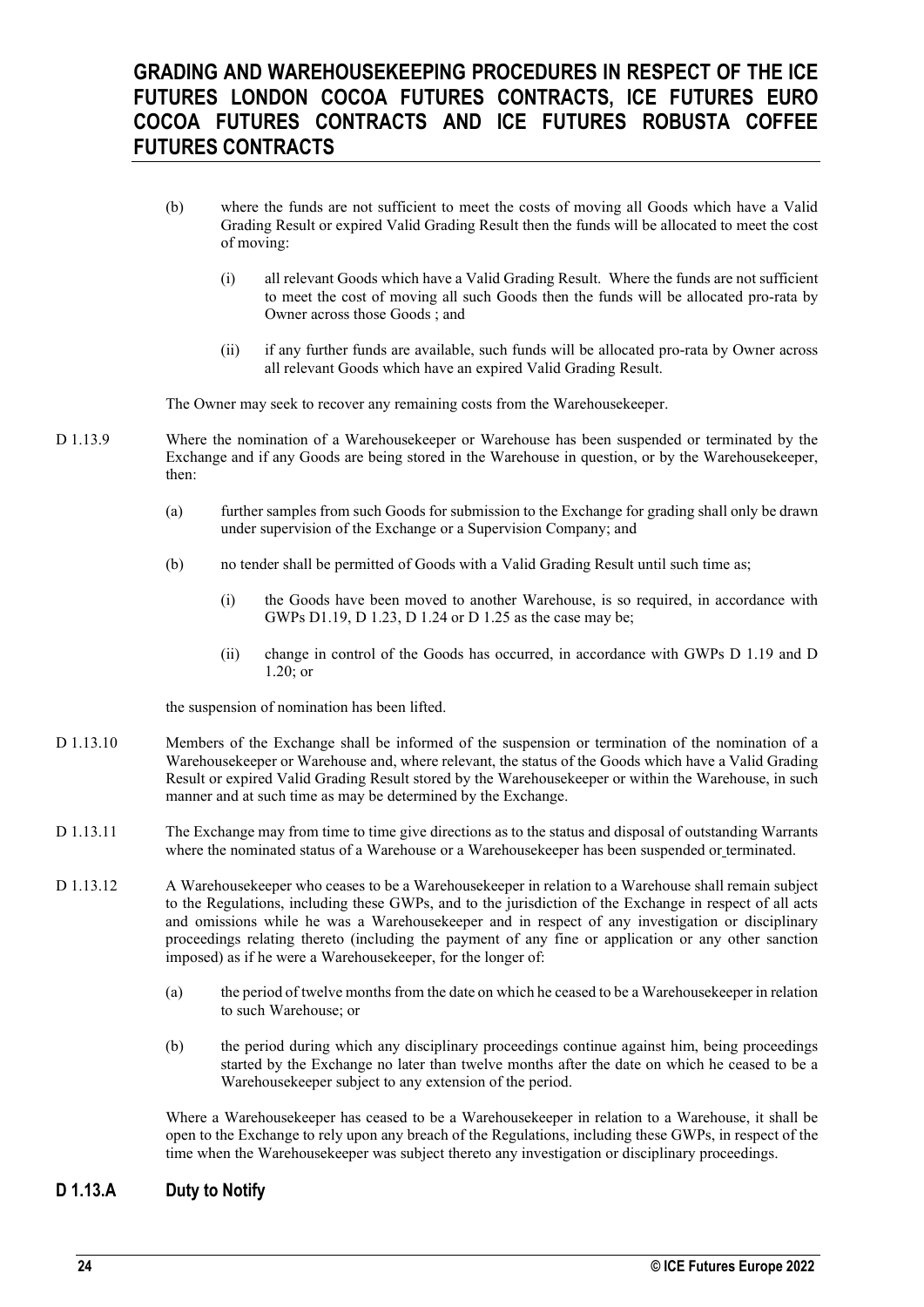- (b) where the funds are not sufficient to meet the costs of moving all Goods which have a Valid Grading Result or expired Valid Grading Result then the funds will be allocated to meet the cost of moving:
	- (i) all relevant Goods which have a Valid Grading Result. Where the funds are not sufficient to meet the cost of moving all such Goods then the funds will be allocated pro-rata by Owner across those Goods ; and
	- (ii) if any further funds are available, such funds will be allocated pro-rata by Owner across all relevant Goods which have an expired Valid Grading Result.

The Owner may seek to recover any remaining costs from the Warehousekeeper.

- D 1.13.9 Where the nomination of a Warehousekeeper or Warehouse has been suspended or terminated by the Exchange and if any Goods are being stored in the Warehouse in question, or by the Warehousekeeper, then:
	- (a) further samples from such Goods for submission to the Exchange for grading shall only be drawn under supervision of the Exchange or a Supervision Company; and
	- (b) no tender shall be permitted of Goods with a Valid Grading Result until such time as;
		- (i) the Goods have been moved to another Warehouse, is so required, in accordance with GWPs D1.19, D 1.23, D 1.24 or D 1.25 as the case may be;
		- (ii) change in control of the Goods has occurred, in accordance with GWPs D 1.19 and D 1.20; or

the suspension of nomination has been lifted.

- D 1.13.10 Members of the Exchange shall be informed of the suspension or termination of the nomination of a Warehousekeeper or Warehouse and, where relevant, the status of the Goods which have a Valid Grading Result or expired Valid Grading Result stored by the Warehousekeeper or within the Warehouse, in such manner and at such time as may be determined by the Exchange.
- D 1.13.11 The Exchange may from time to time give directions as to the status and disposal of outstanding Warrants where the nominated status of a Warehouse or a Warehousekeeper has been suspended or terminated.
- D 1.13.12 A Warehousekeeper who ceases to be a Warehousekeeper in relation to a Warehouse shall remain subject to the Regulations, including these GWPs, and to the jurisdiction of the Exchange in respect of all acts and omissions while he was a Warehousekeeper and in respect of any investigation or disciplinary proceedings relating thereto (including the payment of any fine or application or any other sanction imposed) as if he were a Warehousekeeper, for the longer of:
	- (a) the period of twelve months from the date on which he ceased to be a Warehousekeeper in relation to such Warehouse; or
	- (b) the period during which any disciplinary proceedings continue against him, being proceedings started by the Exchange no later than twelve months after the date on which he ceased to be a Warehousekeeper subject to any extension of the period.

Where a Warehousekeeper has ceased to be a Warehousekeeper in relation to a Warehouse, it shall be open to the Exchange to rely upon any breach of the Regulations, including these GWPs, in respect of the time when the Warehousekeeper was subject thereto any investigation or disciplinary proceedings.

#### **D 1.13.A Duty to Notify**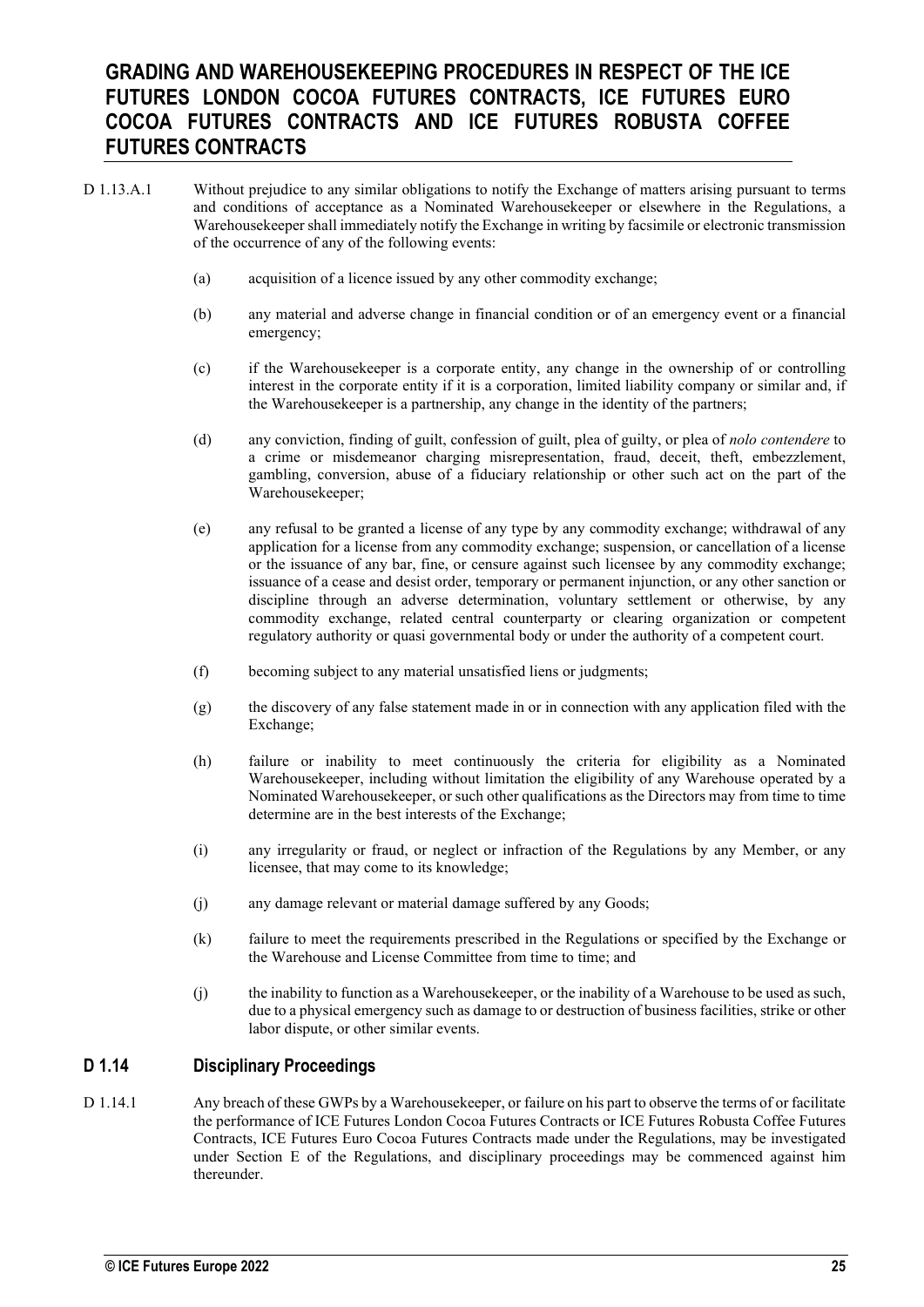- D 1.13.A.1 Without prejudice to any similar obligations to notify the Exchange of matters arising pursuant to terms and conditions of acceptance as a Nominated Warehousekeeper or elsewhere in the Regulations, a Warehousekeeper shall immediately notify the Exchange in writing by facsimile or electronic transmission of the occurrence of any of the following events:
	- (a) acquisition of a licence issued by any other commodity exchange;
	- (b) any material and adverse change in financial condition or of an emergency event or a financial emergency;
	- (c) if the Warehousekeeper is a corporate entity, any change in the ownership of or controlling interest in the corporate entity if it is a corporation, limited liability company or similar and, if the Warehousekeeper is a partnership, any change in the identity of the partners;
	- (d) any conviction, finding of guilt, confession of guilt, plea of guilty, or plea of *nolo contendere* to a crime or misdemeanor charging misrepresentation, fraud, deceit, theft, embezzlement, gambling, conversion, abuse of a fiduciary relationship or other such act on the part of the Warehousekeeper;
	- (e) any refusal to be granted a license of any type by any commodity exchange; withdrawal of any application for a license from any commodity exchange; suspension, or cancellation of a license or the issuance of any bar, fine, or censure against such licensee by any commodity exchange; issuance of a cease and desist order, temporary or permanent injunction, or any other sanction or discipline through an adverse determination, voluntary settlement or otherwise, by any commodity exchange, related central counterparty or clearing organization or competent regulatory authority or quasi governmental body or under the authority of a competent court.
	- (f) becoming subject to any material unsatisfied liens or judgments;
	- (g) the discovery of any false statement made in or in connection with any application filed with the Exchange;
	- (h) failure or inability to meet continuously the criteria for eligibility as a Nominated Warehousekeeper, including without limitation the eligibility of any Warehouse operated by a Nominated Warehousekeeper, or such other qualifications as the Directors may from time to time determine are in the best interests of the Exchange;
	- (i) any irregularity or fraud, or neglect or infraction of the Regulations by any Member, or any licensee, that may come to its knowledge;
	- (j) any damage relevant or material damage suffered by any Goods;
	- (k) failure to meet the requirements prescribed in the Regulations or specified by the Exchange or the Warehouse and License Committee from time to time; and
	- (j) the inability to function as a Warehousekeeper, or the inability of a Warehouse to be used as such, due to a physical emergency such as damage to or destruction of business facilities, strike or other labor dispute, or other similar events.

#### **D 1.14 Disciplinary Proceedings**

D 1.14.1 Any breach of these GWPs by a Warehousekeeper, or failure on his part to observe the terms of or facilitate the performance of ICE Futures London Cocoa Futures Contracts or ICE Futures Robusta Coffee Futures Contracts, ICE Futures Euro Cocoa Futures Contracts made under the Regulations, may be investigated under Section E of the Regulations, and disciplinary proceedings may be commenced against him thereunder.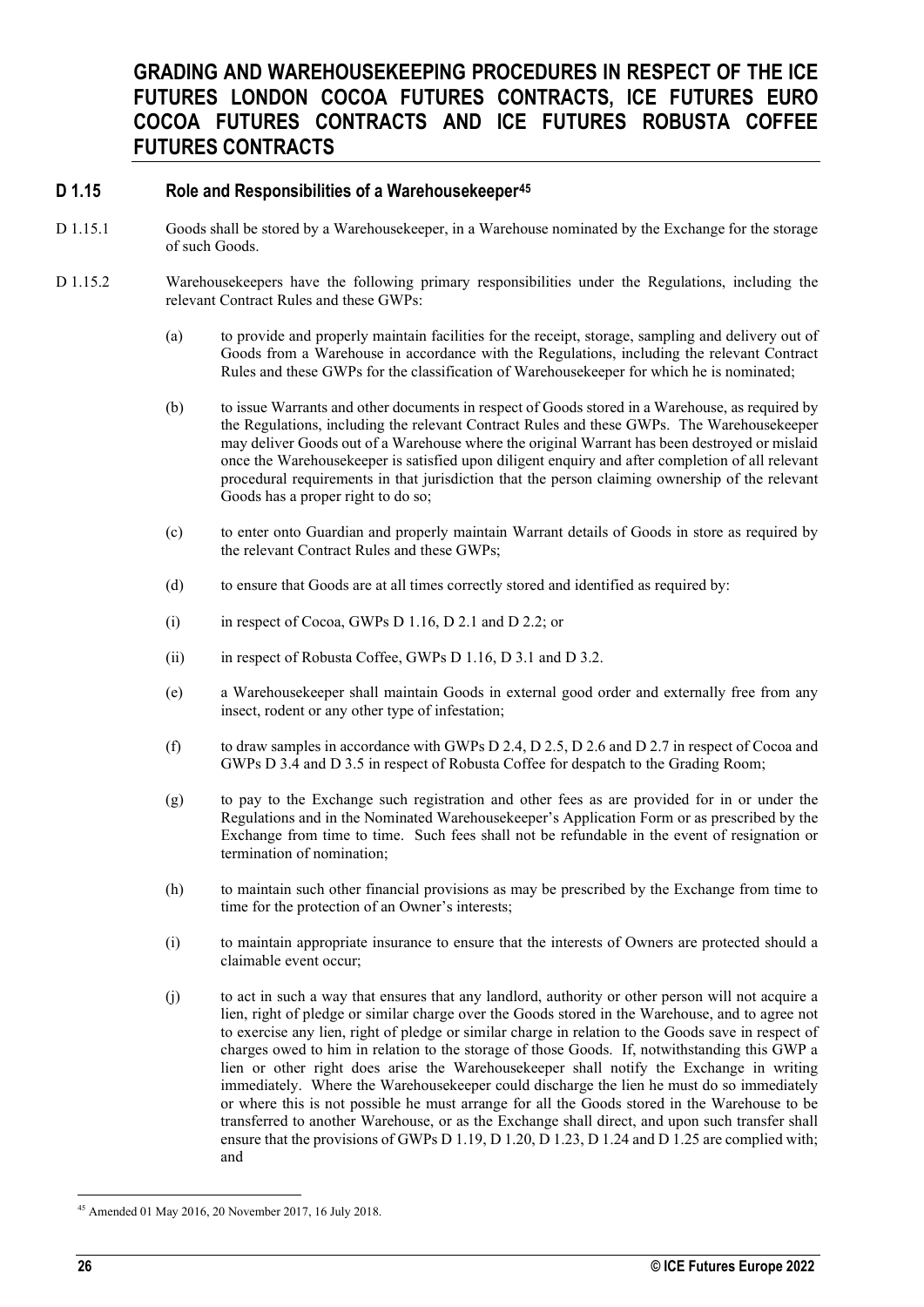#### **D 1.15 Role and Responsibilities of a Warehousekeeper[45](#page-25-0)**

- D 1.15.1 Goods shall be stored by a Warehousekeeper, in a Warehouse nominated by the Exchange for the storage of such Goods.
- D 1.15.2 Warehousekeepers have the following primary responsibilities under the Regulations, including the relevant Contract Rules and these GWPs:
	- (a) to provide and properly maintain facilities for the receipt, storage, sampling and delivery out of Goods from a Warehouse in accordance with the Regulations, including the relevant Contract Rules and these GWPs for the classification of Warehousekeeper for which he is nominated;
	- (b) to issue Warrants and other documents in respect of Goods stored in a Warehouse, as required by the Regulations, including the relevant Contract Rules and these GWPs. The Warehousekeeper may deliver Goods out of a Warehouse where the original Warrant has been destroyed or mislaid once the Warehousekeeper is satisfied upon diligent enquiry and after completion of all relevant procedural requirements in that jurisdiction that the person claiming ownership of the relevant Goods has a proper right to do so;
	- (c) to enter onto Guardian and properly maintain Warrant details of Goods in store as required by the relevant Contract Rules and these GWPs;
	- (d) to ensure that Goods are at all times correctly stored and identified as required by:
	- (i) in respect of Cocoa, GWPs D 1.16, D 2.1 and D 2.2; or
	- (ii) in respect of Robusta Coffee, GWPs D 1.16, D 3.1 and D 3.2.
	- (e) a Warehousekeeper shall maintain Goods in external good order and externally free from any insect, rodent or any other type of infestation;
	- (f) to draw samples in accordance with GWPs D 2.4, D 2.5, D 2.6 and D 2.7 in respect of Cocoa and GWPs D 3.4 and D 3.5 in respect of Robusta Coffee for despatch to the Grading Room;
	- (g) to pay to the Exchange such registration and other fees as are provided for in or under the Regulations and in the Nominated Warehousekeeper's Application Form or as prescribed by the Exchange from time to time. Such fees shall not be refundable in the event of resignation or termination of nomination;
	- (h) to maintain such other financial provisions as may be prescribed by the Exchange from time to time for the protection of an Owner's interests;
	- (i) to maintain appropriate insurance to ensure that the interests of Owners are protected should a claimable event occur;
	- (j) to act in such a way that ensures that any landlord, authority or other person will not acquire a lien, right of pledge or similar charge over the Goods stored in the Warehouse, and to agree not to exercise any lien, right of pledge or similar charge in relation to the Goods save in respect of charges owed to him in relation to the storage of those Goods. If, notwithstanding this GWP a lien or other right does arise the Warehousekeeper shall notify the Exchange in writing immediately. Where the Warehousekeeper could discharge the lien he must do so immediately or where this is not possible he must arrange for all the Goods stored in the Warehouse to be transferred to another Warehouse, or as the Exchange shall direct, and upon such transfer shall ensure that the provisions of GWPs D 1.19, D 1.20, D 1.23, D 1.24 and D 1.25 are complied with; and

<span id="page-25-0"></span><sup>45</sup> Amended 01 May 2016, 20 November 2017, 16 July 2018.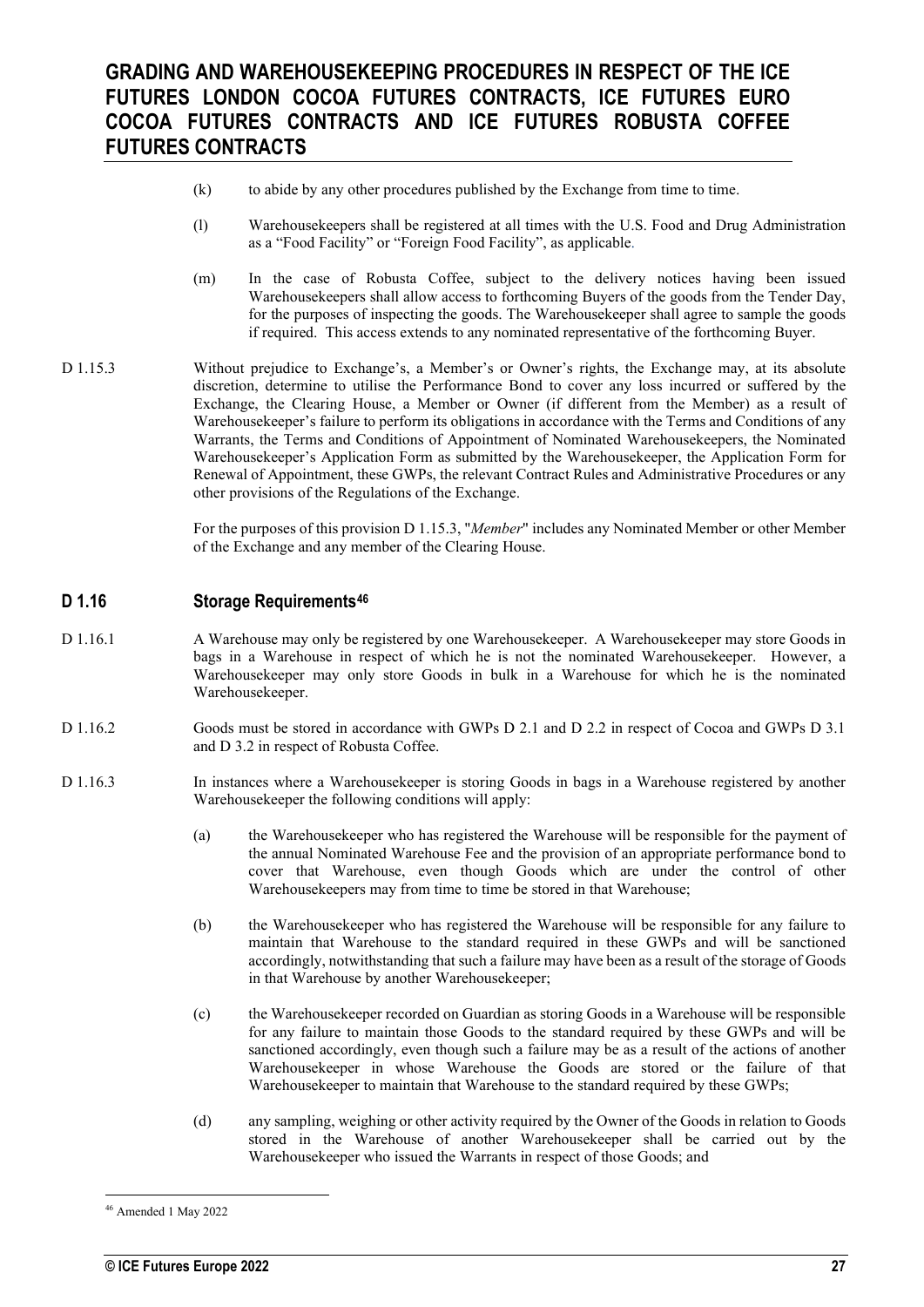- (k) to abide by any other procedures published by the Exchange from time to time.
- (l) Warehousekeepers shall be registered at all times with the U.S. Food and Drug Administration as a "Food Facility" or "Foreign Food Facility", as applicable.
- (m) In the case of Robusta Coffee, subject to the delivery notices having been issued Warehousekeepers shall allow access to forthcoming Buyers of the goods from the Tender Day, for the purposes of inspecting the goods. The Warehousekeeper shall agree to sample the goods if required. This access extends to any nominated representative of the forthcoming Buyer.
- D 1.15.3 Without prejudice to Exchange's, a Member's or Owner's rights, the Exchange may, at its absolute discretion, determine to utilise the Performance Bond to cover any loss incurred or suffered by the Exchange, the Clearing House, a Member or Owner (if different from the Member) as a result of Warehousekeeper's failure to perform its obligations in accordance with the Terms and Conditions of any Warrants, the Terms and Conditions of Appointment of Nominated Warehousekeepers, the Nominated Warehousekeeper's Application Form as submitted by the Warehousekeeper, the Application Form for Renewal of Appointment, these GWPs, the relevant Contract Rules and Administrative Procedures or any other provisions of the Regulations of the Exchange.

For the purposes of this provision D 1.15.3, "*Member*" includes any Nominated Member or other Member of the Exchange and any member of the Clearing House.

#### **D 1.16 Storage Requirements[46](#page-26-0)**

- D 1.16.1 A Warehouse may only be registered by one Warehousekeeper. A Warehousekeeper may store Goods in bags in a Warehouse in respect of which he is not the nominated Warehousekeeper. However, a Warehousekeeper may only store Goods in bulk in a Warehouse for which he is the nominated Warehousekeeper.
- D 1.16.2 Goods must be stored in accordance with GWPs D 2.1 and D 2.2 in respect of Cocoa and GWPs D 3.1 and D 3.2 in respect of Robusta Coffee.
- D 1.16.3 In instances where a Warehousekeeper is storing Goods in bags in a Warehouse registered by another Warehousekeeper the following conditions will apply:
	- (a) the Warehousekeeper who has registered the Warehouse will be responsible for the payment of the annual Nominated Warehouse Fee and the provision of an appropriate performance bond to cover that Warehouse, even though Goods which are under the control of other Warehousekeepers may from time to time be stored in that Warehouse;
	- (b) the Warehousekeeper who has registered the Warehouse will be responsible for any failure to maintain that Warehouse to the standard required in these GWPs and will be sanctioned accordingly, notwithstanding that such a failure may have been as a result of the storage of Goods in that Warehouse by another Warehousekeeper;
	- (c) the Warehousekeeper recorded on Guardian as storing Goods in a Warehouse will be responsible for any failure to maintain those Goods to the standard required by these GWPs and will be sanctioned accordingly, even though such a failure may be as a result of the actions of another Warehousekeeper in whose Warehouse the Goods are stored or the failure of that Warehousekeeper to maintain that Warehouse to the standard required by these GWPs;
	- (d) any sampling, weighing or other activity required by the Owner of the Goods in relation to Goods stored in the Warehouse of another Warehousekeeper shall be carried out by the Warehousekeeper who issued the Warrants in respect of those Goods; and

<span id="page-26-0"></span><sup>46</sup> Amended 1 May 2022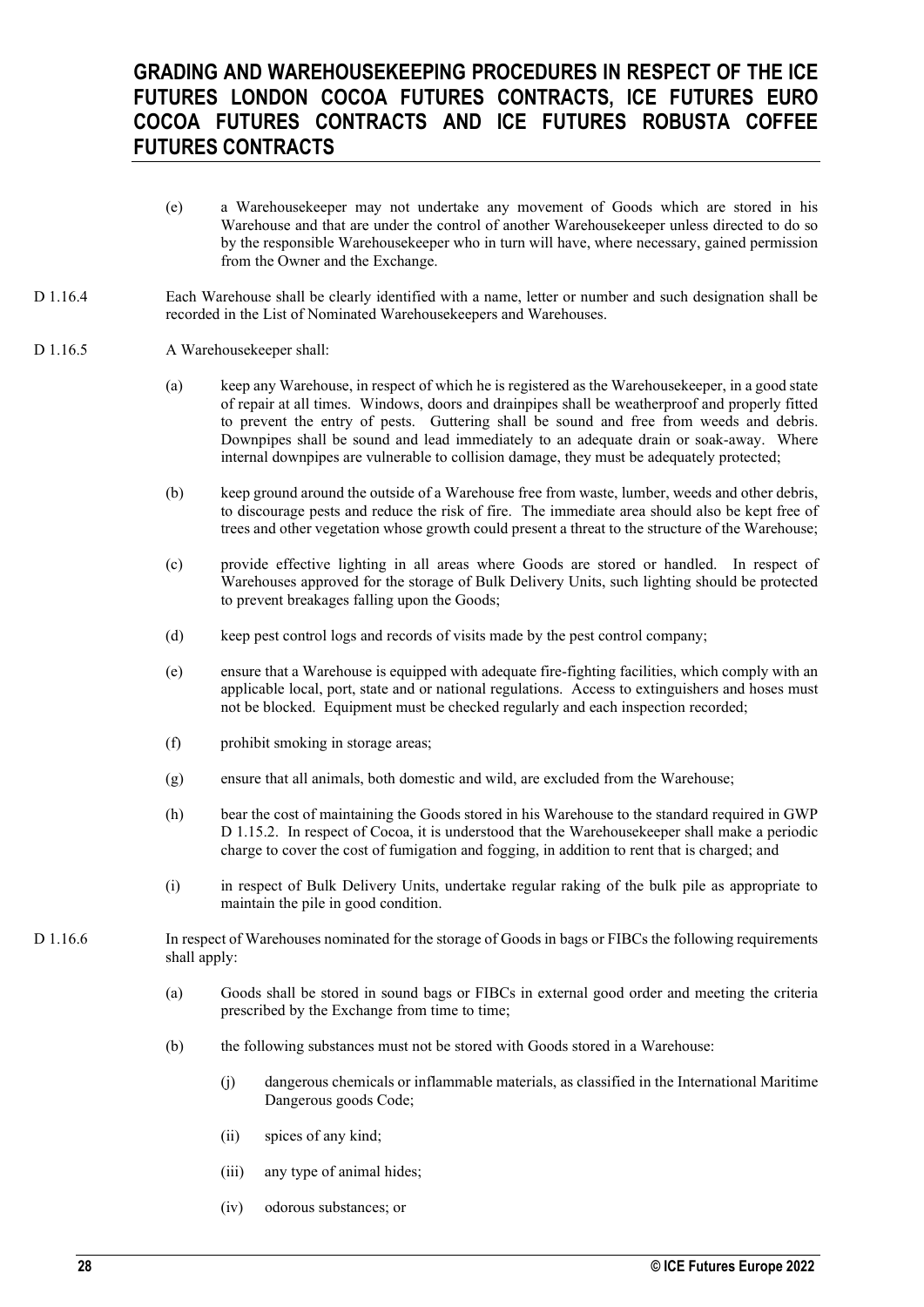- (e) a Warehousekeeper may not undertake any movement of Goods which are stored in his Warehouse and that are under the control of another Warehousekeeper unless directed to do so by the responsible Warehousekeeper who in turn will have, where necessary, gained permission from the Owner and the Exchange.
- D 1.16.4 Each Warehouse shall be clearly identified with a name, letter or number and such designation shall be recorded in the List of Nominated Warehousekeepers and Warehouses.

#### D 1.16.5 A Warehousekeeper shall:

- (a) keep any Warehouse, in respect of which he is registered as the Warehousekeeper, in a good state of repair at all times. Windows, doors and drainpipes shall be weatherproof and properly fitted to prevent the entry of pests. Guttering shall be sound and free from weeds and debris. Downpipes shall be sound and lead immediately to an adequate drain or soak-away. Where internal downpipes are vulnerable to collision damage, they must be adequately protected;
- (b) keep ground around the outside of a Warehouse free from waste, lumber, weeds and other debris, to discourage pests and reduce the risk of fire. The immediate area should also be kept free of trees and other vegetation whose growth could present a threat to the structure of the Warehouse;
- (c) provide effective lighting in all areas where Goods are stored or handled. In respect of Warehouses approved for the storage of Bulk Delivery Units, such lighting should be protected to prevent breakages falling upon the Goods;
- (d) keep pest control logs and records of visits made by the pest control company;
- (e) ensure that a Warehouse is equipped with adequate fire-fighting facilities, which comply with an applicable local, port, state and or national regulations. Access to extinguishers and hoses must not be blocked. Equipment must be checked regularly and each inspection recorded;
- (f) prohibit smoking in storage areas;
- (g) ensure that all animals, both domestic and wild, are excluded from the Warehouse;
- (h) bear the cost of maintaining the Goods stored in his Warehouse to the standard required in GWP D 1.15.2. In respect of Cocoa, it is understood that the Warehousekeeper shall make a periodic charge to cover the cost of fumigation and fogging, in addition to rent that is charged; and
- (i) in respect of Bulk Delivery Units, undertake regular raking of the bulk pile as appropriate to maintain the pile in good condition.
- D 1.16.6 In respect of Warehouses nominated for the storage of Goods in bags or FIBCs the following requirements shall apply:
	- (a) Goods shall be stored in sound bags or FIBCs in external good order and meeting the criteria prescribed by the Exchange from time to time;
	- (b) the following substances must not be stored with Goods stored in a Warehouse:
		- (j) dangerous chemicals or inflammable materials, as classified in the International Maritime Dangerous goods Code;
		- (ii) spices of any kind;
		- (iii) any type of animal hides;
		- (iv) odorous substances; or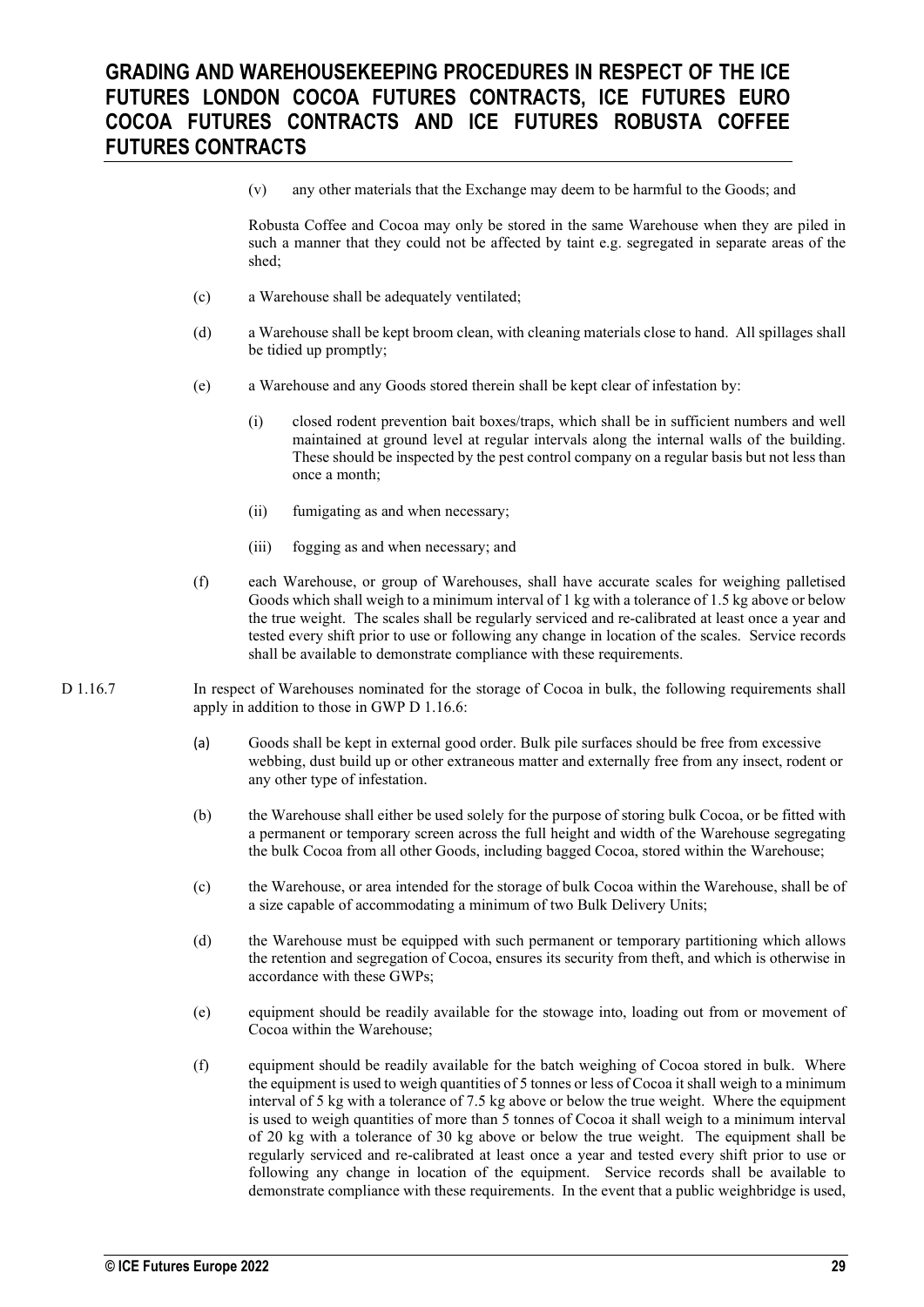(v) any other materials that the Exchange may deem to be harmful to the Goods; and

Robusta Coffee and Cocoa may only be stored in the same Warehouse when they are piled in such a manner that they could not be affected by taint e.g. segregated in separate areas of the shed;

- (c) a Warehouse shall be adequately ventilated;
- (d) a Warehouse shall be kept broom clean, with cleaning materials close to hand. All spillages shall be tidied up promptly;
- (e) a Warehouse and any Goods stored therein shall be kept clear of infestation by:
	- (i) closed rodent prevention bait boxes/traps, which shall be in sufficient numbers and well maintained at ground level at regular intervals along the internal walls of the building. These should be inspected by the pest control company on a regular basis but not less than once a month;
	- (ii) fumigating as and when necessary;
	- (iii) fogging as and when necessary; and
- (f) each Warehouse, or group of Warehouses, shall have accurate scales for weighing palletised Goods which shall weigh to a minimum interval of 1 kg with a tolerance of 1.5 kg above or below the true weight. The scales shall be regularly serviced and re-calibrated at least once a year and tested every shift prior to use or following any change in location of the scales. Service records shall be available to demonstrate compliance with these requirements.
- D 1.16.7 In respect of Warehouses nominated for the storage of Cocoa in bulk, the following requirements shall apply in addition to those in GWP D 1.16.6:
	- (a) Goods shall be kept in external good order. Bulk pile surfaces should be free from excessive webbing, dust build up or other extraneous matter and externally free from any insect, rodent or any other type of infestation.
	- (b) the Warehouse shall either be used solely for the purpose of storing bulk Cocoa, or be fitted with a permanent or temporary screen across the full height and width of the Warehouse segregating the bulk Cocoa from all other Goods, including bagged Cocoa, stored within the Warehouse;
	- (c) the Warehouse, or area intended for the storage of bulk Cocoa within the Warehouse, shall be of a size capable of accommodating a minimum of two Bulk Delivery Units;
	- (d) the Warehouse must be equipped with such permanent or temporary partitioning which allows the retention and segregation of Cocoa, ensures its security from theft, and which is otherwise in accordance with these GWPs;
	- (e) equipment should be readily available for the stowage into, loading out from or movement of Cocoa within the Warehouse;
	- (f) equipment should be readily available for the batch weighing of Cocoa stored in bulk. Where the equipment is used to weigh quantities of 5 tonnes or less of Cocoa it shall weigh to a minimum interval of 5 kg with a tolerance of 7.5 kg above or below the true weight. Where the equipment is used to weigh quantities of more than 5 tonnes of Cocoa it shall weigh to a minimum interval of 20 kg with a tolerance of 30 kg above or below the true weight. The equipment shall be regularly serviced and re-calibrated at least once a year and tested every shift prior to use or following any change in location of the equipment. Service records shall be available to demonstrate compliance with these requirements. In the event that a public weighbridge is used,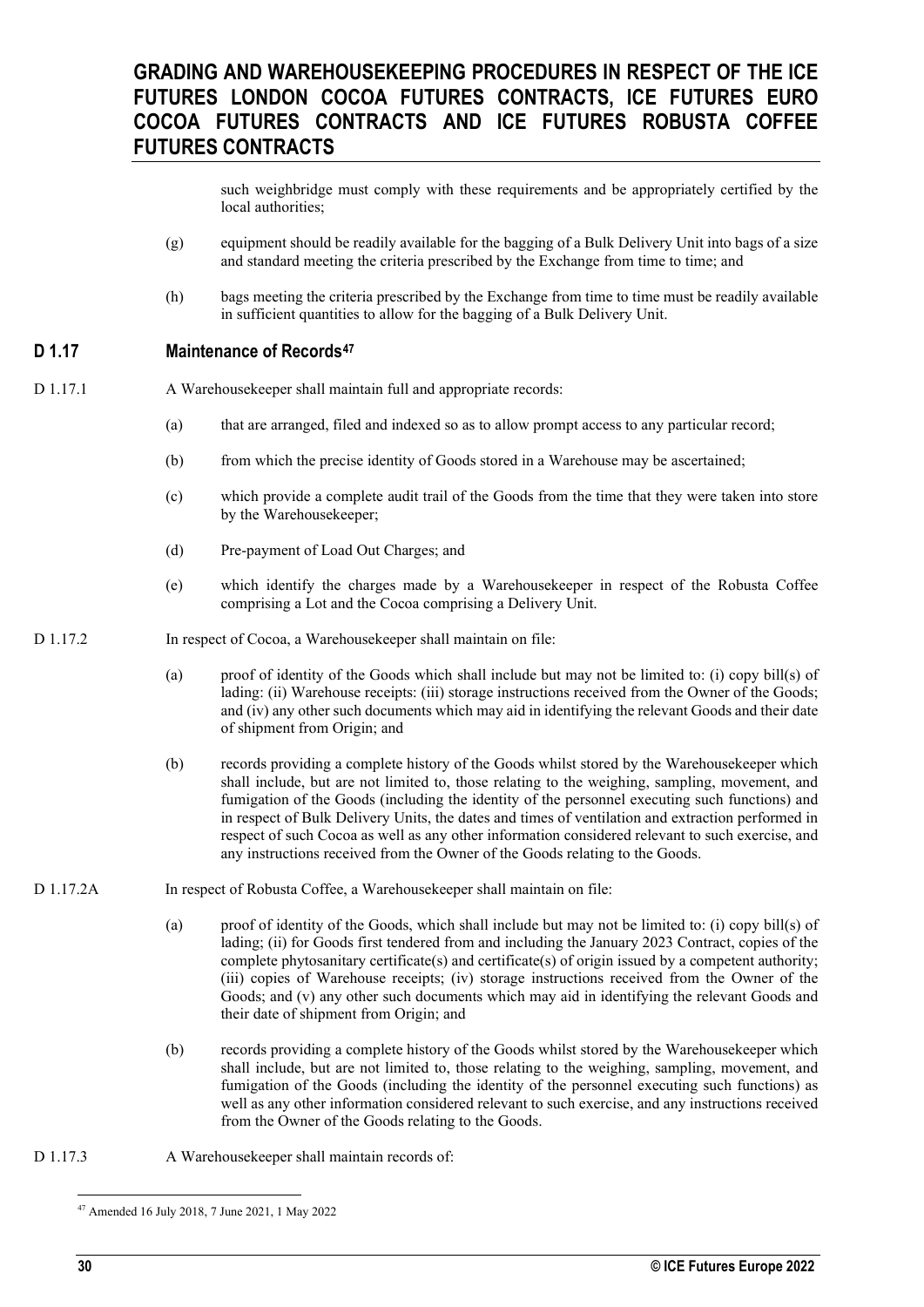such weighbridge must comply with these requirements and be appropriately certified by the local authorities;

- (g) equipment should be readily available for the bagging of a Bulk Delivery Unit into bags of a size and standard meeting the criteria prescribed by the Exchange from time to time; and
- (h) bags meeting the criteria prescribed by the Exchange from time to time must be readily available in sufficient quantities to allow for the bagging of a Bulk Delivery Unit.

#### **D 1.17 Maintenance of Records[47](#page-29-0)**

- D 1.17.1 A Warehousekeeper shall maintain full and appropriate records:
	- (a) that are arranged, filed and indexed so as to allow prompt access to any particular record;
	- (b) from which the precise identity of Goods stored in a Warehouse may be ascertained;
	- (c) which provide a complete audit trail of the Goods from the time that they were taken into store by the Warehousekeeper;
	- (d) Pre-payment of Load Out Charges; and
	- (e) which identify the charges made by a Warehousekeeper in respect of the Robusta Coffee comprising a Lot and the Cocoa comprising a Delivery Unit.
- D 1.17.2 In respect of Cocoa, a Warehousekeeper shall maintain on file:
	- (a) proof of identity of the Goods which shall include but may not be limited to: (i) copy bill(s) of lading: (ii) Warehouse receipts: (iii) storage instructions received from the Owner of the Goods; and (iv) any other such documents which may aid in identifying the relevant Goods and their date of shipment from Origin; and
	- (b) records providing a complete history of the Goods whilst stored by the Warehousekeeper which shall include, but are not limited to, those relating to the weighing, sampling, movement, and fumigation of the Goods (including the identity of the personnel executing such functions) and in respect of Bulk Delivery Units, the dates and times of ventilation and extraction performed in respect of such Cocoa as well as any other information considered relevant to such exercise, and any instructions received from the Owner of the Goods relating to the Goods.
- D 1.17.2A In respect of Robusta Coffee, a Warehousekeeper shall maintain on file:
	- (a) proof of identity of the Goods, which shall include but may not be limited to: (i) copy bill(s) of lading; (ii) for Goods first tendered from and including the January 2023 Contract, copies of the complete phytosanitary certificate(s) and certificate(s) of origin issued by a competent authority; (iii) copies of Warehouse receipts; (iv) storage instructions received from the Owner of the Goods; and (v) any other such documents which may aid in identifying the relevant Goods and their date of shipment from Origin; and
	- (b) records providing a complete history of the Goods whilst stored by the Warehousekeeper which shall include, but are not limited to, those relating to the weighing, sampling, movement, and fumigation of the Goods (including the identity of the personnel executing such functions) as well as any other information considered relevant to such exercise, and any instructions received from the Owner of the Goods relating to the Goods.
- <span id="page-29-0"></span>D 1.17.3 A Warehousekeeper shall maintain records of:

<sup>47</sup> Amended 16 July 2018, 7 June 2021, 1 May 2022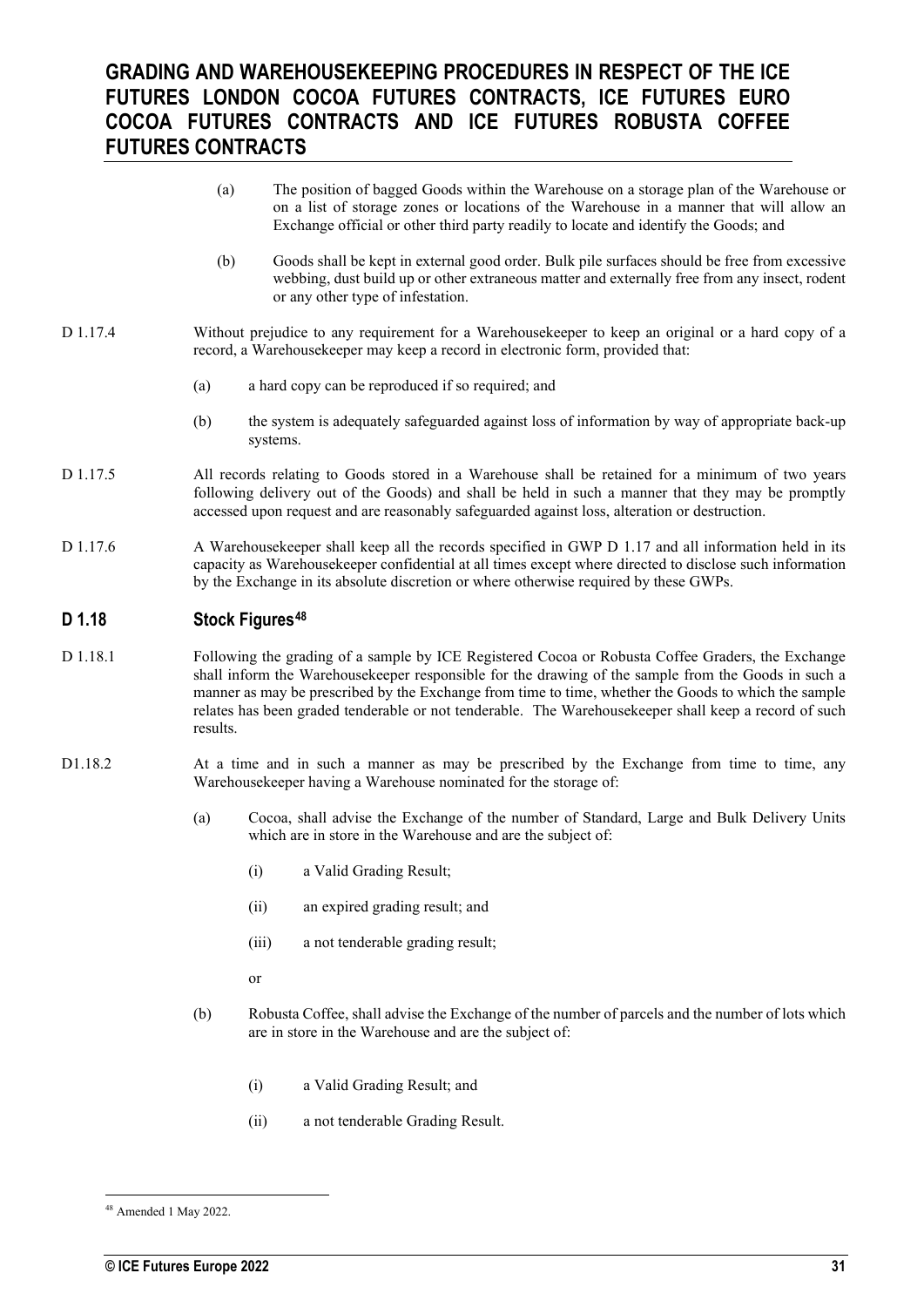- (a) The position of bagged Goods within the Warehouse on a storage plan of the Warehouse or on a list of storage zones or locations of the Warehouse in a manner that will allow an Exchange official or other third party readily to locate and identify the Goods; and
- (b) Goods shall be kept in external good order. Bulk pile surfaces should be free from excessive webbing, dust build up or other extraneous matter and externally free from any insect, rodent or any other type of infestation.
- D 1.17.4 Without prejudice to any requirement for a Warehousekeeper to keep an original or a hard copy of a record, a Warehousekeeper may keep a record in electronic form, provided that:
	- (a) a hard copy can be reproduced if so required; and
	- (b) the system is adequately safeguarded against loss of information by way of appropriate back-up systems.
- D 1.17.5 All records relating to Goods stored in a Warehouse shall be retained for a minimum of two years following delivery out of the Goods) and shall be held in such a manner that they may be promptly accessed upon request and are reasonably safeguarded against loss, alteration or destruction.
- D 1.17.6 A Warehousekeeper shall keep all the records specified in GWP D 1.17 and all information held in its capacity as Warehousekeeper confidential at all times except where directed to disclose such information by the Exchange in its absolute discretion or where otherwise required by these GWPs.

#### **D 1.18 Stock Figures[48](#page-30-0)**

- D 1.18.1 Following the grading of a sample by ICE Registered Cocoa or Robusta Coffee Graders, the Exchange shall inform the Warehousekeeper responsible for the drawing of the sample from the Goods in such a manner as may be prescribed by the Exchange from time to time, whether the Goods to which the sample relates has been graded tenderable or not tenderable. The Warehousekeeper shall keep a record of such results.
- D1.18.2 At a time and in such a manner as may be prescribed by the Exchange from time to time, any Warehousekeeper having a Warehouse nominated for the storage of:
	- (a) Cocoa, shall advise the Exchange of the number of Standard, Large and Bulk Delivery Units which are in store in the Warehouse and are the subject of:
		- (i) a Valid Grading Result;
		- (ii) an expired grading result; and
		- (iii) a not tenderable grading result;
		- or
	- (b) Robusta Coffee, shall advise the Exchange of the number of parcels and the number of lots which are in store in the Warehouse and are the subject of:
		- (i) a Valid Grading Result; and
		- (ii) a not tenderable Grading Result.

<span id="page-30-0"></span><sup>48</sup> Amended 1 May 2022.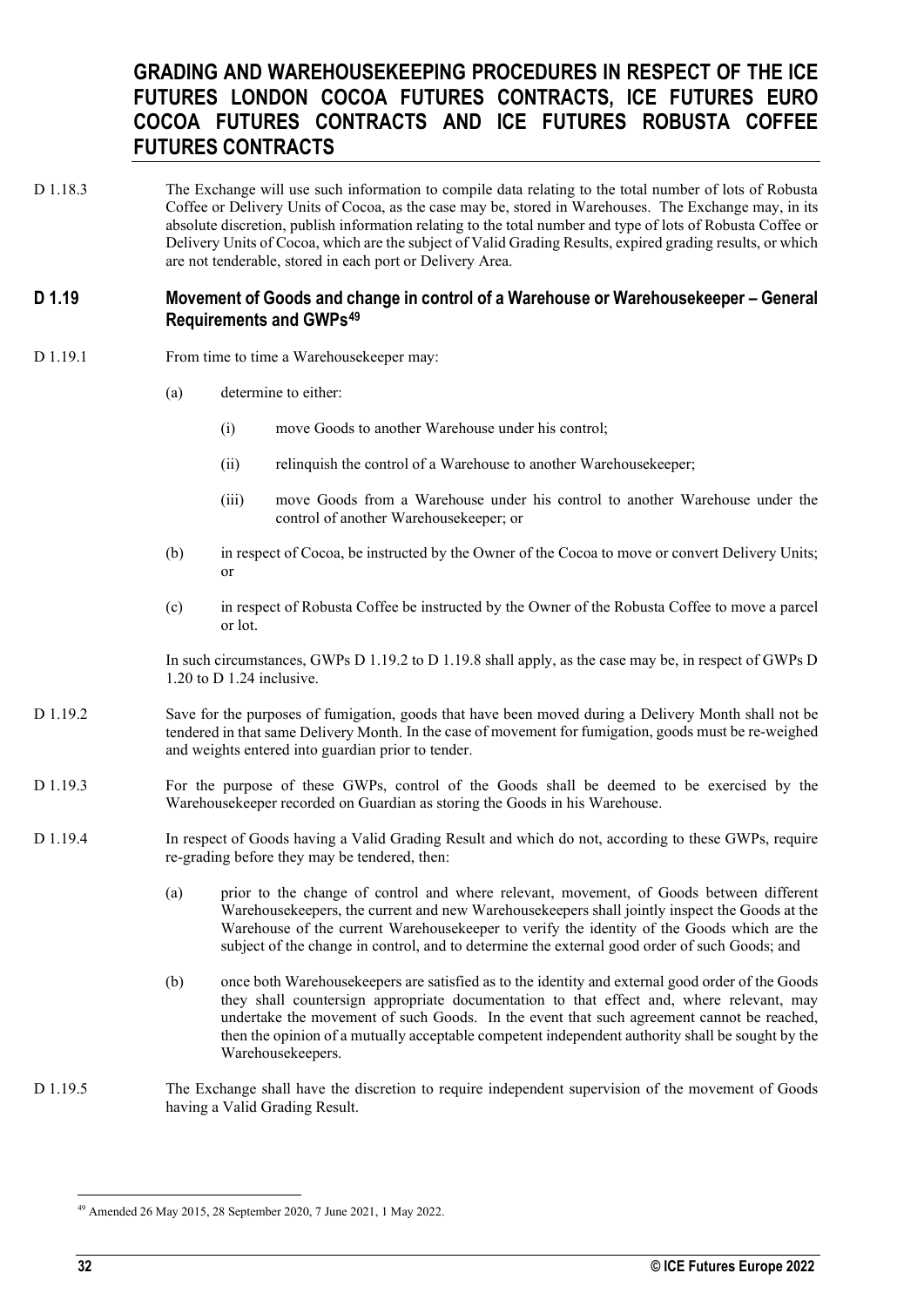D 1.18.3 The Exchange will use such information to compile data relating to the total number of lots of Robusta Coffee or Delivery Units of Cocoa, as the case may be, stored in Warehouses. The Exchange may, in its absolute discretion, publish information relating to the total number and type of lots of Robusta Coffee or Delivery Units of Cocoa, which are the subject of Valid Grading Results, expired grading results, or which are not tenderable, stored in each port or Delivery Area.

#### **D 1.19 Movement of Goods and change in control of a Warehouse or Warehousekeeper – General Requirements and GWPs[49](#page-31-0)**

- D 1.19.1 From time to time a Warehousekeeper may:
	- (a) determine to either:
		- (i) move Goods to another Warehouse under his control;
		- (ii) relinquish the control of a Warehouse to another Warehousekeeper;
		- (iii) move Goods from a Warehouse under his control to another Warehouse under the control of another Warehousekeeper; or
	- (b) in respect of Cocoa, be instructed by the Owner of the Cocoa to move or convert Delivery Units; or
	- (c) in respect of Robusta Coffee be instructed by the Owner of the Robusta Coffee to move a parcel or lot.

In such circumstances, GWPs D 1.19.2 to D 1.19.8 shall apply, as the case may be, in respect of GWPs D 1.20 to D 1.24 inclusive.

- D 1.19.2 Save for the purposes of fumigation, goods that have been moved during a Delivery Month shall not be tendered in that same Delivery Month. In the case of movement for fumigation, goods must be re-weighed and weights entered into guardian prior to tender.
- D 1.19.3 For the purpose of these GWPs, control of the Goods shall be deemed to be exercised by the Warehousekeeper recorded on Guardian as storing the Goods in his Warehouse.
- D 1.19.4 In respect of Goods having a Valid Grading Result and which do not, according to these GWPs, require re-grading before they may be tendered, then:
	- (a) prior to the change of control and where relevant, movement, of Goods between different Warehousekeepers, the current and new Warehousekeepers shall jointly inspect the Goods at the Warehouse of the current Warehousekeeper to verify the identity of the Goods which are the subject of the change in control, and to determine the external good order of such Goods; and
	- (b) once both Warehousekeepers are satisfied as to the identity and external good order of the Goods they shall countersign appropriate documentation to that effect and, where relevant, may undertake the movement of such Goods. In the event that such agreement cannot be reached, then the opinion of a mutually acceptable competent independent authority shall be sought by the Warehousekeepers.
- D 1.19.5 The Exchange shall have the discretion to require independent supervision of the movement of Goods having a Valid Grading Result.

<span id="page-31-0"></span><sup>49</sup> Amended 26 May 2015, 28 September 2020, 7 June 2021, 1 May 2022.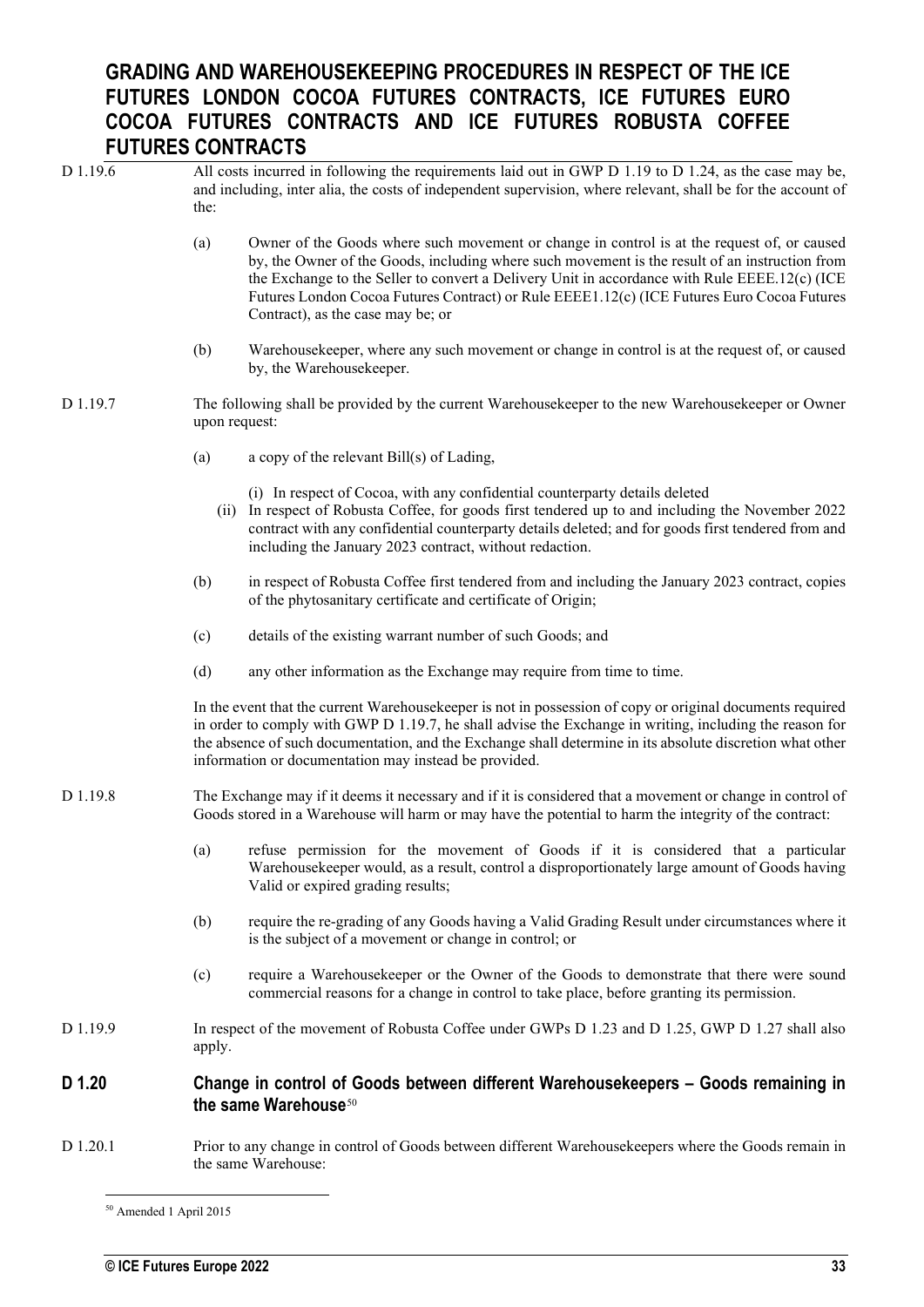D 1.19.6 All costs incurred in following the requirements laid out in GWP D 1.19 to D 1.24, as the case may be, and including, inter alia, the costs of independent supervision, where relevant, shall be for the account of the:

- (a) Owner of the Goods where such movement or change in control is at the request of, or caused by, the Owner of the Goods, including where such movement is the result of an instruction from the Exchange to the Seller to convert a Delivery Unit in accordance with Rule EEEE.12(c) (ICE Futures London Cocoa Futures Contract) or Rule EEEE1.12(c) (ICE Futures Euro Cocoa Futures Contract), as the case may be; or
- (b) Warehousekeeper, where any such movement or change in control is at the request of, or caused by, the Warehousekeeper.

D 1.19.7 The following shall be provided by the current Warehousekeeper to the new Warehousekeeper or Owner upon request:

(a) a copy of the relevant Bill(s) of Lading,

(i) In respect of Cocoa, with any confidential counterparty details deleted

- (ii) In respect of Robusta Coffee, for goods first tendered up to and including the November 2022 contract with any confidential counterparty details deleted; and for goods first tendered from and including the January 2023 contract, without redaction.
- (b) in respect of Robusta Coffee first tendered from and including the January 2023 contract, copies of the phytosanitary certificate and certificate of Origin;
- (c) details of the existing warrant number of such Goods; and
- (d) any other information as the Exchange may require from time to time.

In the event that the current Warehousekeeper is not in possession of copy or original documents required in order to comply with GWP D 1.19.7, he shall advise the Exchange in writing, including the reason for the absence of such documentation, and the Exchange shall determine in its absolute discretion what other information or documentation may instead be provided.

- D 1.19.8 The Exchange may if it deems it necessary and if it is considered that a movement or change in control of Goods stored in a Warehouse will harm or may have the potential to harm the integrity of the contract:
	- (a) refuse permission for the movement of Goods if it is considered that a particular Warehousekeeper would, as a result, control a disproportionately large amount of Goods having Valid or expired grading results;
	- (b) require the re-grading of any Goods having a Valid Grading Result under circumstances where it is the subject of a movement or change in control; or
	- (c) require a Warehousekeeper or the Owner of the Goods to demonstrate that there were sound commercial reasons for a change in control to take place, before granting its permission.
- D 1.19.9 In respect of the movement of Robusta Coffee under GWPs D 1.23 and D 1.25, GWP D 1.27 shall also apply.

#### **D 1.20 Change in control of Goods between different Warehousekeepers – Goods remaining in**  the same Warehouse<sup>[50](#page-32-0)</sup>

<span id="page-32-0"></span>D 1.20.1 Prior to any change in control of Goods between different Warehousekeepers where the Goods remain in the same Warehouse:

<sup>50</sup> Amended 1 April 2015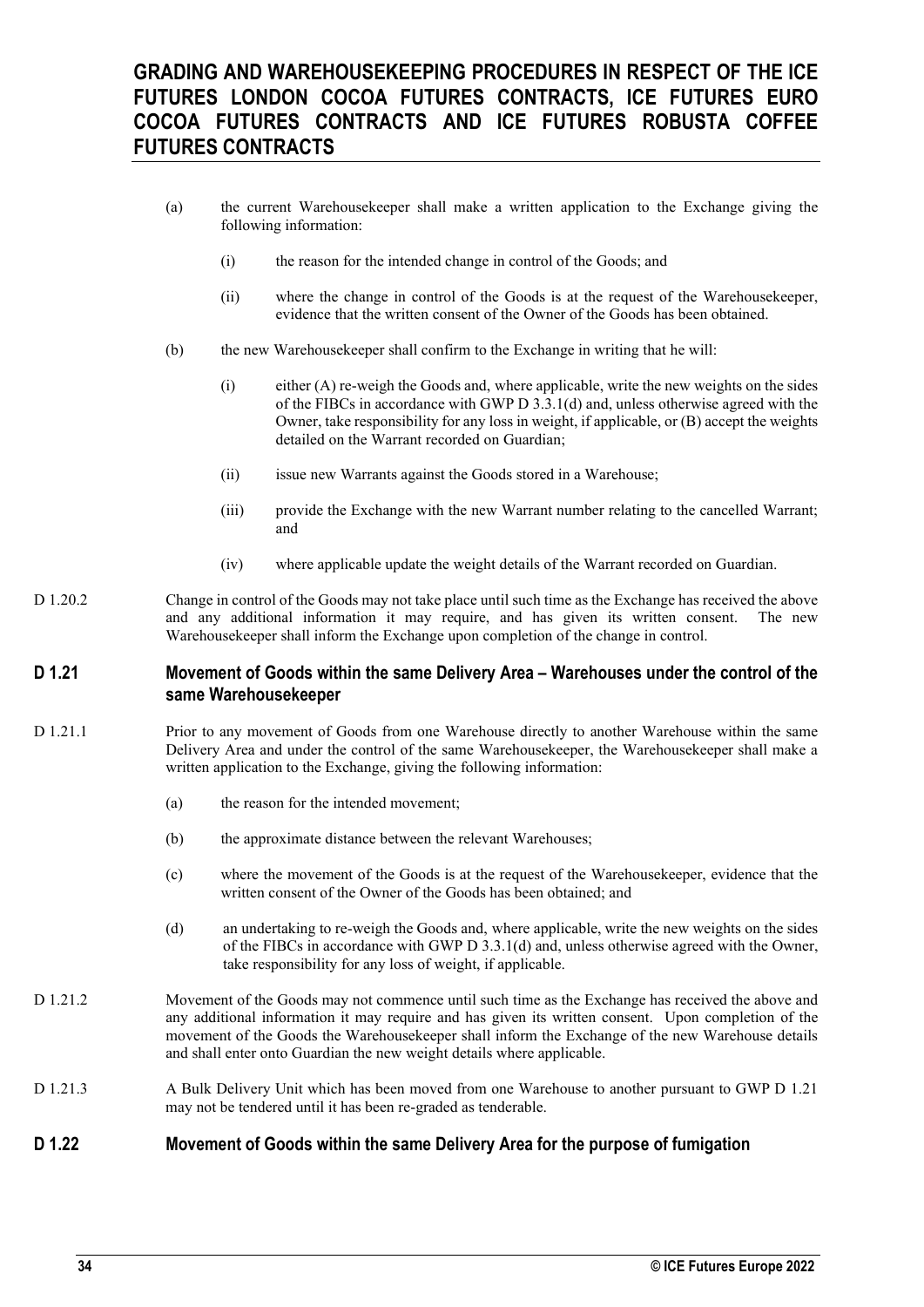- (a) the current Warehousekeeper shall make a written application to the Exchange giving the following information:
	- (i) the reason for the intended change in control of the Goods; and
	- (ii) where the change in control of the Goods is at the request of the Warehousekeeper, evidence that the written consent of the Owner of the Goods has been obtained.
- (b) the new Warehousekeeper shall confirm to the Exchange in writing that he will:
	- (i) either (A) re-weigh the Goods and, where applicable, write the new weights on the sides of the FIBCs in accordance with GWP D 3.3.1(d) and, unless otherwise agreed with the Owner, take responsibility for any loss in weight, if applicable, or (B) accept the weights detailed on the Warrant recorded on Guardian;
	- (ii) issue new Warrants against the Goods stored in a Warehouse;
	- (iii) provide the Exchange with the new Warrant number relating to the cancelled Warrant; and
	- (iv) where applicable update the weight details of the Warrant recorded on Guardian.
- D 1.20.2 Change in control of the Goods may not take place until such time as the Exchange has received the above and any additional information it may require, and has given its written consent. The new Warehousekeeper shall inform the Exchange upon completion of the change in control.

#### **D 1.21 Movement of Goods within the same Delivery Area – Warehouses under the control of the same Warehousekeeper**

- D 1.21.1 Prior to any movement of Goods from one Warehouse directly to another Warehouse within the same Delivery Area and under the control of the same Warehousekeeper, the Warehousekeeper shall make a written application to the Exchange, giving the following information:
	- (a) the reason for the intended movement;
	- (b) the approximate distance between the relevant Warehouses;
	- (c) where the movement of the Goods is at the request of the Warehousekeeper, evidence that the written consent of the Owner of the Goods has been obtained; and
	- (d) an undertaking to re-weigh the Goods and, where applicable, write the new weights on the sides of the FIBCs in accordance with GWP D 3.3.1(d) and, unless otherwise agreed with the Owner, take responsibility for any loss of weight, if applicable.
- D 1.21.2 Movement of the Goods may not commence until such time as the Exchange has received the above and any additional information it may require and has given its written consent. Upon completion of the movement of the Goods the Warehousekeeper shall inform the Exchange of the new Warehouse details and shall enter onto Guardian the new weight details where applicable.
- D 1.21.3 A Bulk Delivery Unit which has been moved from one Warehouse to another pursuant to GWP D 1.21 may not be tendered until it has been re-graded as tenderable.

#### **D 1.22 Movement of Goods within the same Delivery Area for the purpose of fumigation**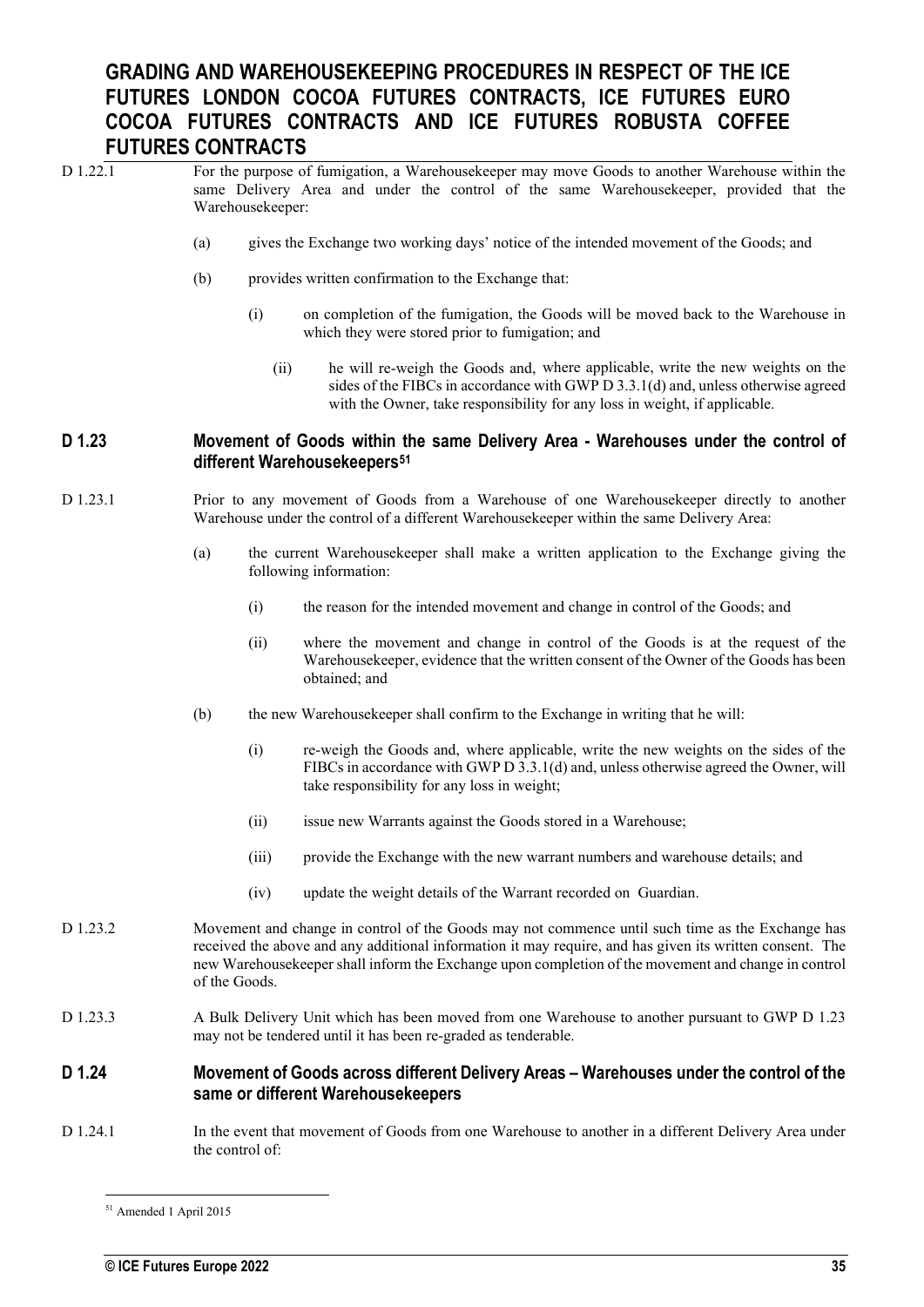D 1.22.1 For the purpose of fumigation, a Warehousekeeper may move Goods to another Warehouse within the same Delivery Area and under the control of the same Warehousekeeper, provided that the Warehousekeeper:

- (a) gives the Exchange two working days' notice of the intended movement of the Goods; and
- (b) provides written confirmation to the Exchange that:
	- (i) on completion of the fumigation, the Goods will be moved back to the Warehouse in which they were stored prior to fumigation; and
		- (ii) he will re-weigh the Goods and, where applicable, write the new weights on the sides of the FIBCs in accordance with GWP D 3.3.1(d) and, unless otherwise agreed with the Owner, take responsibility for any loss in weight, if applicable.

#### **D 1.23 Movement of Goods within the same Delivery Area - Warehouses under the control of different Warehousekeepers[51](#page-34-0)**

- D 1.23.1 Prior to any movement of Goods from a Warehouse of one Warehousekeeper directly to another Warehouse under the control of a different Warehousekeeper within the same Delivery Area:
	- (a) the current Warehousekeeper shall make a written application to the Exchange giving the following information:
		- (i) the reason for the intended movement and change in control of the Goods; and
		- (ii) where the movement and change in control of the Goods is at the request of the Warehousekeeper, evidence that the written consent of the Owner of the Goods has been obtained; and
	- (b) the new Warehousekeeper shall confirm to the Exchange in writing that he will:
		- (i) re-weigh the Goods and, where applicable, write the new weights on the sides of the FIBCs in accordance with GWP D 3.3.1(d) and, unless otherwise agreed the Owner, will take responsibility for any loss in weight;
		- (ii) issue new Warrants against the Goods stored in a Warehouse;
		- (iii) provide the Exchange with the new warrant numbers and warehouse details; and
		- (iv) update the weight details of the Warrant recorded on Guardian.
- D 1.23.2 Movement and change in control of the Goods may not commence until such time as the Exchange has received the above and any additional information it may require, and has given its written consent. The new Warehousekeeper shall inform the Exchange upon completion of the movement and change in control of the Goods.
- D 1.23.3 A Bulk Delivery Unit which has been moved from one Warehouse to another pursuant to GWP D 1.23 may not be tendered until it has been re-graded as tenderable.

#### **D 1.24 Movement of Goods across different Delivery Areas – Warehouses under the control of the same or different Warehousekeepers**

<span id="page-34-0"></span>D 1.24.1 In the event that movement of Goods from one Warehouse to another in a different Delivery Area under the control of:

<sup>51</sup> Amended 1 April 2015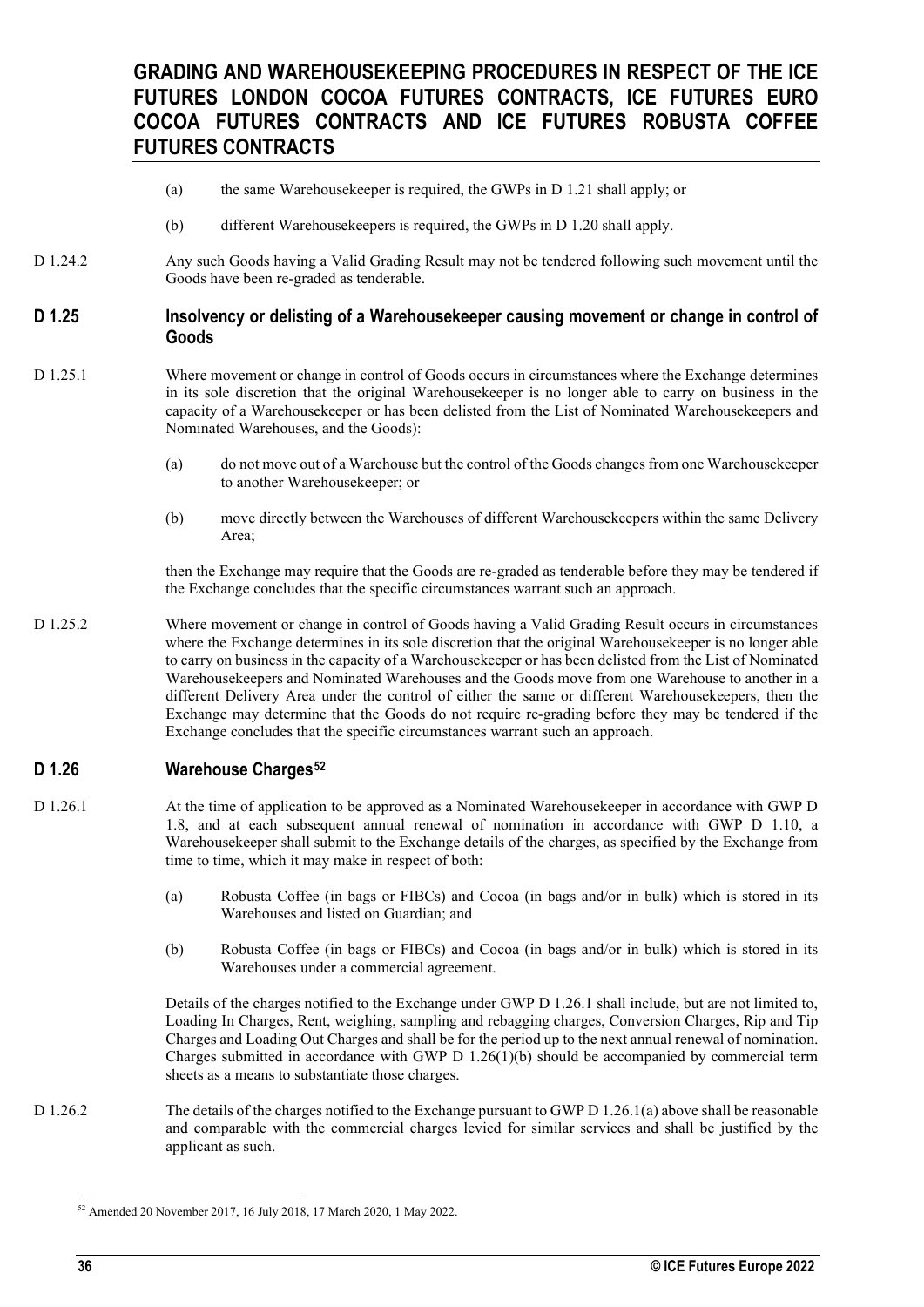- (a) the same Warehousekeeper is required, the GWPs in D 1.21 shall apply; or
- (b) different Warehousekeepers is required, the GWPs in D 1.20 shall apply.
- D 1.24.2 Any such Goods having a Valid Grading Result may not be tendered following such movement until the Goods have been re-graded as tenderable.

#### **D 1.25 Insolvency or delisting of a Warehousekeeper causing movement or change in control of Goods**

- D 1.25.1 Where movement or change in control of Goods occurs in circumstances where the Exchange determines in its sole discretion that the original Warehousekeeper is no longer able to carry on business in the capacity of a Warehousekeeper or has been delisted from the List of Nominated Warehousekeepers and Nominated Warehouses, and the Goods):
	- (a) do not move out of a Warehouse but the control of the Goods changes from one Warehousekeeper to another Warehousekeeper; or
	- (b) move directly between the Warehouses of different Warehousekeepers within the same Delivery Area;

then the Exchange may require that the Goods are re-graded as tenderable before they may be tendered if the Exchange concludes that the specific circumstances warrant such an approach.

D 1.25.2 Where movement or change in control of Goods having a Valid Grading Result occurs in circumstances where the Exchange determines in its sole discretion that the original Warehousekeeper is no longer able to carry on business in the capacity of a Warehousekeeper or has been delisted from the List of Nominated Warehousekeepers and Nominated Warehouses and the Goods move from one Warehouse to another in a different Delivery Area under the control of either the same or different Warehousekeepers, then the Exchange may determine that the Goods do not require re-grading before they may be tendered if the Exchange concludes that the specific circumstances warrant such an approach.

#### **D 1.26 Warehouse Charge[s52](#page-35-0)**

- D 1.26.1 At the time of application to be approved as a Nominated Warehousekeeper in accordance with GWP D 1.8, and at each subsequent annual renewal of nomination in accordance with GWP D 1.10, a Warehousekeeper shall submit to the Exchange details of the charges, as specified by the Exchange from time to time, which it may make in respect of both:
	- (a) Robusta Coffee (in bags or FIBCs) and Cocoa (in bags and/or in bulk) which is stored in its Warehouses and listed on Guardian; and
	- (b) Robusta Coffee (in bags or FIBCs) and Cocoa (in bags and/or in bulk) which is stored in its Warehouses under a commercial agreement.

Details of the charges notified to the Exchange under GWP D 1.26.1 shall include, but are not limited to, Loading In Charges, Rent, weighing, sampling and rebagging charges, Conversion Charges, Rip and Tip Charges and Loading Out Charges and shall be for the period up to the next annual renewal of nomination. Charges submitted in accordance with GWP  $D 1.26(1)(b)$  should be accompanied by commercial term sheets as a means to substantiate those charges.

D 1.26.2 The details of the charges notified to the Exchange pursuant to GWP D 1.26.1(a) above shall be reasonable and comparable with the commercial charges levied for similar services and shall be justified by the applicant as such.

<span id="page-35-0"></span><sup>52</sup> Amended 20 November 2017, 16 July 2018, 17 March 2020, 1 May 2022.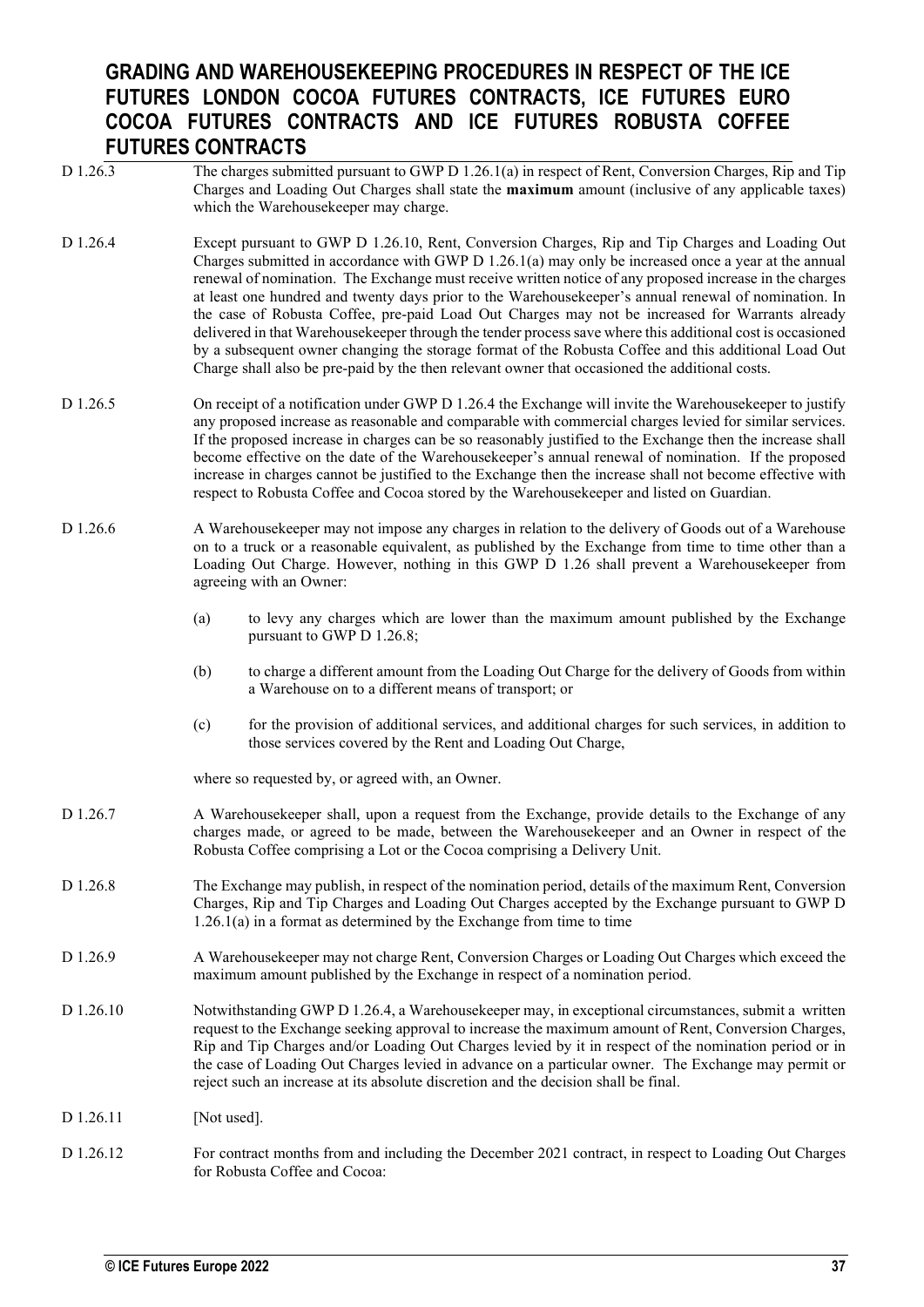- D 1.26.3 The charges submitted pursuant to GWP D 1.26.1(a) in respect of Rent, Conversion Charges, Rip and Tip Charges and Loading Out Charges shall state the **maximum** amount (inclusive of any applicable taxes) which the Warehousekeeper may charge.
- D 1.26.4 Except pursuant to GWP D 1.26.10, Rent, Conversion Charges, Rip and Tip Charges and Loading Out Charges submitted in accordance with GWP D 1.26.1(a) may only be increased once a year at the annual renewal of nomination. The Exchange must receive written notice of any proposed increase in the charges at least one hundred and twenty days prior to the Warehousekeeper's annual renewal of nomination. In the case of Robusta Coffee, pre-paid Load Out Charges may not be increased for Warrants already delivered in that Warehousekeeper through the tender process save where this additional cost is occasioned by a subsequent owner changing the storage format of the Robusta Coffee and this additional Load Out Charge shall also be pre-paid by the then relevant owner that occasioned the additional costs.
- D 1.26.5 On receipt of a notification under GWP D 1.26.4 the Exchange will invite the Warehousekeeper to justify any proposed increase as reasonable and comparable with commercial charges levied for similar services. If the proposed increase in charges can be so reasonably justified to the Exchange then the increase shall become effective on the date of the Warehousekeeper's annual renewal of nomination. If the proposed increase in charges cannot be justified to the Exchange then the increase shall not become effective with respect to Robusta Coffee and Cocoa stored by the Warehousekeeper and listed on Guardian.
- D 1.26.6 A Warehousekeeper may not impose any charges in relation to the delivery of Goods out of a Warehouse on to a truck or a reasonable equivalent, as published by the Exchange from time to time other than a Loading Out Charge. However, nothing in this GWP D 1.26 shall prevent a Warehousekeeper from agreeing with an Owner:
	- (a) to levy any charges which are lower than the maximum amount published by the Exchange pursuant to GWP D 1.26.8;
	- (b) to charge a different amount from the Loading Out Charge for the delivery of Goods from within a Warehouse on to a different means of transport; or
	- (c) for the provision of additional services, and additional charges for such services, in addition to those services covered by the Rent and Loading Out Charge,

where so requested by, or agreed with, an Owner.

- D 1.26.7 A Warehousekeeper shall, upon a request from the Exchange, provide details to the Exchange of any charges made, or agreed to be made, between the Warehousekeeper and an Owner in respect of the Robusta Coffee comprising a Lot or the Cocoa comprising a Delivery Unit.
- D 1.26.8 The Exchange may publish, in respect of the nomination period, details of the maximum Rent, Conversion Charges, Rip and Tip Charges and Loading Out Charges accepted by the Exchange pursuant to GWP D 1.26.1(a) in a format as determined by the Exchange from time to time
- D 1.26.9 A Warehousekeeper may not charge Rent, Conversion Charges or Loading Out Charges which exceed the maximum amount published by the Exchange in respect of a nomination period.
- D 1.26.10 Notwithstanding GWP D 1.26.4, a Warehousekeeper may, in exceptional circumstances, submit a written request to the Exchange seeking approval to increase the maximum amount of Rent, Conversion Charges, Rip and Tip Charges and/or Loading Out Charges levied by it in respect of the nomination period or in the case of Loading Out Charges levied in advance on a particular owner. The Exchange may permit or reject such an increase at its absolute discretion and the decision shall be final.
- D 1.26.11 [Not used].
- D 1.26.12 For contract months from and including the December 2021 contract, in respect to Loading Out Charges for Robusta Coffee and Cocoa: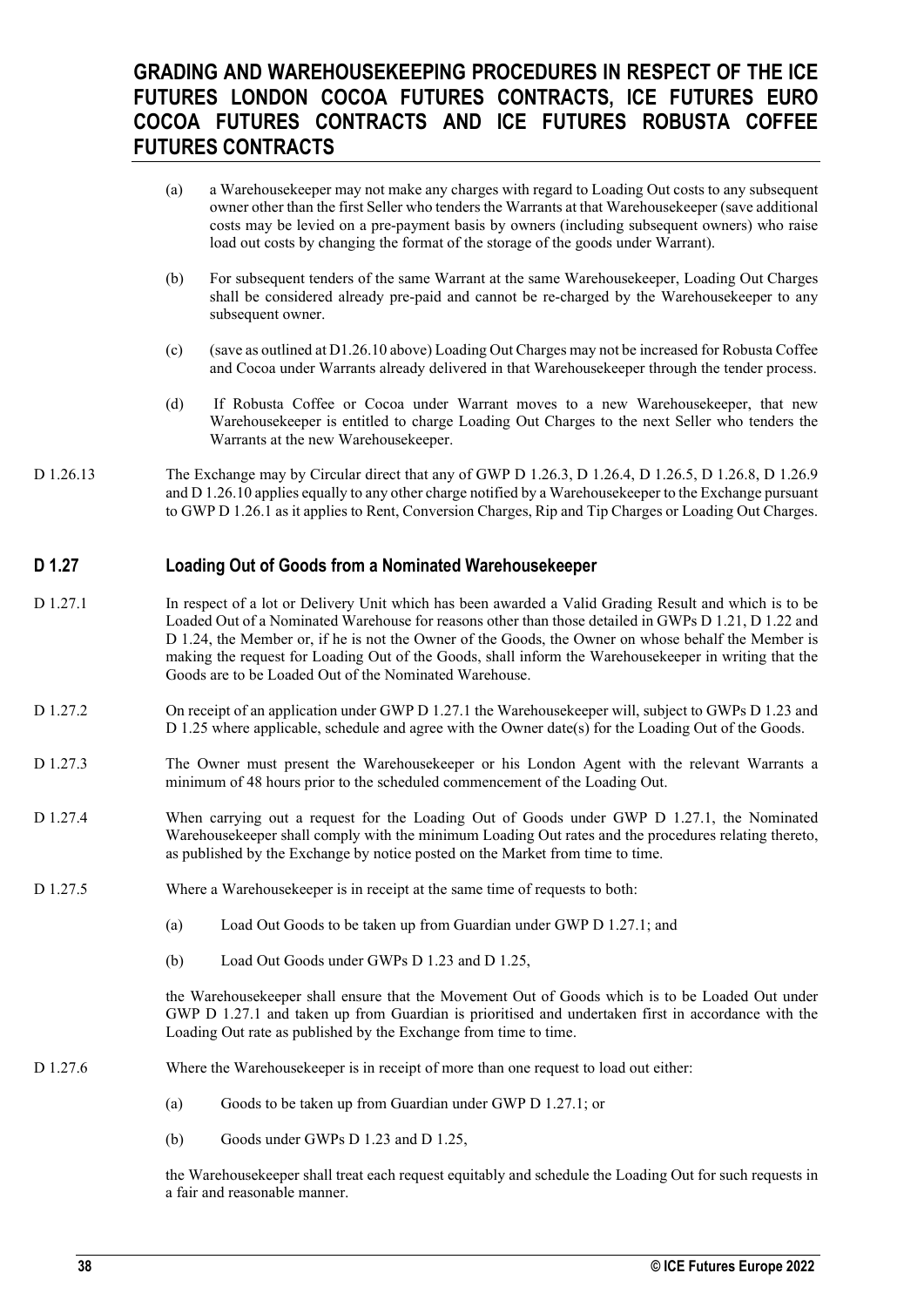- (a) a Warehousekeeper may not make any charges with regard to Loading Out costs to any subsequent owner other than the first Seller who tenders the Warrants at that Warehousekeeper (save additional costs may be levied on a pre-payment basis by owners (including subsequent owners) who raise load out costs by changing the format of the storage of the goods under Warrant).
- (b) For subsequent tenders of the same Warrant at the same Warehousekeeper, Loading Out Charges shall be considered already pre-paid and cannot be re-charged by the Warehousekeeper to any subsequent owner.
- (c) (save as outlined at D1.26.10 above) Loading Out Charges may not be increased for Robusta Coffee and Cocoa under Warrants already delivered in that Warehousekeeper through the tender process.
- (d) If Robusta Coffee or Cocoa under Warrant moves to a new Warehousekeeper, that new Warehousekeeper is entitled to charge Loading Out Charges to the next Seller who tenders the Warrants at the new Warehousekeeper.
- D 1.26.13 The Exchange may by Circular direct that any of GWP D 1.26.3, D 1.26.4, D 1.26.5, D 1.26.8, D 1.26.9 and D 1.26.10 applies equally to any other charge notified by a Warehousekeeper to the Exchange pursuant to GWP D 1.26.1 as it applies to Rent, Conversion Charges, Rip and Tip Charges or Loading Out Charges.

### **D 1.27 Loading Out of Goods from a Nominated Warehousekeeper**

- D 1.27.1 In respect of a lot or Delivery Unit which has been awarded a Valid Grading Result and which is to be Loaded Out of a Nominated Warehouse for reasons other than those detailed in GWPs D 1.21, D 1.22 and D 1.24, the Member or, if he is not the Owner of the Goods, the Owner on whose behalf the Member is making the request for Loading Out of the Goods, shall inform the Warehousekeeper in writing that the Goods are to be Loaded Out of the Nominated Warehouse.
- D 1.27.2 On receipt of an application under GWP D 1.27.1 the Warehousekeeper will, subject to GWPs D 1.23 and D 1.25 where applicable, schedule and agree with the Owner date(s) for the Loading Out of the Goods.
- D 1.27.3 The Owner must present the Warehousekeeper or his London Agent with the relevant Warrants a minimum of 48 hours prior to the scheduled commencement of the Loading Out.
- D 1.27.4 When carrying out a request for the Loading Out of Goods under GWP D 1.27.1, the Nominated Warehousekeeper shall comply with the minimum Loading Out rates and the procedures relating thereto, as published by the Exchange by notice posted on the Market from time to time.
- D 1.27.5 Where a Warehouse keeper is in receipt at the same time of requests to both:
	- (a) Load Out Goods to be taken up from Guardian under GWP D 1.27.1; and
	- (b) Load Out Goods under GWPs D 1.23 and D 1.25,

the Warehousekeeper shall ensure that the Movement Out of Goods which is to be Loaded Out under GWP D 1.27.1 and taken up from Guardian is prioritised and undertaken first in accordance with the Loading Out rate as published by the Exchange from time to time.

- D 1.27.6 Where the Warehousekeeper is in receipt of more than one request to load out either:
	- (a) Goods to be taken up from Guardian under GWP D 1.27.1; or
	- (b) Goods under GWPs D 1.23 and D 1.25,

the Warehousekeeper shall treat each request equitably and schedule the Loading Out for such requests in a fair and reasonable manner.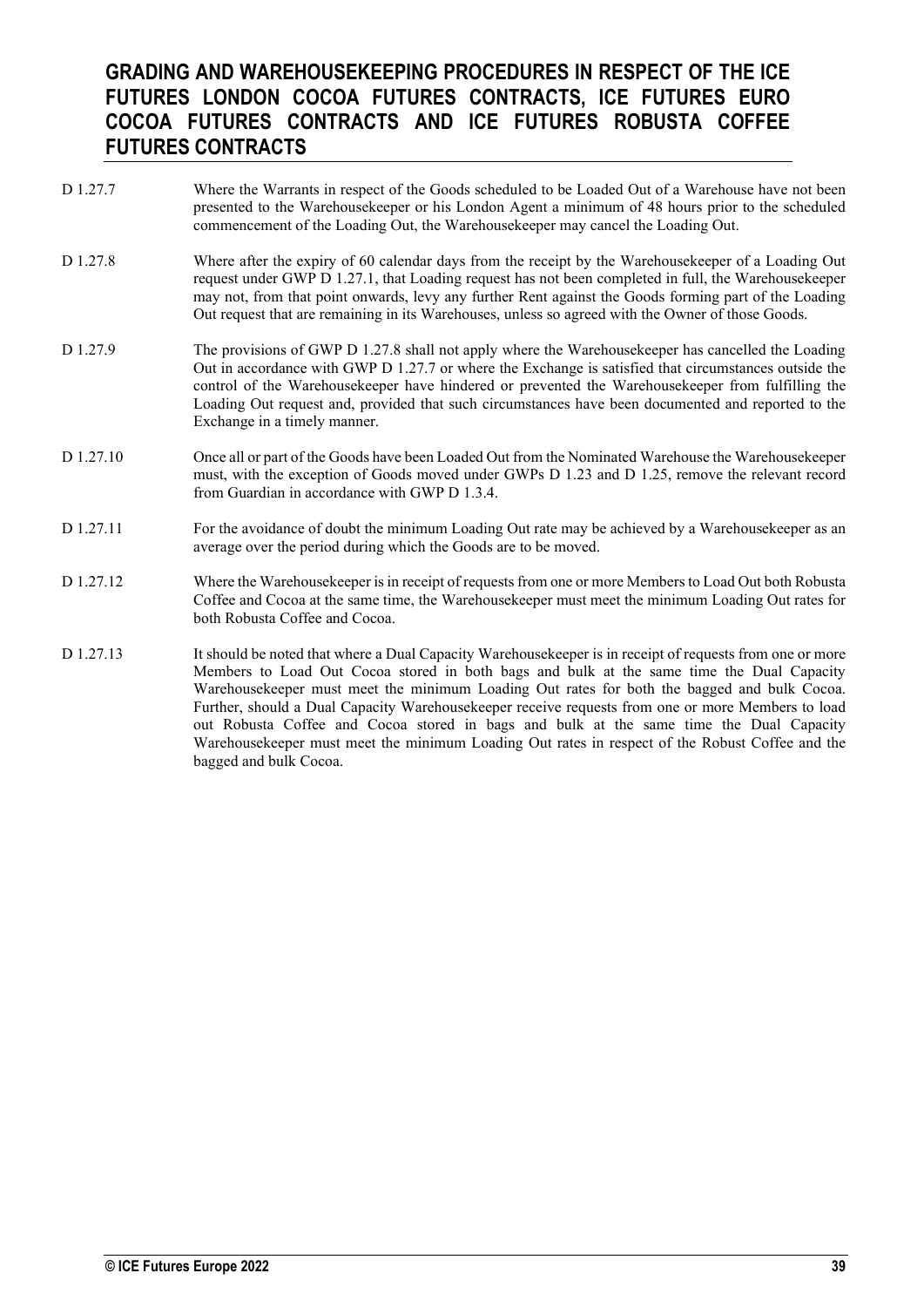D 1.27.7 Where the Warrants in respect of the Goods scheduled to be Loaded Out of a Warehouse have not been presented to the Warehousekeeper or his London Agent a minimum of 48 hours prior to the scheduled commencement of the Loading Out, the Warehousekeeper may cancel the Loading Out. D 1.27.8 Where after the expiry of 60 calendar days from the receipt by the Warehousekeeper of a Loading Out request under GWP D 1.27.1, that Loading request has not been completed in full, the Warehousekeeper may not, from that point onwards, levy any further Rent against the Goods forming part of the Loading Out request that are remaining in its Warehouses, unless so agreed with the Owner of those Goods. D 1.27.9 The provisions of GWP D 1.27.8 shall not apply where the Warehousekeeper has cancelled the Loading Out in accordance with GWP D 1.27.7 or where the Exchange is satisfied that circumstances outside the control of the Warehousekeeper have hindered or prevented the Warehousekeeper from fulfilling the Loading Out request and, provided that such circumstances have been documented and reported to the Exchange in a timely manner. D 1.27.10 Once all or part of the Goods have been Loaded Out from the Nominated Warehouse the Warehousekeeper must, with the exception of Goods moved under GWPs D 1.23 and D 1.25, remove the relevant record from Guardian in accordance with GWP D 1.3.4. D 1.27.11 For the avoidance of doubt the minimum Loading Out rate may be achieved by a Warehousekeeper as an average over the period during which the Goods are to be moved. D 1.27.12 Where the Warehousekeeper is in receipt of requests from one or more Members to Load Out both Robusta Coffee and Cocoa at the same time, the Warehousekeeper must meet the minimum Loading Out rates for both Robusta Coffee and Cocoa. D 1.27.13 It should be noted that where a Dual Capacity Warehousekeeper is in receipt of requests from one or more Members to Load Out Cocoa stored in both bags and bulk at the same time the Dual Capacity Warehousekeeper must meet the minimum Loading Out rates for both the bagged and bulk Cocoa. Further, should a Dual Capacity Warehousekeeper receive requests from one or more Members to load out Robusta Coffee and Cocoa stored in bags and bulk at the same time the Dual Capacity Warehousekeeper must meet the minimum Loading Out rates in respect of the Robust Coffee and the bagged and bulk Cocoa.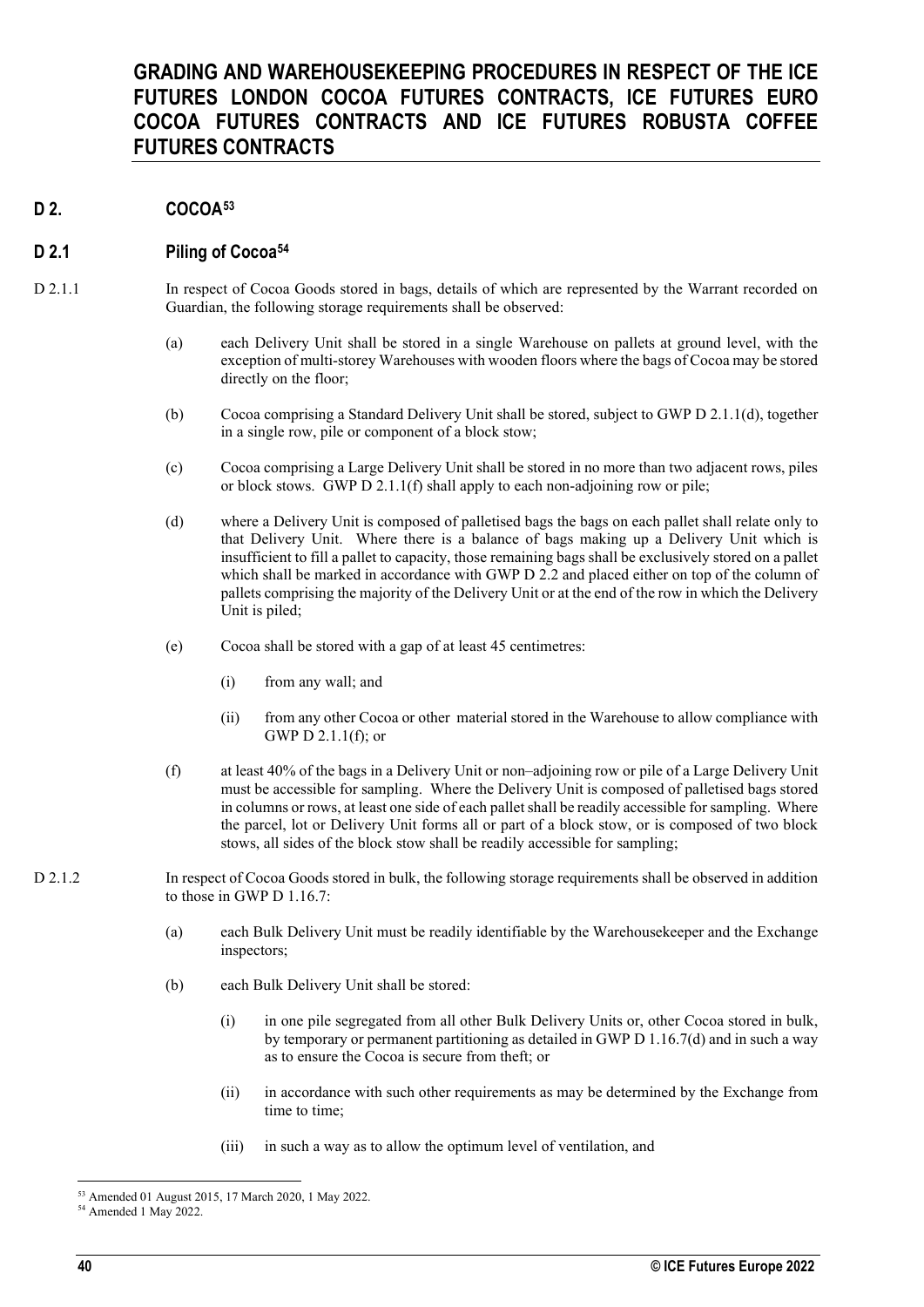## **D 2. COCOA[53](#page-39-0)**

### **D 2.1 Piling of Cocoa[54](#page-39-1)**

- D 2.1.1 In respect of Cocoa Goods stored in bags, details of which are represented by the Warrant recorded on Guardian, the following storage requirements shall be observed:
	- (a) each Delivery Unit shall be stored in a single Warehouse on pallets at ground level, with the exception of multi-storey Warehouses with wooden floors where the bags of Cocoa may be stored directly on the floor;
	- (b) Cocoa comprising a Standard Delivery Unit shall be stored, subject to GWP D 2.1.1(d), together in a single row, pile or component of a block stow;
	- (c) Cocoa comprising a Large Delivery Unit shall be stored in no more than two adjacent rows, piles or block stows. GWP D 2.1.1(f) shall apply to each non-adjoining row or pile;
	- (d) where a Delivery Unit is composed of palletised bags the bags on each pallet shall relate only to that Delivery Unit. Where there is a balance of bags making up a Delivery Unit which is insufficient to fill a pallet to capacity, those remaining bags shall be exclusively stored on a pallet which shall be marked in accordance with GWP D 2.2 and placed either on top of the column of pallets comprising the majority of the Delivery Unit or at the end of the row in which the Delivery Unit is piled;
	- (e) Cocoa shall be stored with a gap of at least 45 centimetres:
		- (i) from any wall; and
		- (ii) from any other Cocoa or other material stored in the Warehouse to allow compliance with GWP D 2.1.1(f); or
	- (f) at least 40% of the bags in a Delivery Unit or non–adjoining row or pile of a Large Delivery Unit must be accessible for sampling. Where the Delivery Unit is composed of palletised bags stored in columns or rows, at least one side of each pallet shall be readily accessible for sampling. Where the parcel, lot or Delivery Unit forms all or part of a block stow, or is composed of two block stows, all sides of the block stow shall be readily accessible for sampling;
- D 2.1.2 In respect of Cocoa Goods stored in bulk, the following storage requirements shall be observed in addition to those in GWP D 1.16.7:
	- (a) each Bulk Delivery Unit must be readily identifiable by the Warehousekeeper and the Exchange inspectors;
	- (b) each Bulk Delivery Unit shall be stored:
		- (i) in one pile segregated from all other Bulk Delivery Units or, other Cocoa stored in bulk, by temporary or permanent partitioning as detailed in GWP D 1.16.7(d) and in such a way as to ensure the Cocoa is secure from theft; or
		- (ii) in accordance with such other requirements as may be determined by the Exchange from time to time;
		- (iii) in such a way as to allow the optimum level of ventilation, and

<span id="page-39-0"></span><sup>&</sup>lt;sup>53</sup> Amended 01 August 2015, 17 March 2020, 1 May 2022.<br><sup>54</sup> Amended 1 May 2022.

<span id="page-39-1"></span>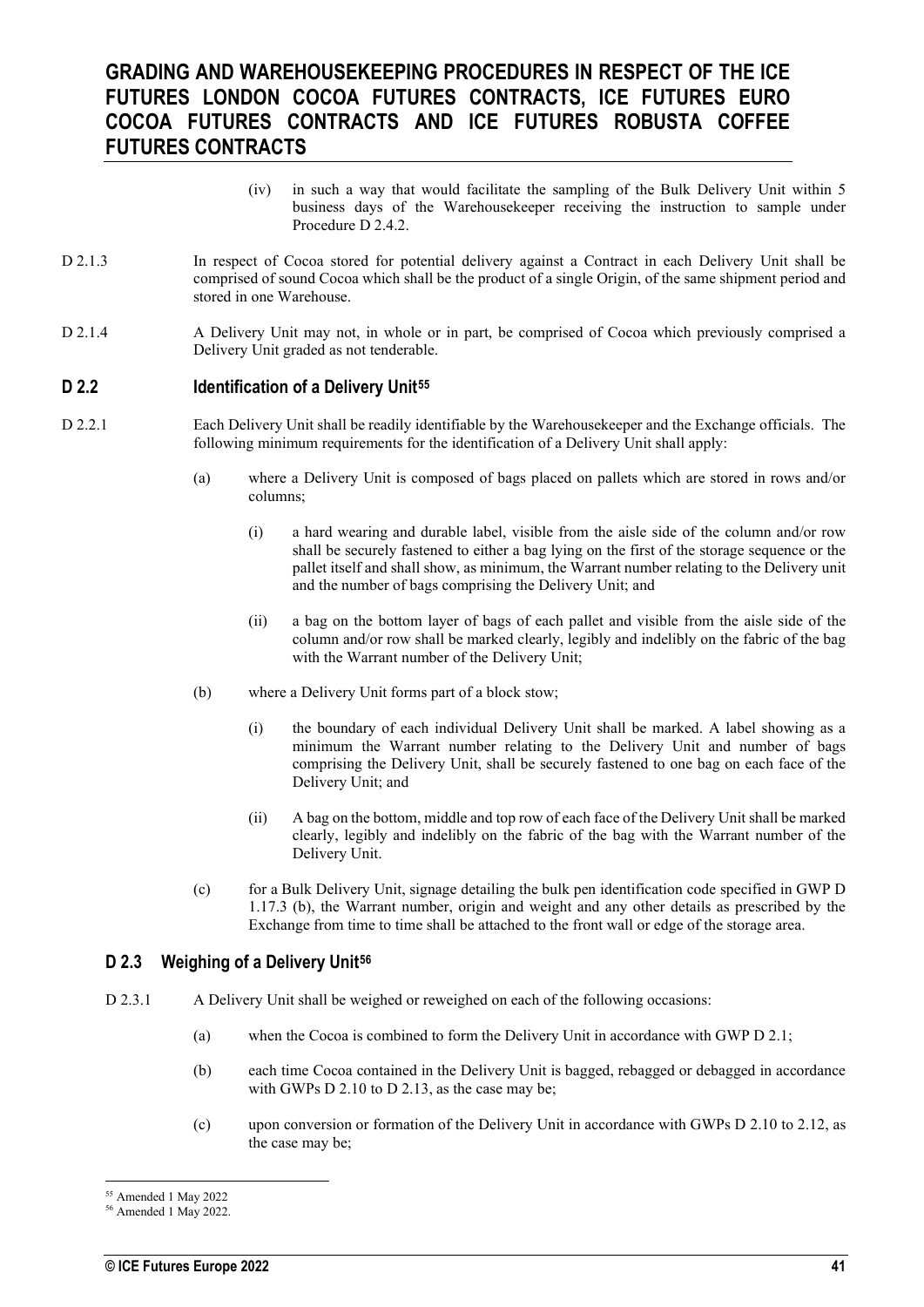- (iv) in such a way that would facilitate the sampling of the Bulk Delivery Unit within 5 business days of the Warehousekeeper receiving the instruction to sample under Procedure D 2.4.2.
- D 2.1.3 In respect of Cocoa stored for potential delivery against a Contract in each Delivery Unit shall be comprised of sound Cocoa which shall be the product of a single Origin, of the same shipment period and stored in one Warehouse.
- D 2.1.4 A Delivery Unit may not, in whole or in part, be comprised of Cocoa which previously comprised a Delivery Unit graded as not tenderable.

#### **D 2.2 Identification of a Delivery Unit[55](#page-40-0)**

- D 2.2.1 Each Delivery Unit shall be readily identifiable by the Warehousekeeper and the Exchange officials. The following minimum requirements for the identification of a Delivery Unit shall apply:
	- (a) where a Delivery Unit is composed of bags placed on pallets which are stored in rows and/or columns;
		- (i) a hard wearing and durable label, visible from the aisle side of the column and/or row shall be securely fastened to either a bag lying on the first of the storage sequence or the pallet itself and shall show, as minimum, the Warrant number relating to the Delivery unit and the number of bags comprising the Delivery Unit; and
		- (ii) a bag on the bottom layer of bags of each pallet and visible from the aisle side of the column and/or row shall be marked clearly, legibly and indelibly on the fabric of the bag with the Warrant number of the Delivery Unit;
	- (b) where a Delivery Unit forms part of a block stow;
		- (i) the boundary of each individual Delivery Unit shall be marked. A label showing as a minimum the Warrant number relating to the Delivery Unit and number of bags comprising the Delivery Unit, shall be securely fastened to one bag on each face of the Delivery Unit; and
		- (ii) A bag on the bottom, middle and top row of each face of the Delivery Unit shall be marked clearly, legibly and indelibly on the fabric of the bag with the Warrant number of the Delivery Unit.
	- (c) for a Bulk Delivery Unit, signage detailing the bulk pen identification code specified in GWP D 1.17.3 (b), the Warrant number, origin and weight and any other details as prescribed by the Exchange from time to time shall be attached to the front wall or edge of the storage area.

#### **D 2.3 Weighing of a Delivery Unit[56](#page-40-1)**

- D 2.3.1 A Delivery Unit shall be weighed or reweighed on each of the following occasions:
	- (a) when the Cocoa is combined to form the Delivery Unit in accordance with GWP D 2.1;
	- (b) each time Cocoa contained in the Delivery Unit is bagged, rebagged or debagged in accordance with GWPs D 2.10 to D 2.13, as the case may be;
	- (c) upon conversion or formation of the Delivery Unit in accordance with GWPs D 2.10 to 2.12, as the case may be;

<span id="page-40-0"></span> $55$  Amended 1 May 2022.<br> $56$  Amended 1 May 2022.

<span id="page-40-1"></span>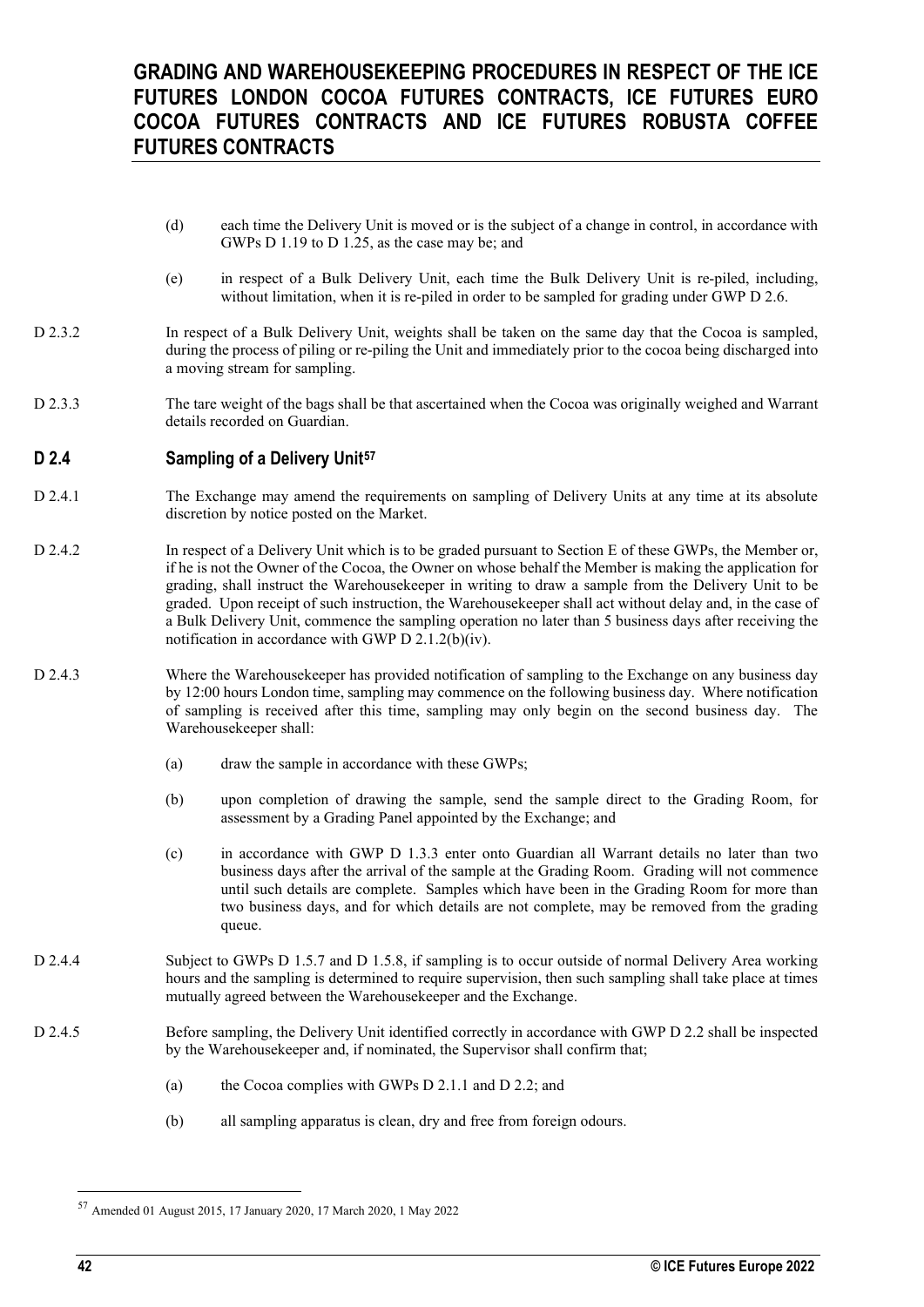- (d) each time the Delivery Unit is moved or is the subject of a change in control, in accordance with GWPs D 1.19 to D 1.25, as the case may be; and
- (e) in respect of a Bulk Delivery Unit, each time the Bulk Delivery Unit is re-piled, including, without limitation, when it is re-piled in order to be sampled for grading under GWP D 2.6.
- D 2.3.2 In respect of a Bulk Delivery Unit, weights shall be taken on the same day that the Cocoa is sampled, during the process of piling or re-piling the Unit and immediately prior to the cocoa being discharged into a moving stream for sampling.
- D 2.3.3 The tare weight of the bags shall be that ascertained when the Cocoa was originally weighed and Warrant details recorded on Guardian.

### **D 2.4 Sampling of a Delivery Unit[57](#page-41-0)**

- D 2.4.1 The Exchange may amend the requirements on sampling of Delivery Units at any time at its absolute discretion by notice posted on the Market.
- D 2.4.2 In respect of a Delivery Unit which is to be graded pursuant to Section E of these GWPs, the Member or, if he is not the Owner of the Cocoa, the Owner on whose behalf the Member is making the application for grading, shall instruct the Warehousekeeper in writing to draw a sample from the Delivery Unit to be graded. Upon receipt of such instruction, the Warehousekeeper shall act without delay and, in the case of a Bulk Delivery Unit, commence the sampling operation no later than 5 business days after receiving the notification in accordance with GWP D 2.1.2(b)(iv).
- D 2.4.3 Where the Warehouse keeper has provided notification of sampling to the Exchange on any business day by 12:00 hours London time, sampling may commence on the following business day. Where notification of sampling is received after this time, sampling may only begin on the second business day. The Warehousekeeper shall:
	- (a) draw the sample in accordance with these GWPs;
	- (b) upon completion of drawing the sample, send the sample direct to the Grading Room, for assessment by a Grading Panel appointed by the Exchange; and
	- (c) in accordance with GWP D 1.3.3 enter onto Guardian all Warrant details no later than two business days after the arrival of the sample at the Grading Room. Grading will not commence until such details are complete. Samples which have been in the Grading Room for more than two business days, and for which details are not complete, may be removed from the grading queue.
- D 2.4.4 Subject to GWPs D 1.5.7 and D 1.5.8, if sampling is to occur outside of normal Delivery Area working hours and the sampling is determined to require supervision, then such sampling shall take place at times mutually agreed between the Warehousekeeper and the Exchange.
- D 2.4.5 Before sampling, the Delivery Unit identified correctly in accordance with GWP D 2.2 shall be inspected by the Warehousekeeper and, if nominated, the Supervisor shall confirm that;
	- (a) the Cocoa complies with GWPs D 2.1.1 and D 2.2; and
	- (b) all sampling apparatus is clean, dry and free from foreign odours.

<span id="page-41-0"></span><sup>57</sup> Amended 01 August 2015, 17 January 2020, 17 March 2020, 1 May 2022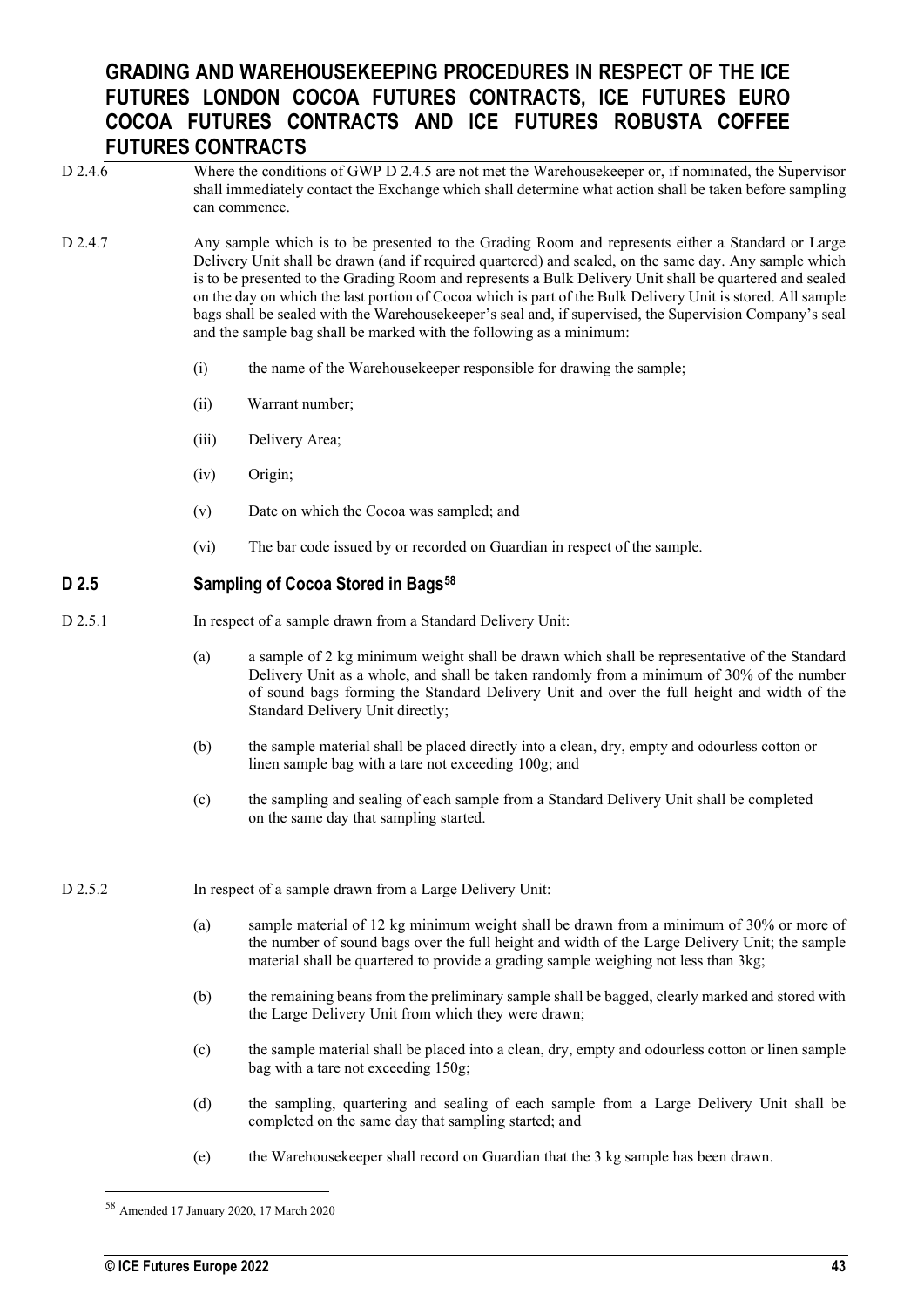- D 2.4.6 Where the conditions of GWP D 2.4.5 are not met the Warehousekeeper or, if nominated, the Supervisor shall immediately contact the Exchange which shall determine what action shall be taken before sampling can commence.
- D 2.4.7 Any sample which is to be presented to the Grading Room and represents either a Standard or Large Delivery Unit shall be drawn (and if required quartered) and sealed, on the same day. Any sample which is to be presented to the Grading Room and represents a Bulk Delivery Unit shall be quartered and sealed on the day on which the last portion of Cocoa which is part of the Bulk Delivery Unit is stored. All sample bags shall be sealed with the Warehousekeeper's seal and, if supervised, the Supervision Company's seal and the sample bag shall be marked with the following as a minimum:
	- (i) the name of the Warehousekeeper responsible for drawing the sample;
	- (ii) Warrant number;
	- (iii) Delivery Area;
	- (iv) Origin;
	- (v) Date on which the Cocoa was sampled; and
	- (vi) The bar code issued by or recorded on Guardian in respect of the sample.

### **D 2.5 Sampling of Cocoa Stored in Bag[s58](#page-42-0)**

- D 2.5.1 In respect of a sample drawn from a Standard Delivery Unit:
	- (a) a sample of 2 kg minimum weight shall be drawn which shall be representative of the Standard Delivery Unit as a whole, and shall be taken randomly from a minimum of 30% of the number of sound bags forming the Standard Delivery Unit and over the full height and width of the Standard Delivery Unit directly;
	- (b) the sample material shall be placed directly into a clean, dry, empty and odourless cotton or linen sample bag with a tare not exceeding 100g; and
	- (c) the sampling and sealing of each sample from a Standard Delivery Unit shall be completed on the same day that sampling started.
- D 2.5.2 In respect of a sample drawn from a Large Delivery Unit:
	- (a) sample material of 12 kg minimum weight shall be drawn from a minimum of 30% or more of the number of sound bags over the full height and width of the Large Delivery Unit; the sample material shall be quartered to provide a grading sample weighing not less than 3kg;
	- (b) the remaining beans from the preliminary sample shall be bagged, clearly marked and stored with the Large Delivery Unit from which they were drawn;
	- (c) the sample material shall be placed into a clean, dry, empty and odourless cotton or linen sample bag with a tare not exceeding 150g;
	- (d) the sampling, quartering and sealing of each sample from a Large Delivery Unit shall be completed on the same day that sampling started; and
	- (e) the Warehousekeeper shall record on Guardian that the 3 kg sample has been drawn.

<span id="page-42-0"></span><sup>58</sup> Amended 17 January 2020, 17 March 2020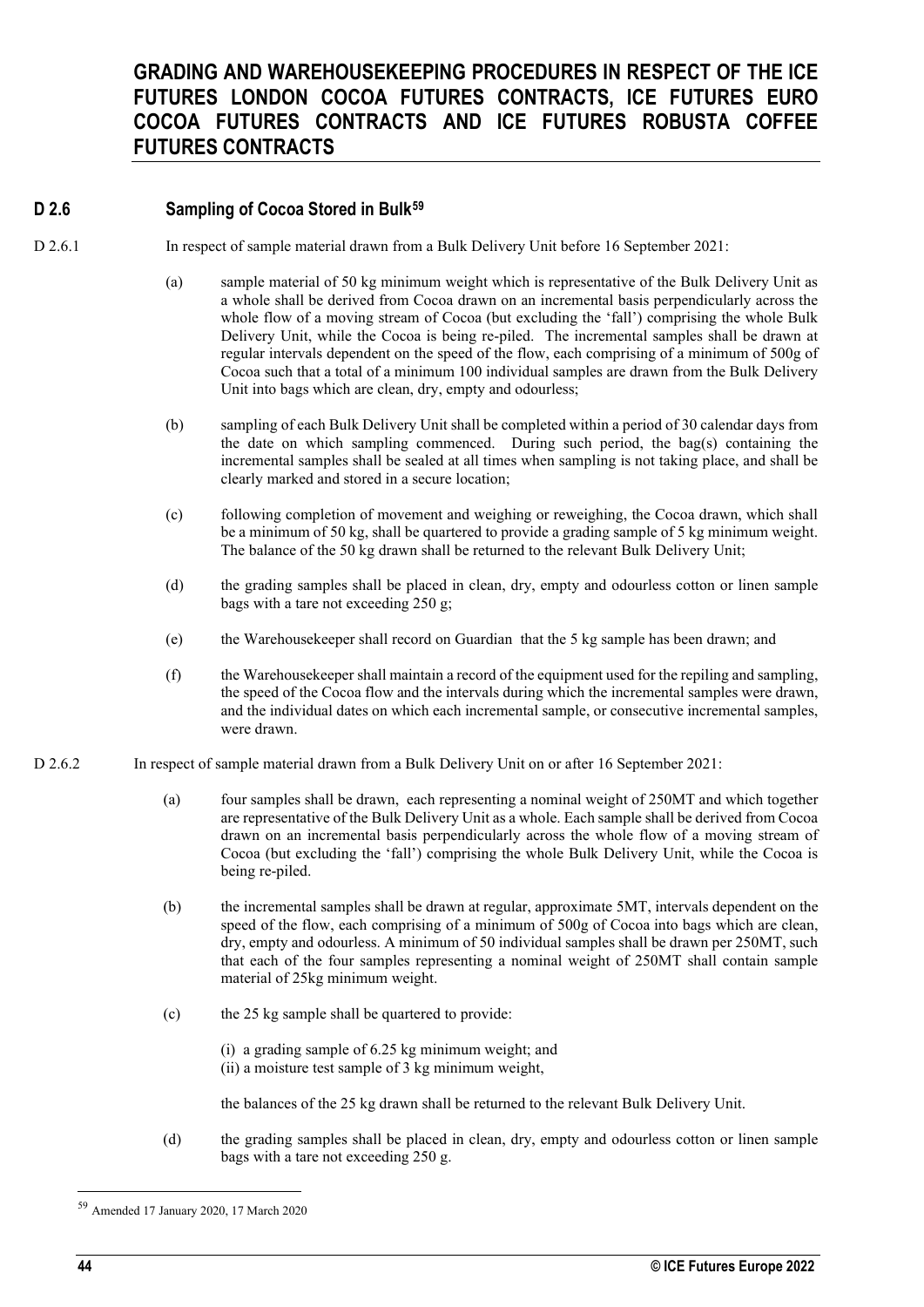## **D 2.6 Sampling of Cocoa Stored in Bulk[59](#page-43-0)**

D 2.6.1 In respect of sample material drawn from a Bulk Delivery Unit before 16 September 2021:

- (a) sample material of 50 kg minimum weight which is representative of the Bulk Delivery Unit as a whole shall be derived from Cocoa drawn on an incremental basis perpendicularly across the whole flow of a moving stream of Cocoa (but excluding the 'fall') comprising the whole Bulk Delivery Unit, while the Cocoa is being re-piled. The incremental samples shall be drawn at regular intervals dependent on the speed of the flow, each comprising of a minimum of 500g of Cocoa such that a total of a minimum 100 individual samples are drawn from the Bulk Delivery Unit into bags which are clean, dry, empty and odourless;
- (b) sampling of each Bulk Delivery Unit shall be completed within a period of 30 calendar days from the date on which sampling commenced. During such period, the bag(s) containing the incremental samples shall be sealed at all times when sampling is not taking place, and shall be clearly marked and stored in a secure location;
- (c) following completion of movement and weighing or reweighing, the Cocoa drawn, which shall be a minimum of 50 kg, shall be quartered to provide a grading sample of 5 kg minimum weight. The balance of the 50 kg drawn shall be returned to the relevant Bulk Delivery Unit;
- (d) the grading samples shall be placed in clean, dry, empty and odourless cotton or linen sample bags with a tare not exceeding 250 g;
- (e) the Warehousekeeper shall record on Guardian that the 5 kg sample has been drawn; and
- (f) the Warehousekeeper shall maintain a record of the equipment used for the repiling and sampling, the speed of the Cocoa flow and the intervals during which the incremental samples were drawn, and the individual dates on which each incremental sample, or consecutive incremental samples, were drawn.
- D 2.6.2 In respect of sample material drawn from a Bulk Delivery Unit on or after 16 September 2021:
	- (a) four samples shall be drawn, each representing a nominal weight of 250MT and which together are representative of the Bulk Delivery Unit as a whole. Each sample shall be derived from Cocoa drawn on an incremental basis perpendicularly across the whole flow of a moving stream of Cocoa (but excluding the 'fall') comprising the whole Bulk Delivery Unit, while the Cocoa is being re-piled.
	- (b) the incremental samples shall be drawn at regular, approximate 5MT, intervals dependent on the speed of the flow, each comprising of a minimum of 500g of Cocoa into bags which are clean, dry, empty and odourless. A minimum of 50 individual samples shall be drawn per 250MT, such that each of the four samples representing a nominal weight of 250MT shall contain sample material of 25kg minimum weight.
	- (c) the 25 kg sample shall be quartered to provide:
		- (i) a grading sample of 6.25 kg minimum weight; and
		- (ii) a moisture test sample of 3 kg minimum weight,

the balances of the 25 kg drawn shall be returned to the relevant Bulk Delivery Unit.

(d) the grading samples shall be placed in clean, dry, empty and odourless cotton or linen sample bags with a tare not exceeding 250 g.

<span id="page-43-0"></span><sup>59</sup> Amended 17 January 2020, 17 March 2020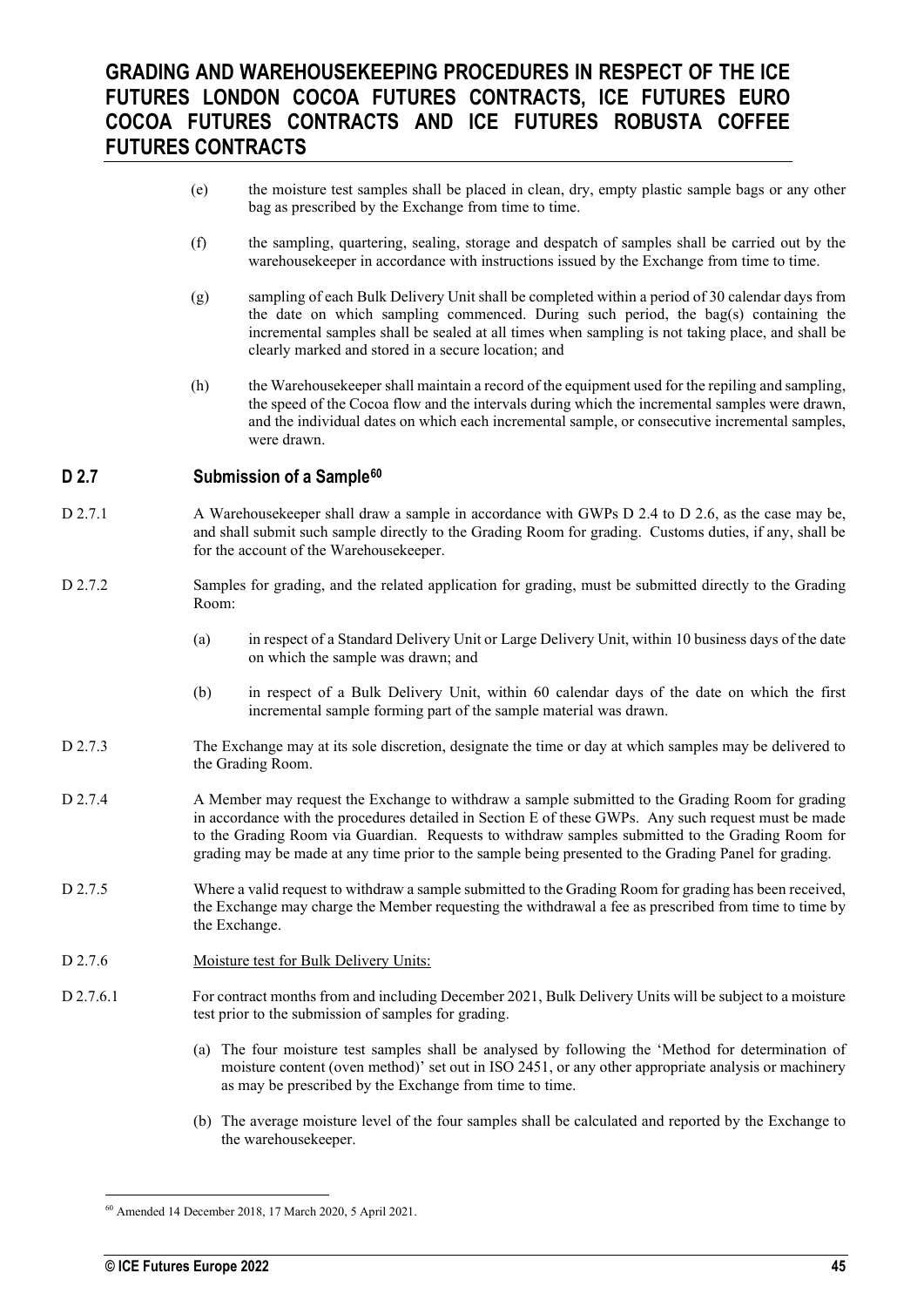- (e) the moisture test samples shall be placed in clean, dry, empty plastic sample bags or any other bag as prescribed by the Exchange from time to time.
- (f) the sampling, quartering, sealing, storage and despatch of samples shall be carried out by the warehousekeeper in accordance with instructions issued by the Exchange from time to time.
- (g) sampling of each Bulk Delivery Unit shall be completed within a period of 30 calendar days from the date on which sampling commenced. During such period, the bag(s) containing the incremental samples shall be sealed at all times when sampling is not taking place, and shall be clearly marked and stored in a secure location; and
- (h) the Warehousekeeper shall maintain a record of the equipment used for the repiling and sampling, the speed of the Cocoa flow and the intervals during which the incremental samples were drawn, and the individual dates on which each incremental sample, or consecutive incremental samples, were drawn.

### **D 2.7 Submission of a Sample[60](#page-44-0)**

- D 2.7.1 A Warehousekeeper shall draw a sample in accordance with GWPs D 2.4 to D 2.6, as the case may be, and shall submit such sample directly to the Grading Room for grading. Customs duties, if any, shall be for the account of the Warehousekeeper.
- D 2.7.2 Samples for grading, and the related application for grading, must be submitted directly to the Grading Room:
	- (a) in respect of a Standard Delivery Unit or Large Delivery Unit, within 10 business days of the date on which the sample was drawn; and
	- (b) in respect of a Bulk Delivery Unit, within 60 calendar days of the date on which the first incremental sample forming part of the sample material was drawn.
- D 2.7.3 The Exchange may at its sole discretion, designate the time or day at which samples may be delivered to the Grading Room.
- D 2.7.4 A Member may request the Exchange to withdraw a sample submitted to the Grading Room for grading in accordance with the procedures detailed in Section E of these GWPs. Any such request must be made to the Grading Room via Guardian. Requests to withdraw samples submitted to the Grading Room for grading may be made at any time prior to the sample being presented to the Grading Panel for grading.
- D 2.7.5 Where a valid request to withdraw a sample submitted to the Grading Room for grading has been received, the Exchange may charge the Member requesting the withdrawal a fee as prescribed from time to time by the Exchange.
- D 2.7.6 Moisture test for Bulk Delivery Units:
- D 2.7.6.1 For contract months from and including December 2021, Bulk Delivery Units will be subject to a moisture test prior to the submission of samples for grading.
	- (a) The four moisture test samples shall be analysed by following the 'Method for determination of moisture content (oven method)' set out in ISO 2451, or any other appropriate analysis or machinery as may be prescribed by the Exchange from time to time.
	- (b) The average moisture level of the four samples shall be calculated and reported by the Exchange to the warehousekeeper.

<span id="page-44-0"></span><sup>60</sup> Amended 14 December 2018, 17 March 2020, 5 April 2021.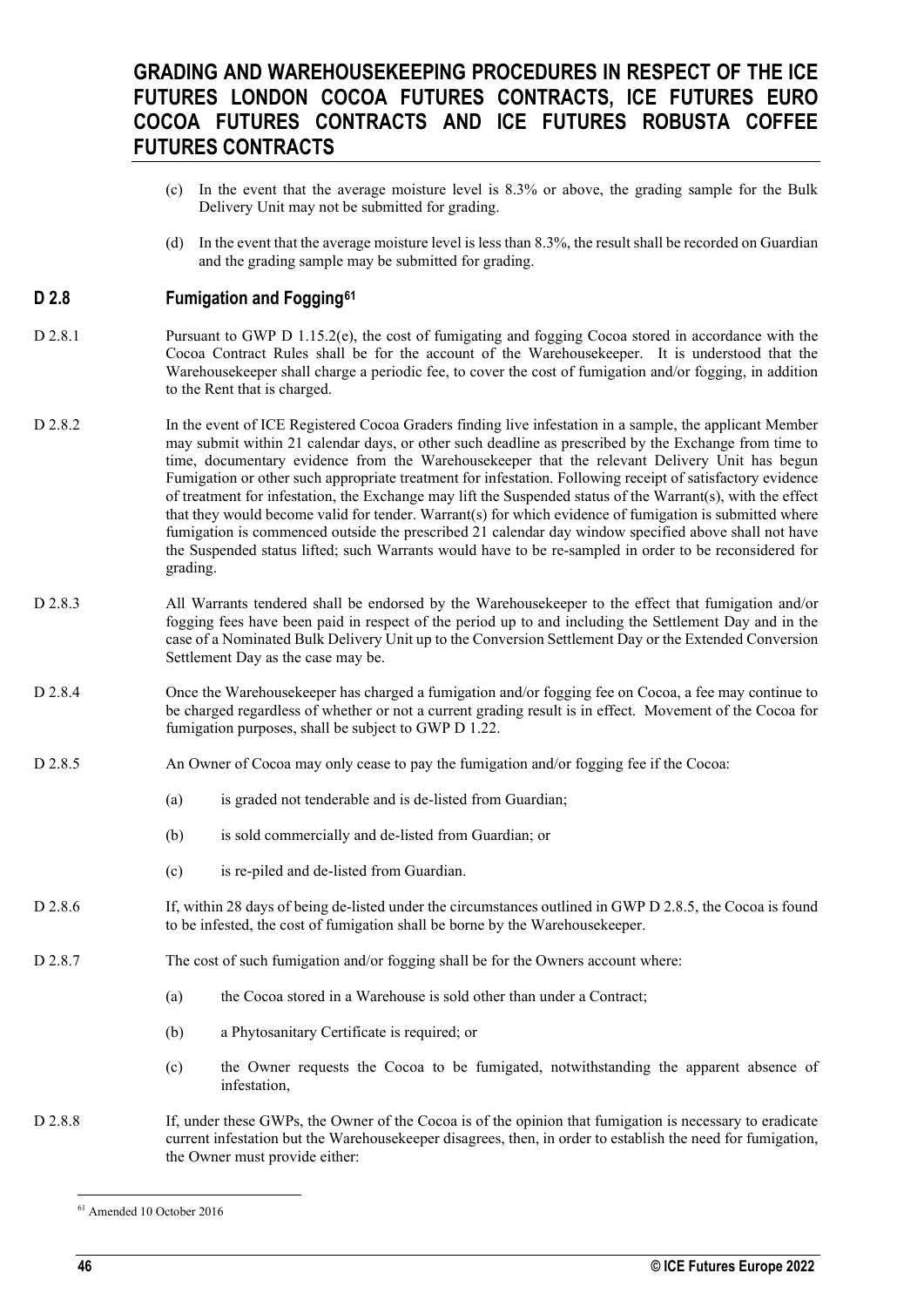- (c) In the event that the average moisture level is 8.3% or above, the grading sample for the Bulk Delivery Unit may not be submitted for grading.
- (d) In the event that the average moisture level is less than 8.3%, the result shall be recorded on Guardian and the grading sample may be submitted for grading.

### **D 2.8 Fumigation and Fogging[61](#page-45-0)**

- D 2.8.1 Pursuant to GWP D 1.15.2(e), the cost of fumigating and fogging Cocoa stored in accordance with the Cocoa Contract Rules shall be for the account of the Warehousekeeper. It is understood that the Warehousekeeper shall charge a periodic fee, to cover the cost of fumigation and/or fogging, in addition to the Rent that is charged.
- D 2.8.2 In the event of ICE Registered Cocoa Graders finding live infestation in a sample, the applicant Member may submit within 21 calendar days, or other such deadline as prescribed by the Exchange from time to time, documentary evidence from the Warehousekeeper that the relevant Delivery Unit has begun Fumigation or other such appropriate treatment for infestation. Following receipt of satisfactory evidence of treatment for infestation, the Exchange may lift the Suspended status of the Warrant(s), with the effect that they would become valid for tender. Warrant(s) for which evidence of fumigation is submitted where fumigation is commenced outside the prescribed 21 calendar day window specified above shall not have the Suspended status lifted; such Warrants would have to be re-sampled in order to be reconsidered for grading.
- D 2.8.3 All Warrants tendered shall be endorsed by the Warehousekeeper to the effect that fumigation and/or fogging fees have been paid in respect of the period up to and including the Settlement Day and in the case of a Nominated Bulk Delivery Unit up to the Conversion Settlement Day or the Extended Conversion Settlement Day as the case may be.
- D 2.8.4 Once the Warehousekeeper has charged a fumigation and/or fogging fee on Cocoa, a fee may continue to be charged regardless of whether or not a current grading result is in effect. Movement of the Cocoa for fumigation purposes, shall be subject to GWP D 1.22.
- D 2.8.5 An Owner of Cocoa may only cease to pay the fumigation and/or fogging fee if the Cocoa:
	- (a) is graded not tenderable and is de-listed from Guardian;
	- (b) is sold commercially and de-listed from Guardian; or
	- (c) is re-piled and de-listed from Guardian.
- D 2.8.6 If, within 28 days of being de-listed under the circumstances outlined in GWP D 2.8.5, the Cocoa is found to be infested, the cost of fumigation shall be borne by the Warehousekeeper.
- D 2.8.7 The cost of such fumigation and/or fogging shall be for the Owners account where:
	- (a) the Cocoa stored in a Warehouse is sold other than under a Contract;
	- (b) a Phytosanitary Certificate is required; or
	- (c) the Owner requests the Cocoa to be fumigated, notwithstanding the apparent absence of infestation,
- D 2.8.8 If, under these GWPs, the Owner of the Cocoa is of the opinion that fumigation is necessary to eradicate current infestation but the Warehousekeeper disagrees, then, in order to establish the need for fumigation, the Owner must provide either:

<span id="page-45-0"></span><sup>61</sup> Amended 10 October 2016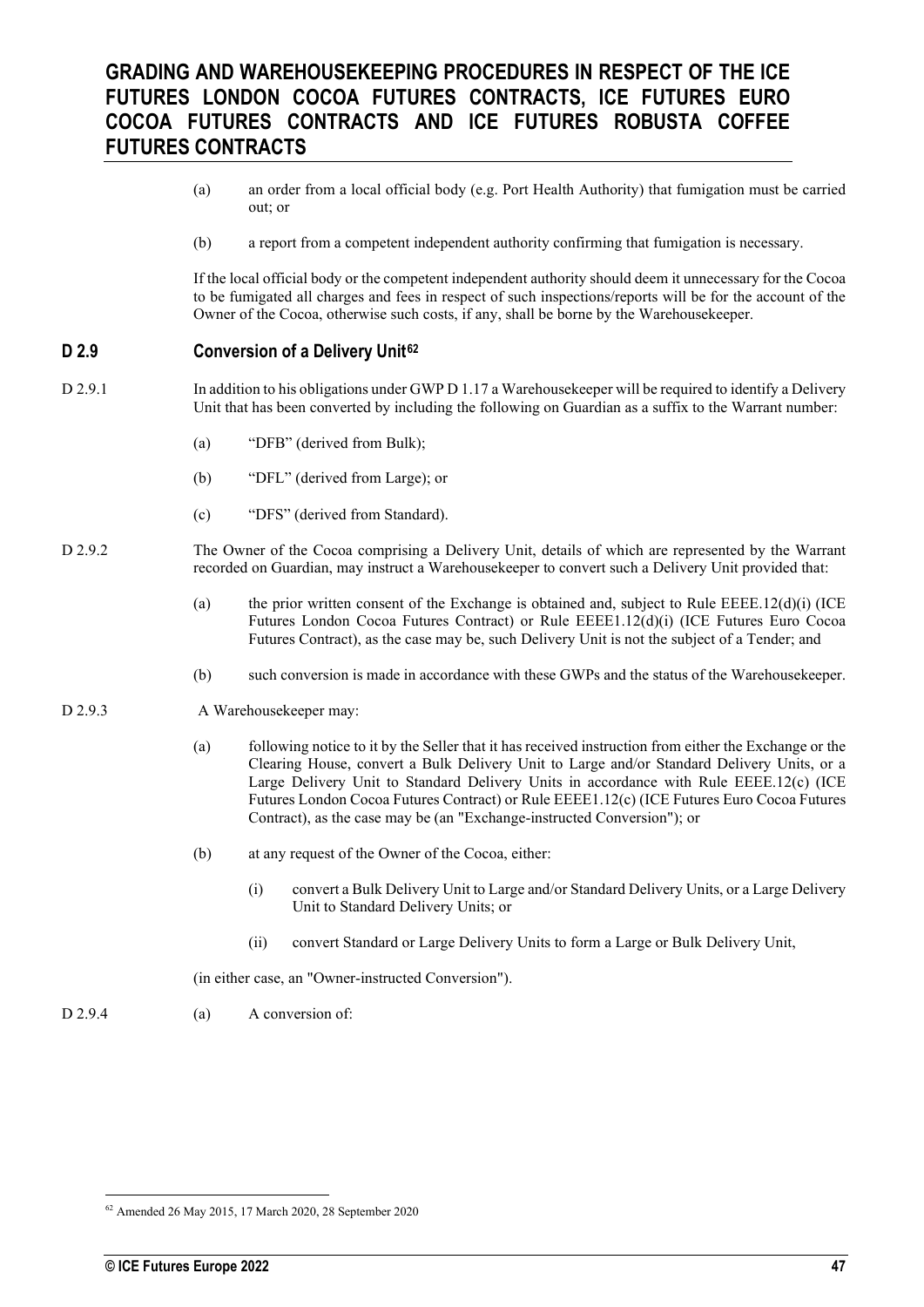- (a) an order from a local official body (e.g. Port Health Authority) that fumigation must be carried out; or
- (b) a report from a competent independent authority confirming that fumigation is necessary.

If the local official body or the competent independent authority should deem it unnecessary for the Cocoa to be fumigated all charges and fees in respect of such inspections/reports will be for the account of the Owner of the Cocoa, otherwise such costs, if any, shall be borne by the Warehousekeeper.

## **D 2.9 Conversion of a Delivery Unit[62](#page-46-0)**

- D 2.9.1 In addition to his obligations under GWP D 1.17 a Warehousekeeper will be required to identify a Delivery Unit that has been converted by including the following on Guardian as a suffix to the Warrant number:
	- (a) "DFB" (derived from Bulk);
	- (b) "DFL" (derived from Large); or
	- (c) "DFS" (derived from Standard).
- D 2.9.2 The Owner of the Cocoa comprising a Delivery Unit, details of which are represented by the Warrant recorded on Guardian, may instruct a Warehousekeeper to convert such a Delivery Unit provided that:
	- (a) the prior written consent of the Exchange is obtained and, subject to Rule EEEE.12(d)(i) (ICE Futures London Cocoa Futures Contract) or Rule EEEE1.12(d)(i) (ICE Futures Euro Cocoa Futures Contract), as the case may be, such Delivery Unit is not the subject of a Tender; and
	- (b) such conversion is made in accordance with these GWPs and the status of the Warehousekeeper.
- D 2.9.3 A Warehousekeeper may:
	- (a) following notice to it by the Seller that it has received instruction from either the Exchange or the Clearing House, convert a Bulk Delivery Unit to Large and/or Standard Delivery Units, or a Large Delivery Unit to Standard Delivery Units in accordance with Rule EEEE.12(c) (ICE Futures London Cocoa Futures Contract) or Rule EEEE1.12(c) (ICE Futures Euro Cocoa Futures Contract), as the case may be (an "Exchange-instructed Conversion"); or
	- (b) at any request of the Owner of the Cocoa, either:
		- (i) convert a Bulk Delivery Unit to Large and/or Standard Delivery Units, or a Large Delivery Unit to Standard Delivery Units; or
		- (ii) convert Standard or Large Delivery Units to form a Large or Bulk Delivery Unit,

(in either case, an "Owner-instructed Conversion").

D 2.9.4 (a) A conversion of:

<span id="page-46-0"></span><sup>62</sup> Amended 26 May 2015, 17 March 2020, 28 September 2020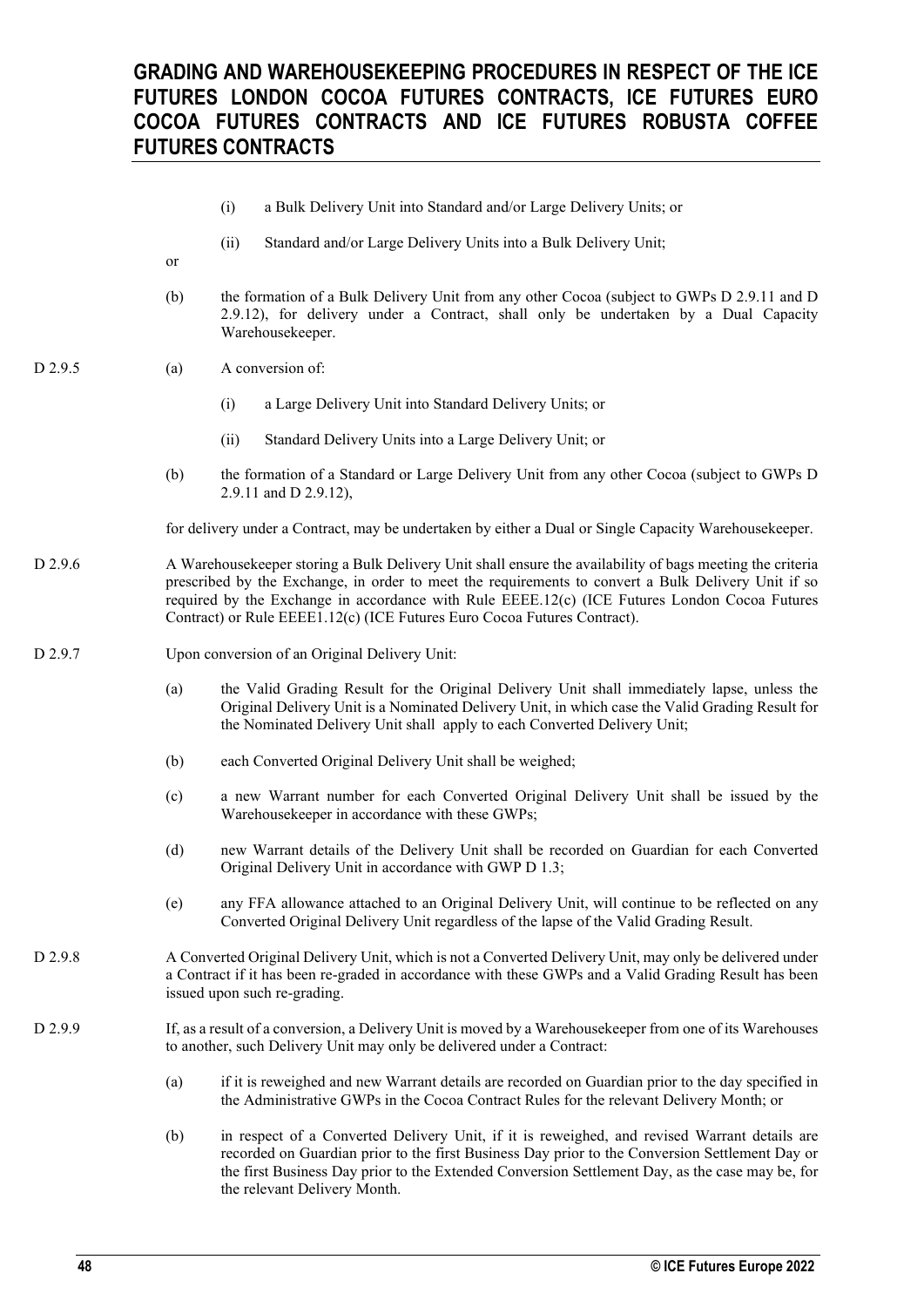- (i) a Bulk Delivery Unit into Standard and/or Large Delivery Units; or
- (ii) Standard and/or Large Delivery Units into a Bulk Delivery Unit;
- or
- (b) the formation of a Bulk Delivery Unit from any other Cocoa (subject to GWPs D 2.9.11 and D 2.9.12), for delivery under a Contract, shall only be undertaken by a Dual Capacity Warehousekeeper.
- D 2.9.5 (a) A conversion of:
	- (i) a Large Delivery Unit into Standard Delivery Units; or
	- (ii) Standard Delivery Units into a Large Delivery Unit; or
	- (b) the formation of a Standard or Large Delivery Unit from any other Cocoa (subject to GWPs D 2.9.11 and D 2.9.12),

for delivery under a Contract, may be undertaken by either a Dual or Single Capacity Warehousekeeper.

- D 2.9.6 A Warehousekeeper storing a Bulk Delivery Unit shall ensure the availability of bags meeting the criteria prescribed by the Exchange, in order to meet the requirements to convert a Bulk Delivery Unit if so required by the Exchange in accordance with Rule EEEE.12(c) (ICE Futures London Cocoa Futures Contract) or Rule EEEE1.12(c) (ICE Futures Euro Cocoa Futures Contract).
- D 2.9.7 Upon conversion of an Original Delivery Unit:
	- (a) the Valid Grading Result for the Original Delivery Unit shall immediately lapse, unless the Original Delivery Unit is a Nominated Delivery Unit, in which case the Valid Grading Result for the Nominated Delivery Unit shall apply to each Converted Delivery Unit;
	- (b) each Converted Original Delivery Unit shall be weighed;
	- (c) a new Warrant number for each Converted Original Delivery Unit shall be issued by the Warehousekeeper in accordance with these GWPs;
	- (d) new Warrant details of the Delivery Unit shall be recorded on Guardian for each Converted Original Delivery Unit in accordance with GWP D 1.3;
	- (e) any FFA allowance attached to an Original Delivery Unit, will continue to be reflected on any Converted Original Delivery Unit regardless of the lapse of the Valid Grading Result.
- D 2.9.8 A Converted Original Delivery Unit, which is not a Converted Delivery Unit, may only be delivered under a Contract if it has been re-graded in accordance with these GWPs and a Valid Grading Result has been issued upon such re-grading.
- D 2.9.9 If, as a result of a conversion, a Delivery Unit is moved by a Warehousekeeper from one of its Warehouses to another, such Delivery Unit may only be delivered under a Contract:
	- (a) if it is reweighed and new Warrant details are recorded on Guardian prior to the day specified in the Administrative GWPs in the Cocoa Contract Rules for the relevant Delivery Month; or
	- (b) in respect of a Converted Delivery Unit, if it is reweighed, and revised Warrant details are recorded on Guardian prior to the first Business Day prior to the Conversion Settlement Day or the first Business Day prior to the Extended Conversion Settlement Day, as the case may be, for the relevant Delivery Month.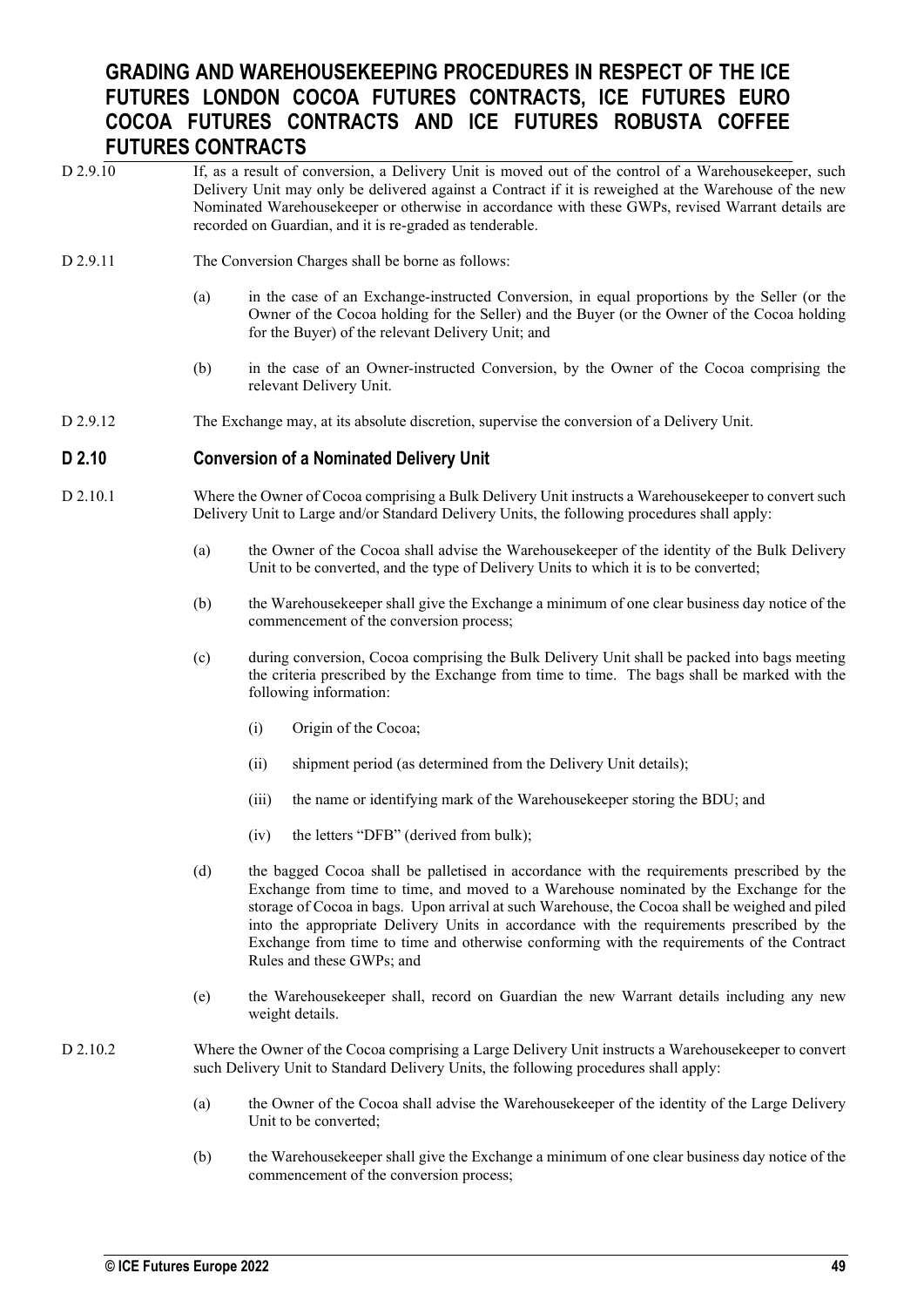- D 2.9.10 If, as a result of conversion, a Delivery Unit is moved out of the control of a Warehousekeeper, such Delivery Unit may only be delivered against a Contract if it is reweighed at the Warehouse of the new Nominated Warehousekeeper or otherwise in accordance with these GWPs, revised Warrant details are recorded on Guardian, and it is re-graded as tenderable.
- D 2.9.11 The Conversion Charges shall be borne as follows:
	- (a) in the case of an Exchange-instructed Conversion, in equal proportions by the Seller (or the Owner of the Cocoa holding for the Seller) and the Buyer (or the Owner of the Cocoa holding for the Buyer) of the relevant Delivery Unit; and
	- (b) in the case of an Owner-instructed Conversion, by the Owner of the Cocoa comprising the relevant Delivery Unit.
- D 2.9.12 The Exchange may, at its absolute discretion, supervise the conversion of a Delivery Unit.

### **D 2.10 Conversion of a Nominated Delivery Unit**

- D 2.10.1 Where the Owner of Cocoa comprising a Bulk Delivery Unit instructs a Warehousekeeper to convert such Delivery Unit to Large and/or Standard Delivery Units, the following procedures shall apply:
	- (a) the Owner of the Cocoa shall advise the Warehousekeeper of the identity of the Bulk Delivery Unit to be converted, and the type of Delivery Units to which it is to be converted;
	- (b) the Warehousekeeper shall give the Exchange a minimum of one clear business day notice of the commencement of the conversion process;
	- (c) during conversion, Cocoa comprising the Bulk Delivery Unit shall be packed into bags meeting the criteria prescribed by the Exchange from time to time. The bags shall be marked with the following information:
		- (i) Origin of the Cocoa;
		- (ii) shipment period (as determined from the Delivery Unit details);
		- (iii) the name or identifying mark of the Warehousekeeper storing the BDU; and
		- (iv) the letters "DFB" (derived from bulk);
	- (d) the bagged Cocoa shall be palletised in accordance with the requirements prescribed by the Exchange from time to time, and moved to a Warehouse nominated by the Exchange for the storage of Cocoa in bags. Upon arrival at such Warehouse, the Cocoa shall be weighed and piled into the appropriate Delivery Units in accordance with the requirements prescribed by the Exchange from time to time and otherwise conforming with the requirements of the Contract Rules and these GWPs; and
	- (e) the Warehousekeeper shall, record on Guardian the new Warrant details including any new weight details.
- D 2.10.2 Where the Owner of the Cocoa comprising a Large Delivery Unit instructs a Warehousekeeper to convert such Delivery Unit to Standard Delivery Units, the following procedures shall apply:
	- (a) the Owner of the Cocoa shall advise the Warehousekeeper of the identity of the Large Delivery Unit to be converted;
	- (b) the Warehousekeeper shall give the Exchange a minimum of one clear business day notice of the commencement of the conversion process;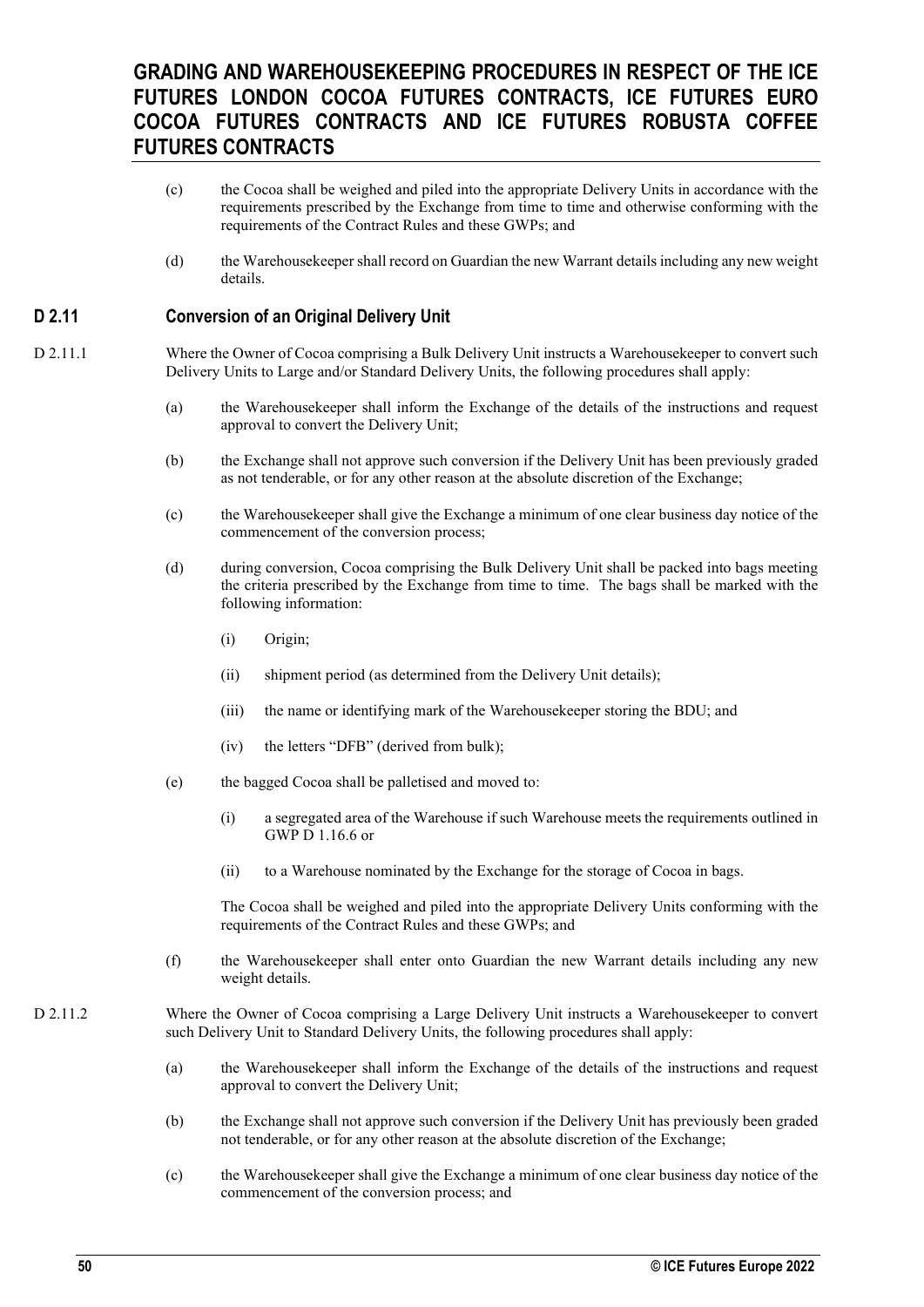- (c) the Cocoa shall be weighed and piled into the appropriate Delivery Units in accordance with the requirements prescribed by the Exchange from time to time and otherwise conforming with the requirements of the Contract Rules and these GWPs; and
- (d) the Warehousekeeper shall record on Guardian the new Warrant details including any new weight details.

### **D 2.11 Conversion of an Original Delivery Unit**

- D 2.11.1 Where the Owner of Cocoa comprising a Bulk Delivery Unit instructs a Warehousekeeper to convert such Delivery Units to Large and/or Standard Delivery Units, the following procedures shall apply:
	- (a) the Warehousekeeper shall inform the Exchange of the details of the instructions and request approval to convert the Delivery Unit;
	- (b) the Exchange shall not approve such conversion if the Delivery Unit has been previously graded as not tenderable, or for any other reason at the absolute discretion of the Exchange;
	- (c) the Warehousekeeper shall give the Exchange a minimum of one clear business day notice of the commencement of the conversion process;
	- (d) during conversion, Cocoa comprising the Bulk Delivery Unit shall be packed into bags meeting the criteria prescribed by the Exchange from time to time. The bags shall be marked with the following information:
		- (i) Origin;
		- (ii) shipment period (as determined from the Delivery Unit details);
		- (iii) the name or identifying mark of the Warehousekeeper storing the BDU; and
		- (iv) the letters "DFB" (derived from bulk);
	- (e) the bagged Cocoa shall be palletised and moved to:
		- (i) a segregated area of the Warehouse if such Warehouse meets the requirements outlined in GWP D 1.16.6 or
		- (ii) to a Warehouse nominated by the Exchange for the storage of Cocoa in bags.

The Cocoa shall be weighed and piled into the appropriate Delivery Units conforming with the requirements of the Contract Rules and these GWPs; and

(f) the Warehousekeeper shall enter onto Guardian the new Warrant details including any new weight details.

#### D 2.11.2 Where the Owner of Cocoa comprising a Large Delivery Unit instructs a Warehousekeeper to convert such Delivery Unit to Standard Delivery Units, the following procedures shall apply:

- (a) the Warehousekeeper shall inform the Exchange of the details of the instructions and request approval to convert the Delivery Unit;
- (b) the Exchange shall not approve such conversion if the Delivery Unit has previously been graded not tenderable, or for any other reason at the absolute discretion of the Exchange;
- (c) the Warehousekeeper shall give the Exchange a minimum of one clear business day notice of the commencement of the conversion process; and

**50 © ICE Futures Europe 2022**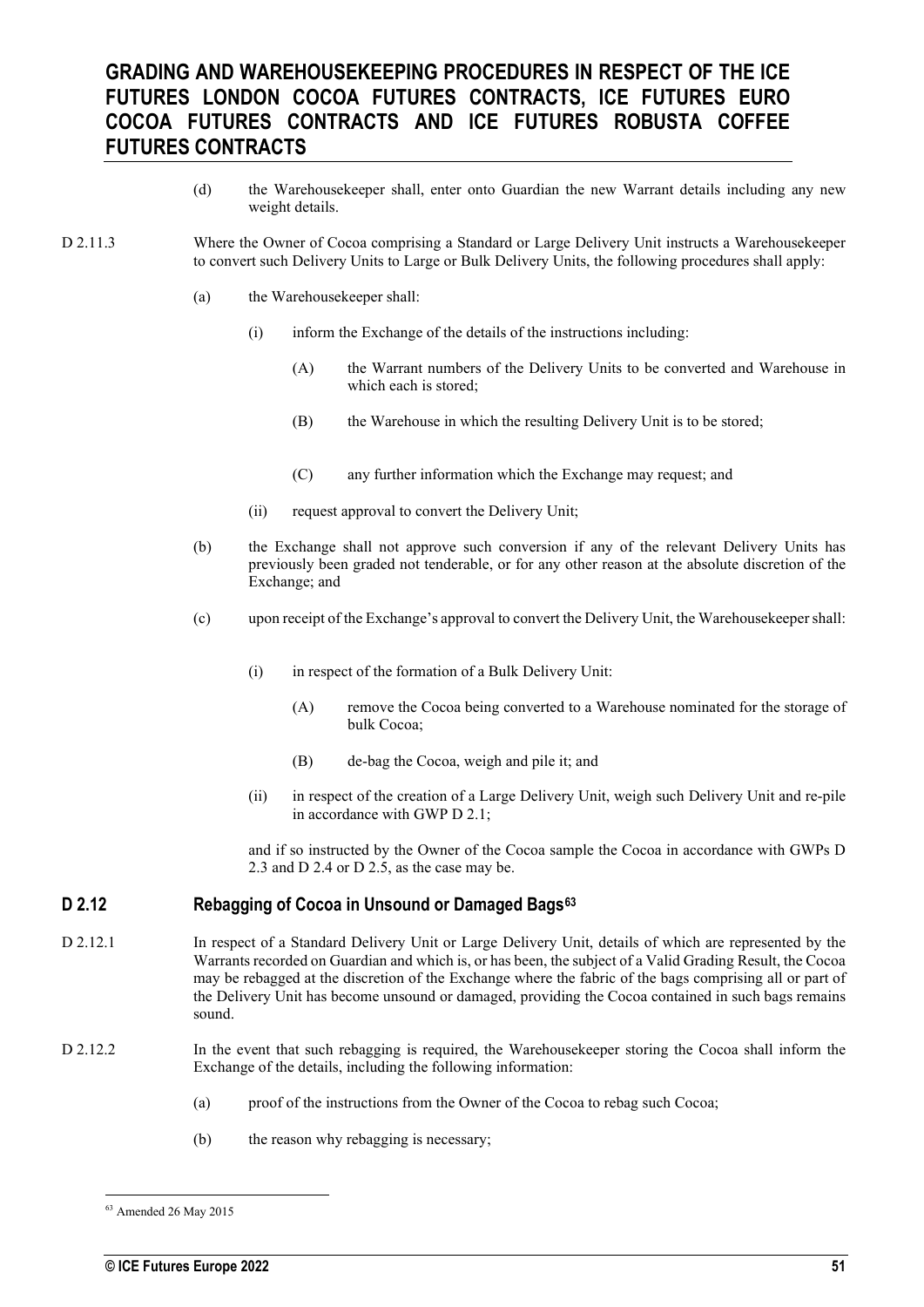- (d) the Warehousekeeper shall, enter onto Guardian the new Warrant details including any new weight details.
- D 2.11.3 Where the Owner of Cocoa comprising a Standard or Large Delivery Unit instructs a Warehousekeeper to convert such Delivery Units to Large or Bulk Delivery Units, the following procedures shall apply:
	- (a) the Warehousekeeper shall:
		- (i) inform the Exchange of the details of the instructions including:
			- (A) the Warrant numbers of the Delivery Units to be converted and Warehouse in which each is stored;
			- (B) the Warehouse in which the resulting Delivery Unit is to be stored;
			- (C) any further information which the Exchange may request; and
		- (ii) request approval to convert the Delivery Unit;
	- (b) the Exchange shall not approve such conversion if any of the relevant Delivery Units has previously been graded not tenderable, or for any other reason at the absolute discretion of the Exchange; and
	- (c) upon receipt of the Exchange's approval to convert the Delivery Unit, the Warehousekeeper shall:
		- (i) in respect of the formation of a Bulk Delivery Unit:
			- (A) remove the Cocoa being converted to a Warehouse nominated for the storage of bulk Cocoa;
			- (B) de-bag the Cocoa, weigh and pile it; and
		- (ii) in respect of the creation of a Large Delivery Unit, weigh such Delivery Unit and re-pile in accordance with GWP D 2.1;

and if so instructed by the Owner of the Cocoa sample the Cocoa in accordance with GWPs D 2.3 and D 2.4 or D 2.5, as the case may be.

### **D 2.12 Rebagging of Cocoa in Unsound or Damaged Bags[63](#page-50-0)**

- D 2.12.1 In respect of a Standard Delivery Unit or Large Delivery Unit, details of which are represented by the Warrants recorded on Guardian and which is, or has been, the subject of a Valid Grading Result, the Cocoa may be rebagged at the discretion of the Exchange where the fabric of the bags comprising all or part of the Delivery Unit has become unsound or damaged, providing the Cocoa contained in such bags remains sound.
- D 2.12.2 In the event that such rebagging is required, the Warehousekeeper storing the Cocoa shall inform the Exchange of the details, including the following information:
	- (a) proof of the instructions from the Owner of the Cocoa to rebag such Cocoa;
	- (b) the reason why rebagging is necessary;

<span id="page-50-0"></span><sup>63</sup> Amended 26 May 2015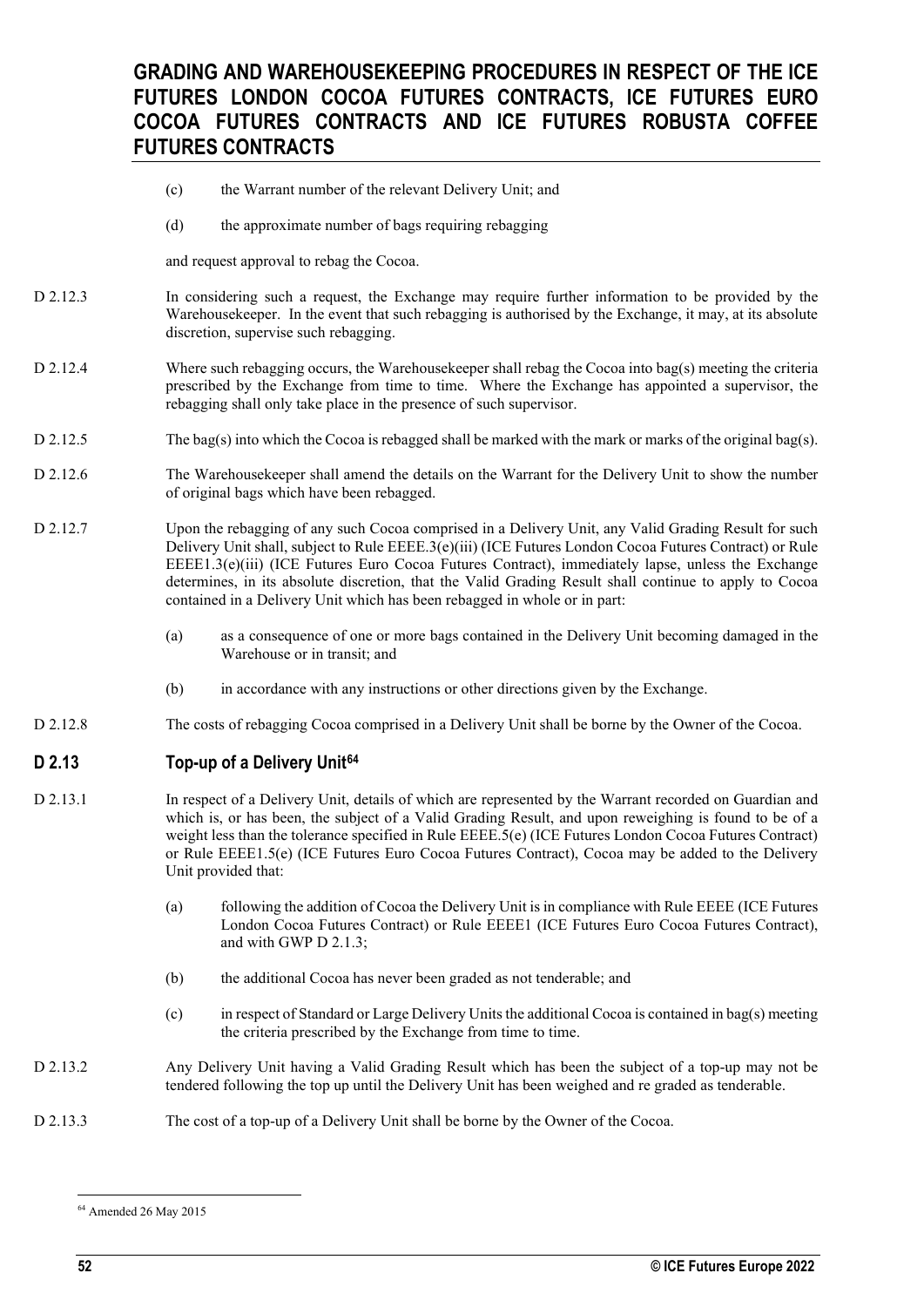- (c) the Warrant number of the relevant Delivery Unit; and
- (d) the approximate number of bags requiring rebagging

and request approval to rebag the Cocoa.

- D 2.12.3 In considering such a request, the Exchange may require further information to be provided by the Warehousekeeper. In the event that such rebagging is authorised by the Exchange, it may, at its absolute discretion, supervise such rebagging.
- D 2.12.4 Where such rebagging occurs, the Warehousekeeper shall rebag the Cocoa into bag(s) meeting the criteria prescribed by the Exchange from time to time. Where the Exchange has appointed a supervisor, the rebagging shall only take place in the presence of such supervisor.
- D 2.12.5 The bag(s) into which the Cocoa is rebagged shall be marked with the mark or marks of the original bag(s).
- D 2.12.6 The Warehousekeeper shall amend the details on the Warrant for the Delivery Unit to show the number of original bags which have been rebagged.
- D 2.12.7 Upon the rebagging of any such Cocoa comprised in a Delivery Unit, any Valid Grading Result for such Delivery Unit shall, subject to Rule EEEE.3(e)(iii) (ICE Futures London Cocoa Futures Contract) or Rule EEEE1.3(e)(iii) (ICE Futures Euro Cocoa Futures Contract), immediately lapse, unless the Exchange determines, in its absolute discretion, that the Valid Grading Result shall continue to apply to Cocoa contained in a Delivery Unit which has been rebagged in whole or in part:
	- (a) as a consequence of one or more bags contained in the Delivery Unit becoming damaged in the Warehouse or in transit; and
	- (b) in accordance with any instructions or other directions given by the Exchange.
- D 2.12.8 The costs of rebagging Cocoa comprised in a Delivery Unit shall be borne by the Owner of the Cocoa.

### **D 2.13 Top-up of a Delivery Unit[64](#page-51-0)**

- D 2.13.1 In respect of a Delivery Unit, details of which are represented by the Warrant recorded on Guardian and which is, or has been, the subject of a Valid Grading Result, and upon reweighing is found to be of a weight less than the tolerance specified in Rule EEEE.5(e) (ICE Futures London Cocoa Futures Contract) or Rule EEEE1.5(e) (ICE Futures Euro Cocoa Futures Contract), Cocoa may be added to the Delivery Unit provided that:
	- (a) following the addition of Cocoa the Delivery Unit is in compliance with Rule EEEE (ICE Futures London Cocoa Futures Contract) or Rule EEEE1 (ICE Futures Euro Cocoa Futures Contract), and with GWP D 2.1.3;
	- (b) the additional Cocoa has never been graded as not tenderable; and
	- (c) in respect of Standard or Large Delivery Units the additional Cocoa is contained in bag(s) meeting the criteria prescribed by the Exchange from time to time.
- D 2.13.2 Any Delivery Unit having a Valid Grading Result which has been the subject of a top-up may not be tendered following the top up until the Delivery Unit has been weighed and re graded as tenderable.
- D 2.13.3 The cost of a top-up of a Delivery Unit shall be borne by the Owner of the Cocoa.

<span id="page-51-0"></span><sup>64</sup> Amended 26 May 2015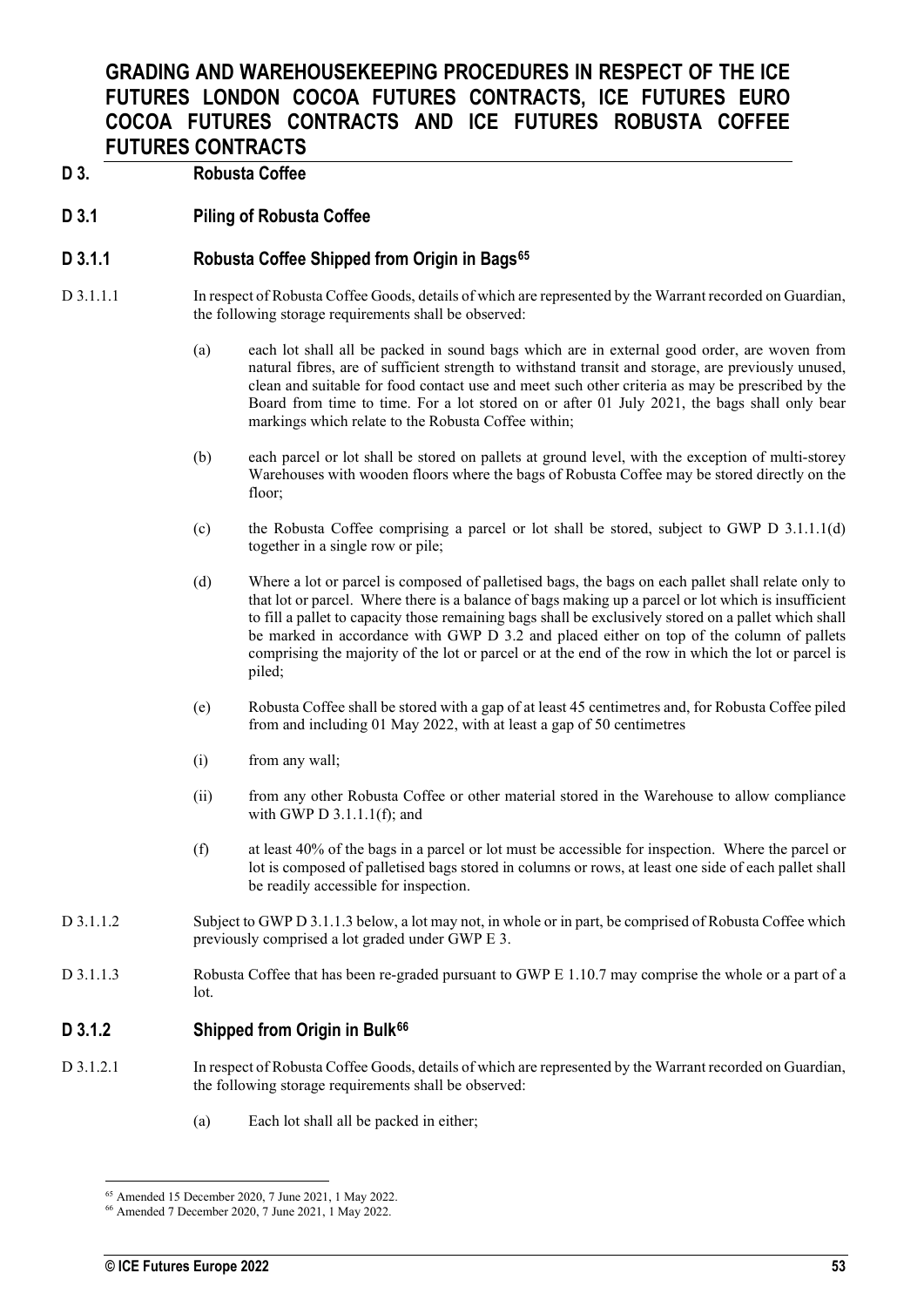## **D 3. Robusta Coffee**

**D 3.1 Piling of Robusta Coffee**

## **D 3.1.1 Robusta Coffee Shipped from Origin in Bags[65](#page-52-0)**

- D 3.1.1.1 In respect of Robusta Coffee Goods, details of which are represented by the Warrant recorded on Guardian, the following storage requirements shall be observed:
	- (a) each lot shall all be packed in sound bags which are in external good order, are woven from natural fibres, are of sufficient strength to withstand transit and storage, are previously unused, clean and suitable for food contact use and meet such other criteria as may be prescribed by the Board from time to time. For a lot stored on or after 01 July 2021, the bags shall only bear markings which relate to the Robusta Coffee within;
	- (b) each parcel or lot shall be stored on pallets at ground level, with the exception of multi-storey Warehouses with wooden floors where the bags of Robusta Coffee may be stored directly on the floor;
	- (c) the Robusta Coffee comprising a parcel or lot shall be stored, subject to GWP D 3.1.1.1(d) together in a single row or pile;
	- (d) Where a lot or parcel is composed of palletised bags, the bags on each pallet shall relate only to that lot or parcel. Where there is a balance of bags making up a parcel or lot which is insufficient to fill a pallet to capacity those remaining bags shall be exclusively stored on a pallet which shall be marked in accordance with GWP D 3.2 and placed either on top of the column of pallets comprising the majority of the lot or parcel or at the end of the row in which the lot or parcel is piled;
	- (e) Robusta Coffee shall be stored with a gap of at least 45 centimetres and, for Robusta Coffee piled from and including 01 May 2022, with at least a gap of 50 centimetres
	- (i) from any wall;
	- (ii) from any other Robusta Coffee or other material stored in the Warehouse to allow compliance with GWP D 3.1.1.1(f); and
	- (f) at least 40% of the bags in a parcel or lot must be accessible for inspection. Where the parcel or lot is composed of palletised bags stored in columns or rows, at least one side of each pallet shall be readily accessible for inspection.
- D 3.1.1.2 Subject to GWP D 3.1.1.3 below, a lot may not, in whole or in part, be comprised of Robusta Coffee which previously comprised a lot graded under GWP E 3.
- D 3.1.1.3 Robusta Coffee that has been re-graded pursuant to GWP E 1.10.7 may comprise the whole or a part of a lot.

### **D 3.1.2 Shipped from Origin in Bulk[66](#page-52-1)**

- D 3.1.2.1 In respect of Robusta Coffee Goods, details of which are represented by the Warrant recorded on Guardian, the following storage requirements shall be observed:
	- (a) Each lot shall all be packed in either;

<span id="page-52-1"></span>

<span id="page-52-0"></span><sup>65</sup> Amended 15 December 2020, 7 June 2021, 1 May 2022. 66 Amended 7 December 2020, 7 June 2021, 1 May 2022.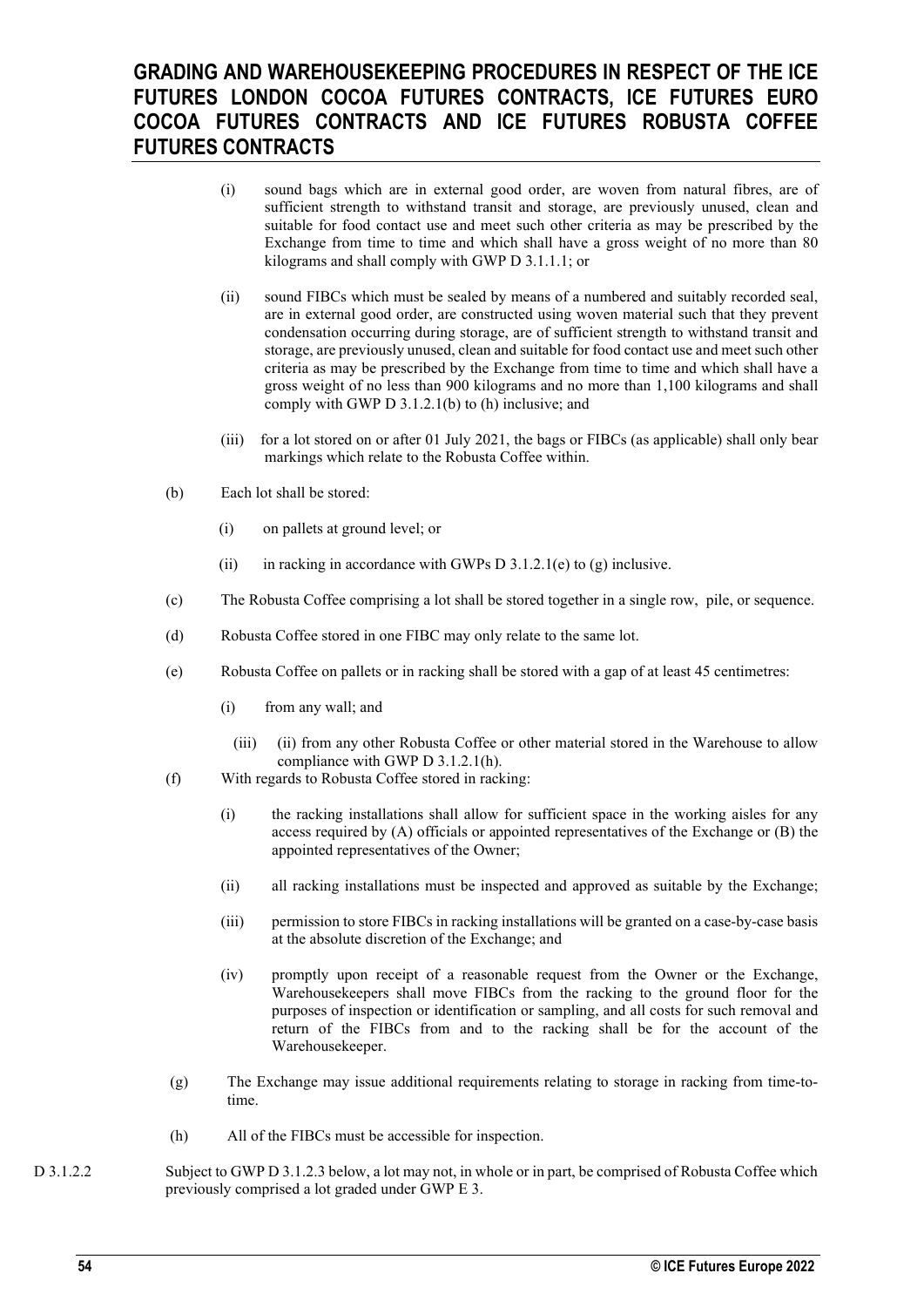- (i) sound bags which are in external good order, are woven from natural fibres, are of sufficient strength to withstand transit and storage, are previously unused, clean and suitable for food contact use and meet such other criteria as may be prescribed by the Exchange from time to time and which shall have a gross weight of no more than 80 kilograms and shall comply with GWP D 3.1.1.1; or
- (ii) sound FIBCs which must be sealed by means of a numbered and suitably recorded seal, are in external good order, are constructed using woven material such that they prevent condensation occurring during storage, are of sufficient strength to withstand transit and storage, are previously unused, clean and suitable for food contact use and meet such other criteria as may be prescribed by the Exchange from time to time and which shall have a gross weight of no less than 900 kilograms and no more than 1,100 kilograms and shall comply with GWP D 3.1.2.1(b) to (h) inclusive; and
- (iii) for a lot stored on or after 01 July 2021, the bags or FIBCs (as applicable) shall only bear markings which relate to the Robusta Coffee within.
- (b) Each lot shall be stored:
	- (i) on pallets at ground level; or
	- (ii) in racking in accordance with GWPs  $D$  3.1.2.1(e) to (g) inclusive.
- (c) The Robusta Coffee comprising a lot shall be stored together in a single row, pile, or sequence.
- (d) Robusta Coffee stored in one FIBC may only relate to the same lot.
- (e) Robusta Coffee on pallets or in racking shall be stored with a gap of at least 45 centimetres:
	- (i) from any wall; and
		- (iii) (ii) from any other Robusta Coffee or other material stored in the Warehouse to allow compliance with GWP D 3.1.2.1(h).
- (f) With regards to Robusta Coffee stored in racking:
	- (i) the racking installations shall allow for sufficient space in the working aisles for any access required by (A) officials or appointed representatives of the Exchange or (B) the appointed representatives of the Owner;
	- (ii) all racking installations must be inspected and approved as suitable by the Exchange;
	- (iii) permission to store FIBCs in racking installations will be granted on a case-by-case basis at the absolute discretion of the Exchange; and
	- (iv) promptly upon receipt of a reasonable request from the Owner or the Exchange, Warehousekeepers shall move FIBCs from the racking to the ground floor for the purposes of inspection or identification or sampling, and all costs for such removal and return of the FIBCs from and to the racking shall be for the account of the Warehousekeeper.
- (g) The Exchange may issue additional requirements relating to storage in racking from time-totime.
- (h) All of the FIBCs must be accessible for inspection.
- D 3.1.2.2 Subject to GWP D 3.1.2.3 below, a lot may not, in whole or in part, be comprised of Robusta Coffee which previously comprised a lot graded under GWP E 3.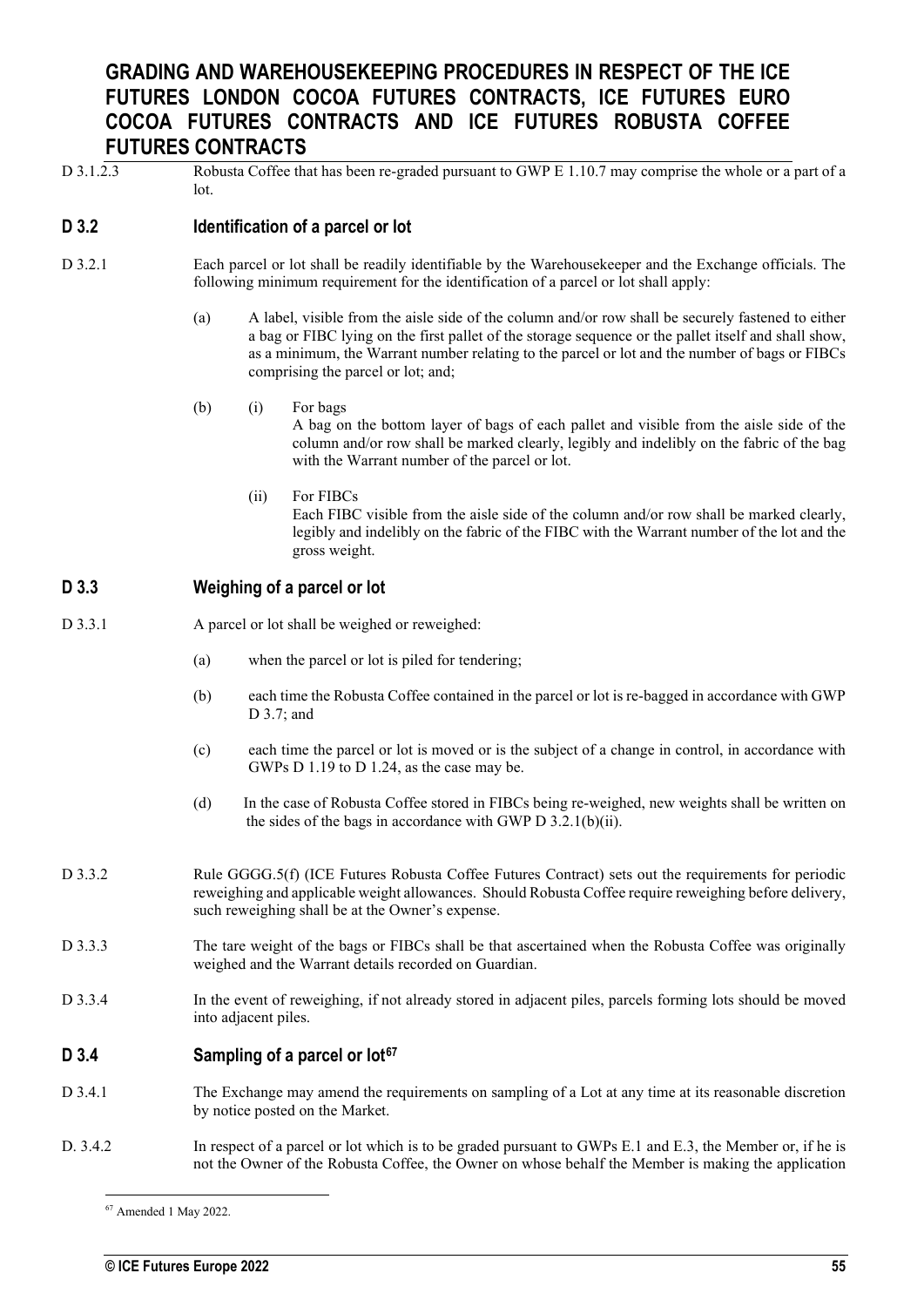D 3.1.2.3 Robusta Coffee that has been re-graded pursuant to GWP E 1.10.7 may comprise the whole or a part of a lot.

### **D 3.2 Identification of a parcel or lot**

- D 3.2.1 Each parcel or lot shall be readily identifiable by the Warehousekeeper and the Exchange officials. The following minimum requirement for the identification of a parcel or lot shall apply:
	- (a) A label, visible from the aisle side of the column and/or row shall be securely fastened to either a bag or FIBC lying on the first pallet of the storage sequence or the pallet itself and shall show, as a minimum, the Warrant number relating to the parcel or lot and the number of bags or FIBCs comprising the parcel or lot; and;
	- (b) (i) For bags A bag on the bottom layer of bags of each pallet and visible from the aisle side of the column and/or row shall be marked clearly, legibly and indelibly on the fabric of the bag with the Warrant number of the parcel or lot.
		- (ii) For FIBCs Each FIBC visible from the aisle side of the column and/or row shall be marked clearly, legibly and indelibly on the fabric of the FIBC with the Warrant number of the lot and the gross weight.

### **D 3.3 Weighing of a parcel or lot**

- D 3.3.1 A parcel or lot shall be weighed or reweighed:
	- (a) when the parcel or lot is piled for tendering;
	- (b) each time the Robusta Coffee contained in the parcel or lot is re-bagged in accordance with GWP D 3.7; and
	- (c) each time the parcel or lot is moved or is the subject of a change in control, in accordance with GWPs D 1.19 to D 1.24, as the case may be.
	- (d) In the case of Robusta Coffee stored in FIBCs being re-weighed, new weights shall be written on the sides of the bags in accordance with GWP D 3.2.1(b)(ii).
- D 3.3.2 Rule GGGG.5(f) (ICE Futures Robusta Coffee Futures Contract) sets out the requirements for periodic reweighing and applicable weight allowances. Should Robusta Coffee require reweighing before delivery, such reweighing shall be at the Owner's expense.
- D 3.3.3 The tare weight of the bags or FIBCs shall be that ascertained when the Robusta Coffee was originally weighed and the Warrant details recorded on Guardian.
- D 3.3.4 In the event of reweighing, if not already stored in adjacent piles, parcels forming lots should be moved into adjacent piles.

### **D 3.4 Sampling of a parcel or lot[67](#page-54-0)**

- D 3.4.1 The Exchange may amend the requirements on sampling of a Lot at any time at its reasonable discretion by notice posted on the Market.
- <span id="page-54-0"></span>D. 3.4.2 In respect of a parcel or lot which is to be graded pursuant to GWPs E.1 and E.3, the Member or, if he is not the Owner of the Robusta Coffee, the Owner on whose behalf the Member is making the application

<sup>67</sup> Amended 1 May 2022.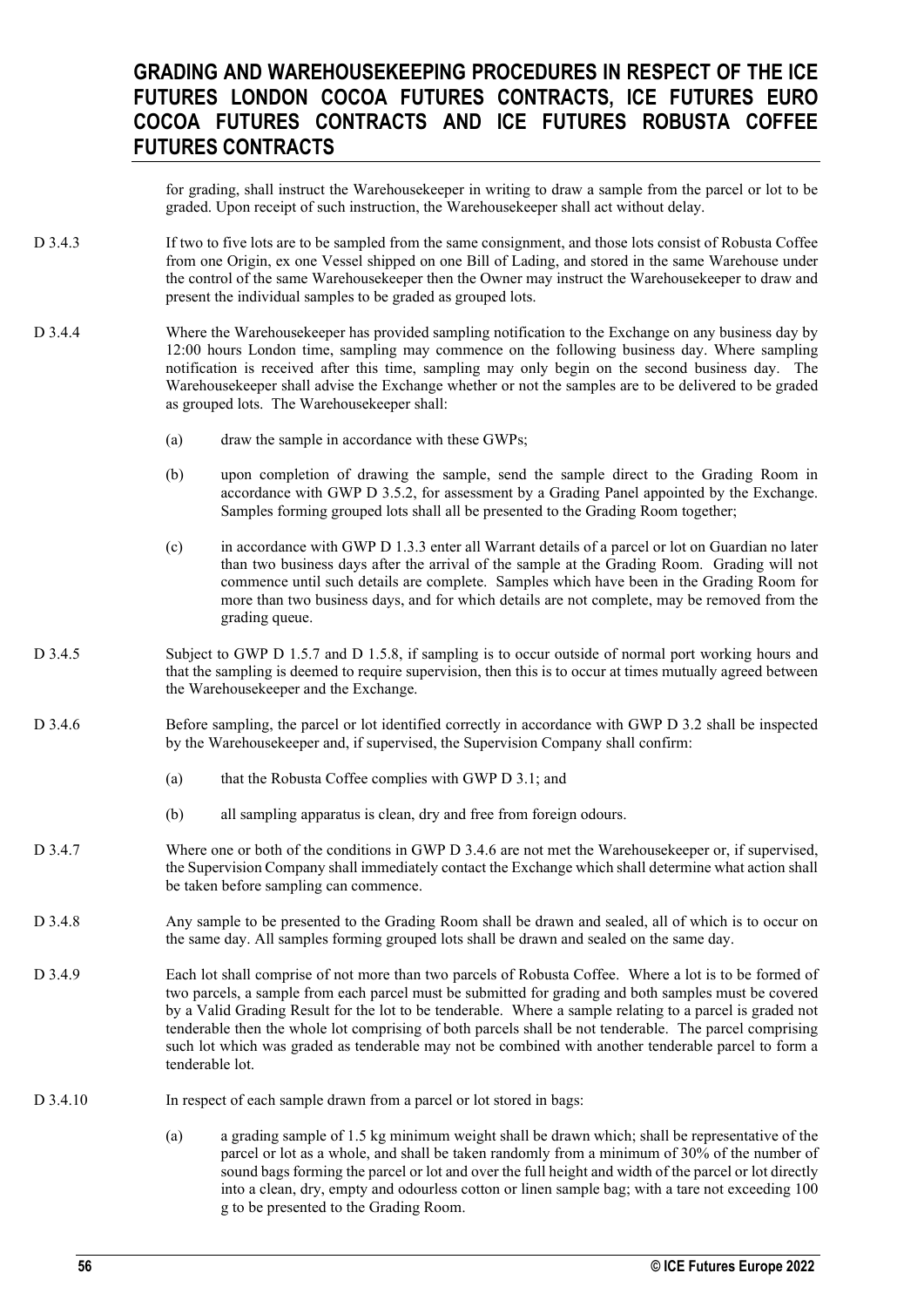for grading, shall instruct the Warehousekeeper in writing to draw a sample from the parcel or lot to be graded. Upon receipt of such instruction, the Warehousekeeper shall act without delay.

- D 3.4.3 If two to five lots are to be sampled from the same consignment, and those lots consist of Robusta Coffee from one Origin, ex one Vessel shipped on one Bill of Lading, and stored in the same Warehouse under the control of the same Warehousekeeper then the Owner may instruct the Warehousekeeper to draw and present the individual samples to be graded as grouped lots.
- D 3.4.4 Where the Warehousekeeper has provided sampling notification to the Exchange on any business day by 12:00 hours London time, sampling may commence on the following business day. Where sampling notification is received after this time, sampling may only begin on the second business day. The Warehousekeeper shall advise the Exchange whether or not the samples are to be delivered to be graded as grouped lots. The Warehousekeeper shall:
	- (a) draw the sample in accordance with these GWPs;
	- (b) upon completion of drawing the sample, send the sample direct to the Grading Room in accordance with GWP D 3.5.2, for assessment by a Grading Panel appointed by the Exchange. Samples forming grouped lots shall all be presented to the Grading Room together;
	- (c) in accordance with GWP D 1.3.3 enter all Warrant details of a parcel or lot on Guardian no later than two business days after the arrival of the sample at the Grading Room. Grading will not commence until such details are complete. Samples which have been in the Grading Room for more than two business days, and for which details are not complete, may be removed from the grading queue.
- D 3.4.5 Subject to GWP D 1.5.7 and D 1.5.8, if sampling is to occur outside of normal port working hours and that the sampling is deemed to require supervision, then this is to occur at times mutually agreed between the Warehousekeeper and the Exchange.
- D 3.4.6 Before sampling, the parcel or lot identified correctly in accordance with GWP D 3.2 shall be inspected by the Warehousekeeper and, if supervised, the Supervision Company shall confirm:
	- (a) that the Robusta Coffee complies with GWP D 3.1; and
	- (b) all sampling apparatus is clean, dry and free from foreign odours.
- D 3.4.7 Where one or both of the conditions in GWP D 3.4.6 are not met the Warehousekeeper or, if supervised, the Supervision Company shall immediately contact the Exchange which shall determine what action shall be taken before sampling can commence.
- D 3.4.8 Any sample to be presented to the Grading Room shall be drawn and sealed, all of which is to occur on the same day. All samples forming grouped lots shall be drawn and sealed on the same day.
- D 3.4.9 Each lot shall comprise of not more than two parcels of Robusta Coffee. Where a lot is to be formed of two parcels, a sample from each parcel must be submitted for grading and both samples must be covered by a Valid Grading Result for the lot to be tenderable. Where a sample relating to a parcel is graded not tenderable then the whole lot comprising of both parcels shall be not tenderable. The parcel comprising such lot which was graded as tenderable may not be combined with another tenderable parcel to form a tenderable lot.
- D 3.4.10 In respect of each sample drawn from a parcel or lot stored in bags:
	- (a) a grading sample of 1.5 kg minimum weight shall be drawn which; shall be representative of the parcel or lot as a whole, and shall be taken randomly from a minimum of 30% of the number of sound bags forming the parcel or lot and over the full height and width of the parcel or lot directly into a clean, dry, empty and odourless cotton or linen sample bag; with a tare not exceeding 100 g to be presented to the Grading Room.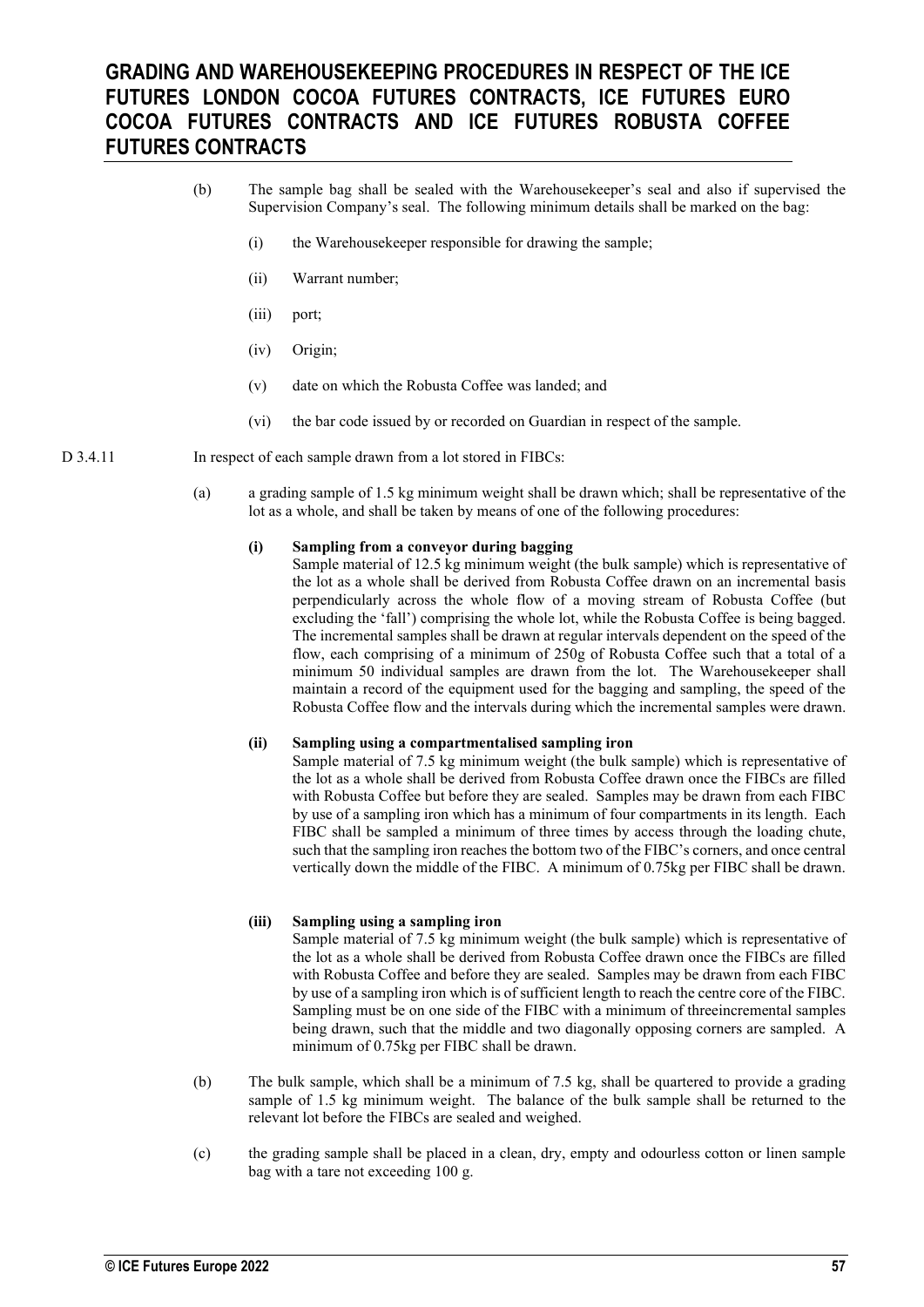- (b) The sample bag shall be sealed with the Warehousekeeper's seal and also if supervised the Supervision Company's seal. The following minimum details shall be marked on the bag:
	- (i) the Warehousekeeper responsible for drawing the sample;
	- (ii) Warrant number;
	- (iii) port;
	- (iv) Origin;
	- (v) date on which the Robusta Coffee was landed; and
	- (vi) the bar code issued by or recorded on Guardian in respect of the sample.
- D 3.4.11 In respect of each sample drawn from a lot stored in FIBCs:
	- (a) a grading sample of 1.5 kg minimum weight shall be drawn which; shall be representative of the lot as a whole, and shall be taken by means of one of the following procedures:

#### **(i) Sampling from a conveyor during bagging**

Sample material of 12.5 kg minimum weight (the bulk sample) which is representative of the lot as a whole shall be derived from Robusta Coffee drawn on an incremental basis perpendicularly across the whole flow of a moving stream of Robusta Coffee (but excluding the 'fall') comprising the whole lot, while the Robusta Coffee is being bagged. The incremental samples shall be drawn at regular intervals dependent on the speed of the flow, each comprising of a minimum of 250g of Robusta Coffee such that a total of a minimum 50 individual samples are drawn from the lot. The Warehousekeeper shall maintain a record of the equipment used for the bagging and sampling, the speed of the Robusta Coffee flow and the intervals during which the incremental samples were drawn.

#### **(ii) Sampling using a compartmentalised sampling iron**

Sample material of 7.5 kg minimum weight (the bulk sample) which is representative of the lot as a whole shall be derived from Robusta Coffee drawn once the FIBCs are filled with Robusta Coffee but before they are sealed. Samples may be drawn from each FIBC by use of a sampling iron which has a minimum of four compartments in its length. Each FIBC shall be sampled a minimum of three times by access through the loading chute, such that the sampling iron reaches the bottom two of the FIBC's corners, and once central vertically down the middle of the FIBC. A minimum of 0.75kg per FIBC shall be drawn.

#### **(iii) Sampling using a sampling iron**

Sample material of 7.5 kg minimum weight (the bulk sample) which is representative of the lot as a whole shall be derived from Robusta Coffee drawn once the FIBCs are filled with Robusta Coffee and before they are sealed. Samples may be drawn from each FIBC by use of a sampling iron which is of sufficient length to reach the centre core of the FIBC. Sampling must be on one side of the FIBC with a minimum of threeincremental samples being drawn, such that the middle and two diagonally opposing corners are sampled. A minimum of 0.75kg per FIBC shall be drawn.

- (b) The bulk sample, which shall be a minimum of 7.5 kg, shall be quartered to provide a grading sample of 1.5 kg minimum weight. The balance of the bulk sample shall be returned to the relevant lot before the FIBCs are sealed and weighed.
- (c) the grading sample shall be placed in a clean, dry, empty and odourless cotton or linen sample bag with a tare not exceeding 100 g.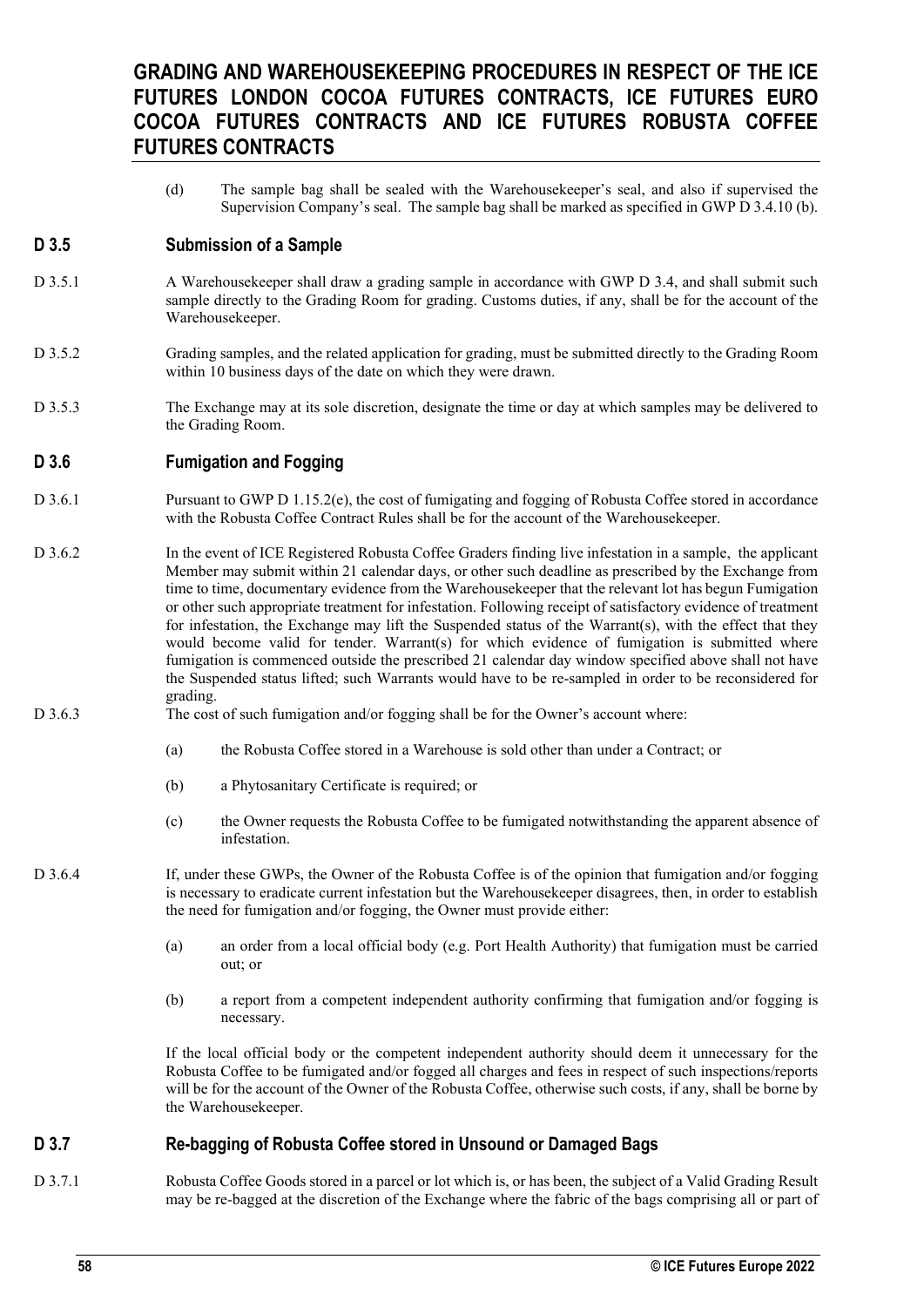(d) The sample bag shall be sealed with the Warehousekeeper's seal, and also if supervised the Supervision Company's seal. The sample bag shall be marked as specified in GWP D 3.4.10 (b).

### **D 3.5 Submission of a Sample**

- D 3.5.1 A Warehousekeeper shall draw a grading sample in accordance with GWP D 3.4, and shall submit such sample directly to the Grading Room for grading. Customs duties, if any, shall be for the account of the Warehousekeeper.
- D 3.5.2 Grading samples, and the related application for grading, must be submitted directly to the Grading Room within 10 business days of the date on which they were drawn.
- D 3.5.3 The Exchange may at its sole discretion, designate the time or day at which samples may be delivered to the Grading Room.

### **D 3.6 Fumigation and Fogging**

- D 3.6.1 Pursuant to GWP D 1.15.2(e), the cost of fumigating and fogging of Robusta Coffee stored in accordance with the Robusta Coffee Contract Rules shall be for the account of the Warehousekeeper.
- D 3.6.2 In the event of ICE Registered Robusta Coffee Graders finding live infestation in a sample, the applicant Member may submit within 21 calendar days, or other such deadline as prescribed by the Exchange from time to time, documentary evidence from the Warehousekeeper that the relevant lot has begun Fumigation or other such appropriate treatment for infestation. Following receipt of satisfactory evidence of treatment for infestation, the Exchange may lift the Suspended status of the Warrant(s), with the effect that they would become valid for tender. Warrant(s) for which evidence of fumigation is submitted where fumigation is commenced outside the prescribed 21 calendar day window specified above shall not have the Suspended status lifted; such Warrants would have to be re-sampled in order to be reconsidered for grading.
- D 3.6.3 The cost of such fumigation and/or fogging shall be for the Owner's account where:
	- (a) the Robusta Coffee stored in a Warehouse is sold other than under a Contract; or
	- (b) a Phytosanitary Certificate is required; or
	- (c) the Owner requests the Robusta Coffee to be fumigated notwithstanding the apparent absence of infestation.
- D 3.6.4 If, under these GWPs, the Owner of the Robusta Coffee is of the opinion that fumigation and/or fogging is necessary to eradicate current infestation but the Warehousekeeper disagrees, then, in order to establish the need for fumigation and/or fogging, the Owner must provide either:
	- (a) an order from a local official body (e.g. Port Health Authority) that fumigation must be carried out; or
	- (b) a report from a competent independent authority confirming that fumigation and/or fogging is necessary.

If the local official body or the competent independent authority should deem it unnecessary for the Robusta Coffee to be fumigated and/or fogged all charges and fees in respect of such inspections/reports will be for the account of the Owner of the Robusta Coffee, otherwise such costs, if any, shall be borne by the Warehousekeeper.

#### **D 3.7 Re-bagging of Robusta Coffee stored in Unsound or Damaged Bags**

D 3.7.1 Robusta Coffee Goods stored in a parcel or lot which is, or has been, the subject of a Valid Grading Result may be re-bagged at the discretion of the Exchange where the fabric of the bags comprising all or part of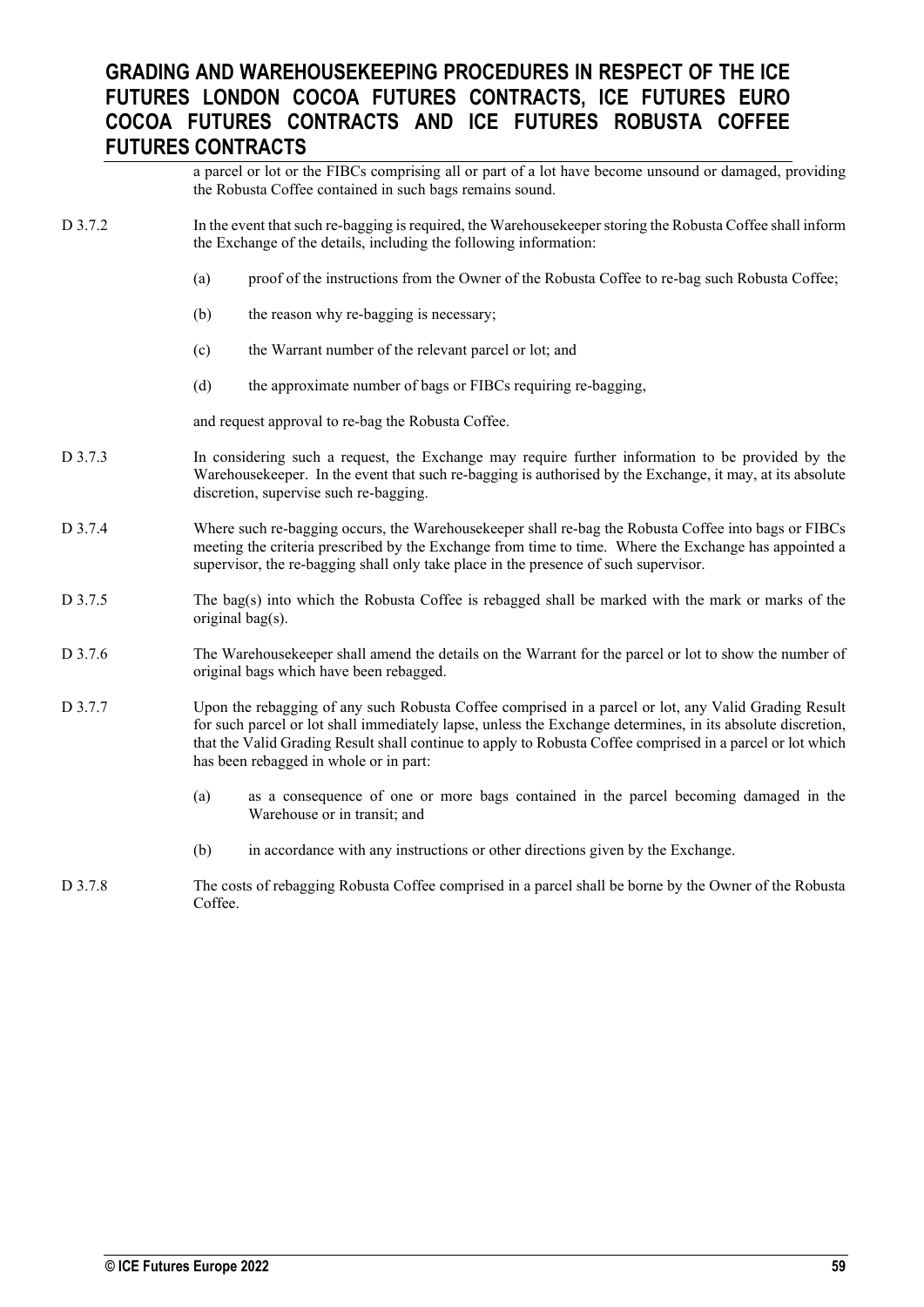a parcel or lot or the FIBCs comprising all or part of a lot have become unsound or damaged, providing the Robusta Coffee contained in such bags remains sound.

- D 3.7.2 In the event that such re-bagging is required, the Warehousekeeper storing the Robusta Coffee shall inform the Exchange of the details, including the following information:
	- (a) proof of the instructions from the Owner of the Robusta Coffee to re-bag such Robusta Coffee;
	- (b) the reason why re-bagging is necessary;
	- (c) the Warrant number of the relevant parcel or lot; and
	- (d) the approximate number of bags or FIBCs requiring re-bagging,

and request approval to re-bag the Robusta Coffee.

- D 3.7.3 In considering such a request, the Exchange may require further information to be provided by the Warehousekeeper. In the event that such re-bagging is authorised by the Exchange, it may, at its absolute discretion, supervise such re-bagging.
- D 3.7.4 Where such re-bagging occurs, the Warehousekeeper shall re-bag the Robusta Coffee into bags or FIBCs meeting the criteria prescribed by the Exchange from time to time. Where the Exchange has appointed a supervisor, the re-bagging shall only take place in the presence of such supervisor.
- D 3.7.5 The bag(s) into which the Robusta Coffee is rebagged shall be marked with the mark or marks of the original bag(s).
- D 3.7.6 The Warehousekeeper shall amend the details on the Warrant for the parcel or lot to show the number of original bags which have been rebagged.
- D 3.7.7 Upon the rebagging of any such Robusta Coffee comprised in a parcel or lot, any Valid Grading Result for such parcel or lot shall immediately lapse, unless the Exchange determines, in its absolute discretion, that the Valid Grading Result shall continue to apply to Robusta Coffee comprised in a parcel or lot which has been rebagged in whole or in part:
	- (a) as a consequence of one or more bags contained in the parcel becoming damaged in the Warehouse or in transit; and
	- (b) in accordance with any instructions or other directions given by the Exchange.
- D 3.7.8 The costs of rebagging Robusta Coffee comprised in a parcel shall be borne by the Owner of the Robusta Coffee.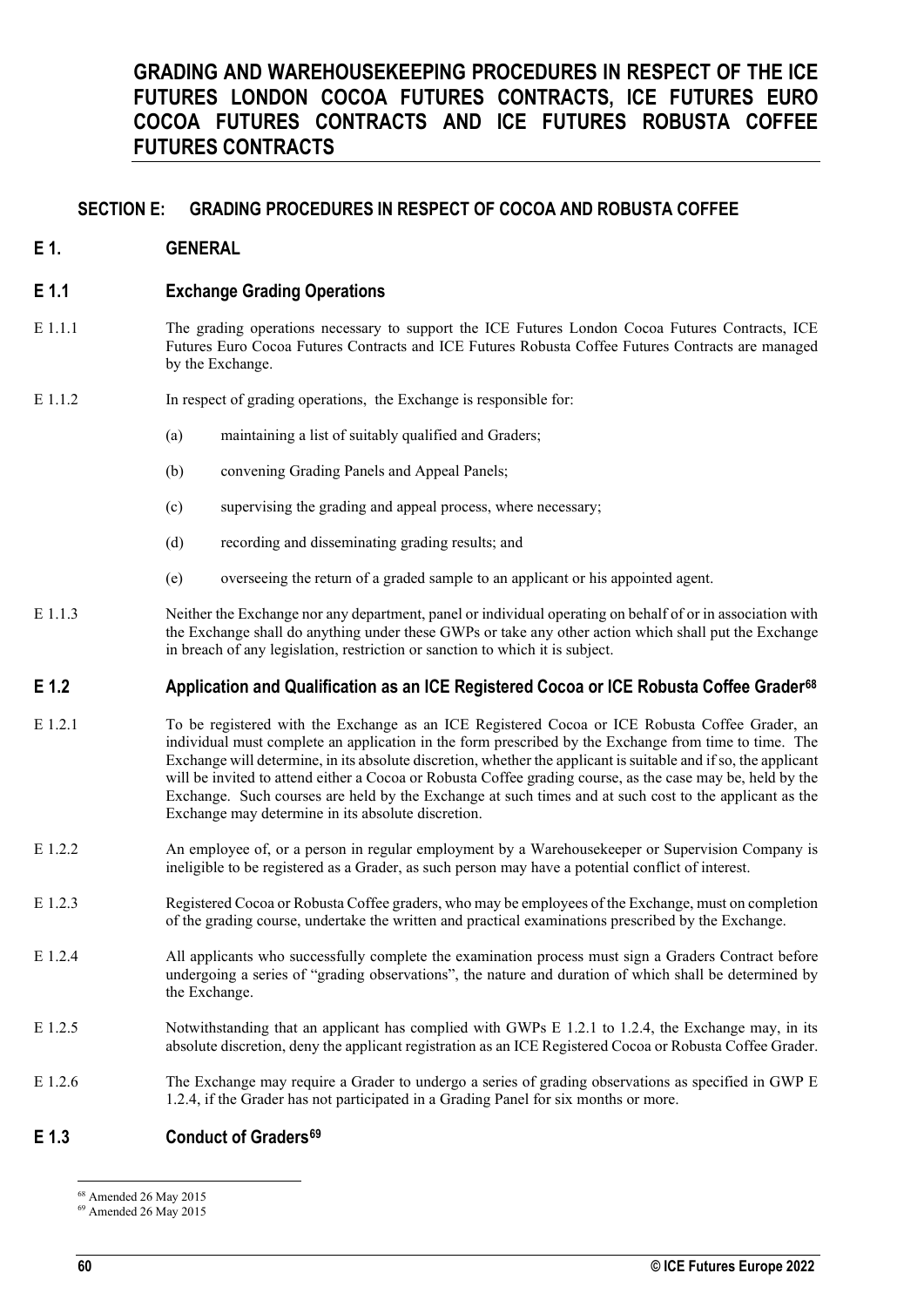## **SECTION E: GRADING PROCEDURES IN RESPECT OF COCOA AND ROBUSTA COFFEE**

### **E 1. GENERAL**

### **E 1.1 Exchange Grading Operations**

- E 1.1.1 The grading operations necessary to support the ICE Futures London Cocoa Futures Contracts, ICE Futures Euro Cocoa Futures Contracts and ICE Futures Robusta Coffee Futures Contracts are managed by the Exchange.
- E 1.1.2 In respect of grading operations, the Exchange is responsible for:
	- (a) maintaining a list of suitably qualified and Graders;
	- (b) convening Grading Panels and Appeal Panels;
	- (c) supervising the grading and appeal process, where necessary;
	- (d) recording and disseminating grading results; and
	- (e) overseeing the return of a graded sample to an applicant or his appointed agent.
- E 1.1.3 Neither the Exchange nor any department, panel or individual operating on behalf of or in association with the Exchange shall do anything under these GWPs or take any other action which shall put the Exchange in breach of any legislation, restriction or sanction to which it is subject.

#### **E 1.2 Application and Qualification as an ICE Registered Cocoa or ICE Robusta Coffee Grader[68](#page-59-0)**

- E 1.2.1 To be registered with the Exchange as an ICE Registered Cocoa or ICE Robusta Coffee Grader, an individual must complete an application in the form prescribed by the Exchange from time to time. The Exchange will determine, in its absolute discretion, whether the applicant is suitable and if so, the applicant will be invited to attend either a Cocoa or Robusta Coffee grading course, as the case may be, held by the Exchange. Such courses are held by the Exchange at such times and at such cost to the applicant as the Exchange may determine in its absolute discretion.
- E 1.2.2 An employee of, or a person in regular employment by a Warehousekeeper or Supervision Company is ineligible to be registered as a Grader, as such person may have a potential conflict of interest.
- E 1.2.3 Registered Cocoa or Robusta Coffee graders, who may be employees of the Exchange, must on completion of the grading course, undertake the written and practical examinations prescribed by the Exchange.
- E 1.2.4 All applicants who successfully complete the examination process must sign a Graders Contract before undergoing a series of "grading observations", the nature and duration of which shall be determined by the Exchange.
- E 1.2.5 Notwithstanding that an applicant has complied with GWPs E 1.2.1 to 1.2.4, the Exchange may, in its absolute discretion, deny the applicant registration as an ICE Registered Cocoa or Robusta Coffee Grader.
- E 1.2.6 The Exchange may require a Grader to undergo a series of grading observations as specified in GWP E 1.2.4, if the Grader has not participated in a Grading Panel for six months or more.

### <span id="page-59-0"></span>**E 1.3 Conduct of Graders[69](#page-59-1)**

<span id="page-59-1"></span><sup>68</sup> Amended 26 May 2015

<sup>69</sup> Amended 26 May 2015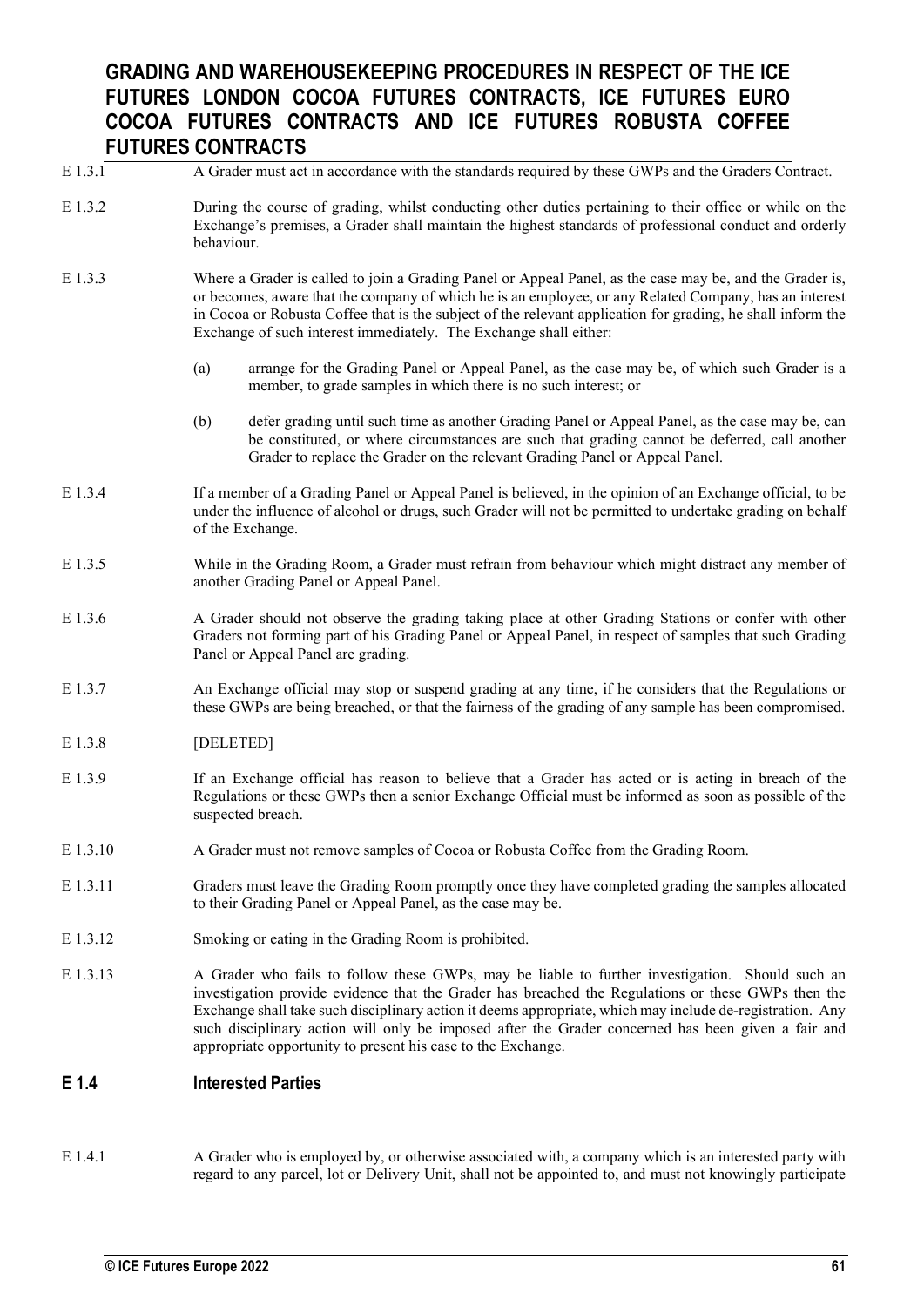E 1.3.1 A Grader must act in accordance with the standards required by these GWPs and the Graders Contract. E 1.3.2 During the course of grading, whilst conducting other duties pertaining to their office or while on the Exchange's premises, a Grader shall maintain the highest standards of professional conduct and orderly behaviour. E 1.3.3 Where a Grader is called to join a Grading Panel or Appeal Panel, as the case may be, and the Grader is, or becomes, aware that the company of which he is an employee, or any Related Company, has an interest in Cocoa or Robusta Coffee that is the subject of the relevant application for grading, he shall inform the Exchange of such interest immediately. The Exchange shall either: (a) arrange for the Grading Panel or Appeal Panel, as the case may be, of which such Grader is a member, to grade samples in which there is no such interest; or (b) defer grading until such time as another Grading Panel or Appeal Panel, as the case may be, can be constituted, or where circumstances are such that grading cannot be deferred, call another Grader to replace the Grader on the relevant Grading Panel or Appeal Panel. E 1.3.4 If a member of a Grading Panel or Appeal Panel is believed, in the opinion of an Exchange official, to be under the influence of alcohol or drugs, such Grader will not be permitted to undertake grading on behalf of the Exchange. E 1.3.5 While in the Grading Room, a Grader must refrain from behaviour which might distract any member of another Grading Panel or Appeal Panel. E 1.3.6 A Grader should not observe the grading taking place at other Grading Stations or confer with other Graders not forming part of his Grading Panel or Appeal Panel, in respect of samples that such Grading Panel or Appeal Panel are grading. E 1.3.7 An Exchange official may stop or suspend grading at any time, if he considers that the Regulations or these GWPs are being breached, or that the fairness of the grading of any sample has been compromised. E 1.3.8 [DELETED] E 1.3.9 If an Exchange official has reason to believe that a Grader has acted or is acting in breach of the Regulations or these GWPs then a senior Exchange Official must be informed as soon as possible of the suspected breach. E 1.3.10 A Grader must not remove samples of Cocoa or Robusta Coffee from the Grading Room. E 1.3.11 Graders must leave the Grading Room promptly once they have completed grading the samples allocated to their Grading Panel or Appeal Panel, as the case may be. E 1.3.12 Smoking or eating in the Grading Room is prohibited. E 1.3.13 A Grader who fails to follow these GWPs, may be liable to further investigation. Should such an investigation provide evidence that the Grader has breached the Regulations or these GWPs then the Exchange shall take such disciplinary action it deems appropriate, which may include de-registration. Any such disciplinary action will only be imposed after the Grader concerned has been given a fair and appropriate opportunity to present his case to the Exchange.

### **E 1.4 Interested Parties**

E 1.4.1 A Grader who is employed by, or otherwise associated with, a company which is an interested party with regard to any parcel, lot or Delivery Unit, shall not be appointed to, and must not knowingly participate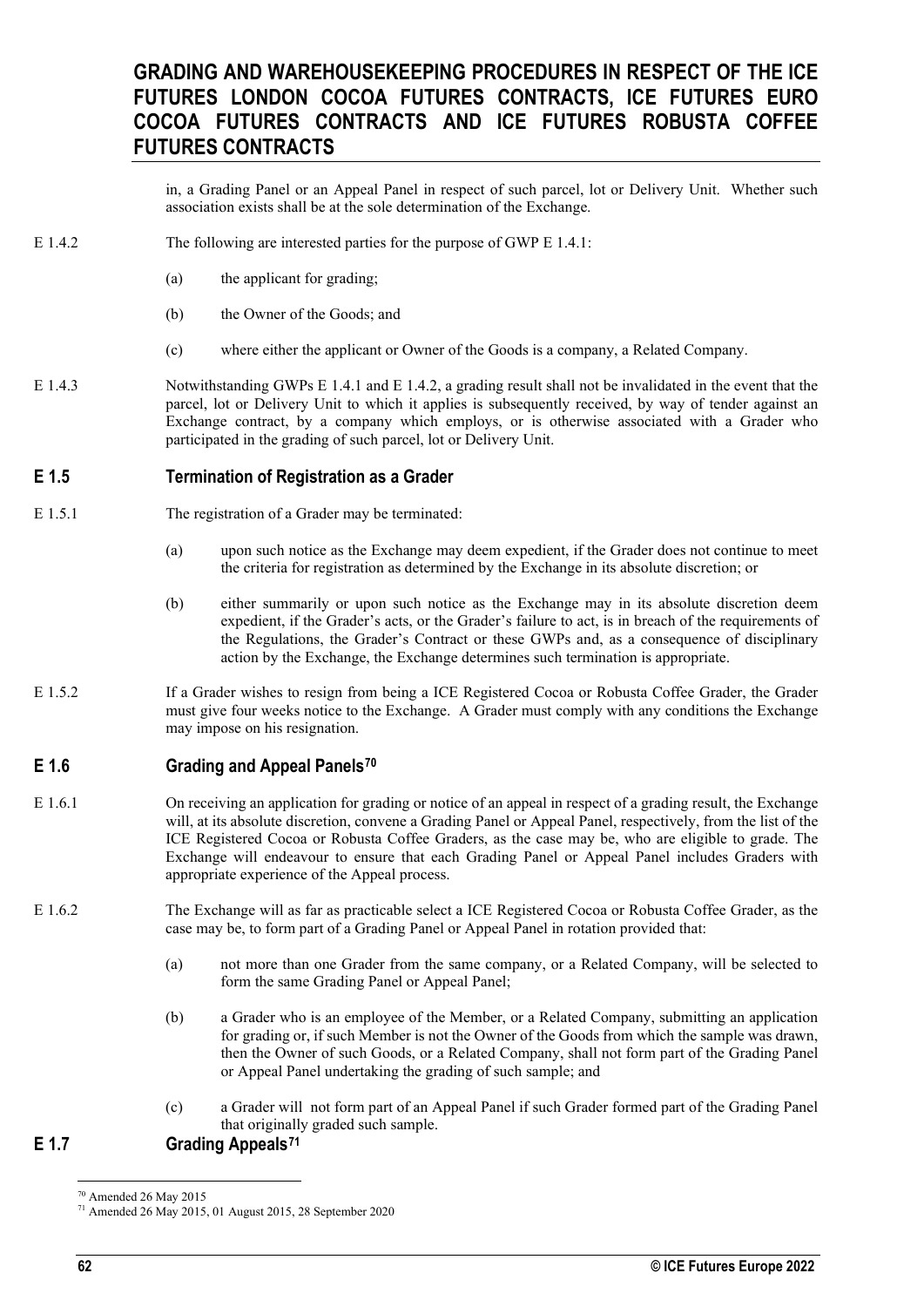in, a Grading Panel or an Appeal Panel in respect of such parcel, lot or Delivery Unit. Whether such association exists shall be at the sole determination of the Exchange.

- E 1.4.2 The following are interested parties for the purpose of GWP E 1.4.1:
	- (a) the applicant for grading;
	- (b) the Owner of the Goods; and
	- (c) where either the applicant or Owner of the Goods is a company, a Related Company.
- E 1.4.3 Notwithstanding GWPs E 1.4.1 and E 1.4.2, a grading result shall not be invalidated in the event that the parcel, lot or Delivery Unit to which it applies is subsequently received, by way of tender against an Exchange contract, by a company which employs, or is otherwise associated with a Grader who participated in the grading of such parcel, lot or Delivery Unit.

### **E 1.5 Termination of Registration as a Grader**

- E 1.5.1 The registration of a Grader may be terminated:
	- (a) upon such notice as the Exchange may deem expedient, if the Grader does not continue to meet the criteria for registration as determined by the Exchange in its absolute discretion; or
	- (b) either summarily or upon such notice as the Exchange may in its absolute discretion deem expedient, if the Grader's acts, or the Grader's failure to act, is in breach of the requirements of the Regulations, the Grader's Contract or these GWPs and, as a consequence of disciplinary action by the Exchange, the Exchange determines such termination is appropriate.
- E 1.5.2 If a Grader wishes to resign from being a ICE Registered Cocoa or Robusta Coffee Grader, the Grader must give four weeks notice to the Exchange. A Grader must comply with any conditions the Exchange may impose on his resignation.

### **E 1.6 Grading and Appeal Panels[70](#page-61-0)**

- E 1.6.1 On receiving an application for grading or notice of an appeal in respect of a grading result, the Exchange will, at its absolute discretion, convene a Grading Panel or Appeal Panel, respectively, from the list of the ICE Registered Cocoa or Robusta Coffee Graders, as the case may be, who are eligible to grade. The Exchange will endeavour to ensure that each Grading Panel or Appeal Panel includes Graders with appropriate experience of the Appeal process.
- E 1.6.2 The Exchange will as far as practicable select a ICE Registered Cocoa or Robusta Coffee Grader, as the case may be, to form part of a Grading Panel or Appeal Panel in rotation provided that:
	- (a) not more than one Grader from the same company, or a Related Company, will be selected to form the same Grading Panel or Appeal Panel;
	- (b) a Grader who is an employee of the Member, or a Related Company, submitting an application for grading or, if such Member is not the Owner of the Goods from which the sample was drawn, then the Owner of such Goods, or a Related Company, shall not form part of the Grading Panel or Appeal Panel undertaking the grading of such sample; and
	- (c) a Grader will not form part of an Appeal Panel if such Grader formed part of the Grading Panel that originally graded such sample.

#### <span id="page-61-0"></span>**E 1.7 Grading Appeals[71](#page-61-1)**

<span id="page-61-1"></span><sup>70</sup> Amended 26 May 2015

<sup>71</sup> Amended 26 May 2015, 01 August 2015, 28 September 2020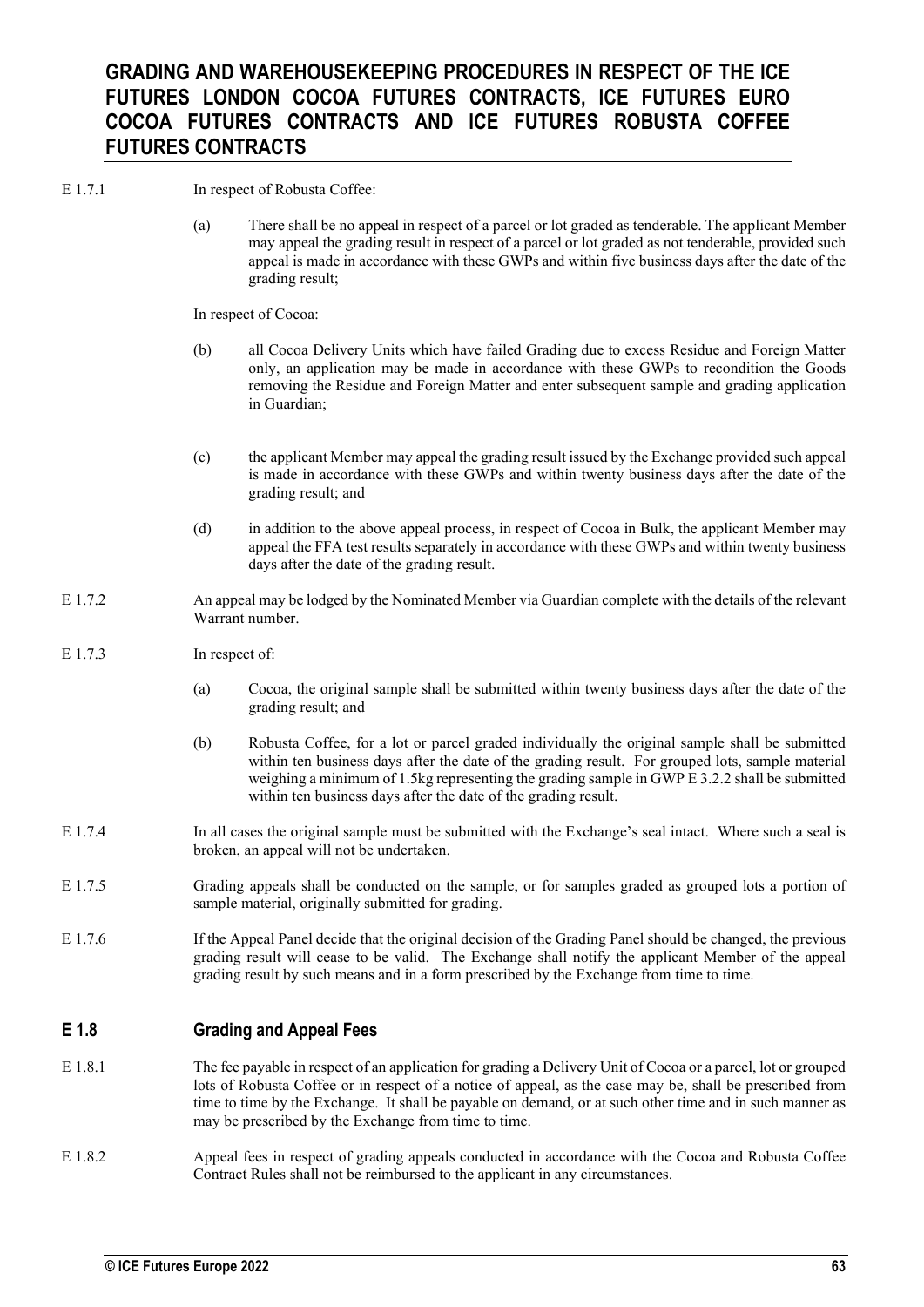#### E 1.7.1 In respect of Robusta Coffee:

(a) There shall be no appeal in respect of a parcel or lot graded as tenderable. The applicant Member may appeal the grading result in respect of a parcel or lot graded as not tenderable, provided such appeal is made in accordance with these GWPs and within five business days after the date of the grading result;

In respect of Cocoa:

- (b) all Cocoa Delivery Units which have failed Grading due to excess Residue and Foreign Matter only, an application may be made in accordance with these GWPs to recondition the Goods removing the Residue and Foreign Matter and enter subsequent sample and grading application in Guardian;
- (c) the applicant Member may appeal the grading result issued by the Exchange provided such appeal is made in accordance with these GWPs and within twenty business days after the date of the grading result; and
- (d) in addition to the above appeal process, in respect of Cocoa in Bulk, the applicant Member may appeal the FFA test results separately in accordance with these GWPs and within twenty business days after the date of the grading result.
- E 1.7.2 An appeal may be lodged by the Nominated Member via Guardian complete with the details of the relevant Warrant number.

#### E 1.7.3 In respect of:

- (a) Cocoa, the original sample shall be submitted within twenty business days after the date of the grading result; and
- (b) Robusta Coffee, for a lot or parcel graded individually the original sample shall be submitted within ten business days after the date of the grading result. For grouped lots, sample material weighing a minimum of 1.5kg representing the grading sample in GWP E 3.2.2 shall be submitted within ten business days after the date of the grading result.
- E 1.7.4 In all cases the original sample must be submitted with the Exchange's seal intact. Where such a seal is broken, an appeal will not be undertaken.
- E 1.7.5 Grading appeals shall be conducted on the sample, or for samples graded as grouped lots a portion of sample material, originally submitted for grading.
- E 1.7.6 If the Appeal Panel decide that the original decision of the Grading Panel should be changed, the previous grading result will cease to be valid. The Exchange shall notify the applicant Member of the appeal grading result by such means and in a form prescribed by the Exchange from time to time.

## **E 1.8 Grading and Appeal Fees**

- E 1.8.1 The fee payable in respect of an application for grading a Delivery Unit of Cocoa or a parcel, lot or grouped lots of Robusta Coffee or in respect of a notice of appeal, as the case may be, shall be prescribed from time to time by the Exchange. It shall be payable on demand, or at such other time and in such manner as may be prescribed by the Exchange from time to time.
- E 1.8.2 Appeal fees in respect of grading appeals conducted in accordance with the Cocoa and Robusta Coffee Contract Rules shall not be reimbursed to the applicant in any circumstances.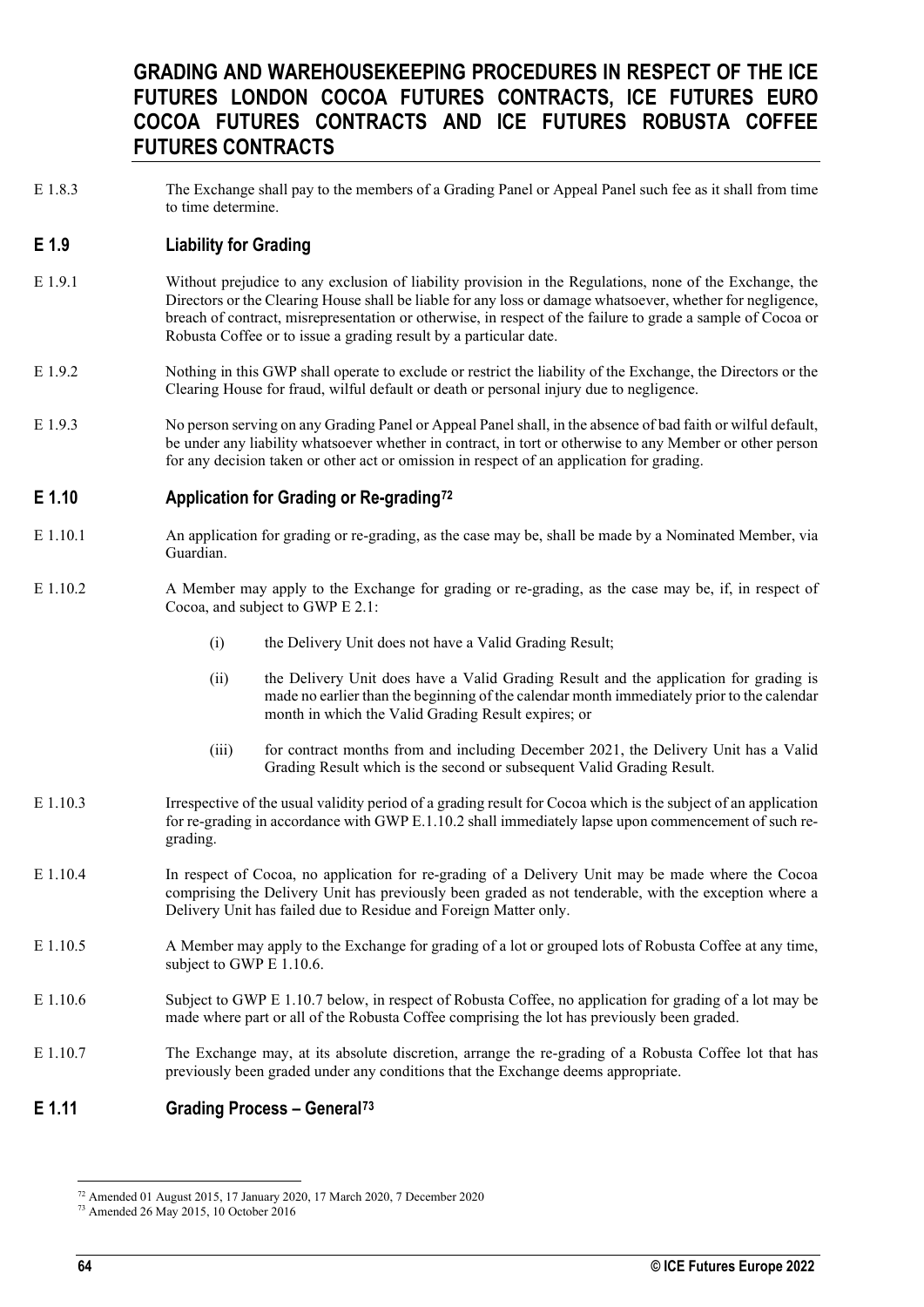E 1.8.3 The Exchange shall pay to the members of a Grading Panel or Appeal Panel such fee as it shall from time to time determine.

## **E 1.9 Liability for Grading**

- E 1.9.1 Without prejudice to any exclusion of liability provision in the Regulations, none of the Exchange, the Directors or the Clearing House shall be liable for any loss or damage whatsoever, whether for negligence, breach of contract, misrepresentation or otherwise, in respect of the failure to grade a sample of Cocoa or Robusta Coffee or to issue a grading result by a particular date.
- E 1.9.2 Nothing in this GWP shall operate to exclude or restrict the liability of the Exchange, the Directors or the Clearing House for fraud, wilful default or death or personal injury due to negligence.
- E 1.9.3 No person serving on any Grading Panel or Appeal Panel shall, in the absence of bad faith or wilful default, be under any liability whatsoever whether in contract, in tort or otherwise to any Member or other person for any decision taken or other act or omission in respect of an application for grading.

## **E 1.10 Application for Grading or Re-grading[72](#page-63-0)**

- E 1.10.1 An application for grading or re-grading, as the case may be, shall be made by a Nominated Member, via Guardian.
- E 1.10.2 A Member may apply to the Exchange for grading or re-grading, as the case may be, if, in respect of Cocoa, and subject to GWP E 2.1:
	- (i) the Delivery Unit does not have a Valid Grading Result;
	- (ii) the Delivery Unit does have a Valid Grading Result and the application for grading is made no earlier than the beginning of the calendar month immediately prior to the calendar month in which the Valid Grading Result expires; or
	- (iii) for contract months from and including December 2021, the Delivery Unit has a Valid Grading Result which is the second or subsequent Valid Grading Result.
- E 1.10.3 Irrespective of the usual validity period of a grading result for Cocoa which is the subject of an application for re-grading in accordance with GWP E.1.10.2 shall immediately lapse upon commencement of such regrading.
- E 1.10.4 In respect of Cocoa, no application for re-grading of a Delivery Unit may be made where the Cocoa comprising the Delivery Unit has previously been graded as not tenderable, with the exception where a Delivery Unit has failed due to Residue and Foreign Matter only.
- E 1.10.5 A Member may apply to the Exchange for grading of a lot or grouped lots of Robusta Coffee at any time, subject to GWP E 1.10.6.
- E 1.10.6 Subject to GWP E 1.10.7 below, in respect of Robusta Coffee, no application for grading of a lot may be made where part or all of the Robusta Coffee comprising the lot has previously been graded.
- E 1.10.7 The Exchange may, at its absolute discretion, arrange the re-grading of a Robusta Coffee lot that has previously been graded under any conditions that the Exchange deems appropriate.

## **E 1.11 Grading Process – General[73](#page-63-1)**

<span id="page-63-0"></span><sup>72</sup> Amended 01 August 2015, 17 January 2020, 17 March 2020, 7 December 2020

<span id="page-63-1"></span><sup>73</sup> Amended 26 May 2015, 10 October 2016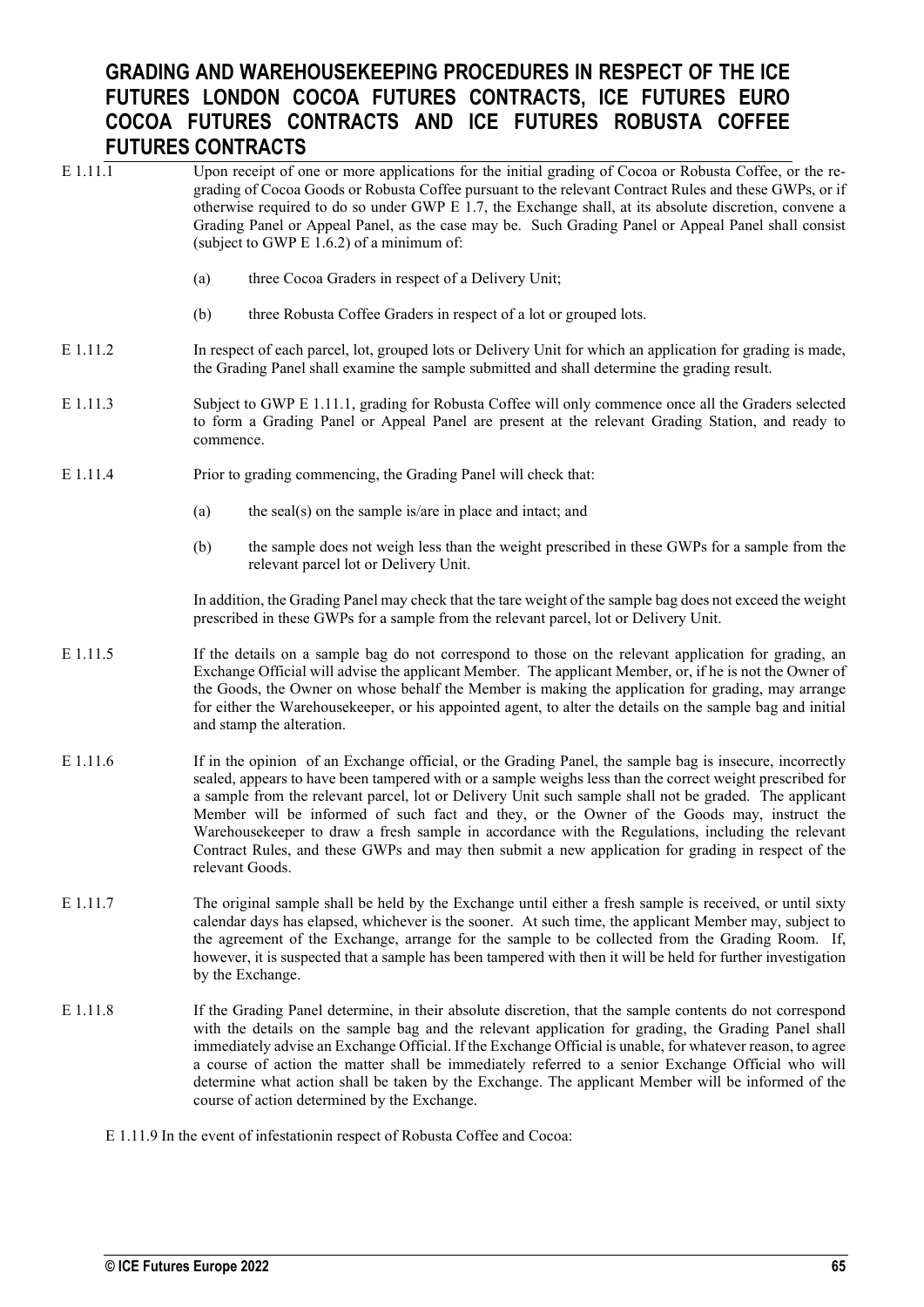| E 1.11.1 | Upon receipt of one or more applications for the initial grading of Cocoa or Robusta Coffee, or the re-<br>grading of Cocoa Goods or Robusta Coffee pursuant to the relevant Contract Rules and these GWPs, or if<br>otherwise required to do so under GWP E 1.7, the Exchange shall, at its absolute discretion, convene a<br>Grading Panel or Appeal Panel, as the case may be. Such Grading Panel or Appeal Panel shall consist<br>(subject to GWP E 1.6.2) of a minimum of:                                                                                                                                                                             |
|----------|-------------------------------------------------------------------------------------------------------------------------------------------------------------------------------------------------------------------------------------------------------------------------------------------------------------------------------------------------------------------------------------------------------------------------------------------------------------------------------------------------------------------------------------------------------------------------------------------------------------------------------------------------------------|
|          | three Cocoa Graders in respect of a Delivery Unit;<br>(a)                                                                                                                                                                                                                                                                                                                                                                                                                                                                                                                                                                                                   |
|          | (b)<br>three Robusta Coffee Graders in respect of a lot or grouped lots.                                                                                                                                                                                                                                                                                                                                                                                                                                                                                                                                                                                    |
| E 1.11.2 | In respect of each parcel, lot, grouped lots or Delivery Unit for which an application for grading is made,<br>the Grading Panel shall examine the sample submitted and shall determine the grading result.                                                                                                                                                                                                                                                                                                                                                                                                                                                 |
| E 1.11.3 | Subject to GWP E 1.11.1, grading for Robusta Coffee will only commence once all the Graders selected<br>to form a Grading Panel or Appeal Panel are present at the relevant Grading Station, and ready to<br>commence.                                                                                                                                                                                                                                                                                                                                                                                                                                      |
| E 1.11.4 | Prior to grading commencing, the Grading Panel will check that:                                                                                                                                                                                                                                                                                                                                                                                                                                                                                                                                                                                             |
|          | (a)<br>the seal(s) on the sample is/are in place and intact; and                                                                                                                                                                                                                                                                                                                                                                                                                                                                                                                                                                                            |
|          | (b)<br>the sample does not weigh less than the weight prescribed in these GWPs for a sample from the<br>relevant parcel lot or Delivery Unit.                                                                                                                                                                                                                                                                                                                                                                                                                                                                                                               |
|          | In addition, the Grading Panel may check that the tare weight of the sample bag does not exceed the weight<br>prescribed in these GWPs for a sample from the relevant parcel, lot or Delivery Unit.                                                                                                                                                                                                                                                                                                                                                                                                                                                         |
| E 1.11.5 | If the details on a sample bag do not correspond to those on the relevant application for grading, an<br>Exchange Official will advise the applicant Member. The applicant Member, or, if he is not the Owner of<br>the Goods, the Owner on whose behalf the Member is making the application for grading, may arrange<br>for either the Warehousekeeper, or his appointed agent, to alter the details on the sample bag and initial<br>and stamp the alteration.                                                                                                                                                                                           |
| E 1.11.6 | If in the opinion of an Exchange official, or the Grading Panel, the sample bag is insecure, incorrectly<br>sealed, appears to have been tampered with or a sample weighs less than the correct weight prescribed for<br>a sample from the relevant parcel, lot or Delivery Unit such sample shall not be graded. The applicant<br>Member will be informed of such fact and they, or the Owner of the Goods may, instruct the<br>Warehousekeeper to draw a fresh sample in accordance with the Regulations, including the relevant<br>Contract Rules, and these GWPs and may then submit a new application for grading in respect of the<br>relevant Goods. |
| E 1.11.7 | The original sample shall be held by the Exchange until either a fresh sample is received, or until sixty<br>calendar days has elapsed, whichever is the sooner. At such time, the applicant Member may, subject to<br>the agreement of the Exchange, arrange for the sample to be collected from the Grading Room. If,<br>however, it is suspected that a sample has been tampered with then it will be held for further investigation<br>by the Exchange.                                                                                                                                                                                                 |
| E 1.11.8 | If the Grading Panel determine, in their absolute discretion, that the sample contents do not correspond<br>with the details on the sample bag and the relevant application for grading, the Grading Panel shall<br>immediately advise an Exchange Official. If the Exchange Official is unable, for whatever reason, to agree<br>a course of action the matter shall be immediately referred to a senior Exchange Official who will<br>determine what action shall be taken by the Exchange. The applicant Member will be informed of the<br>course of action determined by the Exchange.                                                                  |

E 1.11.9 In the event of infestationin respect of Robusta Coffee and Cocoa: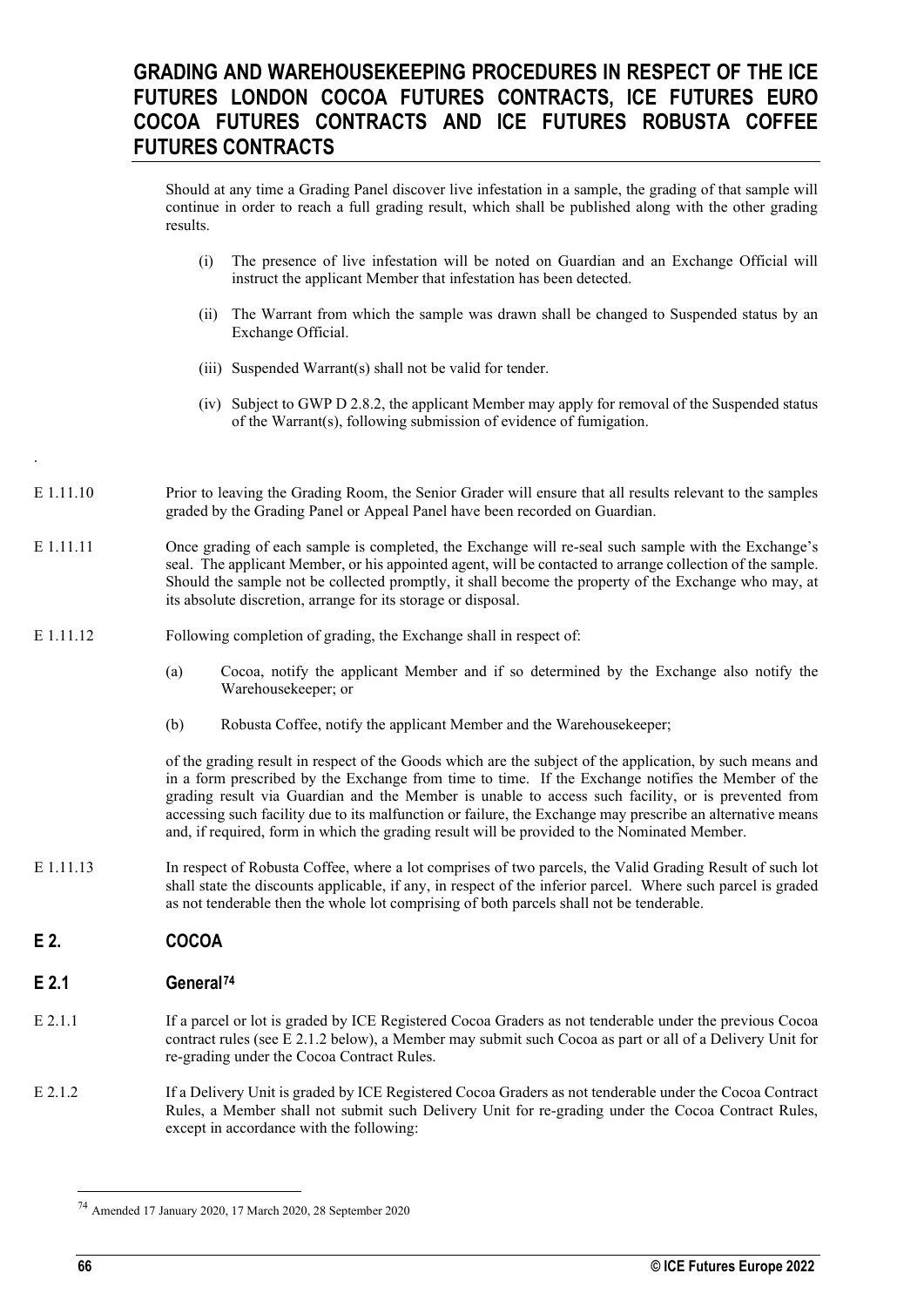Should at any time a Grading Panel discover live infestation in a sample, the grading of that sample will continue in order to reach a full grading result, which shall be published along with the other grading results.

- (i) The presence of live infestation will be noted on Guardian and an Exchange Official will instruct the applicant Member that infestation has been detected.
- (ii) The Warrant from which the sample was drawn shall be changed to Suspended status by an Exchange Official.
- (iii) Suspended Warrant(s) shall not be valid for tender.
- (iv) Subject to GWP D 2.8.2, the applicant Member may apply for removal of the Suspended status of the Warrant(s), following submission of evidence of fumigation.
- E 1.11.10 Prior to leaving the Grading Room, the Senior Grader will ensure that all results relevant to the samples graded by the Grading Panel or Appeal Panel have been recorded on Guardian.
- E 1.11.11 Once grading of each sample is completed, the Exchange will re-seal such sample with the Exchange's seal. The applicant Member, or his appointed agent, will be contacted to arrange collection of the sample. Should the sample not be collected promptly, it shall become the property of the Exchange who may, at its absolute discretion, arrange for its storage or disposal.

#### E 1.11.12 Following completion of grading, the Exchange shall in respect of:

- (a) Cocoa, notify the applicant Member and if so determined by the Exchange also notify the Warehousekeeper; or
- (b) Robusta Coffee, notify the applicant Member and the Warehousekeeper;

of the grading result in respect of the Goods which are the subject of the application, by such means and in a form prescribed by the Exchange from time to time. If the Exchange notifies the Member of the grading result via Guardian and the Member is unable to access such facility, or is prevented from accessing such facility due to its malfunction or failure, the Exchange may prescribe an alternative means and, if required, form in which the grading result will be provided to the Nominated Member.

- E 1.11.13 In respect of Robusta Coffee, where a lot comprises of two parcels, the Valid Grading Result of such lot shall state the discounts applicable, if any, in respect of the inferior parcel. Where such parcel is graded as not tenderable then the whole lot comprising of both parcels shall not be tenderable.
- **E 2. COCOA**

.

## **E 2.1 General[74](#page-65-0)**

- E 2.1.1 If a parcel or lot is graded by ICE Registered Cocoa Graders as not tenderable under the previous Cocoa contract rules (see E 2.1.2 below), a Member may submit such Cocoa as part or all of a Delivery Unit for re-grading under the Cocoa Contract Rules.
- E 2.1.2 If a Delivery Unit is graded by ICE Registered Cocoa Graders as not tenderable under the Cocoa Contract Rules, a Member shall not submit such Delivery Unit for re-grading under the Cocoa Contract Rules, except in accordance with the following:

<span id="page-65-0"></span><sup>74</sup> Amended 17 January 2020, 17 March 2020, 28 September 2020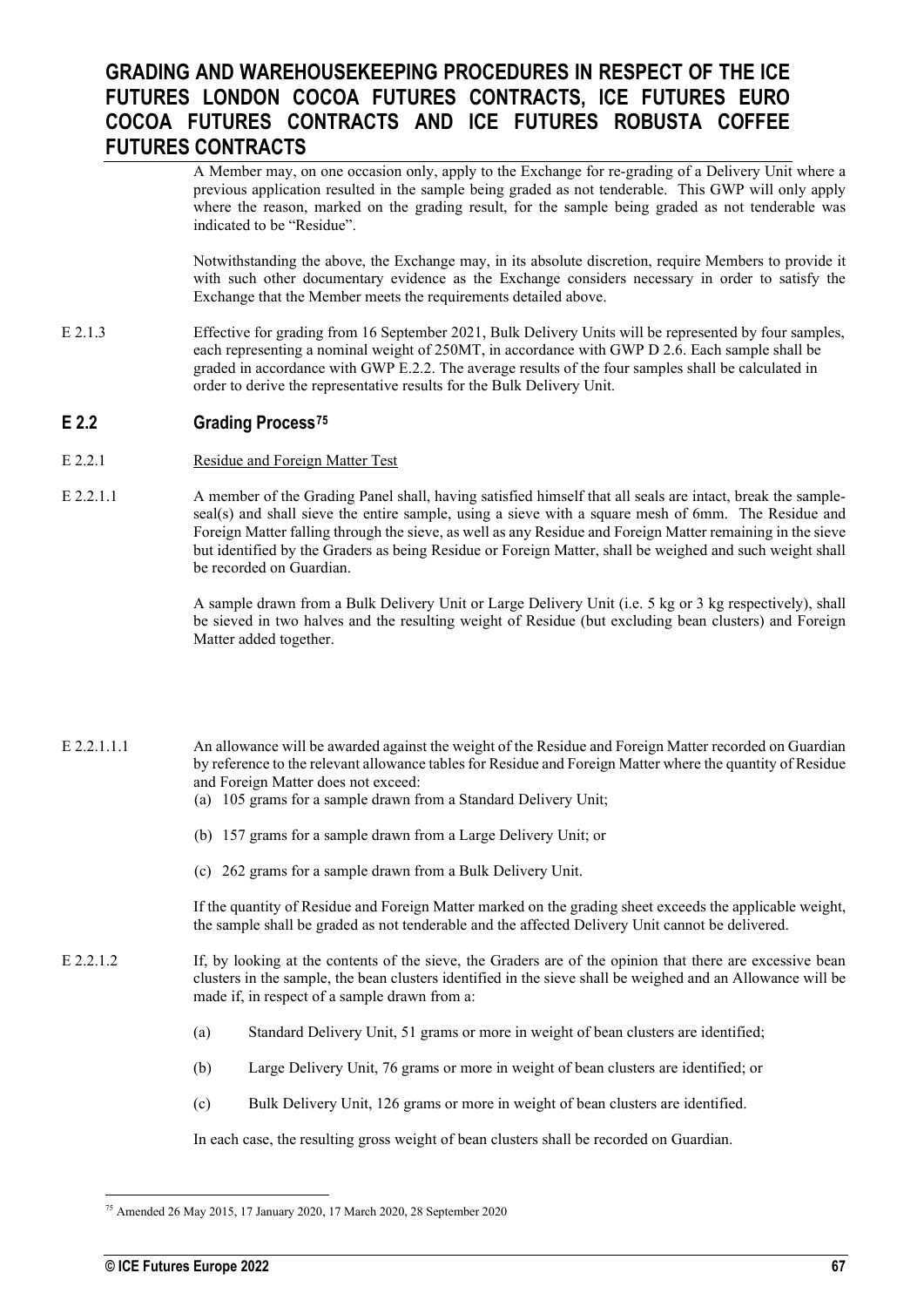A Member may, on one occasion only, apply to the Exchange for re-grading of a Delivery Unit where a previous application resulted in the sample being graded as not tenderable. This GWP will only apply where the reason, marked on the grading result, for the sample being graded as not tenderable was indicated to be "Residue".

Notwithstanding the above, the Exchange may, in its absolute discretion, require Members to provide it with such other documentary evidence as the Exchange considers necessary in order to satisfy the Exchange that the Member meets the requirements detailed above.

E 2.1.3 Effective for grading from 16 September 2021, Bulk Delivery Units will be represented by four samples, each representing a nominal weight of 250MT, in accordance with GWP D 2.6. Each sample shall be graded in accordance with GWP E.2.2. The average results of the four samples shall be calculated in order to derive the representative results for the Bulk Delivery Unit.

### **E 2.2 Grading Process[75](#page-66-0)**

- E 2.2.1 Residue and Foreign Matter Test
- E 2.2.1.1 A member of the Grading Panel shall, having satisfied himself that all seals are intact, break the sampleseal(s) and shall sieve the entire sample, using a sieve with a square mesh of 6mm. The Residue and Foreign Matter falling through the sieve, as well as any Residue and Foreign Matter remaining in the sieve but identified by the Graders as being Residue or Foreign Matter, shall be weighed and such weight shall be recorded on Guardian.

A sample drawn from a Bulk Delivery Unit or Large Delivery Unit (i.e. 5 kg or 3 kg respectively), shall be sieved in two halves and the resulting weight of Residue (but excluding bean clusters) and Foreign Matter added together.

#### E 2.2.1.1.1 An allowance will be awarded against the weight of the Residue and Foreign Matter recorded on Guardian by reference to the relevant allowance tables for Residue and Foreign Matter where the quantity of Residue and Foreign Matter does not exceed:

- (a) 105 grams for a sample drawn from a Standard Delivery Unit;
- (b) 157 grams for a sample drawn from a Large Delivery Unit; or
- (c) 262 grams for a sample drawn from a Bulk Delivery Unit.

If the quantity of Residue and Foreign Matter marked on the grading sheet exceeds the applicable weight, the sample shall be graded as not tenderable and the affected Delivery Unit cannot be delivered.

- E 2.2.1.2 If, by looking at the contents of the sieve, the Graders are of the opinion that there are excessive bean clusters in the sample, the bean clusters identified in the sieve shall be weighed and an Allowance will be made if, in respect of a sample drawn from a:
	- (a) Standard Delivery Unit, 51 grams or more in weight of bean clusters are identified;
	- (b) Large Delivery Unit, 76 grams or more in weight of bean clusters are identified; or
	- (c) Bulk Delivery Unit, 126 grams or more in weight of bean clusters are identified.

In each case, the resulting gross weight of bean clusters shall be recorded on Guardian.

<span id="page-66-0"></span><sup>75</sup> Amended 26 May 2015, 17 January 2020, 17 March 2020, 28 September 2020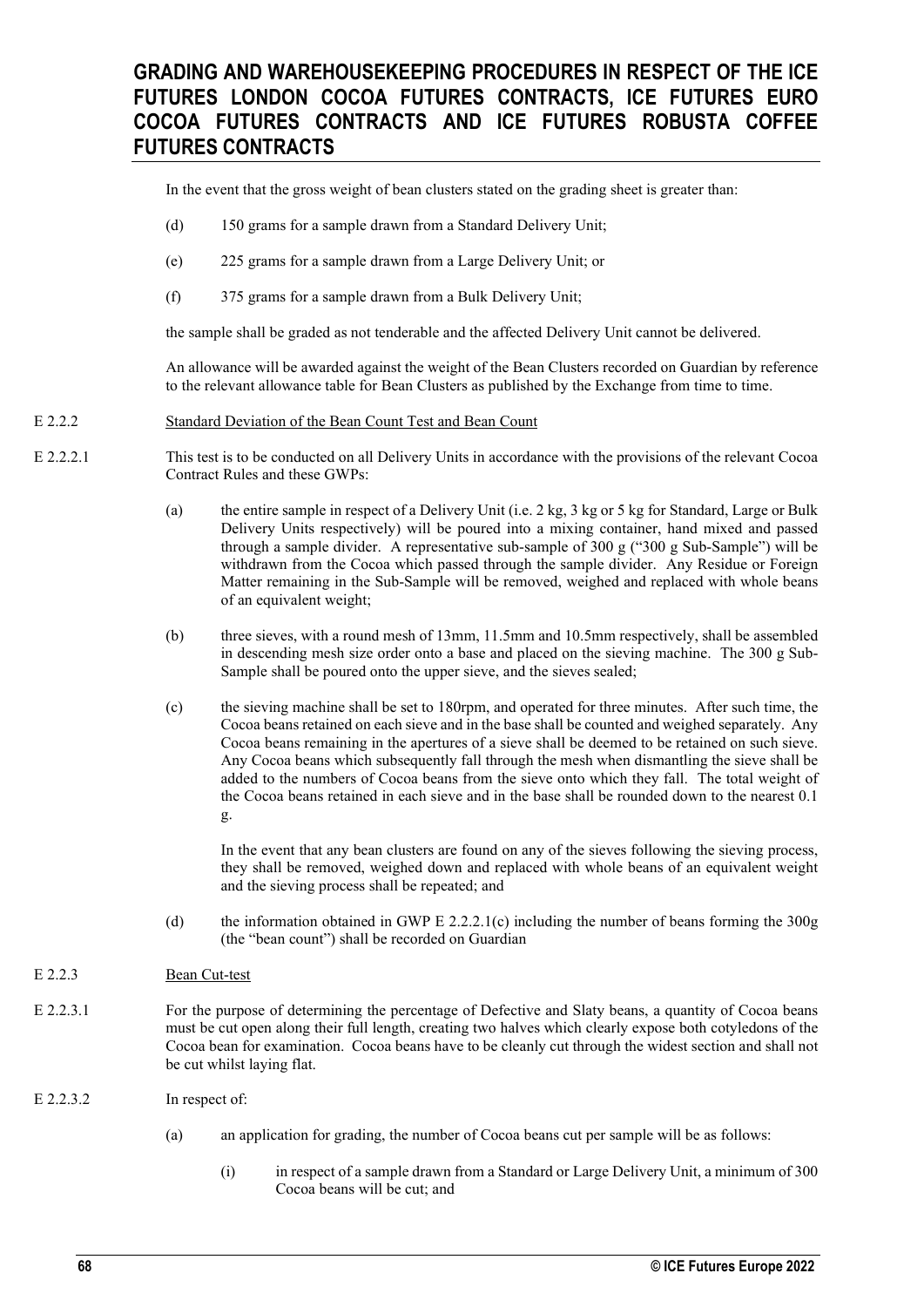In the event that the gross weight of bean clusters stated on the grading sheet is greater than:

- (d) 150 grams for a sample drawn from a Standard Delivery Unit;
- (e) 225 grams for a sample drawn from a Large Delivery Unit; or
- (f) 375 grams for a sample drawn from a Bulk Delivery Unit;

the sample shall be graded as not tenderable and the affected Delivery Unit cannot be delivered.

An allowance will be awarded against the weight of the Bean Clusters recorded on Guardian by reference to the relevant allowance table for Bean Clusters as published by the Exchange from time to time.

#### E 2.2.2 Standard Deviation of the Bean Count Test and Bean Count

- E 2.2.2.1 This test is to be conducted on all Delivery Units in accordance with the provisions of the relevant Cocoa Contract Rules and these GWPs:
	- (a) the entire sample in respect of a Delivery Unit (i.e. 2 kg, 3 kg or 5 kg for Standard, Large or Bulk Delivery Units respectively) will be poured into a mixing container, hand mixed and passed through a sample divider. A representative sub-sample of 300 g ("300 g Sub-Sample") will be withdrawn from the Cocoa which passed through the sample divider. Any Residue or Foreign Matter remaining in the Sub-Sample will be removed, weighed and replaced with whole beans of an equivalent weight;
	- (b) three sieves, with a round mesh of 13mm, 11.5mm and 10.5mm respectively, shall be assembled in descending mesh size order onto a base and placed on the sieving machine. The 300 g Sub-Sample shall be poured onto the upper sieve, and the sieves sealed;
	- (c) the sieving machine shall be set to 180rpm, and operated for three minutes. After such time, the Cocoa beans retained on each sieve and in the base shall be counted and weighed separately. Any Cocoa beans remaining in the apertures of a sieve shall be deemed to be retained on such sieve. Any Cocoa beans which subsequently fall through the mesh when dismantling the sieve shall be added to the numbers of Cocoa beans from the sieve onto which they fall. The total weight of the Cocoa beans retained in each sieve and in the base shall be rounded down to the nearest 0.1 g.

In the event that any bean clusters are found on any of the sieves following the sieving process, they shall be removed, weighed down and replaced with whole beans of an equivalent weight and the sieving process shall be repeated; and

(d) the information obtained in GWP E 2.2.2.1(c) including the number of beans forming the 300g (the "bean count") shall be recorded on Guardian

#### E 2.2.3 Bean Cut-test

E 2.2.3.1 For the purpose of determining the percentage of Defective and Slaty beans, a quantity of Cocoa beans must be cut open along their full length, creating two halves which clearly expose both cotyledons of the Cocoa bean for examination. Cocoa beans have to be cleanly cut through the widest section and shall not be cut whilst laying flat.

#### E 2.2.3.2 In respect of:

- (a) an application for grading, the number of Cocoa beans cut per sample will be as follows:
	- (i) in respect of a sample drawn from a Standard or Large Delivery Unit, a minimum of 300 Cocoa beans will be cut; and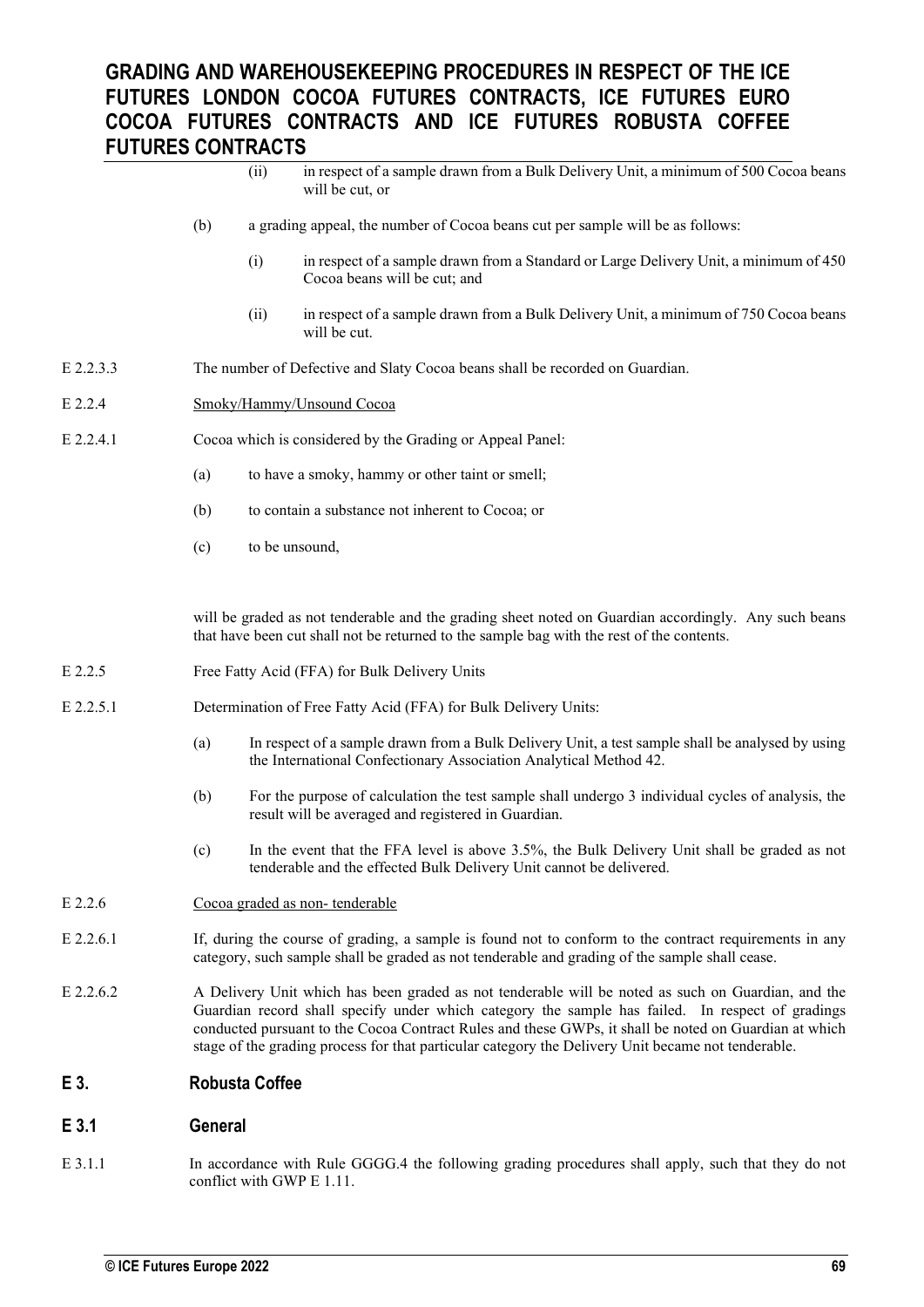- (ii) in respect of a sample drawn from a Bulk Delivery Unit, a minimum of 500 Cocoa beans will be cut, or
- (b) a grading appeal, the number of Cocoa beans cut per sample will be as follows:
	- (i) in respect of a sample drawn from a Standard or Large Delivery Unit, a minimum of 450 Cocoa beans will be cut; and
	- (ii) in respect of a sample drawn from a Bulk Delivery Unit, a minimum of 750 Cocoa beans will be cut.
- E 2.2.3.3 The number of Defective and Slaty Cocoa beans shall be recorded on Guardian.
- E 2.2.4 Smoky/Hammy/Unsound Cocoa
- E 2.2.4.1 Cocoa which is considered by the Grading or Appeal Panel:
	- (a) to have a smoky, hammy or other taint or smell;
	- (b) to contain a substance not inherent to Cocoa; or
	- (c) to be unsound,

will be graded as not tenderable and the grading sheet noted on Guardian accordingly. Any such beans that have been cut shall not be returned to the sample bag with the rest of the contents.

- E 2.2.5 Free Fatty Acid (FFA) for Bulk Delivery Units
- E 2.2.5.1 Determination of Free Fatty Acid (FFA) for Bulk Delivery Units:
	- (a) In respect of a sample drawn from a Bulk Delivery Unit, a test sample shall be analysed by using the International Confectionary Association Analytical Method 42.
	- (b) For the purpose of calculation the test sample shall undergo 3 individual cycles of analysis, the result will be averaged and registered in Guardian.
	- (c) In the event that the FFA level is above 3.5%, the Bulk Delivery Unit shall be graded as not tenderable and the effected Bulk Delivery Unit cannot be delivered.
- E 2.2.6 Cocoa graded as non- tenderable
- E 2.2.6.1 If, during the course of grading, a sample is found not to conform to the contract requirements in any category, such sample shall be graded as not tenderable and grading of the sample shall cease.
- E 2.2.6.2 A Delivery Unit which has been graded as not tenderable will be noted as such on Guardian, and the Guardian record shall specify under which category the sample has failed. In respect of gradings conducted pursuant to the Cocoa Contract Rules and these GWPs, it shall be noted on Guardian at which stage of the grading process for that particular category the Delivery Unit became not tenderable.

#### **E 3. Robusta Coffee**

#### **E 3.1 General**

E 3.1.1 In accordance with Rule GGGG.4 the following grading procedures shall apply, such that they do not conflict with GWP E 1.11.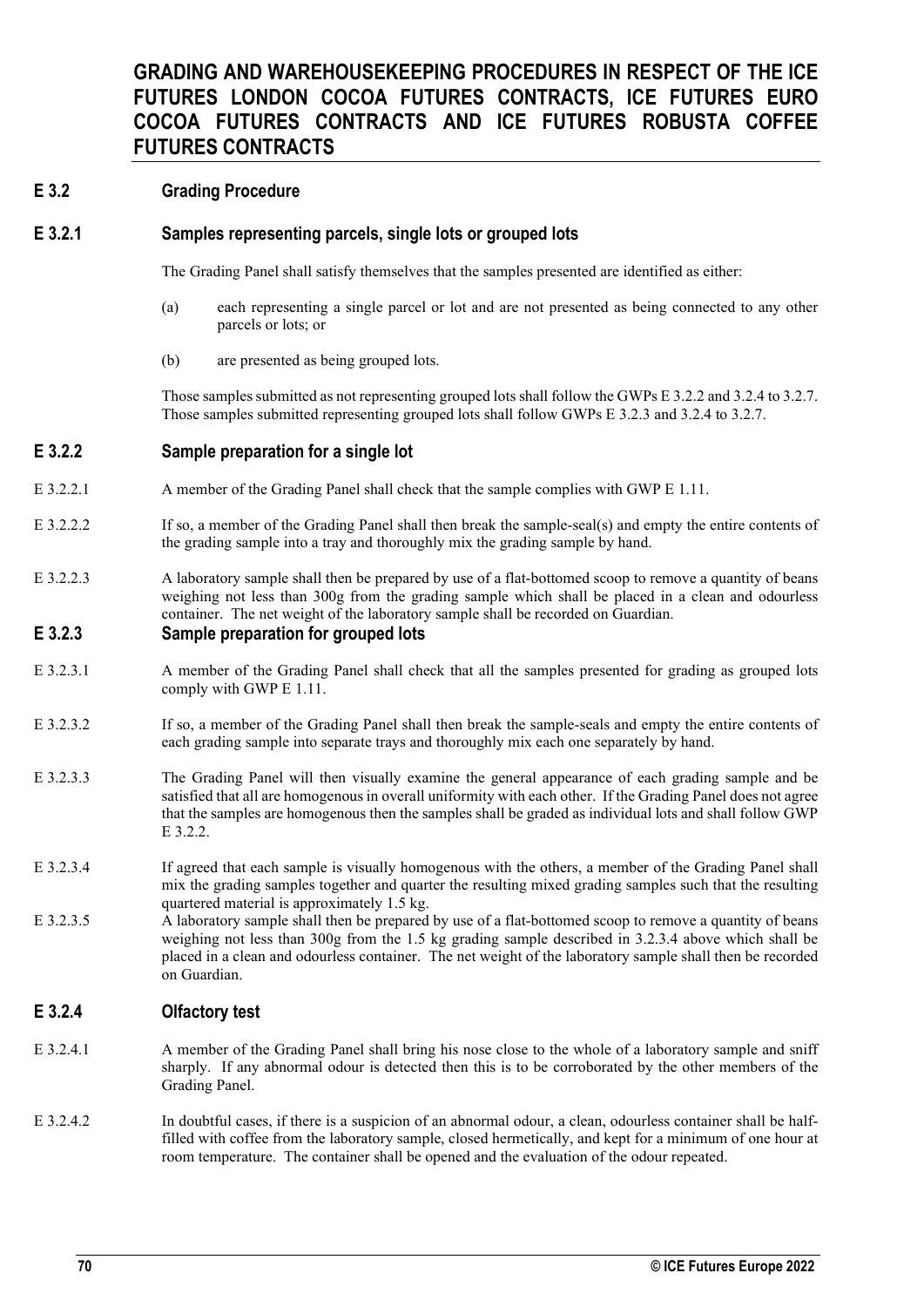### **E 3.2 Grading Procedure**

#### **E 3.2.1 Samples representing parcels, single lots or grouped lots**

The Grading Panel shall satisfy themselves that the samples presented are identified as either:

- (a) each representing a single parcel or lot and are not presented as being connected to any other parcels or lots; or
- (b) are presented as being grouped lots.

Those samples submitted as not representing grouped lots shall follow the GWPs E 3.2.2 and 3.2.4 to 3.2.7. Those samples submitted representing grouped lots shall follow GWPs E 3.2.3 and 3.2.4 to 3.2.7.

### **E 3.2.2 Sample preparation for a single lot**

- E 3.2.2.1 A member of the Grading Panel shall check that the sample complies with GWP E 1.11.
- E 3.2.2.2 If so, a member of the Grading Panel shall then break the sample-seal(s) and empty the entire contents of the grading sample into a tray and thoroughly mix the grading sample by hand.
- E 3.2.2.3 A laboratory sample shall then be prepared by use of a flat-bottomed scoop to remove a quantity of beans weighing not less than 300g from the grading sample which shall be placed in a clean and odourless container. The net weight of the laboratory sample shall be recorded on Guardian.

## **E 3.2.3 Sample preparation for grouped lots**

- E 3.2.3.1 A member of the Grading Panel shall check that all the samples presented for grading as grouped lots comply with GWP E 1.11.
- E 3.2.3.2 If so, a member of the Grading Panel shall then break the sample-seals and empty the entire contents of each grading sample into separate trays and thoroughly mix each one separately by hand.
- E 3.2.3.3 The Grading Panel will then visually examine the general appearance of each grading sample and be satisfied that all are homogenous in overall uniformity with each other. If the Grading Panel does not agree that the samples are homogenous then the samples shall be graded as individual lots and shall follow GWP E 3.2.2.
- E 3.2.3.4 If agreed that each sample is visually homogenous with the others, a member of the Grading Panel shall mix the grading samples together and quarter the resulting mixed grading samples such that the resulting quartered material is approximately 1.5 kg.
- E 3.2.3.5 A laboratory sample shall then be prepared by use of a flat-bottomed scoop to remove a quantity of beans weighing not less than 300g from the 1.5 kg grading sample described in 3.2.3.4 above which shall be placed in a clean and odourless container. The net weight of the laboratory sample shall then be recorded on Guardian.

### **E 3.2.4 Olfactory test**

- E 3.2.4.1 A member of the Grading Panel shall bring his nose close to the whole of a laboratory sample and sniff sharply. If any abnormal odour is detected then this is to be corroborated by the other members of the Grading Panel.
- E 3.2.4.2 In doubtful cases, if there is a suspicion of an abnormal odour, a clean, odourless container shall be halffilled with coffee from the laboratory sample, closed hermetically, and kept for a minimum of one hour at room temperature. The container shall be opened and the evaluation of the odour repeated.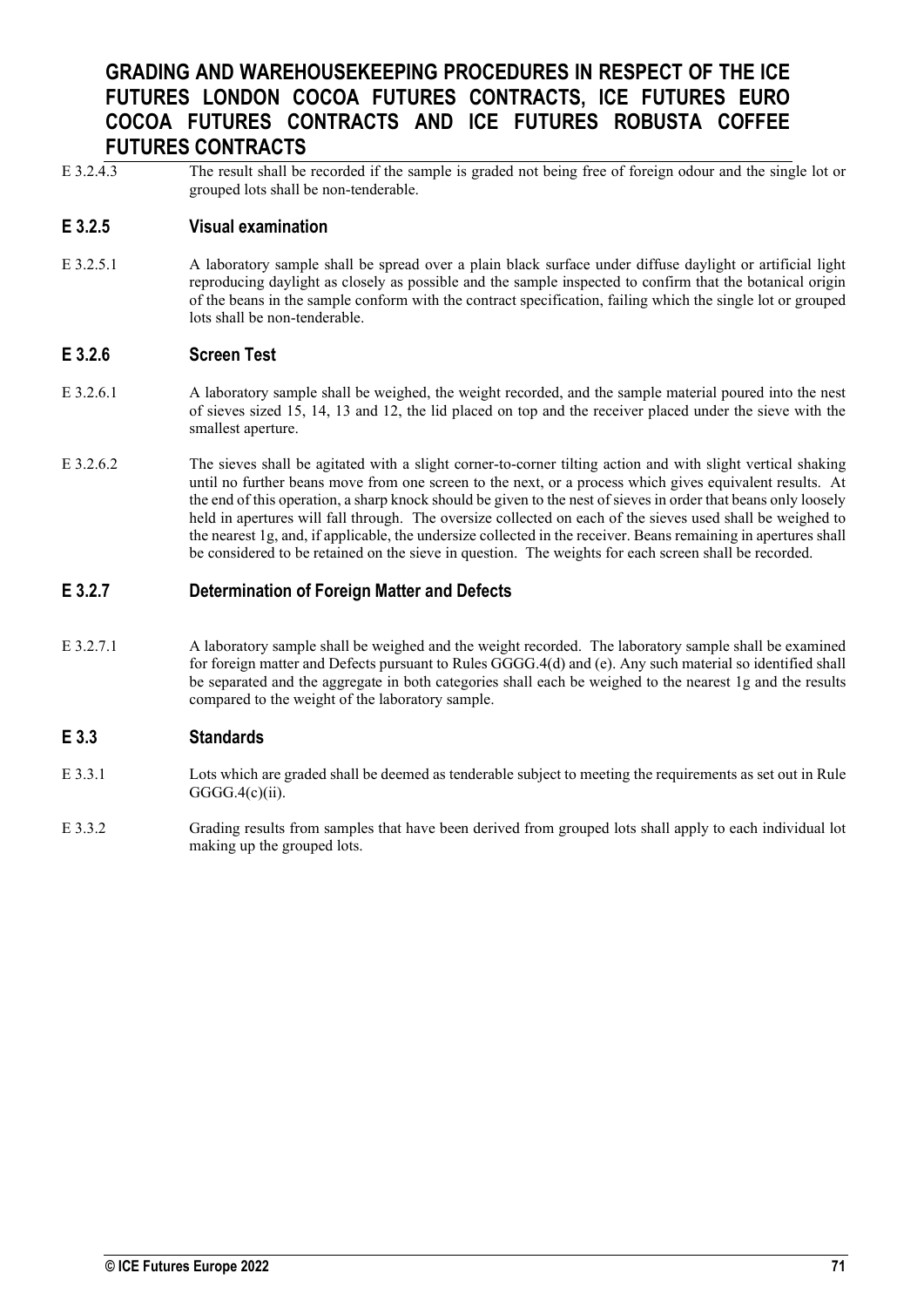E 3.2.4.3 The result shall be recorded if the sample is graded not being free of foreign odour and the single lot or grouped lots shall be non-tenderable.

### **E 3.2.5 Visual examination**

E 3.2.5.1 A laboratory sample shall be spread over a plain black surface under diffuse daylight or artificial light reproducing daylight as closely as possible and the sample inspected to confirm that the botanical origin of the beans in the sample conform with the contract specification, failing which the single lot or grouped lots shall be non-tenderable.

### **E 3.2.6 Screen Test**

- E 3.2.6.1 A laboratory sample shall be weighed, the weight recorded, and the sample material poured into the nest of sieves sized 15, 14, 13 and 12, the lid placed on top and the receiver placed under the sieve with the smallest aperture.
- E 3.2.6.2 The sieves shall be agitated with a slight corner-to-corner tilting action and with slight vertical shaking until no further beans move from one screen to the next, or a process which gives equivalent results. At the end of this operation, a sharp knock should be given to the nest of sieves in order that beans only loosely held in apertures will fall through. The oversize collected on each of the sieves used shall be weighed to the nearest 1g, and, if applicable, the undersize collected in the receiver. Beans remaining in apertures shall be considered to be retained on the sieve in question. The weights for each screen shall be recorded.

## **E 3.2.7 Determination of Foreign Matter and Defects**

E 3.2.7.1 A laboratory sample shall be weighed and the weight recorded. The laboratory sample shall be examined for foreign matter and Defects pursuant to Rules GGGG.4(d) and (e). Any such material so identified shall be separated and the aggregate in both categories shall each be weighed to the nearest 1g and the results compared to the weight of the laboratory sample.

### **E 3.3 Standards**

- E 3.3.1 Lots which are graded shall be deemed as tenderable subject to meeting the requirements as set out in Rule  $GGG.4(c)(ii)$ .
- E 3.3.2 Grading results from samples that have been derived from grouped lots shall apply to each individual lot making up the grouped lots.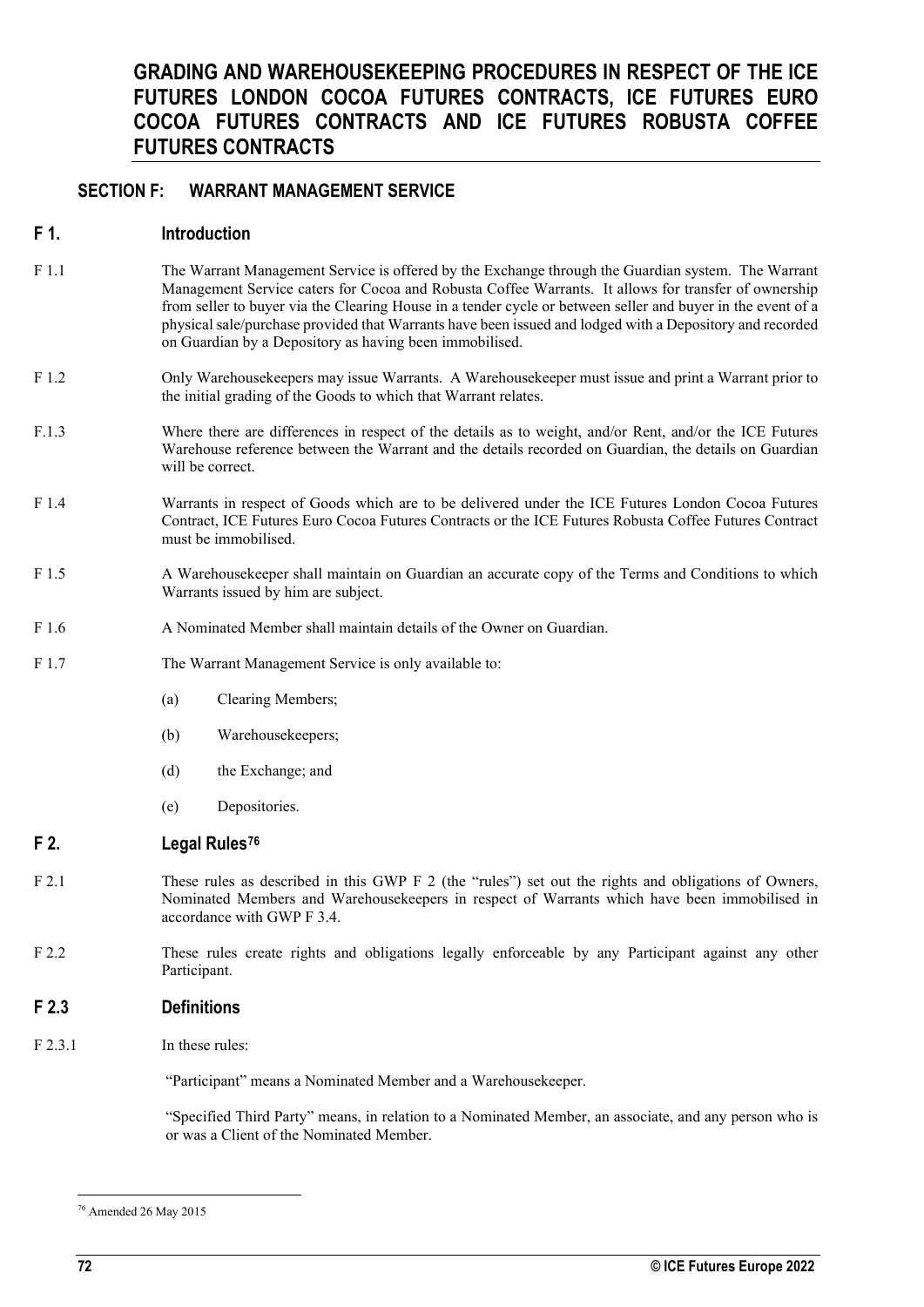## **SECTION F: WARRANT MANAGEMENT SERVICE**

### **F 1. Introduction**

- F 1.1 The Warrant Management Service is offered by the Exchange through the Guardian system. The Warrant Management Service caters for Cocoa and Robusta Coffee Warrants. It allows for transfer of ownership from seller to buyer via the Clearing House in a tender cycle or between seller and buyer in the event of a physical sale/purchase provided that Warrants have been issued and lodged with a Depository and recorded on Guardian by a Depository as having been immobilised.
- F 1.2 Only Warehousekeepers may issue Warrants. A Warehousekeeper must issue and print a Warrant prior to the initial grading of the Goods to which that Warrant relates.
- F.1.3 Where there are differences in respect of the details as to weight, and/or Rent, and/or the ICE Futures Warehouse reference between the Warrant and the details recorded on Guardian, the details on Guardian will be correct.
- F 1.4 Warrants in respect of Goods which are to be delivered under the ICE Futures London Cocoa Futures Contract, ICE Futures Euro Cocoa Futures Contracts or the ICE Futures Robusta Coffee Futures Contract must be immobilised.
- F 1.5 A Warehousekeeper shall maintain on Guardian an accurate copy of the Terms and Conditions to which Warrants issued by him are subject.
- F 1.6 A Nominated Member shall maintain details of the Owner on Guardian.
- F 1.7 The Warrant Management Service is only available to:
	- (a) Clearing Members;
	- (b) Warehousekeepers;
	- (d) the Exchange; and
	- (e) Depositories.

### **F 2. Legal Rules[76](#page-71-0)**

- F 2.1 These rules as described in this GWP F 2 (the "rules") set out the rights and obligations of Owners, Nominated Members and Warehousekeepers in respect of Warrants which have been immobilised in accordance with GWP F 3.4.
- F 2.2 These rules create rights and obligations legally enforceable by any Participant against any other Participant.

#### **F 2.3 Definitions**

F 2.3.1 In these rules:

"Participant" means a Nominated Member and a Warehousekeeper.

"Specified Third Party" means, in relation to a Nominated Member, an associate, and any person who is or was a Client of the Nominated Member.

<span id="page-71-0"></span><sup>76</sup> Amended 26 May 2015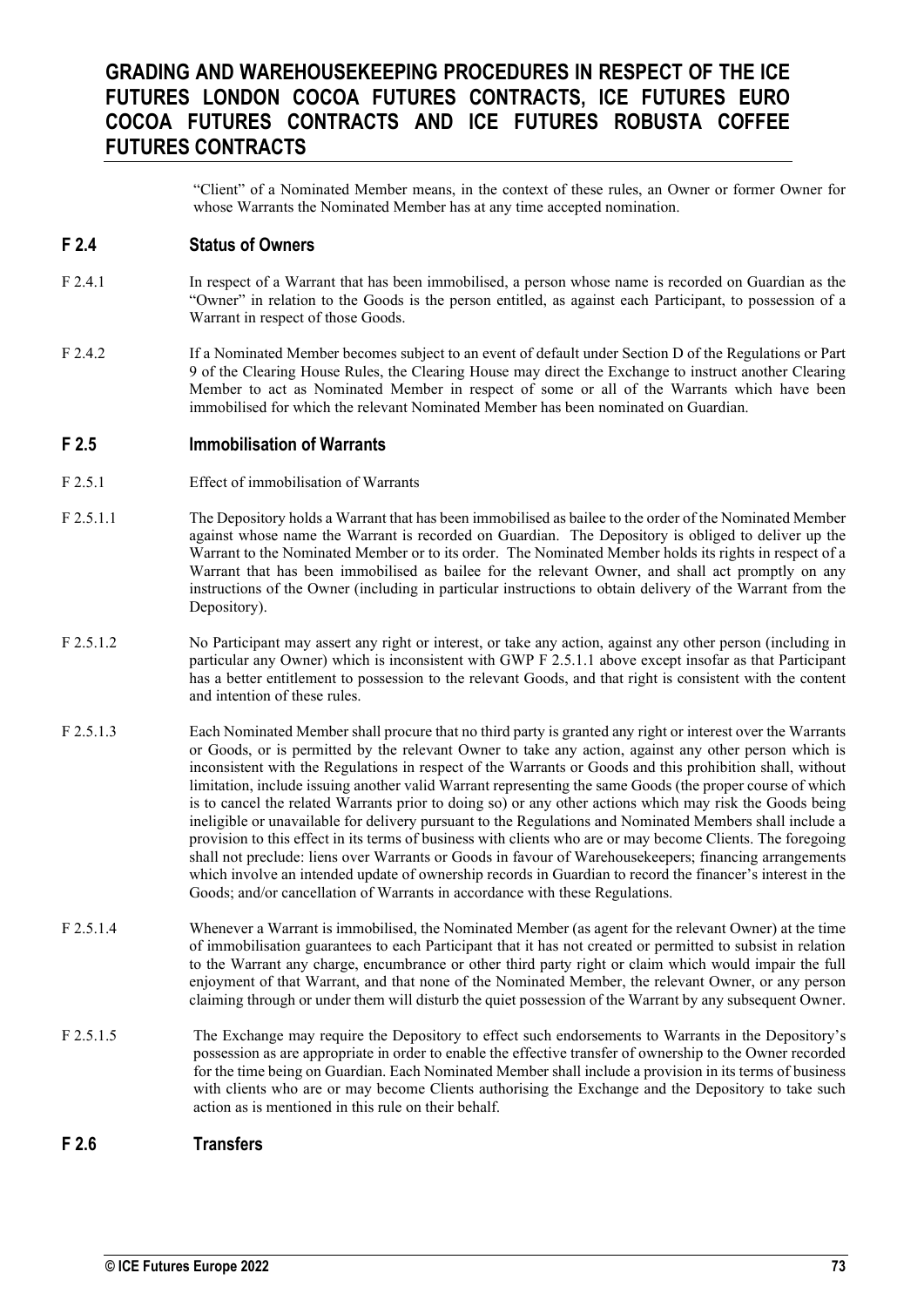"Client" of a Nominated Member means, in the context of these rules, an Owner or former Owner for whose Warrants the Nominated Member has at any time accepted nomination.

#### **F 2.4 Status of Owners**

- F 2.4.1 In respect of a Warrant that has been immobilised, a person whose name is recorded on Guardian as the "Owner" in relation to the Goods is the person entitled, as against each Participant, to possession of a Warrant in respect of those Goods.
- F 2.4.2 If a Nominated Member becomes subject to an event of default under Section D of the Regulations or Part 9 of the Clearing House Rules, the Clearing House may direct the Exchange to instruct another Clearing Member to act as Nominated Member in respect of some or all of the Warrants which have been immobilised for which the relevant Nominated Member has been nominated on Guardian.

#### **F 2.5 Immobilisation of Warrants**

- F 2.5.1 Effect of immobilisation of Warrants
- F 2.5.1.1 The Depository holds a Warrant that has been immobilised as bailee to the order of the Nominated Member against whose name the Warrant is recorded on Guardian. The Depository is obliged to deliver up the Warrant to the Nominated Member or to its order. The Nominated Member holds its rights in respect of a Warrant that has been immobilised as bailee for the relevant Owner, and shall act promptly on any instructions of the Owner (including in particular instructions to obtain delivery of the Warrant from the Depository).
- F 2.5.1.2 No Participant may assert any right or interest, or take any action, against any other person (including in particular any Owner) which is inconsistent with GWP F 2.5.1.1 above except insofar as that Participant has a better entitlement to possession to the relevant Goods, and that right is consistent with the content and intention of these rules.
- F 2.5.1.3 Each Nominated Member shall procure that no third party is granted any right or interest over the Warrants or Goods, or is permitted by the relevant Owner to take any action, against any other person which is inconsistent with the Regulations in respect of the Warrants or Goods and this prohibition shall, without limitation, include issuing another valid Warrant representing the same Goods (the proper course of which is to cancel the related Warrants prior to doing so) or any other actions which may risk the Goods being ineligible or unavailable for delivery pursuant to the Regulations and Nominated Members shall include a provision to this effect in its terms of business with clients who are or may become Clients. The foregoing shall not preclude: liens over Warrants or Goods in favour of Warehousekeepers; financing arrangements which involve an intended update of ownership records in Guardian to record the financer's interest in the Goods; and/or cancellation of Warrants in accordance with these Regulations.
- F 2.5.1.4 Whenever a Warrant is immobilised, the Nominated Member (as agent for the relevant Owner) at the time of immobilisation guarantees to each Participant that it has not created or permitted to subsist in relation to the Warrant any charge, encumbrance or other third party right or claim which would impair the full enjoyment of that Warrant, and that none of the Nominated Member, the relevant Owner, or any person claiming through or under them will disturb the quiet possession of the Warrant by any subsequent Owner.
- F 2.5.1.5 The Exchange may require the Depository to effect such endorsements to Warrants in the Depository's possession as are appropriate in order to enable the effective transfer of ownership to the Owner recorded for the time being on Guardian. Each Nominated Member shall include a provision in its terms of business with clients who are or may become Clients authorising the Exchange and the Depository to take such action as is mentioned in this rule on their behalf.

#### **F 2.6 Transfers**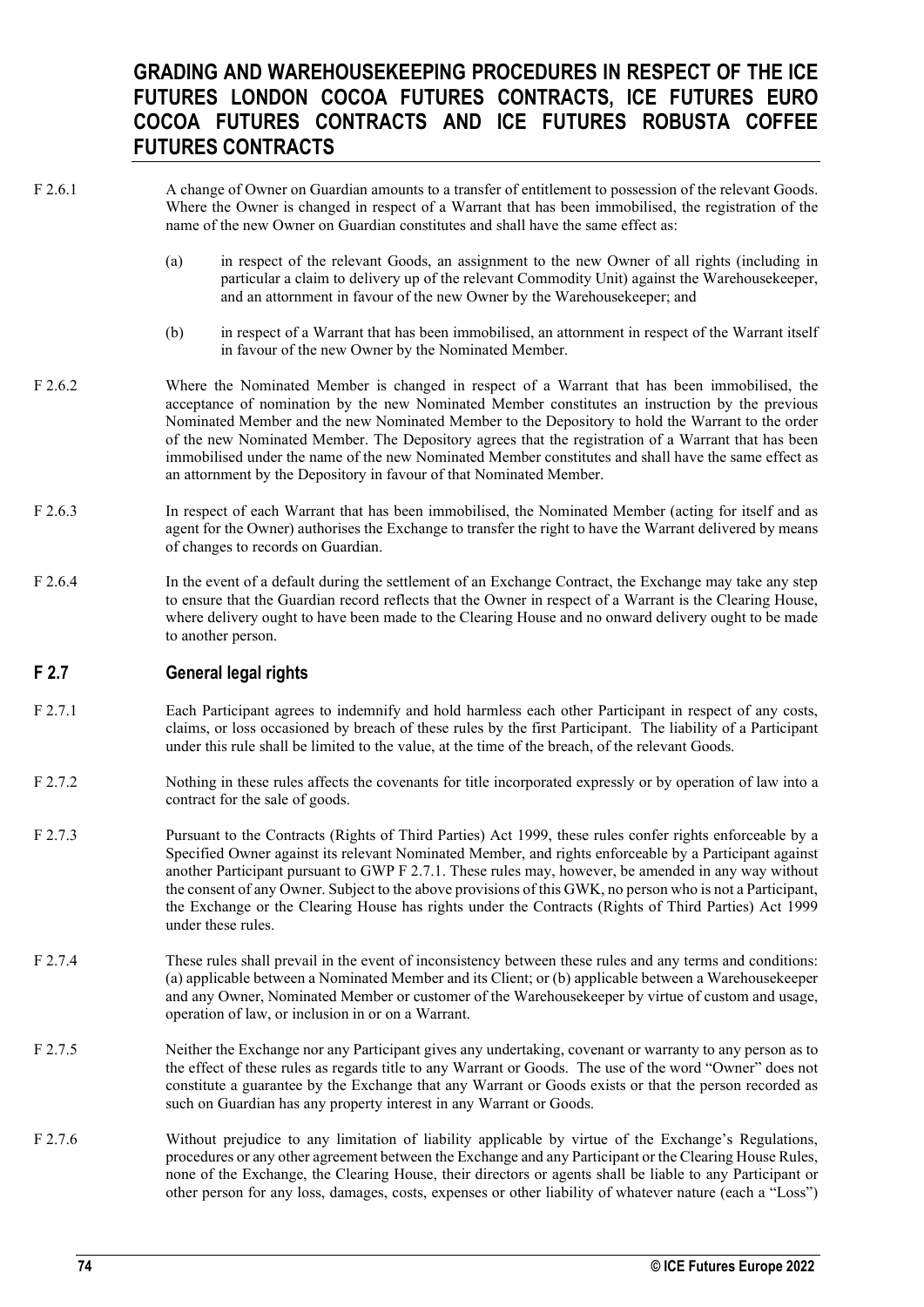- F 2.6.1 A change of Owner on Guardian amounts to a transfer of entitlement to possession of the relevant Goods. Where the Owner is changed in respect of a Warrant that has been immobilised, the registration of the name of the new Owner on Guardian constitutes and shall have the same effect as:
	- (a) in respect of the relevant Goods, an assignment to the new Owner of all rights (including in particular a claim to delivery up of the relevant Commodity Unit) against the Warehousekeeper, and an attornment in favour of the new Owner by the Warehousekeeper; and
	- (b) in respect of a Warrant that has been immobilised, an attornment in respect of the Warrant itself in favour of the new Owner by the Nominated Member.
- F 2.6.2 Where the Nominated Member is changed in respect of a Warrant that has been immobilised, the acceptance of nomination by the new Nominated Member constitutes an instruction by the previous Nominated Member and the new Nominated Member to the Depository to hold the Warrant to the order of the new Nominated Member. The Depository agrees that the registration of a Warrant that has been immobilised under the name of the new Nominated Member constitutes and shall have the same effect as an attornment by the Depository in favour of that Nominated Member.
- F 2.6.3 In respect of each Warrant that has been immobilised, the Nominated Member (acting for itself and as agent for the Owner) authorises the Exchange to transfer the right to have the Warrant delivered by means of changes to records on Guardian.
- F 2.6.4 In the event of a default during the settlement of an Exchange Contract, the Exchange may take any step to ensure that the Guardian record reflects that the Owner in respect of a Warrant is the Clearing House, where delivery ought to have been made to the Clearing House and no onward delivery ought to be made to another person.

### **F 2.7 General legal rights**

- F 2.7.1 Each Participant agrees to indemnify and hold harmless each other Participant in respect of any costs, claims, or loss occasioned by breach of these rules by the first Participant. The liability of a Participant under this rule shall be limited to the value, at the time of the breach, of the relevant Goods.
- F 2.7.2 Nothing in these rules affects the covenants for title incorporated expressly or by operation of law into a contract for the sale of goods.
- F 2.7.3 Pursuant to the Contracts (Rights of Third Parties) Act 1999, these rules confer rights enforceable by a Specified Owner against its relevant Nominated Member, and rights enforceable by a Participant against another Participant pursuant to GWP F 2.7.1. These rules may, however, be amended in any way without the consent of any Owner. Subject to the above provisions of this GWK, no person who is not a Participant, the Exchange or the Clearing House has rights under the Contracts (Rights of Third Parties) Act 1999 under these rules.
- F 2.7.4 These rules shall prevail in the event of inconsistency between these rules and any terms and conditions: (a) applicable between a Nominated Member and its Client; or (b) applicable between a Warehousekeeper and any Owner, Nominated Member or customer of the Warehousekeeper by virtue of custom and usage, operation of law, or inclusion in or on a Warrant.
- F 2.7.5 Neither the Exchange nor any Participant gives any undertaking, covenant or warranty to any person as to the effect of these rules as regards title to any Warrant or Goods. The use of the word "Owner" does not constitute a guarantee by the Exchange that any Warrant or Goods exists or that the person recorded as such on Guardian has any property interest in any Warrant or Goods.
- F 2.7.6 Without prejudice to any limitation of liability applicable by virtue of the Exchange's Regulations, procedures or any other agreement between the Exchange and any Participant or the Clearing House Rules, none of the Exchange, the Clearing House, their directors or agents shall be liable to any Participant or other person for any loss, damages, costs, expenses or other liability of whatever nature (each a "Loss")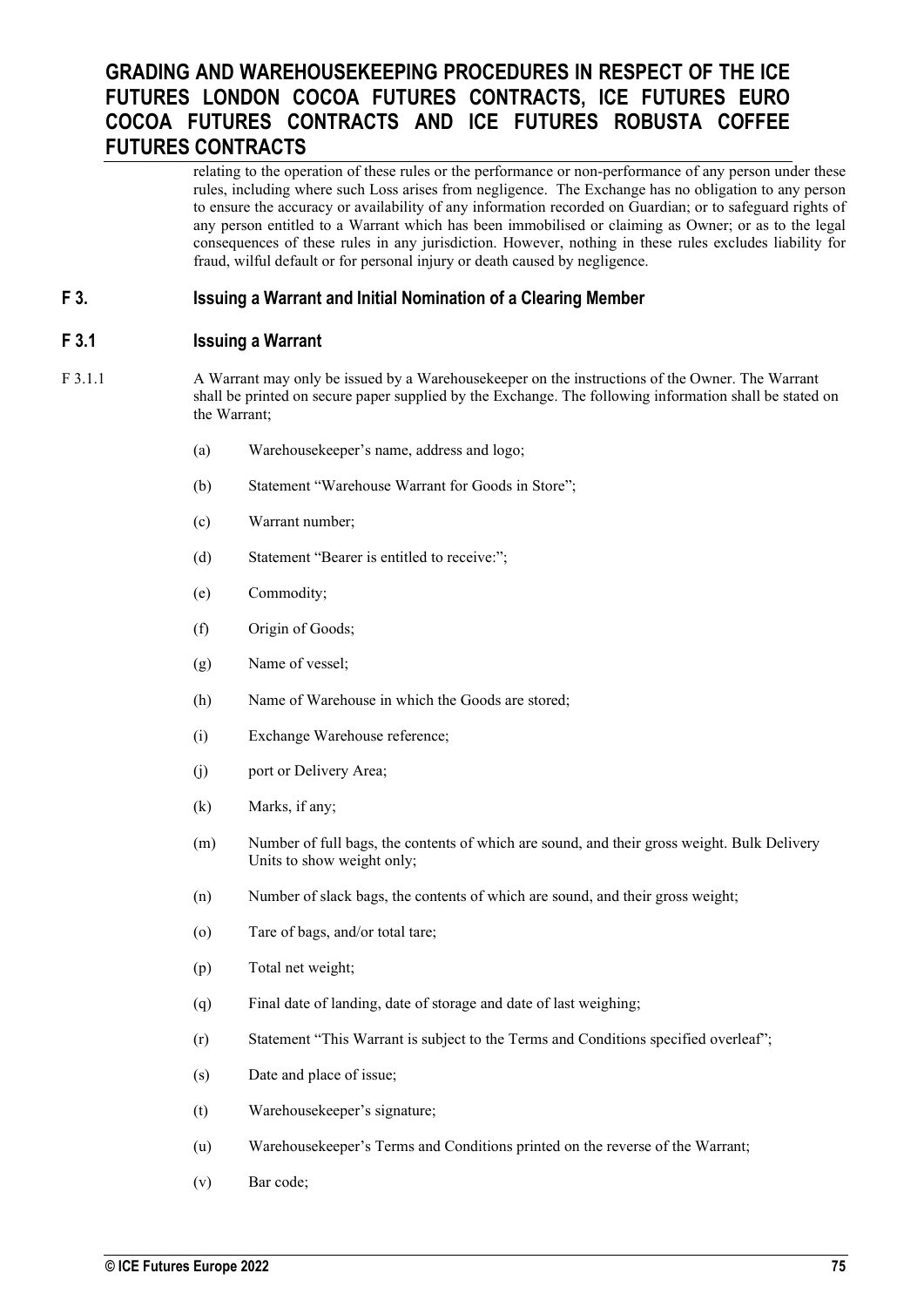relating to the operation of these rules or the performance or non-performance of any person under these rules, including where such Loss arises from negligence. The Exchange has no obligation to any person to ensure the accuracy or availability of any information recorded on Guardian; or to safeguard rights of any person entitled to a Warrant which has been immobilised or claiming as Owner; or as to the legal consequences of these rules in any jurisdiction. However, nothing in these rules excludes liability for fraud, wilful default or for personal injury or death caused by negligence.

### **F 3. Issuing a Warrant and Initial Nomination of a Clearing Member**

### **F 3.1 Issuing a Warrant**

- F 3.1.1 A Warrant may only be issued by a Warehousekeeper on the instructions of the Owner. The Warrant shall be printed on secure paper supplied by the Exchange. The following information shall be stated on the Warrant;
	- (a) Warehousekeeper's name, address and logo;
	- (b) Statement "Warehouse Warrant for Goods in Store";
	- (c) Warrant number;
	- (d) Statement "Bearer is entitled to receive:";
	- (e) Commodity;
	- (f) Origin of Goods;
	- (g) Name of vessel;
	- (h) Name of Warehouse in which the Goods are stored;
	- (i) Exchange Warehouse reference;
	- (j) port or Delivery Area;
	- (k) Marks, if any;
	- (m) Number of full bags, the contents of which are sound, and their gross weight. Bulk Delivery Units to show weight only;
	- (n) Number of slack bags, the contents of which are sound, and their gross weight;
	- (o) Tare of bags, and/or total tare;
	- (p) Total net weight;
	- (q) Final date of landing, date of storage and date of last weighing;
	- (r) Statement "This Warrant is subject to the Terms and Conditions specified overleaf";
	- (s) Date and place of issue;
	- (t) Warehousekeeper's signature;
	- (u) Warehousekeeper's Terms and Conditions printed on the reverse of the Warrant;
	- (v) Bar code;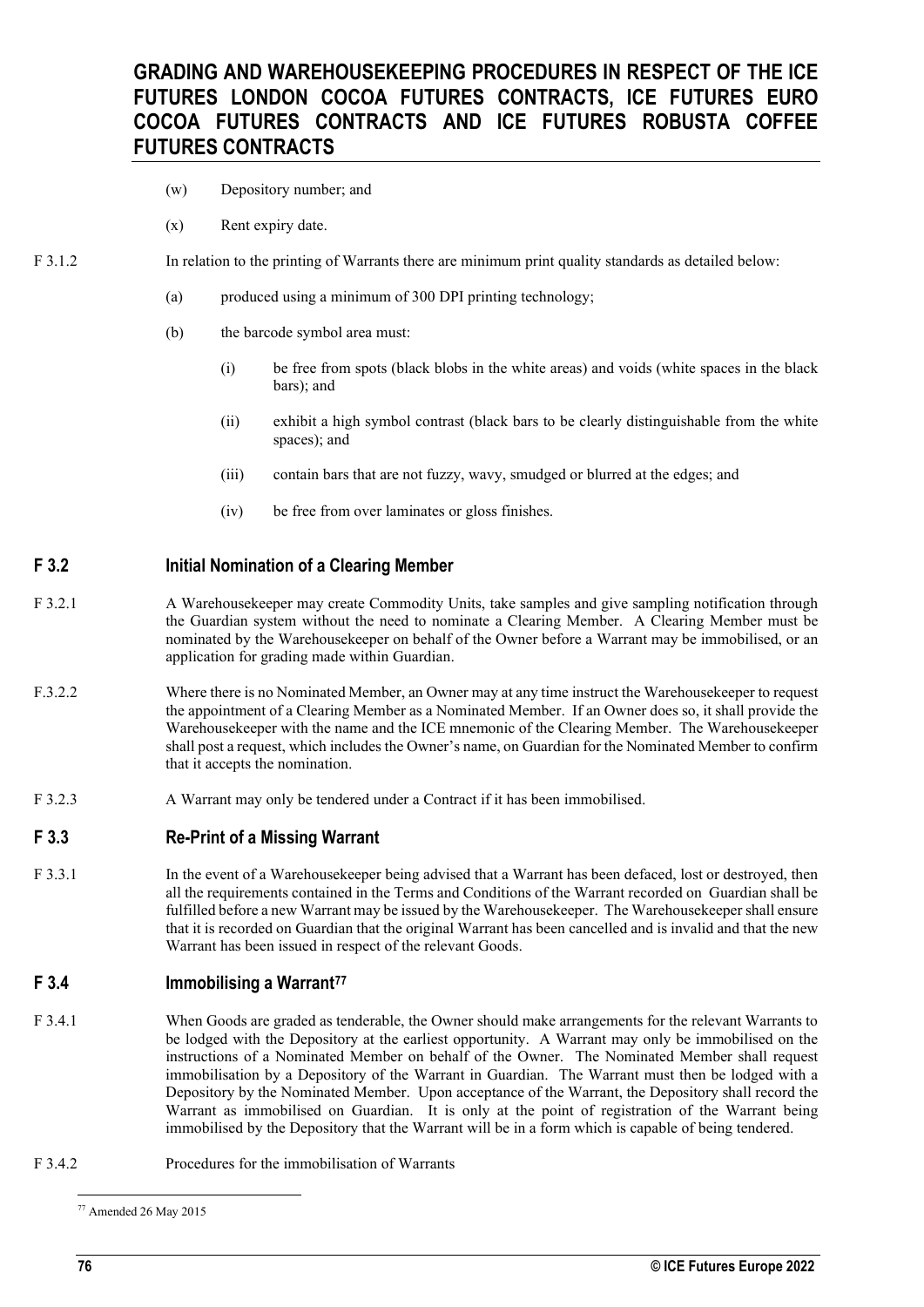- (w) Depository number; and
- (x) Rent expiry date.

#### F 3.1.2 In relation to the printing of Warrants there are minimum print quality standards as detailed below:

- (a) produced using a minimum of 300 DPI printing technology;
- (b) the barcode symbol area must:
	- (i) be free from spots (black blobs in the white areas) and voids (white spaces in the black bars); and
	- (ii) exhibit a high symbol contrast (black bars to be clearly distinguishable from the white spaces); and
	- (iii) contain bars that are not fuzzy, wavy, smudged or blurred at the edges; and
	- (iv) be free from over laminates or gloss finishes.

### **F 3.2 Initial Nomination of a Clearing Member**

- F 3.2.1 A Warehousekeeper may create Commodity Units, take samples and give sampling notification through the Guardian system without the need to nominate a Clearing Member. A Clearing Member must be nominated by the Warehousekeeper on behalf of the Owner before a Warrant may be immobilised, or an application for grading made within Guardian.
- F.3.2.2 Where there is no Nominated Member, an Owner may at any time instruct the Warehousekeeper to request the appointment of a Clearing Member as a Nominated Member. If an Owner does so, it shall provide the Warehousekeeper with the name and the ICE mnemonic of the Clearing Member. The Warehousekeeper shall post a request, which includes the Owner's name, on Guardian for the Nominated Member to confirm that it accepts the nomination.
- F 3.2.3 A Warrant may only be tendered under a Contract if it has been immobilised.

### **F 3.3 Re-Print of a Missing Warrant**

F 3.3.1 In the event of a Warehousekeeper being advised that a Warrant has been defaced, lost or destroyed, then all the requirements contained in the Terms and Conditions of the Warrant recorded on Guardian shall be fulfilled before a new Warrant may be issued by the Warehousekeeper. The Warehousekeeper shall ensure that it is recorded on Guardian that the original Warrant has been cancelled and is invalid and that the new Warrant has been issued in respect of the relevant Goods.

### **F 3.4 Immobilising a Warrant[77](#page-75-0)**

- F 3.4.1 When Goods are graded as tenderable, the Owner should make arrangements for the relevant Warrants to be lodged with the Depository at the earliest opportunity. A Warrant may only be immobilised on the instructions of a Nominated Member on behalf of the Owner. The Nominated Member shall request immobilisation by a Depository of the Warrant in Guardian. The Warrant must then be lodged with a Depository by the Nominated Member. Upon acceptance of the Warrant, the Depository shall record the Warrant as immobilised on Guardian. It is only at the point of registration of the Warrant being immobilised by the Depository that the Warrant will be in a form which is capable of being tendered.
- <span id="page-75-0"></span>F 3.4.2 Procedures for the immobilisation of Warrants

<sup>77</sup> Amended 26 May 2015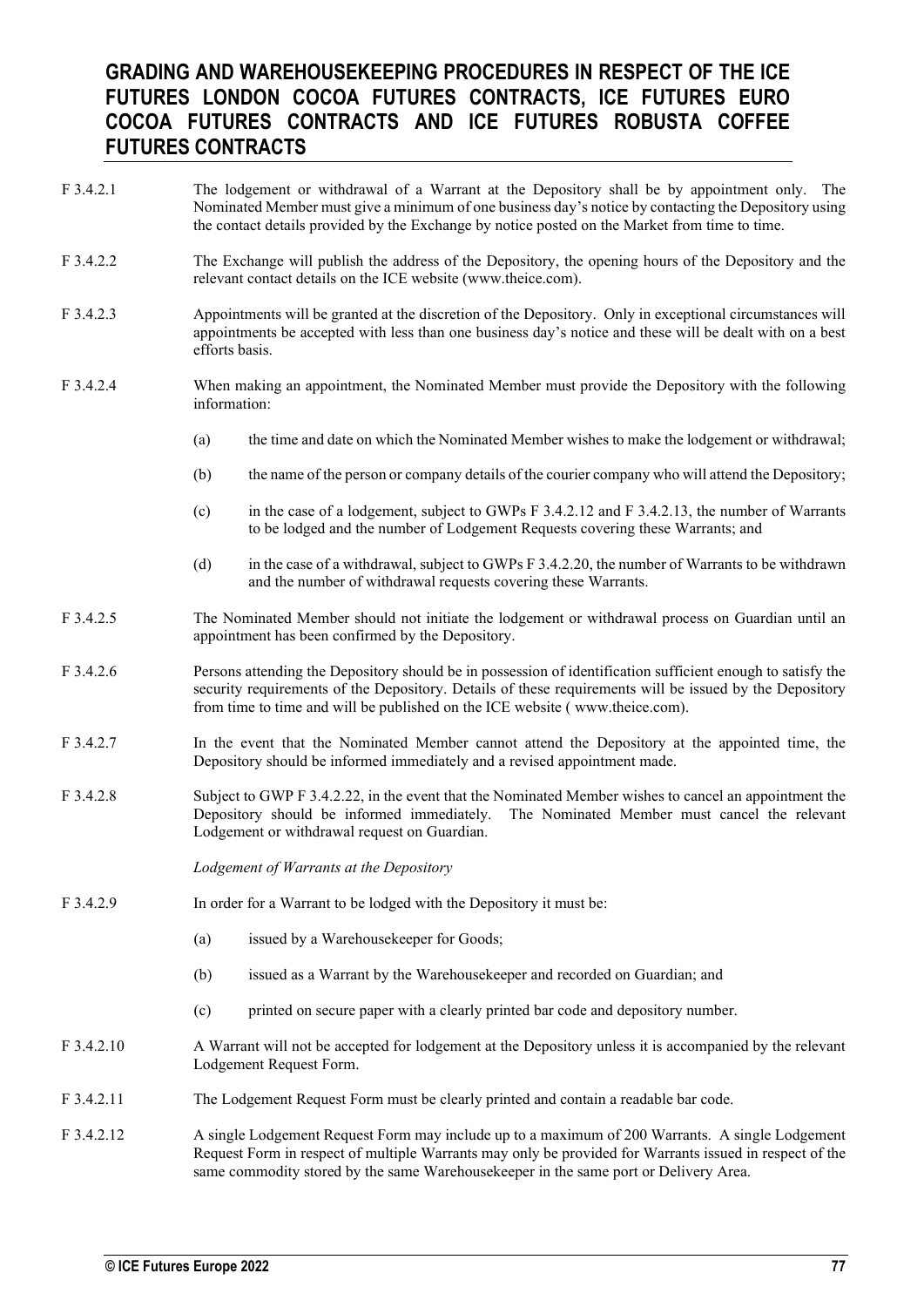F 3.4.2.1 The lodgement or withdrawal of a Warrant at the Depository shall be by appointment only. The Nominated Member must give a minimum of one business day's notice by contacting the Depository using the contact details provided by the Exchange by notice posted on the Market from time to time. F 3.4.2.2 The Exchange will publish the address of the Depository, the opening hours of the Depository and the relevant contact details on the ICE website (www.theice.com). F 3.4.2.3 Appointments will be granted at the discretion of the Depository. Only in exceptional circumstances will appointments be accepted with less than one business day's notice and these will be dealt with on a best efforts basis. F 3.4.2.4 When making an appointment, the Nominated Member must provide the Depository with the following information: (a) the time and date on which the Nominated Member wishes to make the lodgement or withdrawal; (b) the name of the person or company details of the courier company who will attend the Depository; (c) in the case of a lodgement, subject to GWPs F 3.4.2.12 and F 3.4.2.13, the number of Warrants to be lodged and the number of Lodgement Requests covering these Warrants; and (d) in the case of a withdrawal, subject to GWPs F 3.4.2.20, the number of Warrants to be withdrawn and the number of withdrawal requests covering these Warrants. F 3.4.2.5 The Nominated Member should not initiate the lodgement or withdrawal process on Guardian until an appointment has been confirmed by the Depository. F 3.4.2.6 Persons attending the Depository should be in possession of identification sufficient enough to satisfy the security requirements of the Depository. Details of these requirements will be issued by the Depository from time to time and will be published on the ICE website ( www.theice.com). F 3.4.2.7 In the event that the Nominated Member cannot attend the Depository at the appointed time, the Depository should be informed immediately and a revised appointment made. F 3.4.2.8 Subject to GWP F 3.4.2.22, in the event that the Nominated Member wishes to cancel an appointment the Depository should be informed immediately. The Nominated Member must cancel the relevant Lodgement or withdrawal request on Guardian. *Lodgement of Warrants at the Depository* F 3.4.2.9 In order for a Warrant to be lodged with the Depository it must be: (a) issued by a Warehousekeeper for Goods; (b) issued as a Warrant by the Warehousekeeper and recorded on Guardian; and (c) printed on secure paper with a clearly printed bar code and depository number. F 3.4.2.10 A Warrant will not be accepted for lodgement at the Depository unless it is accompanied by the relevant Lodgement Request Form. F 3.4.2.11 The Lodgement Request Form must be clearly printed and contain a readable bar code. F 3.4.2.12 A single Lodgement Request Form may include up to a maximum of 200 Warrants. A single Lodgement Request Form in respect of multiple Warrants may only be provided for Warrants issued in respect of the same commodity stored by the same Warehousekeeper in the same port or Delivery Area.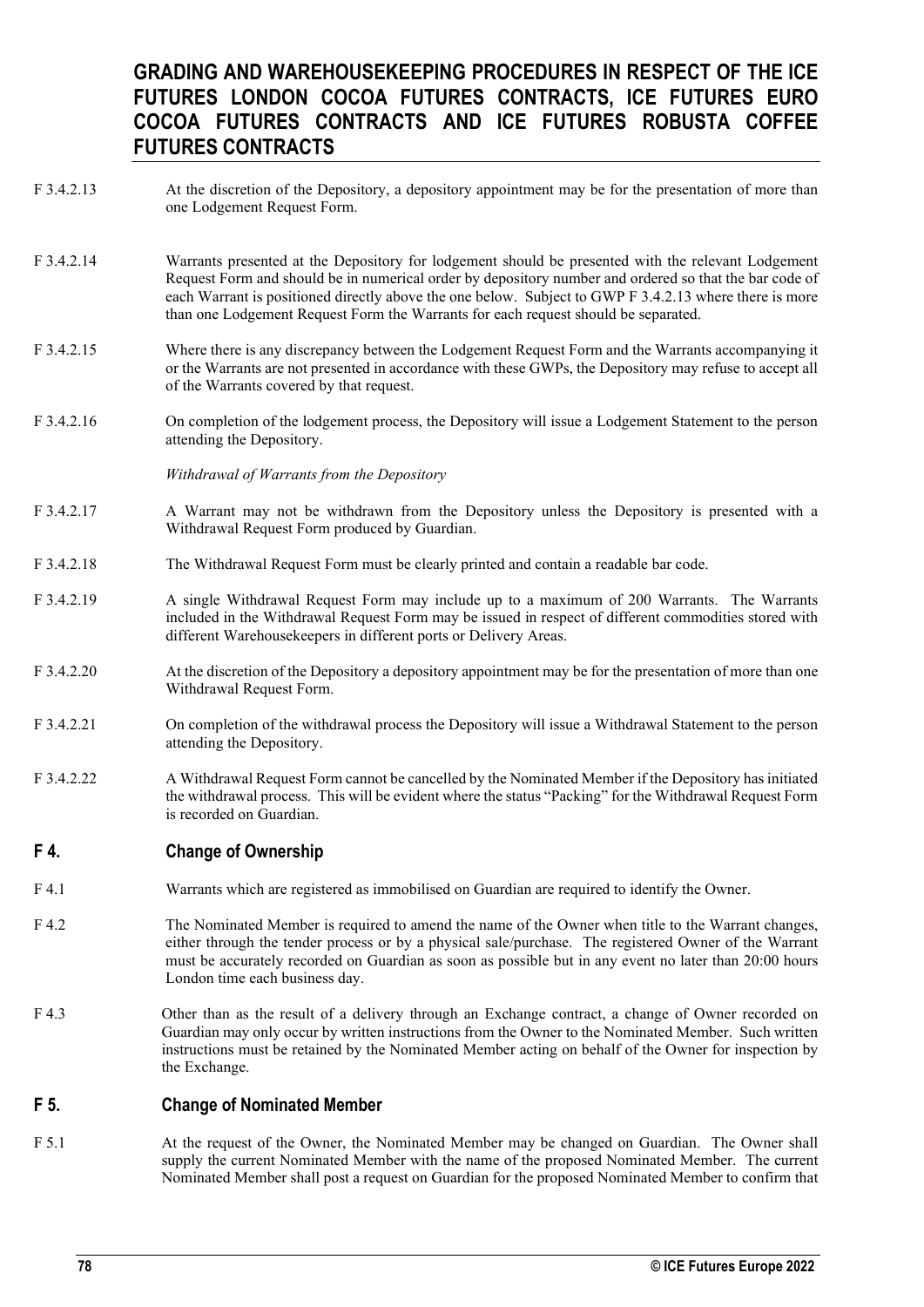- F 3.4.2.13 At the discretion of the Depository, a depository appointment may be for the presentation of more than one Lodgement Request Form.
- F 3.4.2.14 Warrants presented at the Depository for lodgement should be presented with the relevant Lodgement Request Form and should be in numerical order by depository number and ordered so that the bar code of each Warrant is positioned directly above the one below. Subject to GWP F 3.4.2.13 where there is more than one Lodgement Request Form the Warrants for each request should be separated.
- F 3.4.2.15 Where there is any discrepancy between the Lodgement Request Form and the Warrants accompanying it or the Warrants are not presented in accordance with these GWPs, the Depository may refuse to accept all of the Warrants covered by that request.
- F 3.4.2.16 On completion of the lodgement process, the Depository will issue a Lodgement Statement to the person attending the Depository.

*Withdrawal of Warrants from the Depository*

- F 3.4.2.17 A Warrant may not be withdrawn from the Depository unless the Depository is presented with a Withdrawal Request Form produced by Guardian.
- F 3.4.2.18 The Withdrawal Request Form must be clearly printed and contain a readable bar code.
- F 3.4.2.19 A single Withdrawal Request Form may include up to a maximum of 200 Warrants. The Warrants included in the Withdrawal Request Form may be issued in respect of different commodities stored with different Warehousekeepers in different ports or Delivery Areas.
- F 3.4.2.20 At the discretion of the Depository a depository appointment may be for the presentation of more than one Withdrawal Request Form.
- F 3.4.2.21 On completion of the withdrawal process the Depository will issue a Withdrawal Statement to the person attending the Depository.
- F 3.4.2.22 A Withdrawal Request Form cannot be cancelled by the Nominated Member if the Depository has initiated the withdrawal process. This will be evident where the status "Packing" for the Withdrawal Request Form is recorded on Guardian.

### **F 4. Change of Ownership**

- F 4.1 Warrants which are registered as immobilised on Guardian are required to identify the Owner.
- F 4.2 The Nominated Member is required to amend the name of the Owner when title to the Warrant changes, either through the tender process or by a physical sale/purchase. The registered Owner of the Warrant must be accurately recorded on Guardian as soon as possible but in any event no later than 20:00 hours London time each business day.
- F 4.3 Other than as the result of a delivery through an Exchange contract, a change of Owner recorded on Guardian may only occur by written instructions from the Owner to the Nominated Member. Such written instructions must be retained by the Nominated Member acting on behalf of the Owner for inspection by the Exchange.

### **F 5. Change of Nominated Member**

F 5.1 At the request of the Owner, the Nominated Member may be changed on Guardian. The Owner shall supply the current Nominated Member with the name of the proposed Nominated Member. The current Nominated Member shall post a request on Guardian for the proposed Nominated Member to confirm that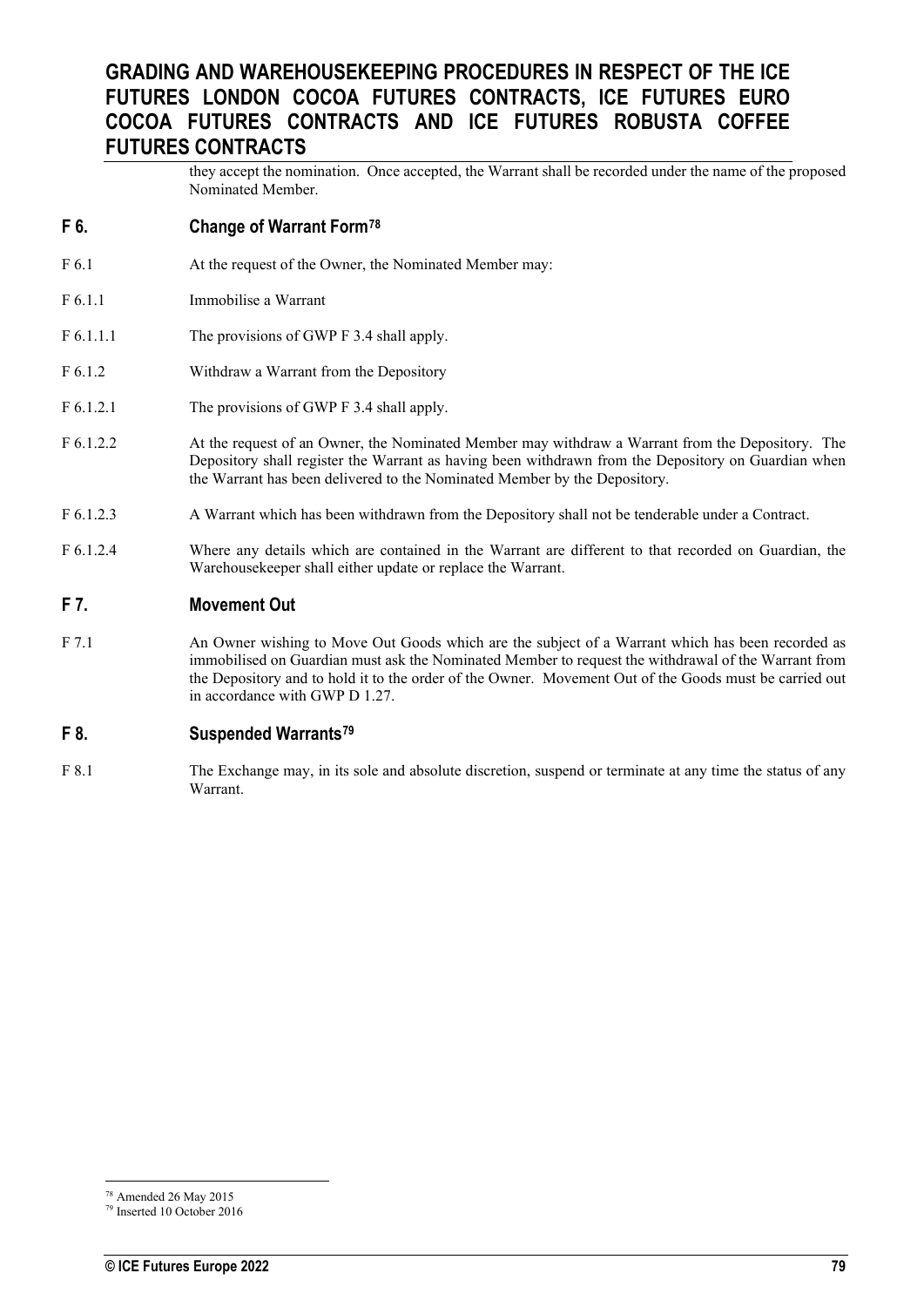they accept the nomination. Once accepted, the Warrant shall be recorded under the name of the proposed Nominated Member.

### **F 6. Change of Warrant Form[78](#page-78-0)**

- F 6.1 At the request of the Owner, the Nominated Member may:
- F 6.1.1 Immobilise a Warrant
- F 6.1.1.1 The provisions of GWP F 3.4 shall apply.
- F 6.1.2 Withdraw a Warrant from the Depository
- F 6.1.2.1 The provisions of GWP F 3.4 shall apply.
- F 6.1.2.2 At the request of an Owner, the Nominated Member may withdraw a Warrant from the Depository. The Depository shall register the Warrant as having been withdrawn from the Depository on Guardian when the Warrant has been delivered to the Nominated Member by the Depository.
- F 6.1.2.3 A Warrant which has been withdrawn from the Depository shall not be tenderable under a Contract.
- F 6.1.2.4 Where any details which are contained in the Warrant are different to that recorded on Guardian, the Warehousekeeper shall either update or replace the Warrant.

#### **F 7. Movement Out**

F 7.1 An Owner wishing to Move Out Goods which are the subject of a Warrant which has been recorded as immobilised on Guardian must ask the Nominated Member to request the withdrawal of the Warrant from the Depository and to hold it to the order of the Owner. Movement Out of the Goods must be carried out in accordance with GWP D 1.27.

#### **F 8. Suspended Warrants[79](#page-78-1)**

F 8.1 The Exchange may, in its sole and absolute discretion, suspend or terminate at any time the status of any Warrant.

<span id="page-78-0"></span><sup>78</sup> Amended 26 May 2015

<span id="page-78-1"></span><sup>79</sup> Inserted 10 October 2016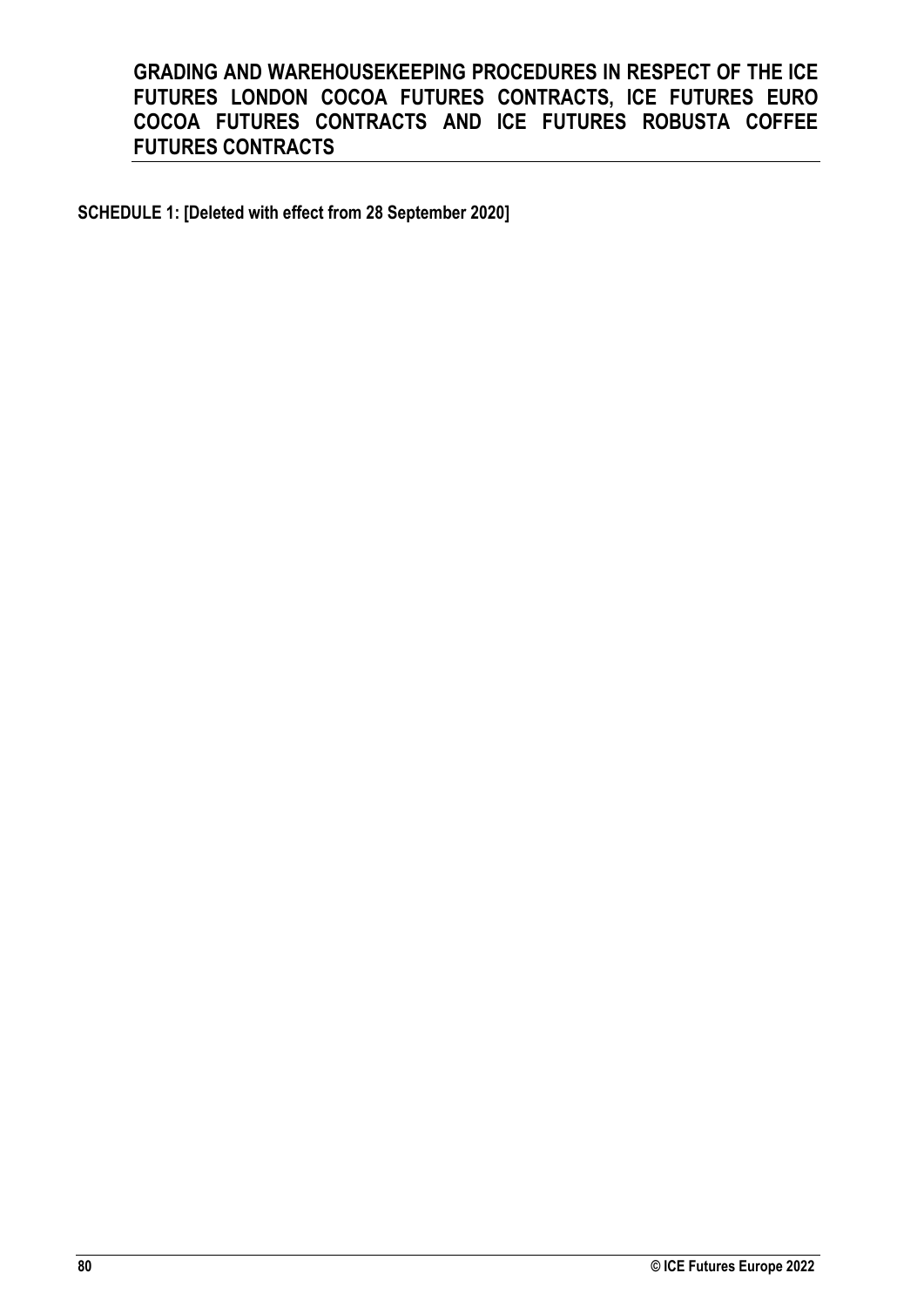**SCHEDULE 1: [Deleted with effect from 28 September 2020]**